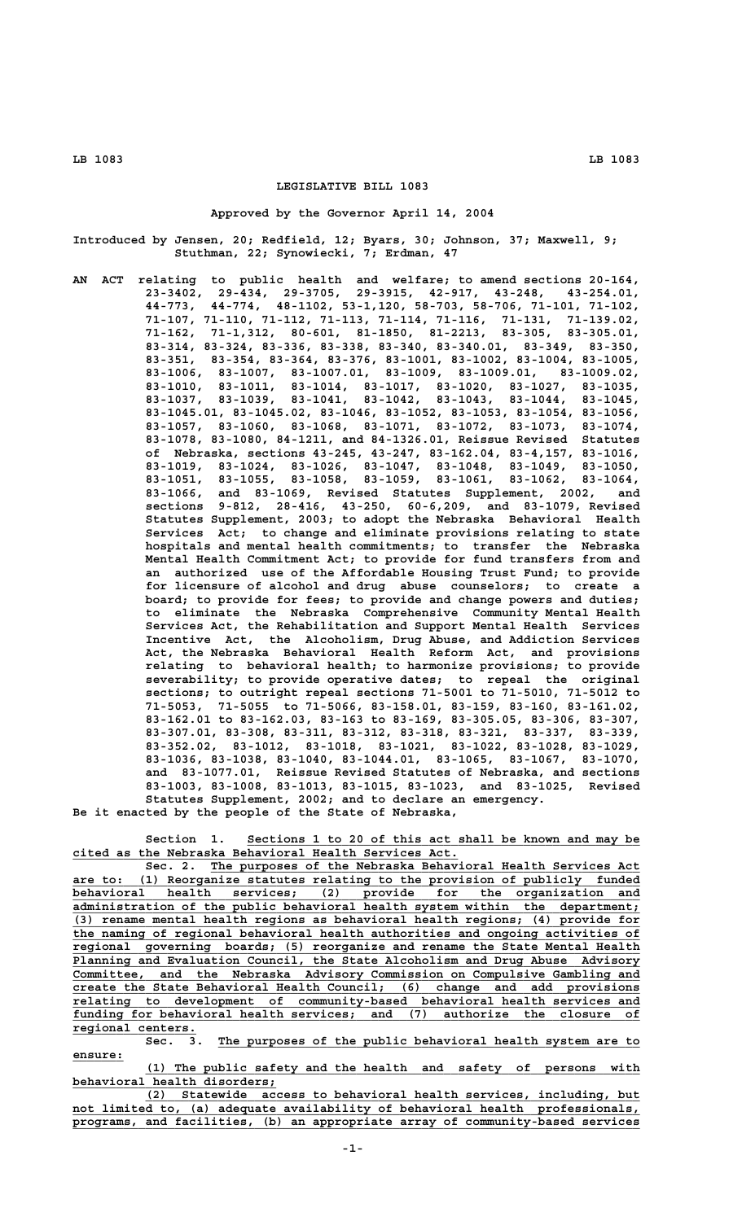## **LEGISLATIVE BILL 1083**

## **Approved by the Governor April 14, 2004**

**Introduced by Jensen, 20; Redfield, 12; Byars, 30; Johnson, 37; Maxwell, 9; Stuthman, 22; Synowiecki, 7; Erdman, 47**

**AN ACT relating to public health and welfare; to amend sections 20-164, 23-3402, 29-434, 29-3705, 29-3915, 42-917, 43-248, 43-254.01, 44-773, 44-774, 48-1102, 53-1,120, 58-703, 58-706, 71-101, 71-102, 71-107, 71-110, 71-112, 71-113, 71-114, 71-116, 71-131, 71-139.02, 71-162, 71-1,312, 80-601, 81-1850, 81-2213, 83-305, 83-305.01, 83-314, 83-324, 83-336, 83-338, 83-340, 83-340.01, 83-349, 83-350, 83-351, 83-354, 83-364, 83-376, 83-1001, 83-1002, 83-1004, 83-1005, 83-1006, 83-1007, 83-1007.01, 83-1009, 83-1009.01, 83-1009.02, 83-1010, 83-1011, 83-1014, 83-1017, 83-1020, 83-1027, 83-1035, 83-1037, 83-1039, 83-1041, 83-1042, 83-1043, 83-1044, 83-1045, 83-1045.01, 83-1045.02, 83-1046, 83-1052, 83-1053, 83-1054, 83-1056, 83-1057, 83-1060, 83-1068, 83-1071, 83-1072, 83-1073, 83-1074, 83-1078, 83-1080, 84-1211, and 84-1326.01, Reissue Revised Statutes of Nebraska, sections 43-245, 43-247, 83-162.04, 83-4,157, 83-1016, 83-1019, 83-1024, 83-1026, 83-1047, 83-1048, 83-1049, 83-1050, 83-1051, 83-1055, 83-1058, 83-1059, 83-1061, 83-1062, 83-1064, 83-1066, and 83-1069, Revised Statutes Supplement, 2002, and sections 9-812, 28-416, 43-250, 60-6,209, and 83-1079, Revised Statutes Supplement, 2003; to adopt the Nebraska Behavioral Health Services Act; to change and eliminate provisions relating to state hospitals and mental health commitments; to transfer the Nebraska Mental Health Commitment Act; to provide for fund transfers from and an authorized use of the Affordable Housing Trust Fund; to provide for licensure of alcohol and drug abuse counselors; to create a board; to provide for fees; to provide and change powers and duties; to eliminate the Nebraska Comprehensive Community Mental Health Services Act, the Rehabilitation and Support Mental Health Services Incentive Act, the Alcoholism, Drug Abuse, and Addiction Services Act, the Nebraska Behavioral Health Reform Act, and provisions relating to behavioral health; to harmonize provisions; to provide severability; to provide operative dates; to repeal the original sections; to outright repeal sections 71-5001 to 71-5010, 71-5012 to 71-5053, 71-5055 to 71-5066, 83-158.01, 83-159, 83-160, 83-161.02, 83-162.01 to 83-162.03, 83-163 to 83-169, 83-305.05, 83-306, 83-307, 83-307.01, 83-308, 83-311, 83-312, 83-318, 83-321, 83-337, 83-339, 83-352.02, 83-1012, 83-1018, 83-1021, 83-1022, 83-1028, 83-1029, 83-1036, 83-1038, 83-1040, 83-1044.01, 83-1065, 83-1067, 83-1070, and 83-1077.01, Reissue Revised Statutes of Nebraska, and sections 83-1003, 83-1008, 83-1013, 83-1015, 83-1023, and 83-1025, Revised Statutes Supplement, 2002; and to declare an emergency.**

**Be it enacted by the people of the State of Nebraska,**

Section 1. Sections 1 to 20 of this act shall be known and may be  **\_\_\_\_\_\_\_\_\_\_\_\_\_\_\_\_\_\_\_\_\_\_\_\_\_\_\_\_\_\_\_\_\_\_\_\_\_\_\_\_\_\_\_\_\_\_\_\_\_\_\_\_\_ cited as the Nebraska Behavioral Health Services Act.**

Sec. 2. The purposes of the Nebraska Behavioral Health Services Act  **\_\_\_\_\_\_\_\_\_\_\_\_\_\_\_\_\_\_\_\_\_\_\_\_\_\_\_\_\_\_\_\_\_\_\_\_\_\_\_\_\_\_\_\_\_\_\_\_\_\_\_\_\_\_\_\_\_\_\_\_\_\_\_\_\_\_\_\_\_\_\_\_\_\_\_\_\_\_ are to: (1) Reorganize statutes relating to the provision of publicly funded \_\_\_\_\_\_\_\_\_\_\_\_\_\_\_\_\_\_\_\_\_\_\_\_\_\_\_\_\_\_\_\_\_\_\_\_\_\_\_\_\_\_\_\_\_\_\_\_\_\_\_\_\_\_\_\_\_\_\_\_\_\_\_\_\_\_\_\_\_\_\_\_\_\_\_\_\_\_ behavioral health services; (2) provide for the organization and \_\_\_\_\_\_\_\_\_\_\_\_\_\_\_\_\_\_\_\_\_\_\_\_\_\_\_\_\_\_\_\_\_\_\_\_\_\_\_\_\_\_\_\_\_\_\_\_\_\_\_\_\_\_\_\_\_\_\_\_\_\_\_\_\_\_\_\_\_\_\_\_\_\_\_\_\_\_ administration of the public behavioral health system within the department; \_\_\_\_\_\_\_\_\_\_\_\_\_\_\_\_\_\_\_\_\_\_\_\_\_\_\_\_\_\_\_\_\_\_\_\_\_\_\_\_\_\_\_\_\_\_\_\_\_\_\_\_\_\_\_\_\_\_\_\_\_\_\_\_\_\_\_\_\_\_\_\_\_\_\_\_\_\_ (3) rename mental health regions as behavioral health regions; (4) provide for \_\_\_\_\_\_\_\_\_\_\_\_\_\_\_\_\_\_\_\_\_\_\_\_\_\_\_\_\_\_\_\_\_\_\_\_\_\_\_\_\_\_\_\_\_\_\_\_\_\_\_\_\_\_\_\_\_\_\_\_\_\_\_\_\_\_\_\_\_\_\_\_\_\_\_\_\_\_ the naming of regional behavioral health authorities and ongoing activities of \_\_\_\_\_\_\_\_\_\_\_\_\_\_\_\_\_\_\_\_\_\_\_\_\_\_\_\_\_\_\_\_\_\_\_\_\_\_\_\_\_\_\_\_\_\_\_\_\_\_\_\_\_\_\_\_\_\_\_\_\_\_\_\_\_\_\_\_\_\_\_\_\_\_\_\_\_\_ regional governing boards; (5) reorganize and rename the State Mental Health \_\_\_\_\_\_\_\_\_\_\_\_\_\_\_\_\_\_\_\_\_\_\_\_\_\_\_\_\_\_\_\_\_\_\_\_\_\_\_\_\_\_\_\_\_\_\_\_\_\_\_\_\_\_\_\_\_\_\_\_\_\_\_\_\_\_\_\_\_\_\_\_\_\_\_\_\_\_ Planning and Evaluation Council, the State Alcoholism and Drug Abuse Advisory \_\_\_\_\_\_\_\_\_\_\_\_\_\_\_\_\_\_\_\_\_\_\_\_\_\_\_\_\_\_\_\_\_\_\_\_\_\_\_\_\_\_\_\_\_\_\_\_\_\_\_\_\_\_\_\_\_\_\_\_\_\_\_\_\_\_\_\_\_\_\_\_\_\_\_\_\_\_ Committee, and the Nebraska Advisory Commission on Compulsive Gambling and \_\_\_\_\_\_\_\_\_\_\_\_\_\_\_\_\_\_\_\_\_\_\_\_\_\_\_\_\_\_\_\_\_\_\_\_\_\_\_\_\_\_\_\_\_\_\_\_\_\_\_\_\_\_\_\_\_\_\_\_\_\_\_\_\_\_\_\_\_\_\_\_\_\_\_\_\_\_ create the State Behavioral Health Council; (6) change and add provisions \_\_\_\_\_\_\_\_\_\_\_\_\_\_\_\_\_\_\_\_\_\_\_\_\_\_\_\_\_\_\_\_\_\_\_\_\_\_\_\_\_\_\_\_\_\_\_\_\_\_\_\_\_\_\_\_\_\_\_\_\_\_\_\_\_\_\_\_\_\_\_\_\_\_\_\_\_\_ relating to development of community-based behavioral health services and \_\_\_\_\_\_\_\_\_\_\_\_\_\_\_\_\_\_\_\_\_\_\_\_\_\_\_\_\_\_\_\_\_\_\_\_\_\_\_\_\_\_\_\_\_\_\_\_\_\_\_\_\_\_\_\_\_\_\_\_\_\_\_\_\_\_\_\_\_\_\_\_\_\_\_\_\_\_ funding for behavioral health services; and (7) authorize the closure of regional centers. \_\_\_\_\_\_\_\_\_\_\_\_\_\_\_\_\_**

 **\_\_\_\_\_\_\_\_\_\_\_\_\_\_\_\_\_\_\_\_\_\_\_\_\_\_\_\_\_\_\_\_\_\_\_\_\_\_\_\_\_\_\_\_\_\_\_\_\_\_\_\_\_\_\_\_\_\_ Sec. 3. The purposes of the public behavioral health system are to ensure: \_\_\_\_\_\_\_**

 **\_\_\_\_\_\_\_\_\_\_\_\_\_\_\_\_\_\_\_\_\_\_\_\_\_\_\_\_\_\_\_\_\_\_\_\_\_\_\_\_\_\_\_\_\_\_\_\_\_\_\_\_\_\_\_\_\_\_\_\_\_\_\_\_\_\_\_\_ (1) The public safety and the health and safety of persons with \_\_\_\_\_\_\_\_\_\_\_\_\_\_\_\_\_\_\_\_\_\_\_\_\_\_\_\_ behavioral health disorders;**

 **\_\_\_\_\_\_\_\_\_\_\_\_\_\_\_\_\_\_\_\_\_\_\_\_\_\_\_\_\_\_\_\_\_\_\_\_\_\_\_\_\_\_\_\_\_\_\_\_\_\_\_\_\_\_\_\_\_\_\_\_\_\_\_\_\_\_\_\_ (2) Statewide access to behavioral health services, including, but** not limited to, (a) adequate availability of behavioral health professionals,  **\_\_\_\_\_\_\_\_\_\_\_\_\_\_\_\_\_\_\_\_\_\_\_\_\_\_\_\_\_\_\_\_\_\_\_\_\_\_\_\_\_\_\_\_\_\_\_\_\_\_\_\_\_\_\_\_\_\_\_\_\_\_\_\_\_\_\_\_\_\_\_\_\_\_\_\_\_\_ programs, and facilities, (b) an appropriate array of community-based services**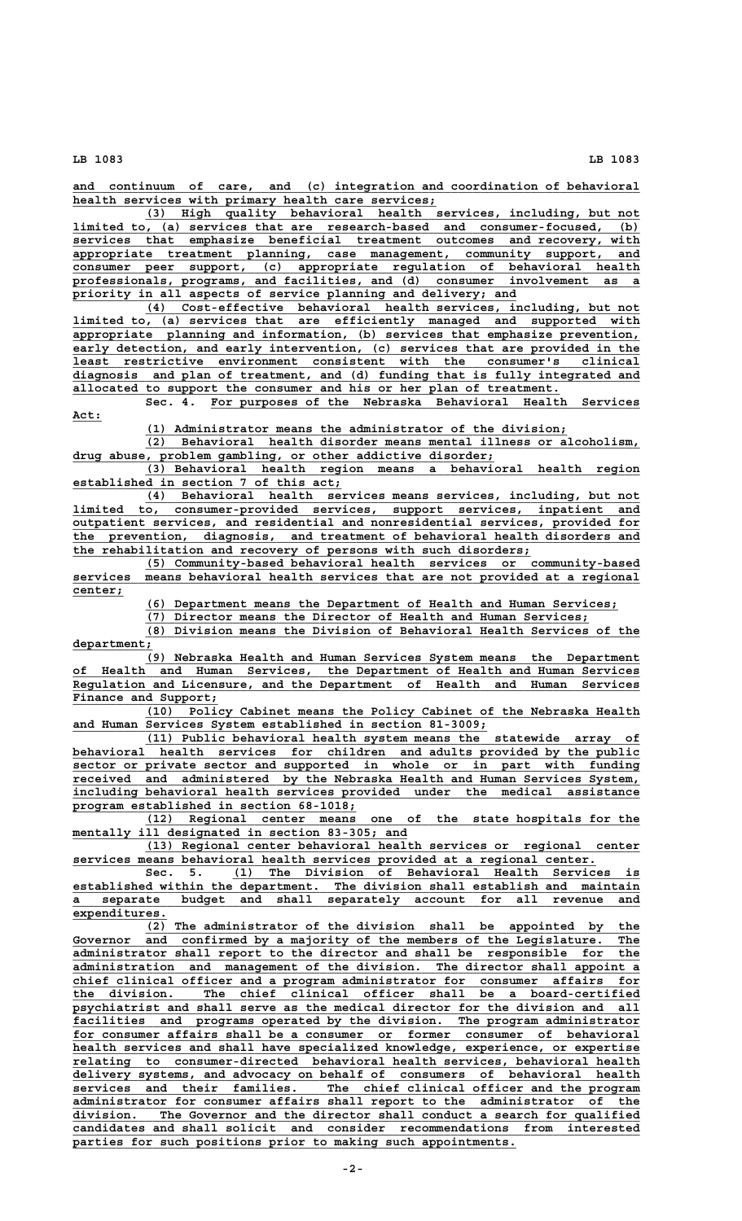**\_\_\_\_\_\_\_\_\_\_\_\_\_\_\_\_\_\_\_\_\_\_\_\_\_\_\_\_\_\_\_\_\_\_\_\_\_\_\_\_\_\_\_\_\_\_\_\_\_\_\_\_\_\_\_\_\_\_\_\_\_\_\_\_\_\_\_\_\_\_\_\_\_\_\_\_\_\_ and continuum of care, and (c) integration and coordination of behavioral**  $\frac{1}{2}$  health services with primary health care services;

 **\_\_\_\_\_\_\_\_\_\_\_\_\_\_\_\_\_\_\_\_\_\_\_\_\_\_\_\_\_\_\_\_\_\_\_\_\_\_\_\_\_\_\_\_\_\_\_\_\_\_\_\_\_\_\_\_\_\_\_\_\_\_\_\_\_\_\_\_ (3) High quality behavioral health services, including, but not \_\_\_\_\_\_\_\_\_\_\_\_\_\_\_\_\_\_\_\_\_\_\_\_\_\_\_\_\_\_\_\_\_\_\_\_\_\_\_\_\_\_\_\_\_\_\_\_\_\_\_\_\_\_\_\_\_\_\_\_\_\_\_\_\_\_\_\_\_\_\_\_\_\_\_\_\_\_ limited to, (a) services that are research-based and consumer-focused, (b)**  $s$ ervices that emphasize beneficial treatment outcomes and recovery, with  **\_\_\_\_\_\_\_\_\_\_\_\_\_\_\_\_\_\_\_\_\_\_\_\_\_\_\_\_\_\_\_\_\_\_\_\_\_\_\_\_\_\_\_\_\_\_\_\_\_\_\_\_\_\_\_\_\_\_\_\_\_\_\_\_\_\_\_\_\_\_\_\_\_\_\_\_\_\_ appropriate treatment planning, case management, community support, and \_\_\_\_\_\_\_\_\_\_\_\_\_\_\_\_\_\_\_\_\_\_\_\_\_\_\_\_\_\_\_\_\_\_\_\_\_\_\_\_\_\_\_\_\_\_\_\_\_\_\_\_\_\_\_\_\_\_\_\_\_\_\_\_\_\_\_\_\_\_\_\_\_\_\_\_\_\_ consumer peer support, (c) appropriate regulation of behavioral health \_\_\_\_\_\_\_\_\_\_\_\_\_\_\_\_\_\_\_\_\_\_\_\_\_\_\_\_\_\_\_\_\_\_\_\_\_\_\_\_\_\_\_\_\_\_\_\_\_\_\_\_\_\_\_\_\_\_\_\_\_\_\_\_\_\_\_\_\_\_\_\_\_\_\_\_\_\_ professionals, programs, and facilities, and (d) consumer involvement as a** priority in all aspects of service planning and delivery; and

 **\_\_\_\_\_\_\_\_\_\_\_\_\_\_\_\_\_\_\_\_\_\_\_\_\_\_\_\_\_\_\_\_\_\_\_\_\_\_\_\_\_\_\_\_\_\_\_\_\_\_\_\_\_\_\_\_\_\_\_\_\_\_\_\_\_\_\_\_ (4) Cost-effective behavioral health services, including, but not**  $limited to,$  (a) services that are efficiently managed and supported with  **\_\_\_\_\_\_\_\_\_\_\_\_\_\_\_\_\_\_\_\_\_\_\_\_\_\_\_\_\_\_\_\_\_\_\_\_\_\_\_\_\_\_\_\_\_\_\_\_\_\_\_\_\_\_\_\_\_\_\_\_\_\_\_\_\_\_\_\_\_\_\_\_\_\_\_\_\_\_ appropriate planning and information, (b) services that emphasize prevention, \_\_\_\_\_\_\_\_\_\_\_\_\_\_\_\_\_\_\_\_\_\_\_\_\_\_\_\_\_\_\_\_\_\_\_\_\_\_\_\_\_\_\_\_\_\_\_\_\_\_\_\_\_\_\_\_\_\_\_\_\_\_\_\_\_\_\_\_\_\_\_\_\_\_\_\_\_\_ early detection, and early intervention, (c) services that are provided in the \_\_\_\_\_\_\_\_\_\_\_\_\_\_\_\_\_\_\_\_\_\_\_\_\_\_\_\_\_\_\_\_\_\_\_\_\_\_\_\_\_\_\_\_\_\_\_\_\_\_\_\_\_\_\_\_\_\_\_\_\_\_\_\_\_\_\_\_\_\_\_\_\_\_\_\_\_\_ least restrictive environment consistent with the consumer's clinical \_\_\_\_\_\_\_\_\_\_\_\_\_\_\_\_\_\_\_\_\_\_\_\_\_\_\_\_\_\_\_\_\_\_\_\_\_\_\_\_\_\_\_\_\_\_\_\_\_\_\_\_\_\_\_\_\_\_\_\_\_\_\_\_\_\_\_\_\_\_\_\_\_\_\_\_\_\_ diagnosis and plan of treatment, and (d) funding that is fully integrated and \_\_\_\_\_\_\_\_\_\_\_\_\_\_\_\_\_\_\_\_\_\_\_\_\_\_\_\_\_\_\_\_\_\_\_\_\_\_\_\_\_\_\_\_\_\_\_\_\_\_\_\_\_\_\_\_\_\_\_\_\_\_\_\_\_\_\_ allocated to support the consumer and his or her plan of treatment. \_\_\_\_\_\_\_\_\_\_\_\_\_\_\_\_\_\_\_\_\_\_\_\_\_\_\_\_\_\_\_\_\_\_\_\_\_\_\_\_\_\_\_\_\_\_\_\_\_\_\_\_\_\_\_\_\_\_\_ Sec. 4. For purposes of the Nebraska Behavioral Health Services**

 **Act:\_\_\_\_**

 **\_\_\_\_\_\_\_\_\_\_\_\_\_\_\_\_\_\_\_\_\_\_\_\_\_\_\_\_\_\_\_\_\_\_\_\_\_\_\_\_\_\_\_\_\_\_\_\_\_\_\_\_\_\_\_\_\_\_ (1) Administrator means the administrator of the division;**

 **\_\_\_\_\_\_\_\_\_\_\_\_\_\_\_\_\_\_\_\_\_\_\_\_\_\_\_\_\_\_\_\_\_\_\_\_\_\_\_\_\_\_\_\_\_\_\_\_\_\_\_\_\_\_\_\_\_\_\_\_\_\_\_\_\_\_\_\_ (2) Behavioral health disorder means mental illness or alcoholism, \_\_\_\_\_\_\_\_\_\_\_\_\_\_\_\_\_\_\_\_\_\_\_\_\_\_\_\_\_\_\_\_\_\_\_\_\_\_\_\_\_\_\_\_\_\_\_\_\_\_\_\_\_\_\_\_\_\_ drug abuse, problem gambling, or other addictive disorder;**

 **\_\_\_\_\_\_\_\_\_\_\_\_\_\_\_\_\_\_\_\_\_\_\_\_\_\_\_\_\_\_\_\_\_\_\_\_\_\_\_\_\_\_\_\_\_\_\_\_\_\_\_\_\_\_\_\_\_\_\_\_\_\_\_\_\_\_\_\_ (3) Behavioral health region means a behavioral health region \_\_\_\_\_\_\_\_\_\_\_\_\_\_\_\_\_\_\_\_\_\_\_\_\_\_\_\_\_\_\_\_\_\_\_\_\_ established in section 7 of this act;**

 **\_\_\_\_\_\_\_\_\_\_\_\_\_\_\_\_\_\_\_\_\_\_\_\_\_\_\_\_\_\_\_\_\_\_\_\_\_\_\_\_\_\_\_\_\_\_\_\_\_\_\_\_\_\_\_\_\_\_\_\_\_\_\_\_\_\_\_\_ (4) Behavioral health services means services, including, but not \_\_\_\_\_\_\_\_\_\_\_\_\_\_\_\_\_\_\_\_\_\_\_\_\_\_\_\_\_\_\_\_\_\_\_\_\_\_\_\_\_\_\_\_\_\_\_\_\_\_\_\_\_\_\_\_\_\_\_\_\_\_\_\_\_\_\_\_\_\_\_\_\_\_\_\_\_\_ limited to, consumer-provided services, support services, inpatient and \_\_\_\_\_\_\_\_\_\_\_\_\_\_\_\_\_\_\_\_\_\_\_\_\_\_\_\_\_\_\_\_\_\_\_\_\_\_\_\_\_\_\_\_\_\_\_\_\_\_\_\_\_\_\_\_\_\_\_\_\_\_\_\_\_\_\_\_\_\_\_\_\_\_\_\_\_\_ outpatient services, and residential and nonresidential services, provided for \_\_\_\_\_\_\_\_\_\_\_\_\_\_\_\_\_\_\_\_\_\_\_\_\_\_\_\_\_\_\_\_\_\_\_\_\_\_\_\_\_\_\_\_\_\_\_\_\_\_\_\_\_\_\_\_\_\_\_\_\_\_\_\_\_\_\_\_\_\_\_\_\_\_\_\_\_\_ the prevention, diagnosis, and treatment of behavioral health disorders and \_\_\_\_\_\_\_\_\_\_\_\_\_\_\_\_\_\_\_\_\_\_\_\_\_\_\_\_\_\_\_\_\_\_\_\_\_\_\_\_\_\_\_\_\_\_\_\_\_\_\_\_\_\_\_\_\_\_\_\_\_\_\_ the rehabilitation and recovery of persons with such disorders;**

 **\_\_\_\_\_\_\_\_\_\_\_\_\_\_\_\_\_\_\_\_\_\_\_\_\_\_\_\_\_\_\_\_\_\_\_\_\_\_\_\_\_\_\_\_\_\_\_\_\_\_\_\_\_\_\_\_\_\_\_\_\_\_\_\_\_\_\_\_ (5) Community-based behavioral health services or community-based \_\_\_\_\_\_\_\_\_\_\_\_\_\_\_\_\_\_\_\_\_\_\_\_\_\_\_\_\_\_\_\_\_\_\_\_\_\_\_\_\_\_\_\_\_\_\_\_\_\_\_\_\_\_\_\_\_\_\_\_\_\_\_\_\_\_\_\_\_\_\_\_\_\_\_\_\_\_ services means behavioral health services that are not provided at a regional** center;

 **\_\_\_\_\_\_\_\_\_\_\_\_\_\_\_\_\_\_\_\_\_\_\_\_\_\_\_\_\_\_\_\_\_\_\_\_\_\_\_\_\_\_\_\_\_\_\_\_\_\_\_\_\_\_\_\_\_\_\_\_\_\_\_\_\_ (6) Department means the Department of Health and Human Services;**

 **\_\_\_\_\_\_\_\_\_\_\_\_\_\_\_\_\_\_\_\_\_\_\_\_\_\_\_\_\_\_\_\_\_\_\_\_\_\_\_\_\_\_\_\_\_\_\_\_\_\_\_\_\_\_\_\_\_\_\_\_\_ (7) Director means the Director of Health and Human Services;**

 **\_\_\_\_\_\_\_\_\_\_\_\_\_\_\_\_\_\_\_\_\_\_\_\_\_\_\_\_\_\_\_\_\_\_\_\_\_\_\_\_\_\_\_\_\_\_\_\_\_\_\_\_\_\_\_\_\_\_\_\_\_\_\_\_\_\_\_\_ (8) Division means the Division of Behavioral Health Services of the department; \_\_\_\_\_\_\_\_\_\_\_**

 **\_\_\_\_\_\_\_\_\_\_\_\_\_\_\_\_\_\_\_\_\_\_\_\_\_\_\_\_\_\_\_\_\_\_\_\_\_\_\_\_\_\_\_\_\_\_\_\_\_\_\_\_\_\_\_\_\_\_\_\_\_\_\_\_\_\_\_\_ (9) Nebraska Health and Human Services System means the Department \_\_\_\_\_\_\_\_\_\_\_\_\_\_\_\_\_\_\_\_\_\_\_\_\_\_\_\_\_\_\_\_\_\_\_\_\_\_\_\_\_\_\_\_\_\_\_\_\_\_\_\_\_\_\_\_\_\_\_\_\_\_\_\_\_\_\_\_\_\_\_\_\_\_\_\_\_\_ of Health and Human Services, the Department of Health and Human Services \_\_\_\_\_\_\_\_\_\_\_\_\_\_\_\_\_\_\_\_\_\_\_\_\_\_\_\_\_\_\_\_\_\_\_\_\_\_\_\_\_\_\_\_\_\_\_\_\_\_\_\_\_\_\_\_\_\_\_\_\_\_\_\_\_\_\_\_\_\_\_\_\_\_\_\_\_\_ Regulation and Licensure, and the Department of Health and Human Services** Finance and Support;

 **\_\_\_\_\_\_\_\_\_\_\_\_\_\_\_\_\_\_\_\_\_\_\_\_\_\_\_\_\_\_\_\_\_\_\_\_\_\_\_\_\_\_\_\_\_\_\_\_\_\_\_\_\_\_\_\_\_\_\_\_\_\_\_\_\_\_\_\_ (10) Policy Cabinet means the Policy Cabinet of the Nebraska Health** and Human Services System established in section 81-3009;

 **\_\_\_\_\_\_\_\_\_\_\_\_\_\_\_\_\_\_\_\_\_\_\_\_\_\_\_\_\_\_\_\_\_\_\_\_\_\_\_\_\_\_\_\_\_\_\_\_\_\_\_\_\_\_\_\_\_\_\_\_\_\_\_\_\_\_\_\_ (11) Public behavioral health system means the statewide array of** behavioral health services for children and adults provided by the public  **\_\_\_\_\_\_\_\_\_\_\_\_\_\_\_\_\_\_\_\_\_\_\_\_\_\_\_\_\_\_\_\_\_\_\_\_\_\_\_\_\_\_\_\_\_\_\_\_\_\_\_\_\_\_\_\_\_\_\_\_\_\_\_\_\_\_\_\_\_\_\_\_\_\_\_\_\_\_ sector or private sector and supported in whole or in part with funding \_\_\_\_\_\_\_\_\_\_\_\_\_\_\_\_\_\_\_\_\_\_\_\_\_\_\_\_\_\_\_\_\_\_\_\_\_\_\_\_\_\_\_\_\_\_\_\_\_\_\_\_\_\_\_\_\_\_\_\_\_\_\_\_\_\_\_\_\_\_\_\_\_\_\_\_\_\_ received and administered by the Nebraska Health and Human Services System, \_\_\_\_\_\_\_\_\_\_\_\_\_\_\_\_\_\_\_\_\_\_\_\_\_\_\_\_\_\_\_\_\_\_\_\_\_\_\_\_\_\_\_\_\_\_\_\_\_\_\_\_\_\_\_\_\_\_\_\_\_\_\_\_\_\_\_\_\_\_\_\_\_\_\_\_\_\_ including behavioral health services provided under the medical assistance \_\_\_\_\_\_\_\_\_\_\_\_\_\_\_\_\_\_\_\_\_\_\_\_\_\_\_\_\_\_\_\_\_\_\_\_\_\_\_ program established in section 68-1018;**

> **\_\_\_\_\_\_\_\_\_\_\_\_\_\_\_\_\_\_\_\_\_\_\_\_\_\_\_\_\_\_\_\_\_\_\_\_\_\_\_\_\_\_\_\_\_\_\_\_\_\_\_\_\_\_\_\_\_\_\_\_\_\_\_\_\_\_\_\_ (12) Regional center means one of the state hospitals for the** mentally ill designated in section 83-305; and

> **\_\_\_\_\_\_\_\_\_\_\_\_\_\_\_\_\_\_\_\_\_\_\_\_\_\_\_\_\_\_\_\_\_\_\_\_\_\_\_\_\_\_\_\_\_\_\_\_\_\_\_\_\_\_\_\_\_\_\_\_\_\_\_\_\_\_\_\_ (13) Regional center behavioral health services or regional center services means behavioral health services provided at a regional center.**<br>Sec. 5. (1) The Division of Behavioral Health Service

 **\_\_\_\_\_\_\_\_\_\_\_\_\_\_\_\_\_\_\_\_\_\_\_\_\_\_\_\_\_\_\_\_\_\_\_\_\_\_\_\_\_\_\_\_\_\_\_\_\_\_\_\_\_\_\_\_ Sec. 5. (1) The Division of Behavioral Health Services is \_\_\_\_\_\_\_\_\_\_\_\_\_\_\_\_\_\_\_\_\_\_\_\_\_\_\_\_\_\_\_\_\_\_\_\_\_\_\_\_\_\_\_\_\_\_\_\_\_\_\_\_\_\_\_\_\_\_\_\_\_\_\_\_\_\_\_\_\_\_\_\_\_\_\_\_\_\_ established within the department. The division shall establish and maintain \_\_\_\_\_\_\_\_\_\_\_\_\_\_\_\_\_\_\_\_\_\_\_\_\_\_\_\_\_\_\_\_\_\_\_\_\_\_\_\_\_\_\_\_\_\_\_\_\_\_\_\_\_\_\_\_\_\_\_\_\_\_\_\_\_\_\_\_\_\_\_\_\_\_\_\_\_\_ a separate budget and shall separately account for all revenue and expenditures. \_\_\_\_\_\_\_\_\_\_\_\_\_**

 **\_\_\_\_\_\_\_\_\_\_\_\_\_\_\_\_\_\_\_\_\_\_\_\_\_\_\_\_\_\_\_\_\_\_\_\_\_\_\_\_\_\_\_\_\_\_\_\_\_\_\_\_\_\_\_\_\_\_\_\_\_\_\_\_\_\_\_\_ (2) The administrator of the division shall be appointed by the** Governor and confirmed by a majority of the members of the Legislature. The  **\_\_\_\_\_\_\_\_\_\_\_\_\_\_\_\_\_\_\_\_\_\_\_\_\_\_\_\_\_\_\_\_\_\_\_\_\_\_\_\_\_\_\_\_\_\_\_\_\_\_\_\_\_\_\_\_\_\_\_\_\_\_\_\_\_\_\_\_\_\_\_\_\_\_\_\_\_\_ administrator shall report to the director and shall be responsible for the \_\_\_\_\_\_\_\_\_\_\_\_\_\_\_\_\_\_\_\_\_\_\_\_\_\_\_\_\_\_\_\_\_\_\_\_\_\_\_\_\_\_\_\_\_\_\_\_\_\_\_\_\_\_\_\_\_\_\_\_\_\_\_\_\_\_\_\_\_\_\_\_\_\_\_\_\_\_ administration and management of the division. The director shall appoint a \_\_\_\_\_\_\_\_\_\_\_\_\_\_\_\_\_\_\_\_\_\_\_\_\_\_\_\_\_\_\_\_\_\_\_\_\_\_\_\_\_\_\_\_\_\_\_\_\_\_\_\_\_\_\_\_\_\_\_\_\_\_\_\_\_\_\_\_\_\_\_\_\_\_\_\_\_\_ chief clinical officer and a program administrator for consumer affairs for \_\_\_\_\_\_\_\_\_\_\_\_\_\_\_\_\_\_\_\_\_\_\_\_\_\_\_\_\_\_\_\_\_\_\_\_\_\_\_\_\_\_\_\_\_\_\_\_\_\_\_\_\_\_\_\_\_\_\_\_\_\_\_\_\_\_\_\_\_\_\_\_\_\_\_\_\_\_ the division. The chief clinical officer shall be a board-certified** psychiatrist and shall serve as the medical director for the division and all  **\_\_\_\_\_\_\_\_\_\_\_\_\_\_\_\_\_\_\_\_\_\_\_\_\_\_\_\_\_\_\_\_\_\_\_\_\_\_\_\_\_\_\_\_\_\_\_\_\_\_\_\_\_\_\_\_\_\_\_\_\_\_\_\_\_\_\_\_\_\_\_\_\_\_\_\_\_\_ facilities and programs operated by the division. The program administrator \_\_\_\_\_\_\_\_\_\_\_\_\_\_\_\_\_\_\_\_\_\_\_\_\_\_\_\_\_\_\_\_\_\_\_\_\_\_\_\_\_\_\_\_\_\_\_\_\_\_\_\_\_\_\_\_\_\_\_\_\_\_\_\_\_\_\_\_\_\_\_\_\_\_\_\_\_\_ for consumer affairs shall be a consumer or former consumer of behavioral \_\_\_\_\_\_\_\_\_\_\_\_\_\_\_\_\_\_\_\_\_\_\_\_\_\_\_\_\_\_\_\_\_\_\_\_\_\_\_\_\_\_\_\_\_\_\_\_\_\_\_\_\_\_\_\_\_\_\_\_\_\_\_\_\_\_\_\_\_\_\_\_\_\_\_\_\_\_ health services and shall have specialized knowledge, experience, or expertise \_\_\_\_\_\_\_\_\_\_\_\_\_\_\_\_\_\_\_\_\_\_\_\_\_\_\_\_\_\_\_\_\_\_\_\_\_\_\_\_\_\_\_\_\_\_\_\_\_\_\_\_\_\_\_\_\_\_\_\_\_\_\_\_\_\_\_\_\_\_\_\_\_\_\_\_\_\_ relating to consumer-directed behavioral health services, behavioral health \_\_\_\_\_\_\_\_\_\_\_\_\_\_\_\_\_\_\_\_\_\_\_\_\_\_\_\_\_\_\_\_\_\_\_\_\_\_\_\_\_\_\_\_\_\_\_\_\_\_\_\_\_\_\_\_\_\_\_\_\_\_\_\_\_\_\_\_\_\_\_\_\_\_\_\_\_\_ delivery systems, and advocacy on behalf of consumers of behavioral health \_\_\_\_\_\_\_\_\_\_\_\_\_\_\_\_\_\_\_\_\_\_\_\_\_\_\_\_\_\_\_\_\_\_\_\_\_\_\_\_\_\_\_\_\_\_\_\_\_\_\_\_\_\_\_\_\_\_\_\_\_\_\_\_\_\_\_\_\_\_\_\_\_\_\_\_\_\_ services and their families. The chief clinical officer and the program \_\_\_\_\_\_\_\_\_\_\_\_\_\_\_\_\_\_\_\_\_\_\_\_\_\_\_\_\_\_\_\_\_\_\_\_\_\_\_\_\_\_\_\_\_\_\_\_\_\_\_\_\_\_\_\_\_\_\_\_\_\_\_\_\_\_\_\_\_\_\_\_\_\_\_\_\_\_ administrator for consumer affairs shall report to the administrator of the \_\_\_\_\_\_\_\_\_\_\_\_\_\_\_\_\_\_\_\_\_\_\_\_\_\_\_\_\_\_\_\_\_\_\_\_\_\_\_\_\_\_\_\_\_\_\_\_\_\_\_\_\_\_\_\_\_\_\_\_\_\_\_\_\_\_\_\_\_\_\_\_\_\_\_\_\_\_ division. The Governor and the director shall conduct a search for qualified \_\_\_\_\_\_\_\_\_\_\_\_\_\_\_\_\_\_\_\_\_\_\_\_\_\_\_\_\_\_\_\_\_\_\_\_\_\_\_\_\_\_\_\_\_\_\_\_\_\_\_\_\_\_\_\_\_\_\_\_\_\_\_\_\_\_\_\_\_\_\_\_\_\_\_\_\_\_ candidates and shall solicit and consider recommendations from interested** parties for such positions prior to making such appointments.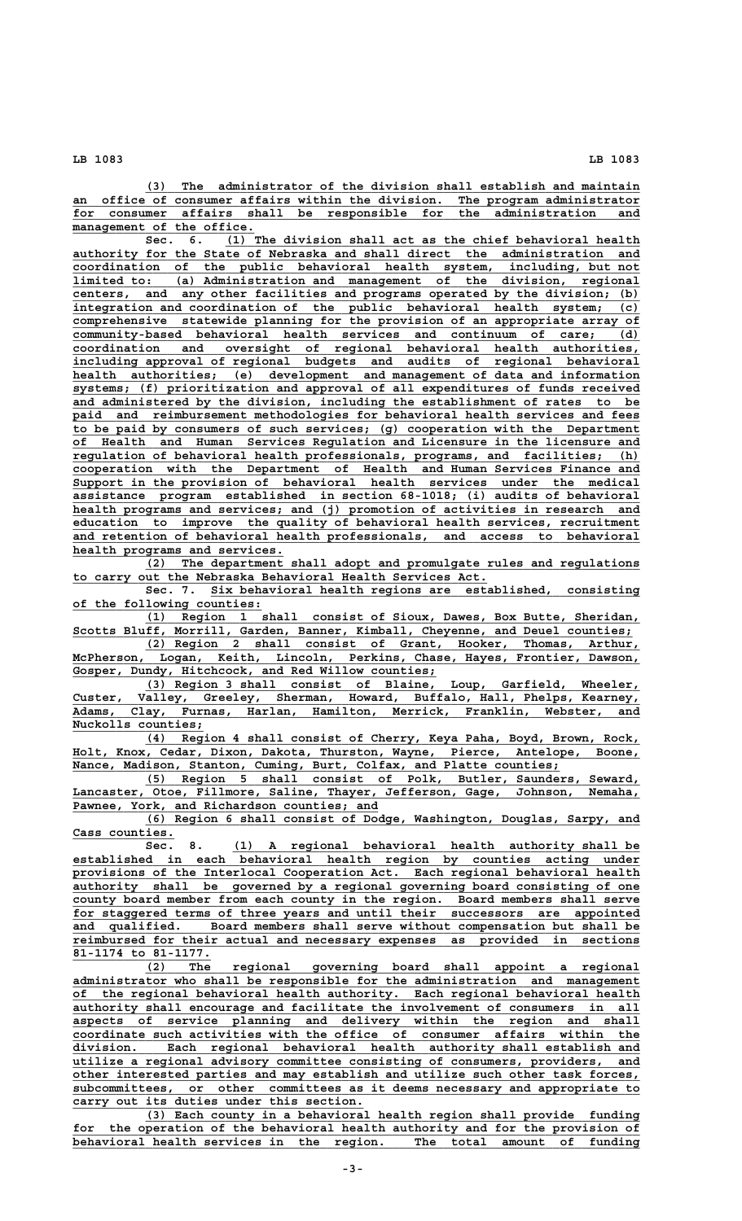**\_\_\_\_\_\_\_\_\_\_\_\_\_\_\_\_\_\_\_\_\_\_\_\_\_\_\_\_\_\_\_\_\_\_\_\_\_\_\_\_\_\_\_\_\_\_\_\_\_\_\_\_\_\_\_\_\_\_\_\_\_\_\_\_\_\_\_\_ (3) The administrator of the division shall establish and maintain \_\_\_\_\_\_\_\_\_\_\_\_\_\_\_\_\_\_\_\_\_\_\_\_\_\_\_\_\_\_\_\_\_\_\_\_\_\_\_\_\_\_\_\_\_\_\_\_\_\_\_\_\_\_\_\_\_\_\_\_\_\_\_\_\_\_\_\_\_\_\_\_\_\_\_\_\_\_ an office of consumer affairs within the division. The program administrator \_\_\_\_\_\_\_\_\_\_\_\_\_\_\_\_\_\_\_\_\_\_\_\_\_\_\_\_\_\_\_\_\_\_\_\_\_\_\_\_\_\_\_\_\_\_\_\_\_\_\_\_\_\_\_\_\_\_\_\_\_\_\_\_\_\_\_\_\_\_\_\_\_\_\_\_\_\_ for consumer affairs shall be responsible for the administration and**  $\overline{\text{man}}$  agement of the office.

 **Sec. 6.** (1) The division shall act as the chief behavioral health  **\_\_\_\_\_\_\_\_\_\_\_\_\_\_\_\_\_\_\_\_\_\_\_\_\_\_\_\_\_\_\_\_\_\_\_\_\_\_\_\_\_\_\_\_\_\_\_\_\_\_\_\_\_\_\_\_\_\_\_\_\_\_\_\_\_\_\_\_\_\_\_\_\_\_\_\_\_\_ authority for the State of Nebraska and shall direct the administration and \_\_\_\_\_\_\_\_\_\_\_\_\_\_\_\_\_\_\_\_\_\_\_\_\_\_\_\_\_\_\_\_\_\_\_\_\_\_\_\_\_\_\_\_\_\_\_\_\_\_\_\_\_\_\_\_\_\_\_\_\_\_\_\_\_\_\_\_\_\_\_\_\_\_\_\_\_\_ coordination of the public behavioral health system, including, but not \_\_\_\_\_\_\_\_\_\_\_\_\_\_\_\_\_\_\_\_\_\_\_\_\_\_\_\_\_\_\_\_\_\_\_\_\_\_\_\_\_\_\_\_\_\_\_\_\_\_\_\_\_\_\_\_\_\_\_\_\_\_\_\_\_\_\_\_\_\_\_\_\_\_\_\_\_\_ limited to: (a) Administration and management of the division, regional \_\_\_\_\_\_\_\_\_\_\_\_\_\_\_\_\_\_\_\_\_\_\_\_\_\_\_\_\_\_\_\_\_\_\_\_\_\_\_\_\_\_\_\_\_\_\_\_\_\_\_\_\_\_\_\_\_\_\_\_\_\_\_\_\_\_\_\_\_\_\_\_\_\_\_\_\_\_ centers, and any other facilities and programs operated by the division; (b) \_\_\_\_\_\_\_\_\_\_\_\_\_\_\_\_\_\_\_\_\_\_\_\_\_\_\_\_\_\_\_\_\_\_\_\_\_\_\_\_\_\_\_\_\_\_\_\_\_\_\_\_\_\_\_\_\_\_\_\_\_\_\_\_\_\_\_\_\_\_\_\_\_\_\_\_\_\_ integration and coordination of the public behavioral health system; (c) \_\_\_\_\_\_\_\_\_\_\_\_\_\_\_\_\_\_\_\_\_\_\_\_\_\_\_\_\_\_\_\_\_\_\_\_\_\_\_\_\_\_\_\_\_\_\_\_\_\_\_\_\_\_\_\_\_\_\_\_\_\_\_\_\_\_\_\_\_\_\_\_\_\_\_\_\_\_ comprehensive statewide planning for the provision of an appropriate array of \_\_\_\_\_\_\_\_\_\_\_\_\_\_\_\_\_\_\_\_\_\_\_\_\_\_\_\_\_\_\_\_\_\_\_\_\_\_\_\_\_\_\_\_\_\_\_\_\_\_\_\_\_\_\_\_\_\_\_\_\_\_\_\_\_\_\_\_\_\_\_\_\_\_\_\_\_\_ community-based behavioral health services and continuum of care; (d) \_\_\_\_\_\_\_\_\_\_\_\_\_\_\_\_\_\_\_\_\_\_\_\_\_\_\_\_\_\_\_\_\_\_\_\_\_\_\_\_\_\_\_\_\_\_\_\_\_\_\_\_\_\_\_\_\_\_\_\_\_\_\_\_\_\_\_\_\_\_\_\_\_\_\_\_\_\_ coordination and oversight of regional behavioral health authorities, \_\_\_\_\_\_\_\_\_\_\_\_\_\_\_\_\_\_\_\_\_\_\_\_\_\_\_\_\_\_\_\_\_\_\_\_\_\_\_\_\_\_\_\_\_\_\_\_\_\_\_\_\_\_\_\_\_\_\_\_\_\_\_\_\_\_\_\_\_\_\_\_\_\_\_\_\_\_ including approval of regional budgets and audits of regional behavioral \_\_\_\_\_\_\_\_\_\_\_\_\_\_\_\_\_\_\_\_\_\_\_\_\_\_\_\_\_\_\_\_\_\_\_\_\_\_\_\_\_\_\_\_\_\_\_\_\_\_\_\_\_\_\_\_\_\_\_\_\_\_\_\_\_\_\_\_\_\_\_\_\_\_\_\_\_\_ health authorities; (e) development and management of data and information \_\_\_\_\_\_\_\_\_\_\_\_\_\_\_\_\_\_\_\_\_\_\_\_\_\_\_\_\_\_\_\_\_\_\_\_\_\_\_\_\_\_\_\_\_\_\_\_\_\_\_\_\_\_\_\_\_\_\_\_\_\_\_\_\_\_\_\_\_\_\_\_\_\_\_\_\_\_ systems; (f) prioritization and approval of all expenditures of funds received \_\_\_\_\_\_\_\_\_\_\_\_\_\_\_\_\_\_\_\_\_\_\_\_\_\_\_\_\_\_\_\_\_\_\_\_\_\_\_\_\_\_\_\_\_\_\_\_\_\_\_\_\_\_\_\_\_\_\_\_\_\_\_\_\_\_\_\_\_\_\_\_\_\_\_\_\_\_ and administered by the division, including the establishment of rates to be \_\_\_\_\_\_\_\_\_\_\_\_\_\_\_\_\_\_\_\_\_\_\_\_\_\_\_\_\_\_\_\_\_\_\_\_\_\_\_\_\_\_\_\_\_\_\_\_\_\_\_\_\_\_\_\_\_\_\_\_\_\_\_\_\_\_\_\_\_\_\_\_\_\_\_\_\_\_ paid and reimbursement methodologies for behavioral health services and fees \_\_\_\_\_\_\_\_\_\_\_\_\_\_\_\_\_\_\_\_\_\_\_\_\_\_\_\_\_\_\_\_\_\_\_\_\_\_\_\_\_\_\_\_\_\_\_\_\_\_\_\_\_\_\_\_\_\_\_\_\_\_\_\_\_\_\_\_\_\_\_\_\_\_\_\_\_\_ to be paid by consumers of such services; (g) cooperation with the Department \_\_\_\_\_\_\_\_\_\_\_\_\_\_\_\_\_\_\_\_\_\_\_\_\_\_\_\_\_\_\_\_\_\_\_\_\_\_\_\_\_\_\_\_\_\_\_\_\_\_\_\_\_\_\_\_\_\_\_\_\_\_\_\_\_\_\_\_\_\_\_\_\_\_\_\_\_\_ of Health and Human Services Regulation and Licensure in the licensure and \_\_\_\_\_\_\_\_\_\_\_\_\_\_\_\_\_\_\_\_\_\_\_\_\_\_\_\_\_\_\_\_\_\_\_\_\_\_\_\_\_\_\_\_\_\_\_\_\_\_\_\_\_\_\_\_\_\_\_\_\_\_\_\_\_\_\_\_\_\_\_\_\_\_\_\_\_\_ regulation of behavioral health professionals, programs, and facilities; (h) \_\_\_\_\_\_\_\_\_\_\_\_\_\_\_\_\_\_\_\_\_\_\_\_\_\_\_\_\_\_\_\_\_\_\_\_\_\_\_\_\_\_\_\_\_\_\_\_\_\_\_\_\_\_\_\_\_\_\_\_\_\_\_\_\_\_\_\_\_\_\_\_\_\_\_\_\_\_ cooperation with the Department of Health and Human Services Finance and \_\_\_\_\_\_\_\_\_\_\_\_\_\_\_\_\_\_\_\_\_\_\_\_\_\_\_\_\_\_\_\_\_\_\_\_\_\_\_\_\_\_\_\_\_\_\_\_\_\_\_\_\_\_\_\_\_\_\_\_\_\_\_\_\_\_\_\_\_\_\_\_\_\_\_\_\_\_ Support in the provision of behavioral health services under the medical \_\_\_\_\_\_\_\_\_\_\_\_\_\_\_\_\_\_\_\_\_\_\_\_\_\_\_\_\_\_\_\_\_\_\_\_\_\_\_\_\_\_\_\_\_\_\_\_\_\_\_\_\_\_\_\_\_\_\_\_\_\_\_\_\_\_\_\_\_\_\_\_\_\_\_\_\_\_ assistance program established in section 68-1018; (i) audits of behavioral \_\_\_\_\_\_\_\_\_\_\_\_\_\_\_\_\_\_\_\_\_\_\_\_\_\_\_\_\_\_\_\_\_\_\_\_\_\_\_\_\_\_\_\_\_\_\_\_\_\_\_\_\_\_\_\_\_\_\_\_\_\_\_\_\_\_\_\_\_\_\_\_\_\_\_\_\_\_ health programs and services; and (j) promotion of activities in research and \_\_\_\_\_\_\_\_\_\_\_\_\_\_\_\_\_\_\_\_\_\_\_\_\_\_\_\_\_\_\_\_\_\_\_\_\_\_\_\_\_\_\_\_\_\_\_\_\_\_\_\_\_\_\_\_\_\_\_\_\_\_\_\_\_\_\_\_\_\_\_\_\_\_\_\_\_\_ education to improve the quality of behavioral health services, recruitment \_\_\_\_\_\_\_\_\_\_\_\_\_\_\_\_\_\_\_\_\_\_\_\_\_\_\_\_\_\_\_\_\_\_\_\_\_\_\_\_\_\_\_\_\_\_\_\_\_\_\_\_\_\_\_\_\_\_\_\_\_\_\_\_\_\_\_\_\_\_\_\_\_\_\_\_\_\_ and retention of behavioral health professionals, and access to behavioral \_\_\_\_\_\_\_\_\_\_\_\_\_\_\_\_\_\_\_\_\_\_\_\_\_\_\_\_\_ health programs and services.**

 **\_\_\_\_\_\_\_\_\_\_\_\_\_\_\_\_\_\_\_\_\_\_\_\_\_\_\_\_\_\_\_\_\_\_\_\_\_\_\_\_\_\_\_\_\_\_\_\_\_\_\_\_\_\_\_\_\_\_\_\_\_\_\_\_\_\_\_\_ (2) The department shall adopt and promulgate rules and regulations \_\_\_\_\_\_\_\_\_\_\_\_\_\_\_\_\_\_\_\_\_\_\_\_\_\_\_\_\_\_\_\_\_\_\_\_\_\_\_\_\_\_\_\_\_\_\_\_\_\_\_\_\_\_\_\_\_ to carry out the Nebraska Behavioral Health Services Act.**

 **\_\_\_\_\_\_\_\_\_\_\_\_\_\_\_\_\_\_\_\_\_\_\_\_\_\_\_\_\_\_\_\_\_\_\_\_\_\_\_\_\_\_\_\_\_\_\_\_\_\_\_\_\_\_\_\_\_\_\_ Sec. 7. Six behavioral health regions are established, consisting \_\_\_\_\_\_\_\_\_\_\_\_\_\_\_\_\_\_\_\_\_\_\_\_\_\_ of the following counties:**

 **\_\_\_\_\_\_\_\_\_\_\_\_\_\_\_\_\_\_\_\_\_\_\_\_\_\_\_\_\_\_\_\_\_\_\_\_\_\_\_\_\_\_\_\_\_\_\_\_\_\_\_\_\_\_\_\_\_\_\_\_\_\_\_\_\_\_\_\_ (1) Region 1 shall consist of Sioux, Dawes, Box Butte, Sheridan, \_\_\_\_\_\_\_\_\_\_\_\_\_\_\_\_\_\_\_\_\_\_\_\_\_\_\_\_\_\_\_\_\_\_\_\_\_\_\_\_\_\_\_\_\_\_\_\_\_\_\_\_\_\_\_\_\_\_\_\_\_\_\_\_\_\_\_\_\_\_\_\_\_\_\_\_\_ Scotts Bluff, Morrill, Garden, Banner, Kimball, Cheyenne, and Deuel counties;**

 **\_\_\_\_\_\_\_\_\_\_\_\_\_\_\_\_\_\_\_\_\_\_\_\_\_\_\_\_\_\_\_\_\_\_\_\_\_\_\_\_\_\_\_\_\_\_\_\_\_\_\_\_\_\_\_\_\_\_\_\_\_\_\_\_\_\_\_\_ (2) Region 2 shall consist of Grant, Hooker, Thomas, Arthur, \_\_\_\_\_\_\_\_\_\_\_\_\_\_\_\_\_\_\_\_\_\_\_\_\_\_\_\_\_\_\_\_\_\_\_\_\_\_\_\_\_\_\_\_\_\_\_\_\_\_\_\_\_\_\_\_\_\_\_\_\_\_\_\_\_\_\_\_\_\_\_\_\_\_\_\_\_\_ McPherson, Logan, Keith, Lincoln, Perkins, Chase, Hayes, Frontier, Dawson,** Gosper, Dundy, Hitchcock, and Red Willow counties;

 **\_\_\_\_\_\_\_\_\_\_\_\_\_\_\_\_\_\_\_\_\_\_\_\_\_\_\_\_\_\_\_\_\_\_\_\_\_\_\_\_\_\_\_\_\_\_\_\_\_\_\_\_\_\_\_\_\_\_\_\_\_\_\_\_\_\_\_\_ (3) Region 3 shall consist of Blaine, Loup, Garfield, Wheeler, \_\_\_\_\_\_\_\_\_\_\_\_\_\_\_\_\_\_\_\_\_\_\_\_\_\_\_\_\_\_\_\_\_\_\_\_\_\_\_\_\_\_\_\_\_\_\_\_\_\_\_\_\_\_\_\_\_\_\_\_\_\_\_\_\_\_\_\_\_\_\_\_\_\_\_\_\_\_ Custer, Valley, Greeley, Sherman, Howard, Buffalo, Hall, Phelps, Kearney, \_\_\_\_\_\_\_\_\_\_\_\_\_\_\_\_\_\_\_\_\_\_\_\_\_\_\_\_\_\_\_\_\_\_\_\_\_\_\_\_\_\_\_\_\_\_\_\_\_\_\_\_\_\_\_\_\_\_\_\_\_\_\_\_\_\_\_\_\_\_\_\_\_\_\_\_\_\_ Adams, Clay, Furnas, Harlan, Hamilton, Merrick, Franklin, Webster, and Nuckolls counties; \_\_\_\_\_\_\_\_\_\_\_\_\_\_\_\_\_\_**

 **\_\_\_\_\_\_\_\_\_\_\_\_\_\_\_\_\_\_\_\_\_\_\_\_\_\_\_\_\_\_\_\_\_\_\_\_\_\_\_\_\_\_\_\_\_\_\_\_\_\_\_\_\_\_\_\_\_\_\_\_\_\_\_\_\_\_\_\_ (4) Region 4 shall consist of Cherry, Keya Paha, Boyd, Brown, Rock, \_\_\_\_\_\_\_\_\_\_\_\_\_\_\_\_\_\_\_\_\_\_\_\_\_\_\_\_\_\_\_\_\_\_\_\_\_\_\_\_\_\_\_\_\_\_\_\_\_\_\_\_\_\_\_\_\_\_\_\_\_\_\_\_\_\_\_\_\_\_\_\_\_\_\_\_\_\_ Holt, Knox, Cedar, Dixon, Dakota, Thurston, Wayne, Pierce, Antelope, Boone, \_\_\_\_\_\_\_\_\_\_\_\_\_\_\_\_\_\_\_\_\_\_\_\_\_\_\_\_\_\_\_\_\_\_\_\_\_\_\_\_\_\_\_\_\_\_\_\_\_\_\_\_\_\_\_\_\_\_\_\_\_\_\_\_\_\_\_ Nance, Madison, Stanton, Cuming, Burt, Colfax, and Platte counties;**

 **\_\_\_\_\_\_\_\_\_\_\_\_\_\_\_\_\_\_\_\_\_\_\_\_\_\_\_\_\_\_\_\_\_\_\_\_\_\_\_\_\_\_\_\_\_\_\_\_\_\_\_\_\_\_\_\_\_\_\_\_\_\_\_\_\_\_\_\_ (5) Region 5 shall consist of Polk, Butler, Saunders, Seward, \_\_\_\_\_\_\_\_\_\_\_\_\_\_\_\_\_\_\_\_\_\_\_\_\_\_\_\_\_\_\_\_\_\_\_\_\_\_\_\_\_\_\_\_\_\_\_\_\_\_\_\_\_\_\_\_\_\_\_\_\_\_\_\_\_\_\_\_\_\_\_\_\_\_\_\_\_\_ Lancaster, Otoe, Fillmore, Saline, Thayer, Jefferson, Gage, Johnson, Nemaha, \_\_\_\_\_\_\_\_\_\_\_\_\_\_\_\_\_\_\_\_\_\_\_\_\_\_\_\_\_\_\_\_\_\_\_\_\_\_\_\_\_\_ Pawnee, York, and Richardson counties; and**

 **\_\_\_\_\_\_\_\_\_\_\_\_\_\_\_\_\_\_\_\_\_\_\_\_\_\_\_\_\_\_\_\_\_\_\_\_\_\_\_\_\_\_\_\_\_\_\_\_\_\_\_\_\_\_\_\_\_\_\_\_\_\_\_\_\_\_\_\_ (6) Region 6 shall consist of Dodge, Washington, Douglas, Sarpy, and** Cass counties.

 **\_\_\_\_\_\_\_\_\_\_\_\_\_\_\_\_\_\_\_\_\_\_\_\_\_\_\_\_\_\_\_\_\_\_\_\_\_\_\_\_\_\_\_\_\_\_\_\_\_\_\_\_\_\_\_\_ Sec. 8. (1) A regional behavioral health authority shall be \_\_\_\_\_\_\_\_\_\_\_\_\_\_\_\_\_\_\_\_\_\_\_\_\_\_\_\_\_\_\_\_\_\_\_\_\_\_\_\_\_\_\_\_\_\_\_\_\_\_\_\_\_\_\_\_\_\_\_\_\_\_\_\_\_\_\_\_\_\_\_\_\_\_\_\_\_\_ established in each behavioral health region by counties acting under \_\_\_\_\_\_\_\_\_\_\_\_\_\_\_\_\_\_\_\_\_\_\_\_\_\_\_\_\_\_\_\_\_\_\_\_\_\_\_\_\_\_\_\_\_\_\_\_\_\_\_\_\_\_\_\_\_\_\_\_\_\_\_\_\_\_\_\_\_\_\_\_\_\_\_\_\_\_ provisions of the Interlocal Cooperation Act. Each regional behavioral health \_\_\_\_\_\_\_\_\_\_\_\_\_\_\_\_\_\_\_\_\_\_\_\_\_\_\_\_\_\_\_\_\_\_\_\_\_\_\_\_\_\_\_\_\_\_\_\_\_\_\_\_\_\_\_\_\_\_\_\_\_\_\_\_\_\_\_\_\_\_\_\_\_\_\_\_\_\_ authority shall be governed by a regional governing board consisting of one \_\_\_\_\_\_\_\_\_\_\_\_\_\_\_\_\_\_\_\_\_\_\_\_\_\_\_\_\_\_\_\_\_\_\_\_\_\_\_\_\_\_\_\_\_\_\_\_\_\_\_\_\_\_\_\_\_\_\_\_\_\_\_\_\_\_\_\_\_\_\_\_\_\_\_\_\_\_ county board member from each county in the region. Board members shall serve \_\_\_\_\_\_\_\_\_\_\_\_\_\_\_\_\_\_\_\_\_\_\_\_\_\_\_\_\_\_\_\_\_\_\_\_\_\_\_\_\_\_\_\_\_\_\_\_\_\_\_\_\_\_\_\_\_\_\_\_\_\_\_\_\_\_\_\_\_\_\_\_\_\_\_\_\_\_ for staggered terms of three years and until their successors are appointed** and qualified. Board members shall serve without compensation but shall be  **\_\_\_\_\_\_\_\_\_\_\_\_\_\_\_\_\_\_\_\_\_\_\_\_\_\_\_\_\_\_\_\_\_\_\_\_\_\_\_\_\_\_\_\_\_\_\_\_\_\_\_\_\_\_\_\_\_\_\_\_\_\_\_\_\_\_\_\_\_\_\_\_\_\_\_\_\_\_ reimbursed for their actual and necessary expenses as provided in sections \_\_\_\_\_\_\_\_\_\_\_\_\_\_\_\_\_\_\_ 81-1174 to 81-1177.**

 **\_\_\_\_\_\_\_\_\_\_\_\_\_\_\_\_\_\_\_\_\_\_\_\_\_\_\_\_\_\_\_\_\_\_\_\_\_\_\_\_\_\_\_\_\_\_\_\_\_\_\_\_\_\_\_\_\_\_\_\_\_\_\_\_\_\_\_\_ (2) The regional governing board shall appoint a regional \_\_\_\_\_\_\_\_\_\_\_\_\_\_\_\_\_\_\_\_\_\_\_\_\_\_\_\_\_\_\_\_\_\_\_\_\_\_\_\_\_\_\_\_\_\_\_\_\_\_\_\_\_\_\_\_\_\_\_\_\_\_\_\_\_\_\_\_\_\_\_\_\_\_\_\_\_\_ administrator who shall be responsible for the administration and management \_\_\_\_\_\_\_\_\_\_\_\_\_\_\_\_\_\_\_\_\_\_\_\_\_\_\_\_\_\_\_\_\_\_\_\_\_\_\_\_\_\_\_\_\_\_\_\_\_\_\_\_\_\_\_\_\_\_\_\_\_\_\_\_\_\_\_\_\_\_\_\_\_\_\_\_\_\_ of the regional behavioral health authority. Each regional behavioral health \_\_\_\_\_\_\_\_\_\_\_\_\_\_\_\_\_\_\_\_\_\_\_\_\_\_\_\_\_\_\_\_\_\_\_\_\_\_\_\_\_\_\_\_\_\_\_\_\_\_\_\_\_\_\_\_\_\_\_\_\_\_\_\_\_\_\_\_\_\_\_\_\_\_\_\_\_\_ authority shall encourage and facilitate the involvement of consumers in all \_\_\_\_\_\_\_\_\_\_\_\_\_\_\_\_\_\_\_\_\_\_\_\_\_\_\_\_\_\_\_\_\_\_\_\_\_\_\_\_\_\_\_\_\_\_\_\_\_\_\_\_\_\_\_\_\_\_\_\_\_\_\_\_\_\_\_\_\_\_\_\_\_\_\_\_\_\_ aspects of service planning and delivery within the region and shall \_\_\_\_\_\_\_\_\_\_\_\_\_\_\_\_\_\_\_\_\_\_\_\_\_\_\_\_\_\_\_\_\_\_\_\_\_\_\_\_\_\_\_\_\_\_\_\_\_\_\_\_\_\_\_\_\_\_\_\_\_\_\_\_\_\_\_\_\_\_\_\_\_\_\_\_\_\_ coordinate such activities with the office of consumer affairs within the \_\_\_\_\_\_\_\_\_\_\_\_\_\_\_\_\_\_\_\_\_\_\_\_\_\_\_\_\_\_\_\_\_\_\_\_\_\_\_\_\_\_\_\_\_\_\_\_\_\_\_\_\_\_\_\_\_\_\_\_\_\_\_\_\_\_\_\_\_\_\_\_\_\_\_\_\_\_ division. Each regional behavioral health authority shall establish and \_\_\_\_\_\_\_\_\_\_\_\_\_\_\_\_\_\_\_\_\_\_\_\_\_\_\_\_\_\_\_\_\_\_\_\_\_\_\_\_\_\_\_\_\_\_\_\_\_\_\_\_\_\_\_\_\_\_\_\_\_\_\_\_\_\_\_\_\_\_\_\_\_\_\_\_\_\_ utilize a regional advisory committee consisting of consumers, providers, and \_\_\_\_\_\_\_\_\_\_\_\_\_\_\_\_\_\_\_\_\_\_\_\_\_\_\_\_\_\_\_\_\_\_\_\_\_\_\_\_\_\_\_\_\_\_\_\_\_\_\_\_\_\_\_\_\_\_\_\_\_\_\_\_\_\_\_\_\_\_\_\_\_\_\_\_\_\_ other interested parties and may establish and utilize such other task forces,** subcommittees, or other committees as it deems necessary and appropriate to  **\_\_\_\_\_\_\_\_\_\_\_\_\_\_\_\_\_\_\_\_\_\_\_\_\_\_\_\_\_\_\_\_\_\_\_\_\_\_\_\_ carry out its duties under this section.**

 **\_\_\_\_\_\_\_\_\_\_\_\_\_\_\_\_\_\_\_\_\_\_\_\_\_\_\_\_\_\_\_\_\_\_\_\_\_\_\_\_\_\_\_\_\_\_\_\_\_\_\_\_\_\_\_\_\_\_\_\_\_\_\_\_\_\_\_\_ (3) Each county in a behavioral health region shall provide funding** for the operation of the behavioral health authority and for the provision of  **\_\_\_\_\_\_\_\_\_\_\_\_\_\_\_\_\_\_\_\_\_\_\_\_\_\_\_\_\_\_\_\_\_\_\_\_\_\_\_\_\_\_\_\_\_\_\_\_\_\_\_\_\_\_\_\_\_\_\_\_\_\_\_\_\_\_\_\_\_\_\_\_\_\_\_\_\_\_ behavioral health services in the region. The total amount of funding**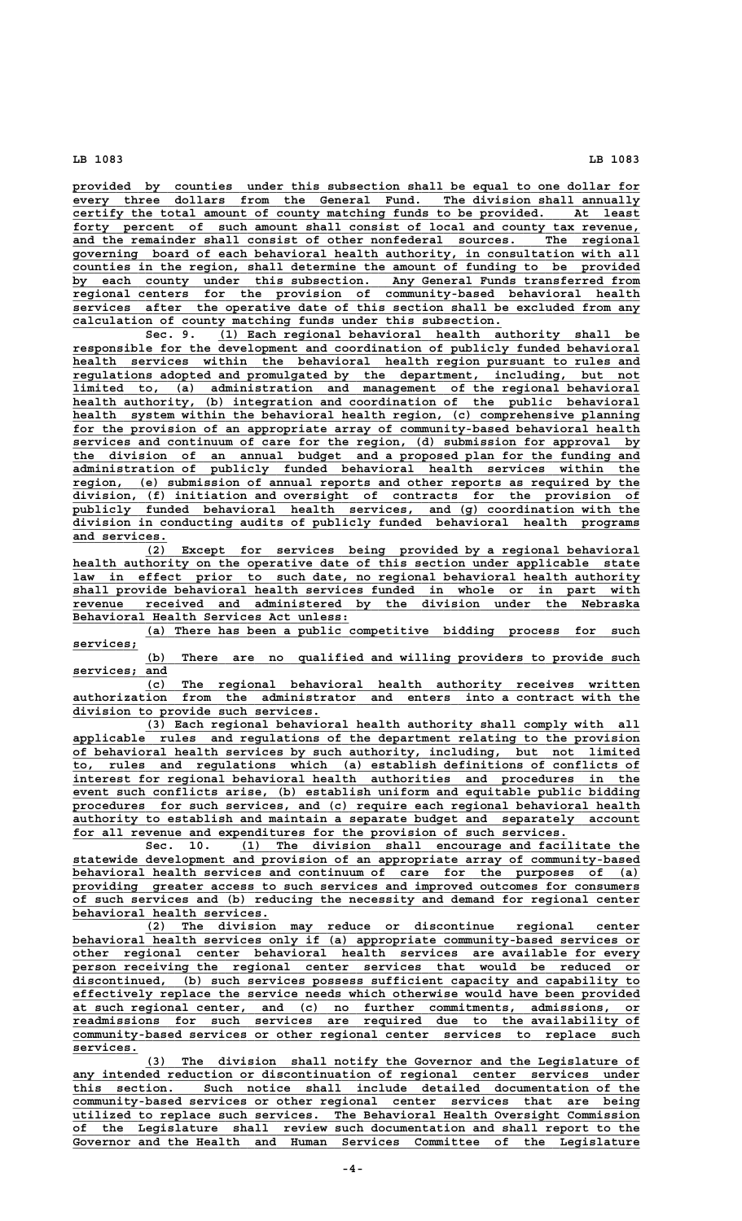**\_\_\_\_\_\_\_\_\_\_\_\_\_\_\_\_\_\_\_\_\_\_\_\_\_\_\_\_\_\_\_\_\_\_\_\_\_\_\_\_\_\_\_\_\_\_\_\_\_\_\_\_\_\_\_\_\_\_\_\_\_\_\_\_\_\_\_\_\_\_\_\_\_\_\_\_\_\_ provided by counties under this subsection shall be equal to one dollar for \_\_\_\_\_\_\_\_\_\_\_\_\_\_\_\_\_\_\_\_\_\_\_\_\_\_\_\_\_\_\_\_\_\_\_\_\_\_\_\_\_\_\_\_\_\_\_\_\_\_\_\_\_\_\_\_\_\_\_\_\_\_\_\_\_\_\_\_\_\_\_\_\_\_\_\_\_\_ every three dollars from the General Fund. The division shall annually \_\_\_\_\_\_\_\_\_\_\_\_\_\_\_\_\_\_\_\_\_\_\_\_\_\_\_\_\_\_\_\_\_\_\_\_\_\_\_\_\_\_\_\_\_\_\_\_\_\_\_\_\_\_\_\_\_\_\_\_\_\_\_\_\_\_\_\_\_\_\_\_\_\_\_\_\_\_ certify the total amount of county matching funds to be provided. At least** forty percent of such amount shall consist of local and county tax revenue,  **\_\_\_\_\_\_\_\_\_\_\_\_\_\_\_\_\_\_\_\_\_\_\_\_\_\_\_\_\_\_\_\_\_\_\_\_\_\_\_\_\_\_\_\_\_\_\_\_\_\_\_\_\_\_\_\_\_\_\_\_\_\_\_\_\_\_\_\_\_\_\_\_\_\_\_\_\_\_ and the remainder shall consist of other nonfederal sources. The regional \_\_\_\_\_\_\_\_\_\_\_\_\_\_\_\_\_\_\_\_\_\_\_\_\_\_\_\_\_\_\_\_\_\_\_\_\_\_\_\_\_\_\_\_\_\_\_\_\_\_\_\_\_\_\_\_\_\_\_\_\_\_\_\_\_\_\_\_\_\_\_\_\_\_\_\_\_\_ governing board of each behavioral health authority, in consultation with all \_\_\_\_\_\_\_\_\_\_\_\_\_\_\_\_\_\_\_\_\_\_\_\_\_\_\_\_\_\_\_\_\_\_\_\_\_\_\_\_\_\_\_\_\_\_\_\_\_\_\_\_\_\_\_\_\_\_\_\_\_\_\_\_\_\_\_\_\_\_\_\_\_\_\_\_\_\_ counties in the region, shall determine the amount of funding to be provided** by each county under this subsection. Any General Funds transferred from  **\_\_\_\_\_\_\_\_\_\_\_\_\_\_\_\_\_\_\_\_\_\_\_\_\_\_\_\_\_\_\_\_\_\_\_\_\_\_\_\_\_\_\_\_\_\_\_\_\_\_\_\_\_\_\_\_\_\_\_\_\_\_\_\_\_\_\_\_\_\_\_\_\_\_\_\_\_\_ regional centers for the provision of community-based behavioral health \_\_\_\_\_\_\_\_\_\_\_\_\_\_\_\_\_\_\_\_\_\_\_\_\_\_\_\_\_\_\_\_\_\_\_\_\_\_\_\_\_\_\_\_\_\_\_\_\_\_\_\_\_\_\_\_\_\_\_\_\_\_\_\_\_\_\_\_\_\_\_\_\_\_\_\_\_\_ services after the operative date of this section shall be excluded from any \_\_\_\_\_\_\_\_\_\_\_\_\_\_\_\_\_\_\_\_\_\_\_\_\_\_\_\_\_\_\_\_\_\_\_\_\_\_\_\_\_\_\_\_\_\_\_\_\_\_\_\_\_\_\_\_\_\_\_ calculation of county matching funds under this subsection.**

Sec. 9. (1) Each regional behavioral health authority shall be  **\_\_\_\_\_\_\_\_\_\_\_\_\_\_\_\_\_\_\_\_\_\_\_\_\_\_\_\_\_\_\_\_\_\_\_\_\_\_\_\_\_\_\_\_\_\_\_\_\_\_\_\_\_\_\_\_\_\_\_\_\_\_\_\_\_\_\_\_\_\_\_\_\_\_\_\_\_\_ responsible for the development and coordination of publicly funded behavioral \_\_\_\_\_\_\_\_\_\_\_\_\_\_\_\_\_\_\_\_\_\_\_\_\_\_\_\_\_\_\_\_\_\_\_\_\_\_\_\_\_\_\_\_\_\_\_\_\_\_\_\_\_\_\_\_\_\_\_\_\_\_\_\_\_\_\_\_\_\_\_\_\_\_\_\_\_\_ health services within the behavioral health region pursuant to rules and** regulations adopted and promulgated by the department, including, but not  **\_\_\_\_\_\_\_\_\_\_\_\_\_\_\_\_\_\_\_\_\_\_\_\_\_\_\_\_\_\_\_\_\_\_\_\_\_\_\_\_\_\_\_\_\_\_\_\_\_\_\_\_\_\_\_\_\_\_\_\_\_\_\_\_\_\_\_\_\_\_\_\_\_\_\_\_\_\_ limited to, (a) administration and management of the regional behavioral** health authority, (b) integration and coordination of the public behavioral  **\_\_\_\_\_\_\_\_\_\_\_\_\_\_\_\_\_\_\_\_\_\_\_\_\_\_\_\_\_\_\_\_\_\_\_\_\_\_\_\_\_\_\_\_\_\_\_\_\_\_\_\_\_\_\_\_\_\_\_\_\_\_\_\_\_\_\_\_\_\_\_\_\_\_\_\_\_\_ health system within the behavioral health region, (c) comprehensive planning \_\_\_\_\_\_\_\_\_\_\_\_\_\_\_\_\_\_\_\_\_\_\_\_\_\_\_\_\_\_\_\_\_\_\_\_\_\_\_\_\_\_\_\_\_\_\_\_\_\_\_\_\_\_\_\_\_\_\_\_\_\_\_\_\_\_\_\_\_\_\_\_\_\_\_\_\_\_ for the provision of an appropriate array of community-based behavioral health \_\_\_\_\_\_\_\_\_\_\_\_\_\_\_\_\_\_\_\_\_\_\_\_\_\_\_\_\_\_\_\_\_\_\_\_\_\_\_\_\_\_\_\_\_\_\_\_\_\_\_\_\_\_\_\_\_\_\_\_\_\_\_\_\_\_\_\_\_\_\_\_\_\_\_\_\_\_ services and continuum of care for the region, (d) submission for approval by \_\_\_\_\_\_\_\_\_\_\_\_\_\_\_\_\_\_\_\_\_\_\_\_\_\_\_\_\_\_\_\_\_\_\_\_\_\_\_\_\_\_\_\_\_\_\_\_\_\_\_\_\_\_\_\_\_\_\_\_\_\_\_\_\_\_\_\_\_\_\_\_\_\_\_\_\_\_ the division of an annual budget and a proposed plan for the funding and \_\_\_\_\_\_\_\_\_\_\_\_\_\_\_\_\_\_\_\_\_\_\_\_\_\_\_\_\_\_\_\_\_\_\_\_\_\_\_\_\_\_\_\_\_\_\_\_\_\_\_\_\_\_\_\_\_\_\_\_\_\_\_\_\_\_\_\_\_\_\_\_\_\_\_\_\_\_ administration of publicly funded behavioral health services within the \_\_\_\_\_\_\_\_\_\_\_\_\_\_\_\_\_\_\_\_\_\_\_\_\_\_\_\_\_\_\_\_\_\_\_\_\_\_\_\_\_\_\_\_\_\_\_\_\_\_\_\_\_\_\_\_\_\_\_\_\_\_\_\_\_\_\_\_\_\_\_\_\_\_\_\_\_\_ region, (e) submission of annual reports and other reports as required by the \_\_\_\_\_\_\_\_\_\_\_\_\_\_\_\_\_\_\_\_\_\_\_\_\_\_\_\_\_\_\_\_\_\_\_\_\_\_\_\_\_\_\_\_\_\_\_\_\_\_\_\_\_\_\_\_\_\_\_\_\_\_\_\_\_\_\_\_\_\_\_\_\_\_\_\_\_\_ division, (f) initiation and oversight of contracts for the provision of \_\_\_\_\_\_\_\_\_\_\_\_\_\_\_\_\_\_\_\_\_\_\_\_\_\_\_\_\_\_\_\_\_\_\_\_\_\_\_\_\_\_\_\_\_\_\_\_\_\_\_\_\_\_\_\_\_\_\_\_\_\_\_\_\_\_\_\_\_\_\_\_\_\_\_\_\_\_ publicly funded behavioral health services, and (g) coordination with the \_\_\_\_\_\_\_\_\_\_\_\_\_\_\_\_\_\_\_\_\_\_\_\_\_\_\_\_\_\_\_\_\_\_\_\_\_\_\_\_\_\_\_\_\_\_\_\_\_\_\_\_\_\_\_\_\_\_\_\_\_\_\_\_\_\_\_\_\_\_\_\_\_\_\_\_\_\_ division in conducting audits of publicly funded behavioral health programs** and services.

 **\_\_\_\_\_\_\_\_\_\_\_\_\_\_\_\_\_\_\_\_\_\_\_\_\_\_\_\_\_\_\_\_\_\_\_\_\_\_\_\_\_\_\_\_\_\_\_\_\_\_\_\_\_\_\_\_\_\_\_\_\_\_\_\_\_\_\_\_ (2) Except for services being provided by a regional behavioral** health authority on the operative date of this section under applicable state law in effect prior to such date, no regional behavioral health authority  **\_\_\_\_\_\_\_\_\_\_\_\_\_\_\_\_\_\_\_\_\_\_\_\_\_\_\_\_\_\_\_\_\_\_\_\_\_\_\_\_\_\_\_\_\_\_\_\_\_\_\_\_\_\_\_\_\_\_\_\_\_\_\_\_\_\_\_\_\_\_\_\_\_\_\_\_\_\_ shall provide behavioral health services funded in whole or in part with \_\_\_\_\_\_\_\_\_\_\_\_\_\_\_\_\_\_\_\_\_\_\_\_\_\_\_\_\_\_\_\_\_\_\_\_\_\_\_\_\_\_\_\_\_\_\_\_\_\_\_\_\_\_\_\_\_\_\_\_\_\_\_\_\_\_\_\_\_\_\_\_\_\_\_\_\_\_ revenue received and administered by the division under the Nebraska \_\_\_\_\_\_\_\_\_\_\_\_\_\_\_\_\_\_\_\_\_\_\_\_\_\_\_\_\_\_\_\_\_\_\_\_\_\_ Behavioral Health Services Act unless:**

 **\_\_\_\_\_\_\_\_\_\_\_\_\_\_\_\_\_\_\_\_\_\_\_\_\_\_\_\_\_\_\_\_\_\_\_\_\_\_\_\_\_\_\_\_\_\_\_\_\_\_\_\_\_\_\_\_\_\_\_\_\_\_\_\_\_\_\_\_ (a) There has been a public competitive bidding process for such services; \_\_\_\_\_\_\_\_\_**

 **\_\_\_\_\_\_\_\_\_\_\_\_\_\_\_\_\_\_\_\_\_\_\_\_\_\_\_\_\_\_\_\_\_\_\_\_\_\_\_\_\_\_\_\_\_\_\_\_\_\_\_\_\_\_\_\_\_\_\_\_\_\_\_\_\_\_\_\_ (b) There are no qualified and willing providers to provide such services; and \_\_\_\_\_\_\_\_\_\_\_\_\_**

 **\_\_\_\_\_\_\_\_\_\_\_\_\_\_\_\_\_\_\_\_\_\_\_\_\_\_\_\_\_\_\_\_\_\_\_\_\_\_\_\_\_\_\_\_\_\_\_\_\_\_\_\_\_\_\_\_\_\_\_\_\_\_\_\_\_\_\_\_ (c) The regional behavioral health authority receives written \_\_\_\_\_\_\_\_\_\_\_\_\_\_\_\_\_\_\_\_\_\_\_\_\_\_\_\_\_\_\_\_\_\_\_\_\_\_\_\_\_\_\_\_\_\_\_\_\_\_\_\_\_\_\_\_\_\_\_\_\_\_\_\_\_\_\_\_\_\_\_\_\_\_\_\_\_\_ authorization from the administrator and enters into a contract with the \_\_\_\_\_\_\_\_\_\_\_\_\_\_\_\_\_\_\_\_\_\_\_\_\_\_\_\_\_\_\_\_\_\_ division to provide such services.**

 **\_\_\_\_\_\_\_\_\_\_\_\_\_\_\_\_\_\_\_\_\_\_\_\_\_\_\_\_\_\_\_\_\_\_\_\_\_\_\_\_\_\_\_\_\_\_\_\_\_\_\_\_\_\_\_\_\_\_\_\_\_\_\_\_\_\_\_\_ (3) Each regional behavioral health authority shall comply with all \_\_\_\_\_\_\_\_\_\_\_\_\_\_\_\_\_\_\_\_\_\_\_\_\_\_\_\_\_\_\_\_\_\_\_\_\_\_\_\_\_\_\_\_\_\_\_\_\_\_\_\_\_\_\_\_\_\_\_\_\_\_\_\_\_\_\_\_\_\_\_\_\_\_\_\_\_\_ applicable rules and regulations of the department relating to the provision \_\_\_\_\_\_\_\_\_\_\_\_\_\_\_\_\_\_\_\_\_\_\_\_\_\_\_\_\_\_\_\_\_\_\_\_\_\_\_\_\_\_\_\_\_\_\_\_\_\_\_\_\_\_\_\_\_\_\_\_\_\_\_\_\_\_\_\_\_\_\_\_\_\_\_\_\_\_ of behavioral health services by such authority, including, but not limited \_\_\_\_\_\_\_\_\_\_\_\_\_\_\_\_\_\_\_\_\_\_\_\_\_\_\_\_\_\_\_\_\_\_\_\_\_\_\_\_\_\_\_\_\_\_\_\_\_\_\_\_\_\_\_\_\_\_\_\_\_\_\_\_\_\_\_\_\_\_\_\_\_\_\_\_\_\_ to, rules and regulations which (a) establish definitions of conflicts of \_\_\_\_\_\_\_\_\_\_\_\_\_\_\_\_\_\_\_\_\_\_\_\_\_\_\_\_\_\_\_\_\_\_\_\_\_\_\_\_\_\_\_\_\_\_\_\_\_\_\_\_\_\_\_\_\_\_\_\_\_\_\_\_\_\_\_\_\_\_\_\_\_\_\_\_\_\_ interest for regional behavioral health authorities and procedures in the \_\_\_\_\_\_\_\_\_\_\_\_\_\_\_\_\_\_\_\_\_\_\_\_\_\_\_\_\_\_\_\_\_\_\_\_\_\_\_\_\_\_\_\_\_\_\_\_\_\_\_\_\_\_\_\_\_\_\_\_\_\_\_\_\_\_\_\_\_\_\_\_\_\_\_\_\_\_ event such conflicts arise, (b) establish uniform and equitable public bidding \_\_\_\_\_\_\_\_\_\_\_\_\_\_\_\_\_\_\_\_\_\_\_\_\_\_\_\_\_\_\_\_\_\_\_\_\_\_\_\_\_\_\_\_\_\_\_\_\_\_\_\_\_\_\_\_\_\_\_\_\_\_\_\_\_\_\_\_\_\_\_\_\_\_\_\_\_\_ procedures for such services, and (c) require each regional behavioral health \_\_\_\_\_\_\_\_\_\_\_\_\_\_\_\_\_\_\_\_\_\_\_\_\_\_\_\_\_\_\_\_\_\_\_\_\_\_\_\_\_\_\_\_\_\_\_\_\_\_\_\_\_\_\_\_\_\_\_\_\_\_\_\_\_\_\_\_\_\_\_\_\_\_\_\_\_\_ authority to establish and maintain a separate budget and separately account \_\_\_\_\_\_\_\_\_\_\_\_\_\_\_\_\_\_\_\_\_\_\_\_\_\_\_\_\_\_\_\_\_\_\_\_\_\_\_\_\_\_\_\_\_\_\_\_\_\_\_\_\_\_\_\_\_\_\_\_\_\_\_\_\_\_\_\_ for all revenue and expenditures for the provision of such services.**

 **\_\_\_\_\_\_\_\_\_\_\_\_\_\_\_\_\_\_\_\_\_\_\_\_\_\_\_\_\_\_\_\_\_\_\_\_\_\_\_\_\_\_\_\_\_\_\_\_\_\_\_\_\_\_\_ Sec. 10. (1) The division shall encourage and facilitate the \_\_\_\_\_\_\_\_\_\_\_\_\_\_\_\_\_\_\_\_\_\_\_\_\_\_\_\_\_\_\_\_\_\_\_\_\_\_\_\_\_\_\_\_\_\_\_\_\_\_\_\_\_\_\_\_\_\_\_\_\_\_\_\_\_\_\_\_\_\_\_\_\_\_\_\_\_\_ statewide development and provision of an appropriate array of community-based \_\_\_\_\_\_\_\_\_\_\_\_\_\_\_\_\_\_\_\_\_\_\_\_\_\_\_\_\_\_\_\_\_\_\_\_\_\_\_\_\_\_\_\_\_\_\_\_\_\_\_\_\_\_\_\_\_\_\_\_\_\_\_\_\_\_\_\_\_\_\_\_\_\_\_\_\_\_ behavioral health services and continuum of care for the purposes of (a) \_\_\_\_\_\_\_\_\_\_\_\_\_\_\_\_\_\_\_\_\_\_\_\_\_\_\_\_\_\_\_\_\_\_\_\_\_\_\_\_\_\_\_\_\_\_\_\_\_\_\_\_\_\_\_\_\_\_\_\_\_\_\_\_\_\_\_\_\_\_\_\_\_\_\_\_\_\_ providing greater access to such services and improved outcomes for consumers \_\_\_\_\_\_\_\_\_\_\_\_\_\_\_\_\_\_\_\_\_\_\_\_\_\_\_\_\_\_\_\_\_\_\_\_\_\_\_\_\_\_\_\_\_\_\_\_\_\_\_\_\_\_\_\_\_\_\_\_\_\_\_\_\_\_\_\_\_\_\_\_\_\_\_\_\_\_ of such services and (b) reducing the necessity and demand for regional center \_\_\_\_\_\_\_\_\_\_\_\_\_\_\_\_\_\_\_\_\_\_\_\_\_\_\_ behavioral health services.**

 **\_\_\_\_\_\_\_\_\_\_\_\_\_\_\_\_\_\_\_\_\_\_\_\_\_\_\_\_\_\_\_\_\_\_\_\_\_\_\_\_\_\_\_\_\_\_\_\_\_\_\_\_\_\_\_\_\_\_\_\_\_\_\_\_\_\_\_\_ (2) The division may reduce or discontinue regional center** behavioral health services only if (a) appropriate community-based services or  **\_\_\_\_\_\_\_\_\_\_\_\_\_\_\_\_\_\_\_\_\_\_\_\_\_\_\_\_\_\_\_\_\_\_\_\_\_\_\_\_\_\_\_\_\_\_\_\_\_\_\_\_\_\_\_\_\_\_\_\_\_\_\_\_\_\_\_\_\_\_\_\_\_\_\_\_\_\_ other regional center behavioral health services are available for every \_\_\_\_\_\_\_\_\_\_\_\_\_\_\_\_\_\_\_\_\_\_\_\_\_\_\_\_\_\_\_\_\_\_\_\_\_\_\_\_\_\_\_\_\_\_\_\_\_\_\_\_\_\_\_\_\_\_\_\_\_\_\_\_\_\_\_\_\_\_\_\_\_\_\_\_\_\_ person receiving the regional center services that would be reduced or \_\_\_\_\_\_\_\_\_\_\_\_\_\_\_\_\_\_\_\_\_\_\_\_\_\_\_\_\_\_\_\_\_\_\_\_\_\_\_\_\_\_\_\_\_\_\_\_\_\_\_\_\_\_\_\_\_\_\_\_\_\_\_\_\_\_\_\_\_\_\_\_\_\_\_\_\_\_ discontinued, (b) such services possess sufficient capacity and capability to \_\_\_\_\_\_\_\_\_\_\_\_\_\_\_\_\_\_\_\_\_\_\_\_\_\_\_\_\_\_\_\_\_\_\_\_\_\_\_\_\_\_\_\_\_\_\_\_\_\_\_\_\_\_\_\_\_\_\_\_\_\_\_\_\_\_\_\_\_\_\_\_\_\_\_\_\_\_ effectively replace the service needs which otherwise would have been provided \_\_\_\_\_\_\_\_\_\_\_\_\_\_\_\_\_\_\_\_\_\_\_\_\_\_\_\_\_\_\_\_\_\_\_\_\_\_\_\_\_\_\_\_\_\_\_\_\_\_\_\_\_\_\_\_\_\_\_\_\_\_\_\_\_\_\_\_\_\_\_\_\_\_\_\_\_\_ at such regional center, and (c) no further commitments, admissions, or \_\_\_\_\_\_\_\_\_\_\_\_\_\_\_\_\_\_\_\_\_\_\_\_\_\_\_\_\_\_\_\_\_\_\_\_\_\_\_\_\_\_\_\_\_\_\_\_\_\_\_\_\_\_\_\_\_\_\_\_\_\_\_\_\_\_\_\_\_\_\_\_\_\_\_\_\_\_ readmissions for such services are required due to the availability of \_\_\_\_\_\_\_\_\_\_\_\_\_\_\_\_\_\_\_\_\_\_\_\_\_\_\_\_\_\_\_\_\_\_\_\_\_\_\_\_\_\_\_\_\_\_\_\_\_\_\_\_\_\_\_\_\_\_\_\_\_\_\_\_\_\_\_\_\_\_\_\_\_\_\_\_\_\_ community-based services or other regional center services to replace such services. \_\_\_\_\_\_\_\_\_**

 **\_\_\_\_\_\_\_\_\_\_\_\_\_\_\_\_\_\_\_\_\_\_\_\_\_\_\_\_\_\_\_\_\_\_\_\_\_\_\_\_\_\_\_\_\_\_\_\_\_\_\_\_\_\_\_\_\_\_\_\_\_\_\_\_\_\_\_\_ (3) The division shall notify the Governor and the Legislature of \_\_\_\_\_\_\_\_\_\_\_\_\_\_\_\_\_\_\_\_\_\_\_\_\_\_\_\_\_\_\_\_\_\_\_\_\_\_\_\_\_\_\_\_\_\_\_\_\_\_\_\_\_\_\_\_\_\_\_\_\_\_\_\_\_\_\_\_\_\_\_\_\_\_\_\_\_\_ any intended reduction or discontinuation of regional center services under \_\_\_\_\_\_\_\_\_\_\_\_\_\_\_\_\_\_\_\_\_\_\_\_\_\_\_\_\_\_\_\_\_\_\_\_\_\_\_\_\_\_\_\_\_\_\_\_\_\_\_\_\_\_\_\_\_\_\_\_\_\_\_\_\_\_\_\_\_\_\_\_\_\_\_\_\_\_ this section. Such notice shall include detailed documentation of the \_\_\_\_\_\_\_\_\_\_\_\_\_\_\_\_\_\_\_\_\_\_\_\_\_\_\_\_\_\_\_\_\_\_\_\_\_\_\_\_\_\_\_\_\_\_\_\_\_\_\_\_\_\_\_\_\_\_\_\_\_\_\_\_\_\_\_\_\_\_\_\_\_\_\_\_\_\_ community-based services or other regional center services that are being \_\_\_\_\_\_\_\_\_\_\_\_\_\_\_\_\_\_\_\_\_\_\_\_\_\_\_\_\_\_\_\_\_\_\_\_\_\_\_\_\_\_\_\_\_\_\_\_\_\_\_\_\_\_\_\_\_\_\_\_\_\_\_\_\_\_\_\_\_\_\_\_\_\_\_\_\_\_ utilized to replace such services. The Behavioral Health Oversight Commission \_\_\_\_\_\_\_\_\_\_\_\_\_\_\_\_\_\_\_\_\_\_\_\_\_\_\_\_\_\_\_\_\_\_\_\_\_\_\_\_\_\_\_\_\_\_\_\_\_\_\_\_\_\_\_\_\_\_\_\_\_\_\_\_\_\_\_\_\_\_\_\_\_\_\_\_\_\_ of the Legislature shall review such documentation and shall report to the \_\_\_\_\_\_\_\_\_\_\_\_\_\_\_\_\_\_\_\_\_\_\_\_\_\_\_\_\_\_\_\_\_\_\_\_\_\_\_\_\_\_\_\_\_\_\_\_\_\_\_\_\_\_\_\_\_\_\_\_\_\_\_\_\_\_\_\_\_\_\_\_\_\_\_\_\_\_ Governor and the Health and Human Services Committee of the Legislature**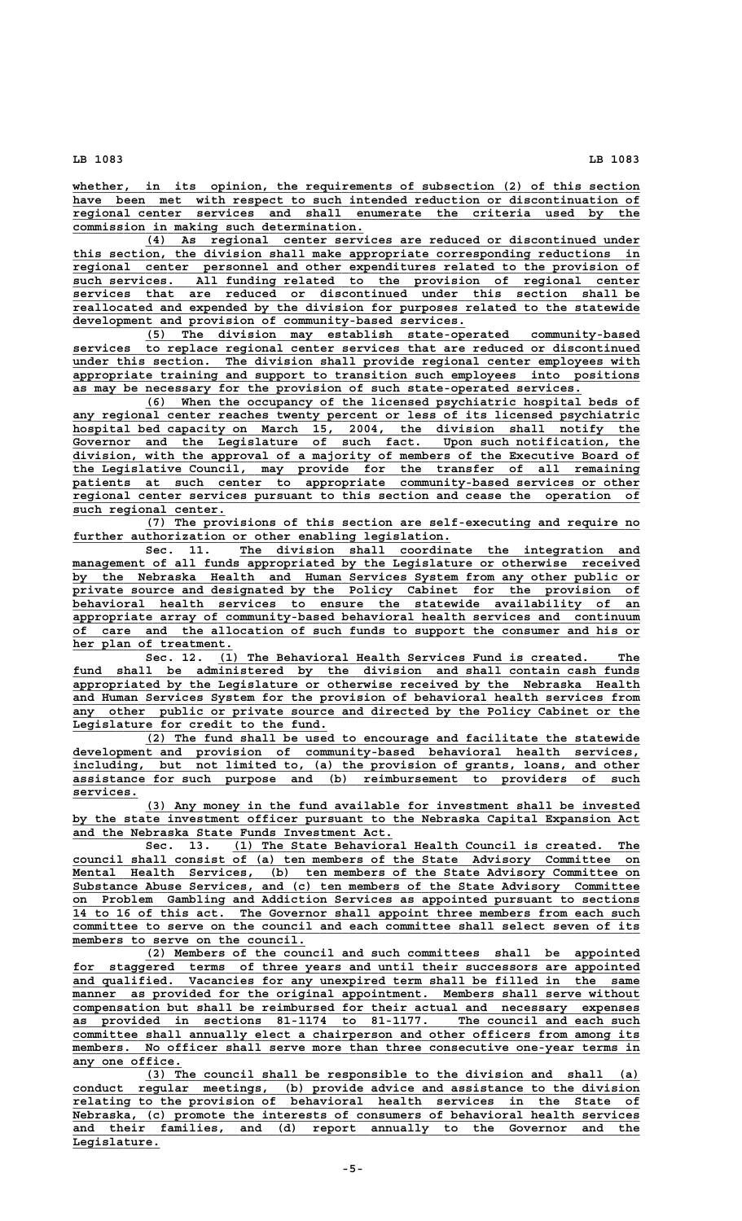**\_\_\_\_\_\_\_\_\_\_\_\_\_\_\_\_\_\_\_\_\_\_\_\_\_\_\_\_\_\_\_\_\_\_\_\_\_\_\_\_\_\_\_\_\_\_\_\_\_\_\_\_\_\_\_\_\_\_\_\_\_\_\_\_\_\_\_\_\_\_\_\_\_\_\_\_\_\_ whether, in its opinion, the requirements of subsection (2) of this section** have been met with respect to such intended reduction or discontinuation of  **\_\_\_\_\_\_\_\_\_\_\_\_\_\_\_\_\_\_\_\_\_\_\_\_\_\_\_\_\_\_\_\_\_\_\_\_\_\_\_\_\_\_\_\_\_\_\_\_\_\_\_\_\_\_\_\_\_\_\_\_\_\_\_\_\_\_\_\_\_\_\_\_\_\_\_\_\_\_ regional center services and shall enumerate the criteria used by the \_\_\_\_\_\_\_\_\_\_\_\_\_\_\_\_\_\_\_\_\_\_\_\_\_\_\_\_\_\_\_\_\_\_\_\_\_\_\_\_ commission in making such determination.**

 **\_\_\_\_\_\_\_\_\_\_\_\_\_\_\_\_\_\_\_\_\_\_\_\_\_\_\_\_\_\_\_\_\_\_\_\_\_\_\_\_\_\_\_\_\_\_\_\_\_\_\_\_\_\_\_\_\_\_\_\_\_\_\_\_\_\_\_\_ (4) As regional center services are reduced or discontinued under** this section, the division shall make appropriate corresponding reductions in  **\_\_\_\_\_\_\_\_\_\_\_\_\_\_\_\_\_\_\_\_\_\_\_\_\_\_\_\_\_\_\_\_\_\_\_\_\_\_\_\_\_\_\_\_\_\_\_\_\_\_\_\_\_\_\_\_\_\_\_\_\_\_\_\_\_\_\_\_\_\_\_\_\_\_\_\_\_\_ regional center personnel and other expenditures related to the provision of \_\_\_\_\_\_\_\_\_\_\_\_\_\_\_\_\_\_\_\_\_\_\_\_\_\_\_\_\_\_\_\_\_\_\_\_\_\_\_\_\_\_\_\_\_\_\_\_\_\_\_\_\_\_\_\_\_\_\_\_\_\_\_\_\_\_\_\_\_\_\_\_\_\_\_\_\_\_ such services. All funding related to the provision of regional center \_\_\_\_\_\_\_\_\_\_\_\_\_\_\_\_\_\_\_\_\_\_\_\_\_\_\_\_\_\_\_\_\_\_\_\_\_\_\_\_\_\_\_\_\_\_\_\_\_\_\_\_\_\_\_\_\_\_\_\_\_\_\_\_\_\_\_\_\_\_\_\_\_\_\_\_\_\_ services that are reduced or discontinued under this section shall be \_\_\_\_\_\_\_\_\_\_\_\_\_\_\_\_\_\_\_\_\_\_\_\_\_\_\_\_\_\_\_\_\_\_\_\_\_\_\_\_\_\_\_\_\_\_\_\_\_\_\_\_\_\_\_\_\_\_\_\_\_\_\_\_\_\_\_\_\_\_\_\_\_\_\_\_\_\_ reallocated and expended by the division for purposes related to the statewide \_\_\_\_\_\_\_\_\_\_\_\_\_\_\_\_\_\_\_\_\_\_\_\_\_\_\_\_\_\_\_\_\_\_\_\_\_\_\_\_\_\_\_\_\_\_\_\_\_\_\_\_\_\_ development and provision of community-based services.**

 **\_\_\_\_\_\_\_\_\_\_\_\_\_\_\_\_\_\_\_\_\_\_\_\_\_\_\_\_\_\_\_\_\_\_\_\_\_\_\_\_\_\_\_\_\_\_\_\_\_\_\_\_\_\_\_\_\_\_\_\_\_\_\_\_\_\_\_\_ (5) The division may establish state-operated community-based \_\_\_\_\_\_\_\_\_\_\_\_\_\_\_\_\_\_\_\_\_\_\_\_\_\_\_\_\_\_\_\_\_\_\_\_\_\_\_\_\_\_\_\_\_\_\_\_\_\_\_\_\_\_\_\_\_\_\_\_\_\_\_\_\_\_\_\_\_\_\_\_\_\_\_\_\_\_ services to replace regional center services that are reduced or discontinued \_\_\_\_\_\_\_\_\_\_\_\_\_\_\_\_\_\_\_\_\_\_\_\_\_\_\_\_\_\_\_\_\_\_\_\_\_\_\_\_\_\_\_\_\_\_\_\_\_\_\_\_\_\_\_\_\_\_\_\_\_\_\_\_\_\_\_\_\_\_\_\_\_\_\_\_\_\_ under this section. The division shall provide regional center employees with \_\_\_\_\_\_\_\_\_\_\_\_\_\_\_\_\_\_\_\_\_\_\_\_\_\_\_\_\_\_\_\_\_\_\_\_\_\_\_\_\_\_\_\_\_\_\_\_\_\_\_\_\_\_\_\_\_\_\_\_\_\_\_\_\_\_\_\_\_\_\_\_\_\_\_\_\_\_ appropriate training and support to transition such employees into positions \_\_\_\_\_\_\_\_\_\_\_\_\_\_\_\_\_\_\_\_\_\_\_\_\_\_\_\_\_\_\_\_\_\_\_\_\_\_\_\_\_\_\_\_\_\_\_\_\_\_\_\_\_\_\_\_\_\_\_\_\_\_\_\_\_\_\_\_\_\_ as may be necessary for the provision of such state-operated services.**

 **\_\_\_\_\_\_\_\_\_\_\_\_\_\_\_\_\_\_\_\_\_\_\_\_\_\_\_\_\_\_\_\_\_\_\_\_\_\_\_\_\_\_\_\_\_\_\_\_\_\_\_\_\_\_\_\_\_\_\_\_\_\_\_\_\_\_\_\_ (6) When the occupancy of the licensed psychiatric hospital beds of \_\_\_\_\_\_\_\_\_\_\_\_\_\_\_\_\_\_\_\_\_\_\_\_\_\_\_\_\_\_\_\_\_\_\_\_\_\_\_\_\_\_\_\_\_\_\_\_\_\_\_\_\_\_\_\_\_\_\_\_\_\_\_\_\_\_\_\_\_\_\_\_\_\_\_\_\_\_ any regional center reaches twenty percent or less of its licensed psychiatric \_\_\_\_\_\_\_\_\_\_\_\_\_\_\_\_\_\_\_\_\_\_\_\_\_\_\_\_\_\_\_\_\_\_\_\_\_\_\_\_\_\_\_\_\_\_\_\_\_\_\_\_\_\_\_\_\_\_\_\_\_\_\_\_\_\_\_\_\_\_\_\_\_\_\_\_\_\_ hospital bed capacity on March 15, 2004, the division shall notify the** Governor and the Legislature of such fact. Upon such notification, the  **\_\_\_\_\_\_\_\_\_\_\_\_\_\_\_\_\_\_\_\_\_\_\_\_\_\_\_\_\_\_\_\_\_\_\_\_\_\_\_\_\_\_\_\_\_\_\_\_\_\_\_\_\_\_\_\_\_\_\_\_\_\_\_\_\_\_\_\_\_\_\_\_\_\_\_\_\_\_ division, with the approval of a majority of members of the Executive Board of \_\_\_\_\_\_\_\_\_\_\_\_\_\_\_\_\_\_\_\_\_\_\_\_\_\_\_\_\_\_\_\_\_\_\_\_\_\_\_\_\_\_\_\_\_\_\_\_\_\_\_\_\_\_\_\_\_\_\_\_\_\_\_\_\_\_\_\_\_\_\_\_\_\_\_\_\_\_ the Legislative Council, may provide for the transfer of all remaining** patients at such center to appropriate community-based services or other regional center services pursuant to this section and cease the operation  **\_\_\_\_\_\_\_\_\_\_\_\_\_\_\_\_\_\_\_\_\_ such regional center.**

 **\_\_\_\_\_\_\_\_\_\_\_\_\_\_\_\_\_\_\_\_\_\_\_\_\_\_\_\_\_\_\_\_\_\_\_\_\_\_\_\_\_\_\_\_\_\_\_\_\_\_\_\_\_\_\_\_\_\_\_\_\_\_\_\_\_\_\_\_ (7) The provisions of this section are self-executing and require no** further authorization or other enabling legislation.

 **\_\_\_\_\_\_\_\_\_\_\_\_\_\_\_\_\_\_\_\_\_\_\_\_\_\_\_\_\_\_\_\_\_\_\_\_\_\_\_\_\_\_\_\_\_\_\_\_\_\_\_\_\_\_\_ Sec. 11. The division shall coordinate the integration and \_\_\_\_\_\_\_\_\_\_\_\_\_\_\_\_\_\_\_\_\_\_\_\_\_\_\_\_\_\_\_\_\_\_\_\_\_\_\_\_\_\_\_\_\_\_\_\_\_\_\_\_\_\_\_\_\_\_\_\_\_\_\_\_\_\_\_\_\_\_\_\_\_\_\_\_\_\_ management of all funds appropriated by the Legislature or otherwise received \_\_\_\_\_\_\_\_\_\_\_\_\_\_\_\_\_\_\_\_\_\_\_\_\_\_\_\_\_\_\_\_\_\_\_\_\_\_\_\_\_\_\_\_\_\_\_\_\_\_\_\_\_\_\_\_\_\_\_\_\_\_\_\_\_\_\_\_\_\_\_\_\_\_\_\_\_\_ by the Nebraska Health and Human Services System from any other public or \_\_\_\_\_\_\_\_\_\_\_\_\_\_\_\_\_\_\_\_\_\_\_\_\_\_\_\_\_\_\_\_\_\_\_\_\_\_\_\_\_\_\_\_\_\_\_\_\_\_\_\_\_\_\_\_\_\_\_\_\_\_\_\_\_\_\_\_\_\_\_\_\_\_\_\_\_\_ private source and designated by the Policy Cabinet for the provision of \_\_\_\_\_\_\_\_\_\_\_\_\_\_\_\_\_\_\_\_\_\_\_\_\_\_\_\_\_\_\_\_\_\_\_\_\_\_\_\_\_\_\_\_\_\_\_\_\_\_\_\_\_\_\_\_\_\_\_\_\_\_\_\_\_\_\_\_\_\_\_\_\_\_\_\_\_\_ behavioral health services to ensure the statewide availability of an \_\_\_\_\_\_\_\_\_\_\_\_\_\_\_\_\_\_\_\_\_\_\_\_\_\_\_\_\_\_\_\_\_\_\_\_\_\_\_\_\_\_\_\_\_\_\_\_\_\_\_\_\_\_\_\_\_\_\_\_\_\_\_\_\_\_\_\_\_\_\_\_\_\_\_\_\_\_ appropriate array of community-based behavioral health services and continuum \_\_\_\_\_\_\_\_\_\_\_\_\_\_\_\_\_\_\_\_\_\_\_\_\_\_\_\_\_\_\_\_\_\_\_\_\_\_\_\_\_\_\_\_\_\_\_\_\_\_\_\_\_\_\_\_\_\_\_\_\_\_\_\_\_\_\_\_\_\_\_\_\_\_\_\_\_\_ of care and the allocation of such funds to support the consumer and his or \_\_\_\_\_\_\_\_\_\_\_\_\_\_\_\_\_\_\_\_\_\_ her plan of treatment.**

Sec. 12. (1) The Behavioral Health Services Fund is created. The  **\_\_\_\_\_\_\_\_\_\_\_\_\_\_\_\_\_\_\_\_\_\_\_\_\_\_\_\_\_\_\_\_\_\_\_\_\_\_\_\_\_\_\_\_\_\_\_\_\_\_\_\_\_\_\_\_\_\_\_\_\_\_\_\_\_\_\_\_\_\_\_\_\_\_\_\_\_\_ fund shall be administered by the division and shall contain cash funds \_\_\_\_\_\_\_\_\_\_\_\_\_\_\_\_\_\_\_\_\_\_\_\_\_\_\_\_\_\_\_\_\_\_\_\_\_\_\_\_\_\_\_\_\_\_\_\_\_\_\_\_\_\_\_\_\_\_\_\_\_\_\_\_\_\_\_\_\_\_\_\_\_\_\_\_\_\_ appropriated by the Legislature or otherwise received by the Nebraska Health \_\_\_\_\_\_\_\_\_\_\_\_\_\_\_\_\_\_\_\_\_\_\_\_\_\_\_\_\_\_\_\_\_\_\_\_\_\_\_\_\_\_\_\_\_\_\_\_\_\_\_\_\_\_\_\_\_\_\_\_\_\_\_\_\_\_\_\_\_\_\_\_\_\_\_\_\_\_ and Human Services System for the provision of behavioral health services from** any other public or private source and directed by the Policy Cabinet or the  **\_\_\_\_\_\_\_\_\_\_\_\_\_\_\_\_\_\_\_\_\_\_\_\_\_\_\_\_\_\_\_\_\_\_\_ Legislature for credit to the fund.**

 **\_\_\_\_\_\_\_\_\_\_\_\_\_\_\_\_\_\_\_\_\_\_\_\_\_\_\_\_\_\_\_\_\_\_\_\_\_\_\_\_\_\_\_\_\_\_\_\_\_\_\_\_\_\_\_\_\_\_\_\_\_\_\_\_\_\_\_\_ (2) The fund shall be used to encourage and facilitate the statewide** development and provision of community-based behavioral health services,  **\_\_\_\_\_\_\_\_\_\_\_\_\_\_\_\_\_\_\_\_\_\_\_\_\_\_\_\_\_\_\_\_\_\_\_\_\_\_\_\_\_\_\_\_\_\_\_\_\_\_\_\_\_\_\_\_\_\_\_\_\_\_\_\_\_\_\_\_\_\_\_\_\_\_\_\_\_\_ including, but not limited to, (a) the provision of grants, loans, and other \_\_\_\_\_\_\_\_\_\_\_\_\_\_\_\_\_\_\_\_\_\_\_\_\_\_\_\_\_\_\_\_\_\_\_\_\_\_\_\_\_\_\_\_\_\_\_\_\_\_\_\_\_\_\_\_\_\_\_\_\_\_\_\_\_\_\_\_\_\_\_\_\_\_\_\_\_\_ assistance for such purpose and (b) reimbursement to providers of such services. \_\_\_\_\_\_\_\_\_**

 **\_\_\_\_\_\_\_\_\_\_\_\_\_\_\_\_\_\_\_\_\_\_\_\_\_\_\_\_\_\_\_\_\_\_\_\_\_\_\_\_\_\_\_\_\_\_\_\_\_\_\_\_\_\_\_\_\_\_\_\_\_\_\_\_\_\_\_\_ (3) Any money in the fund available for investment shall be invested** by the state investment officer pursuant to the Nebraska Capital Expansion Act  **\_\_\_\_\_\_\_\_\_\_\_\_\_\_\_\_\_\_\_\_\_\_\_\_\_\_\_\_\_\_\_\_\_\_\_\_\_\_\_\_\_\_\_\_ and the Nebraska State Funds Investment Act.**

 **\_\_\_\_\_\_\_\_\_\_\_\_\_\_\_\_\_\_\_\_\_\_\_\_\_\_\_\_\_\_\_\_\_\_\_\_\_\_\_\_\_\_\_\_\_\_\_\_\_\_\_\_\_\_\_\_ Sec. 13. (1) The State Behavioral Health Council is created. The \_\_\_\_\_\_\_\_\_\_\_\_\_\_\_\_\_\_\_\_\_\_\_\_\_\_\_\_\_\_\_\_\_\_\_\_\_\_\_\_\_\_\_\_\_\_\_\_\_\_\_\_\_\_\_\_\_\_\_\_\_\_\_\_\_\_\_\_\_\_\_\_\_\_\_\_\_\_ council shall consist of (a) ten members of the State Advisory Committee on Mental Health Services, (b) ten members of the State Advisory Committee on \_\_\_\_\_\_\_\_\_\_\_\_\_\_\_\_\_\_\_\_\_\_\_\_\_\_\_\_\_\_\_\_\_\_\_\_\_\_\_\_\_\_\_\_\_\_\_\_\_\_\_\_\_\_\_\_\_\_\_\_\_\_\_\_\_\_\_\_\_\_\_\_\_\_\_\_\_\_ Substance Abuse Services, and (c) ten members of the State Advisory Committee \_\_\_\_\_\_\_\_\_\_\_\_\_\_\_\_\_\_\_\_\_\_\_\_\_\_\_\_\_\_\_\_\_\_\_\_\_\_\_\_\_\_\_\_\_\_\_\_\_\_\_\_\_\_\_\_\_\_\_\_\_\_\_\_\_\_\_\_\_\_\_\_\_\_\_\_\_\_ on Problem Gambling and Addiction Services as appointed pursuant to sections \_\_\_\_\_\_\_\_\_\_\_\_\_\_\_\_\_\_\_\_\_\_\_\_\_\_\_\_\_\_\_\_\_\_\_\_\_\_\_\_\_\_\_\_\_\_\_\_\_\_\_\_\_\_\_\_\_\_\_\_\_\_\_\_\_\_\_\_\_\_\_\_\_\_\_\_\_\_ 14 to 16 of this act. The Governor shall appoint three members from each such \_\_\_\_\_\_\_\_\_\_\_\_\_\_\_\_\_\_\_\_\_\_\_\_\_\_\_\_\_\_\_\_\_\_\_\_\_\_\_\_\_\_\_\_\_\_\_\_\_\_\_\_\_\_\_\_\_\_\_\_\_\_\_\_\_\_\_\_\_\_\_\_\_\_\_\_\_\_ committee to serve on the council and each committee shall select seven of its \_\_\_\_\_\_\_\_\_\_\_\_\_\_\_\_\_\_\_\_\_\_\_\_\_\_\_\_\_\_\_\_ members to serve on the council.**

 **\_\_\_\_\_\_\_\_\_\_\_\_\_\_\_\_\_\_\_\_\_\_\_\_\_\_\_\_\_\_\_\_\_\_\_\_\_\_\_\_\_\_\_\_\_\_\_\_\_\_\_\_\_\_\_\_\_\_\_\_\_\_\_\_\_\_\_\_ (2) Members of the council and such committees shall be appointed \_\_\_\_\_\_\_\_\_\_\_\_\_\_\_\_\_\_\_\_\_\_\_\_\_\_\_\_\_\_\_\_\_\_\_\_\_\_\_\_\_\_\_\_\_\_\_\_\_\_\_\_\_\_\_\_\_\_\_\_\_\_\_\_\_\_\_\_\_\_\_\_\_\_\_\_\_\_ for staggered terms of three years and until their successors are appointed \_\_\_\_\_\_\_\_\_\_\_\_\_\_\_\_\_\_\_\_\_\_\_\_\_\_\_\_\_\_\_\_\_\_\_\_\_\_\_\_\_\_\_\_\_\_\_\_\_\_\_\_\_\_\_\_\_\_\_\_\_\_\_\_\_\_\_\_\_\_\_\_\_\_\_\_\_\_ and qualified. Vacancies for any unexpired term shall be filled in the same**  $\texttt{manner}$  as provided for the original appointment. Members shall serve without  **\_\_\_\_\_\_\_\_\_\_\_\_\_\_\_\_\_\_\_\_\_\_\_\_\_\_\_\_\_\_\_\_\_\_\_\_\_\_\_\_\_\_\_\_\_\_\_\_\_\_\_\_\_\_\_\_\_\_\_\_\_\_\_\_\_\_\_\_\_\_\_\_\_\_\_\_\_\_ compensation but shall be reimbursed for their actual and necessary expenses \_\_\_\_\_\_\_\_\_\_\_\_\_\_\_\_\_\_\_\_\_\_\_\_\_\_\_\_\_\_\_\_\_\_\_\_\_\_\_\_\_\_\_\_\_\_\_\_\_\_\_\_\_\_\_\_\_\_\_\_\_\_\_\_\_\_\_\_\_\_\_\_\_\_\_\_\_\_ as provided in sections 81-1174 to 81-1177. The council and each such \_\_\_\_\_\_\_\_\_\_\_\_\_\_\_\_\_\_\_\_\_\_\_\_\_\_\_\_\_\_\_\_\_\_\_\_\_\_\_\_\_\_\_\_\_\_\_\_\_\_\_\_\_\_\_\_\_\_\_\_\_\_\_\_\_\_\_\_\_\_\_\_\_\_\_\_\_\_ committee shall annually elect a chairperson and other officers from among its \_\_\_\_\_\_\_\_\_\_\_\_\_\_\_\_\_\_\_\_\_\_\_\_\_\_\_\_\_\_\_\_\_\_\_\_\_\_\_\_\_\_\_\_\_\_\_\_\_\_\_\_\_\_\_\_\_\_\_\_\_\_\_\_\_\_\_\_\_\_\_\_\_\_\_\_\_\_ members. No officer shall serve more than three consecutive one-year terms in \_\_\_\_\_\_\_\_\_\_\_\_\_\_\_ any one office.**

 **\_\_\_\_\_\_\_\_\_\_\_\_\_\_\_\_\_\_\_\_\_\_\_\_\_\_\_\_\_\_\_\_\_\_\_\_\_\_\_\_\_\_\_\_\_\_\_\_\_\_\_\_\_\_\_\_\_\_\_\_\_\_\_\_\_\_\_\_ (3) The council shall be responsible to the division and shall (a) \_\_\_\_\_\_\_\_\_\_\_\_\_\_\_\_\_\_\_\_\_\_\_\_\_\_\_\_\_\_\_\_\_\_\_\_\_\_\_\_\_\_\_\_\_\_\_\_\_\_\_\_\_\_\_\_\_\_\_\_\_\_\_\_\_\_\_\_\_\_\_\_\_\_\_\_\_\_ conduct regular meetings, (b) provide advice and assistance to the division \_\_\_\_\_\_\_\_\_\_\_\_\_\_\_\_\_\_\_\_\_\_\_\_\_\_\_\_\_\_\_\_\_\_\_\_\_\_\_\_\_\_\_\_\_\_\_\_\_\_\_\_\_\_\_\_\_\_\_\_\_\_\_\_\_\_\_\_\_\_\_\_\_\_\_\_\_\_ relating to the provision of behavioral health services in the State of \_\_\_\_\_\_\_\_\_\_\_\_\_\_\_\_\_\_\_\_\_\_\_\_\_\_\_\_\_\_\_\_\_\_\_\_\_\_\_\_\_\_\_\_\_\_\_\_\_\_\_\_\_\_\_\_\_\_\_\_\_\_\_\_\_\_\_\_\_\_\_\_\_\_\_\_\_\_ Nebraska, (c) promote the interests of consumers of behavioral health services \_\_\_\_\_\_\_\_\_\_\_\_\_\_\_\_\_\_\_\_\_\_\_\_\_\_\_\_\_\_\_\_\_\_\_\_\_\_\_\_\_\_\_\_\_\_\_\_\_\_\_\_\_\_\_\_\_\_\_\_\_\_\_\_\_\_\_\_\_\_\_\_\_\_\_\_\_\_ and their families, and (d) report annually to the Governor and the Legislature. \_\_\_\_\_\_\_\_\_\_\_\_**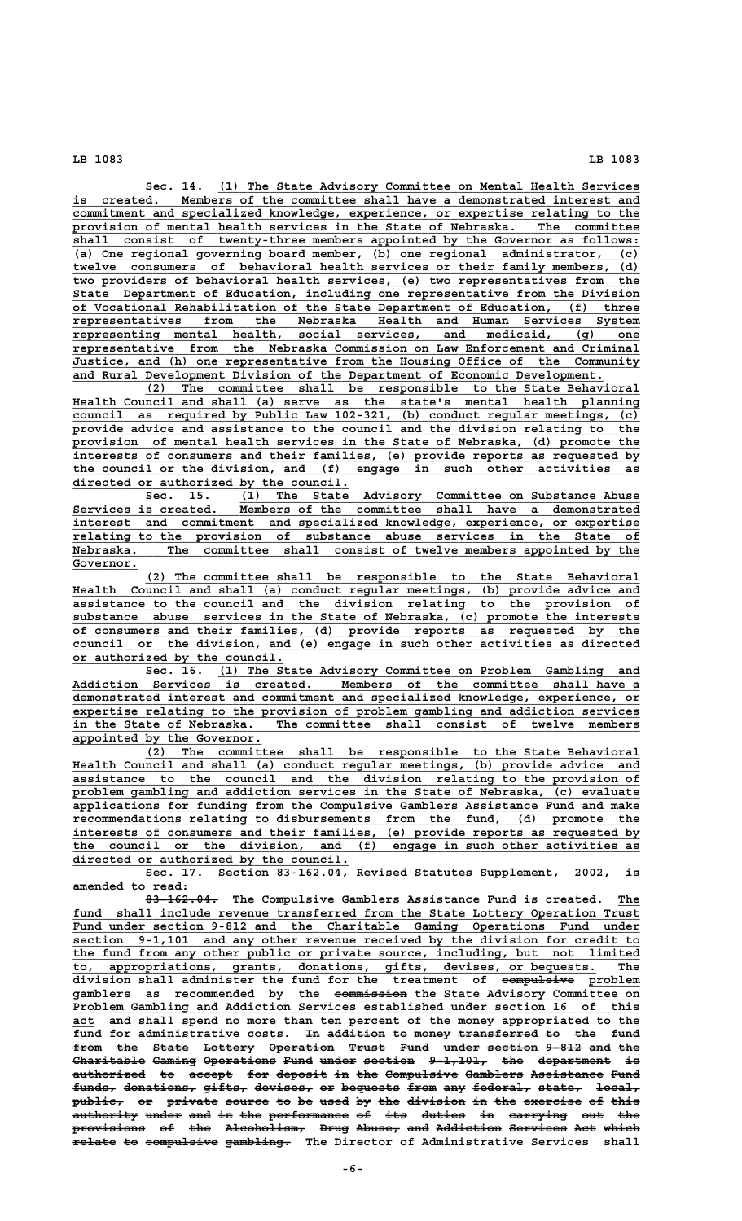**\_\_\_\_\_\_\_\_\_\_\_\_\_\_\_\_\_\_\_\_\_\_\_\_\_\_\_\_\_\_\_\_\_\_\_\_\_\_\_\_\_\_\_\_\_\_\_\_\_\_\_\_\_\_\_\_\_\_ Sec. 14. (1) The State Advisory Committee on Mental Health Services \_\_\_\_\_\_\_\_\_\_\_\_\_\_\_\_\_\_\_\_\_\_\_\_\_\_\_\_\_\_\_\_\_\_\_\_\_\_\_\_\_\_\_\_\_\_\_\_\_\_\_\_\_\_\_\_\_\_\_\_\_\_\_\_\_\_\_\_\_\_\_\_\_\_\_\_\_\_ is created. Members of the committee shall have a demonstrated interest and \_\_\_\_\_\_\_\_\_\_\_\_\_\_\_\_\_\_\_\_\_\_\_\_\_\_\_\_\_\_\_\_\_\_\_\_\_\_\_\_\_\_\_\_\_\_\_\_\_\_\_\_\_\_\_\_\_\_\_\_\_\_\_\_\_\_\_\_\_\_\_\_\_\_\_\_\_\_ commitment and specialized knowledge, experience, or expertise relating to the \_\_\_\_\_\_\_\_\_\_\_\_\_\_\_\_\_\_\_\_\_\_\_\_\_\_\_\_\_\_\_\_\_\_\_\_\_\_\_\_\_\_\_\_\_\_\_\_\_\_\_\_\_\_\_\_\_\_\_\_\_\_\_\_\_\_\_\_\_\_\_\_\_\_\_\_\_\_ provision of mental health services in the State of Nebraska. The committee** shall consist of twenty-three members appointed by the Governor as follows:  **\_\_\_\_\_\_\_\_\_\_\_\_\_\_\_\_\_\_\_\_\_\_\_\_\_\_\_\_\_\_\_\_\_\_\_\_\_\_\_\_\_\_\_\_\_\_\_\_\_\_\_\_\_\_\_\_\_\_\_\_\_\_\_\_\_\_\_\_\_\_\_\_\_\_\_\_\_\_ (a) One regional governing board member, (b) one regional administrator, (c) \_\_\_\_\_\_\_\_\_\_\_\_\_\_\_\_\_\_\_\_\_\_\_\_\_\_\_\_\_\_\_\_\_\_\_\_\_\_\_\_\_\_\_\_\_\_\_\_\_\_\_\_\_\_\_\_\_\_\_\_\_\_\_\_\_\_\_\_\_\_\_\_\_\_\_\_\_\_ twelve consumers of behavioral health services or their family members, (d) \_\_\_\_\_\_\_\_\_\_\_\_\_\_\_\_\_\_\_\_\_\_\_\_\_\_\_\_\_\_\_\_\_\_\_\_\_\_\_\_\_\_\_\_\_\_\_\_\_\_\_\_\_\_\_\_\_\_\_\_\_\_\_\_\_\_\_\_\_\_\_\_\_\_\_\_\_\_ two providers of behavioral health services, (e) two representatives from the \_\_\_\_\_\_\_\_\_\_\_\_\_\_\_\_\_\_\_\_\_\_\_\_\_\_\_\_\_\_\_\_\_\_\_\_\_\_\_\_\_\_\_\_\_\_\_\_\_\_\_\_\_\_\_\_\_\_\_\_\_\_\_\_\_\_\_\_\_\_\_\_\_\_\_\_\_\_ State Department of Education, including one representative from the Division \_\_\_\_\_\_\_\_\_\_\_\_\_\_\_\_\_\_\_\_\_\_\_\_\_\_\_\_\_\_\_\_\_\_\_\_\_\_\_\_\_\_\_\_\_\_\_\_\_\_\_\_\_\_\_\_\_\_\_\_\_\_\_\_\_\_\_\_\_\_\_\_\_\_\_\_\_\_ of Vocational Rehabilitation of the State Department of Education, (f) three \_\_\_\_\_\_\_\_\_\_\_\_\_\_\_\_\_\_\_\_\_\_\_\_\_\_\_\_\_\_\_\_\_\_\_\_\_\_\_\_\_\_\_\_\_\_\_\_\_\_\_\_\_\_\_\_\_\_\_\_\_\_\_\_\_\_\_\_\_\_\_\_\_\_\_\_\_\_ representatives from the Nebraska Health and Human Services System \_\_\_\_\_\_\_\_\_\_\_\_\_\_\_\_\_\_\_\_\_\_\_\_\_\_\_\_\_\_\_\_\_\_\_\_\_\_\_\_\_\_\_\_\_\_\_\_\_\_\_\_\_\_\_\_\_\_\_\_\_\_\_\_\_\_\_\_\_\_\_\_\_\_\_\_\_\_ representing mental health, social services, and medicaid, (g) one \_\_\_\_\_\_\_\_\_\_\_\_\_\_\_\_\_\_\_\_\_\_\_\_\_\_\_\_\_\_\_\_\_\_\_\_\_\_\_\_\_\_\_\_\_\_\_\_\_\_\_\_\_\_\_\_\_\_\_\_\_\_\_\_\_\_\_\_\_\_\_\_\_\_\_\_\_\_ representative from the Nebraska Commission on Law Enforcement and Criminal \_\_\_\_\_\_\_\_\_\_\_\_\_\_\_\_\_\_\_\_\_\_\_\_\_\_\_\_\_\_\_\_\_\_\_\_\_\_\_\_\_\_\_\_\_\_\_\_\_\_\_\_\_\_\_\_\_\_\_\_\_\_\_\_\_\_\_\_\_\_\_\_\_\_\_\_\_\_ Justice, and (h) one representative from the Housing Office of the Community \_\_\_\_\_\_\_\_\_\_\_\_\_\_\_\_\_\_\_\_\_\_\_\_\_\_\_\_\_\_\_\_\_\_\_\_\_\_\_\_\_\_\_\_\_\_\_\_\_\_\_\_\_\_\_\_\_\_\_\_\_\_\_\_\_\_\_\_\_\_\_\_\_ and Rural Development Division of the Department of Economic Development.**

 **\_\_\_\_\_\_\_\_\_\_\_\_\_\_\_\_\_\_\_\_\_\_\_\_\_\_\_\_\_\_\_\_\_\_\_\_\_\_\_\_\_\_\_\_\_\_\_\_\_\_\_\_\_\_\_\_\_\_\_\_\_\_\_\_\_\_\_\_ (2) The committee shall be responsible to the State Behavioral \_\_\_\_\_\_\_\_\_\_\_\_\_\_\_\_\_\_\_\_\_\_\_\_\_\_\_\_\_\_\_\_\_\_\_\_\_\_\_\_\_\_\_\_\_\_\_\_\_\_\_\_\_\_\_\_\_\_\_\_\_\_\_\_\_\_\_\_\_\_\_\_\_\_\_\_\_\_ Health Council and shall (a) serve as the state's mental health planning \_\_\_\_\_\_\_\_\_\_\_\_\_\_\_\_\_\_\_\_\_\_\_\_\_\_\_\_\_\_\_\_\_\_\_\_\_\_\_\_\_\_\_\_\_\_\_\_\_\_\_\_\_\_\_\_\_\_\_\_\_\_\_\_\_\_\_\_\_\_\_\_\_\_\_\_\_\_ council as required by Public Law 102-321, (b) conduct regular meetings, (c) \_\_\_\_\_\_\_\_\_\_\_\_\_\_\_\_\_\_\_\_\_\_\_\_\_\_\_\_\_\_\_\_\_\_\_\_\_\_\_\_\_\_\_\_\_\_\_\_\_\_\_\_\_\_\_\_\_\_\_\_\_\_\_\_\_\_\_\_\_\_\_\_\_\_\_\_\_\_ provide advice and assistance to the council and the division relating to the \_\_\_\_\_\_\_\_\_\_\_\_\_\_\_\_\_\_\_\_\_\_\_\_\_\_\_\_\_\_\_\_\_\_\_\_\_\_\_\_\_\_\_\_\_\_\_\_\_\_\_\_\_\_\_\_\_\_\_\_\_\_\_\_\_\_\_\_\_\_\_\_\_\_\_\_\_\_ provision of mental health services in the State of Nebraska, (d) promote the \_\_\_\_\_\_\_\_\_\_\_\_\_\_\_\_\_\_\_\_\_\_\_\_\_\_\_\_\_\_\_\_\_\_\_\_\_\_\_\_\_\_\_\_\_\_\_\_\_\_\_\_\_\_\_\_\_\_\_\_\_\_\_\_\_\_\_\_\_\_\_\_\_\_\_\_\_\_ interests of consumers and their families, (e) provide reports as requested by \_\_\_\_\_\_\_\_\_\_\_\_\_\_\_\_\_\_\_\_\_\_\_\_\_\_\_\_\_\_\_\_\_\_\_\_\_\_\_\_\_\_\_\_\_\_\_\_\_\_\_\_\_\_\_\_\_\_\_\_\_\_\_\_\_\_\_\_\_\_\_\_\_\_\_\_\_\_ the council or the division, and (f) engage in such other activities as** directed or authorized by the council.<br>Sec. 15. (1) The State

 **\_\_\_\_\_\_\_\_\_\_\_\_\_\_\_\_\_\_\_\_\_\_\_\_\_\_\_\_\_\_\_\_\_\_\_\_\_\_\_\_\_\_\_\_\_\_\_\_\_\_\_\_\_\_\_ Sec. 15. (1) The State Advisory Committee on Substance Abuse \_\_\_\_\_\_\_\_\_\_\_\_\_\_\_\_\_\_\_\_\_\_\_\_\_\_\_\_\_\_\_\_\_\_\_\_\_\_\_\_\_\_\_\_\_\_\_\_\_\_\_\_\_\_\_\_\_\_\_\_\_\_\_\_\_\_\_\_\_\_\_\_\_\_\_\_\_\_ Services is created. Members of the committee shall have a demonstrated \_\_\_\_\_\_\_\_\_\_\_\_\_\_\_\_\_\_\_\_\_\_\_\_\_\_\_\_\_\_\_\_\_\_\_\_\_\_\_\_\_\_\_\_\_\_\_\_\_\_\_\_\_\_\_\_\_\_\_\_\_\_\_\_\_\_\_\_\_\_\_\_\_\_\_\_\_\_ interest and commitment and specialized knowledge, experience, or expertise \_\_\_\_\_\_\_\_\_\_\_\_\_\_\_\_\_\_\_\_\_\_\_\_\_\_\_\_\_\_\_\_\_\_\_\_\_\_\_\_\_\_\_\_\_\_\_\_\_\_\_\_\_\_\_\_\_\_\_\_\_\_\_\_\_\_\_\_\_\_\_\_\_\_\_\_\_\_ relating to the provision of substance abuse services in the State of \_\_\_\_\_\_\_\_\_\_\_\_\_\_\_\_\_\_\_\_\_\_\_\_\_\_\_\_\_\_\_\_\_\_\_\_\_\_\_\_\_\_\_\_\_\_\_\_\_\_\_\_\_\_\_\_\_\_\_\_\_\_\_\_\_\_\_\_\_\_\_\_\_\_\_\_\_\_ Nebraska. The committee shall consist of twelve members appointed by the** Governor.

> **\_\_\_\_\_\_\_\_\_\_\_\_\_\_\_\_\_\_\_\_\_\_\_\_\_\_\_\_\_\_\_\_\_\_\_\_\_\_\_\_\_\_\_\_\_\_\_\_\_\_\_\_\_\_\_\_\_\_\_\_\_\_\_\_\_\_\_\_ (2) The committee shall be responsible to the State Behavioral**  $Health Council and shall (a) conduct regular meetings, (b) provide advice and$  **\_\_\_\_\_\_\_\_\_\_\_\_\_\_\_\_\_\_\_\_\_\_\_\_\_\_\_\_\_\_\_\_\_\_\_\_\_\_\_\_\_\_\_\_\_\_\_\_\_\_\_\_\_\_\_\_\_\_\_\_\_\_\_\_\_\_\_\_\_\_\_\_\_\_\_\_\_\_ assistance to the council and the division relating to the provision of \_\_\_\_\_\_\_\_\_\_\_\_\_\_\_\_\_\_\_\_\_\_\_\_\_\_\_\_\_\_\_\_\_\_\_\_\_\_\_\_\_\_\_\_\_\_\_\_\_\_\_\_\_\_\_\_\_\_\_\_\_\_\_\_\_\_\_\_\_\_\_\_\_\_\_\_\_\_ substance abuse services in the State of Nebraska, (c) promote the interests \_\_\_\_\_\_\_\_\_\_\_\_\_\_\_\_\_\_\_\_\_\_\_\_\_\_\_\_\_\_\_\_\_\_\_\_\_\_\_\_\_\_\_\_\_\_\_\_\_\_\_\_\_\_\_\_\_\_\_\_\_\_\_\_\_\_\_\_\_\_\_\_\_\_\_\_\_\_ of consumers and their families, (d) provide reports as requested by the \_\_\_\_\_\_\_\_\_\_\_\_\_\_\_\_\_\_\_\_\_\_\_\_\_\_\_\_\_\_\_\_\_\_\_\_\_\_\_\_\_\_\_\_\_\_\_\_\_\_\_\_\_\_\_\_\_\_\_\_\_\_\_\_\_\_\_\_\_\_\_\_\_\_\_\_\_\_ council or the division, and (e) engage in such other activities as directed \_\_\_\_\_\_\_\_\_\_\_\_\_\_\_\_\_\_\_\_\_\_\_\_\_\_\_\_\_ or authorized by the council.**

 **\_\_\_\_\_\_\_\_\_\_\_\_\_\_\_\_\_\_\_\_\_\_\_\_\_\_\_\_\_\_\_\_\_\_\_\_\_\_\_\_\_\_\_\_\_\_\_\_\_\_\_\_\_\_\_\_\_\_ Sec. 16. (1) The State Advisory Committee on Problem Gambling and \_\_\_\_\_\_\_\_\_\_\_\_\_\_\_\_\_\_\_\_\_\_\_\_\_\_\_\_\_\_\_\_\_\_\_\_\_\_\_\_\_\_\_\_\_\_\_\_\_\_\_\_\_\_\_\_\_\_\_\_\_\_\_\_\_\_\_\_\_\_\_\_\_\_\_\_\_\_ Addiction Services is created. Members of the committee shall have a \_\_\_\_\_\_\_\_\_\_\_\_\_\_\_\_\_\_\_\_\_\_\_\_\_\_\_\_\_\_\_\_\_\_\_\_\_\_\_\_\_\_\_\_\_\_\_\_\_\_\_\_\_\_\_\_\_\_\_\_\_\_\_\_\_\_\_\_\_\_\_\_\_\_\_\_\_\_ demonstrated interest and commitment and specialized knowledge, experience, or \_\_\_\_\_\_\_\_\_\_\_\_\_\_\_\_\_\_\_\_\_\_\_\_\_\_\_\_\_\_\_\_\_\_\_\_\_\_\_\_\_\_\_\_\_\_\_\_\_\_\_\_\_\_\_\_\_\_\_\_\_\_\_\_\_\_\_\_\_\_\_\_\_\_\_\_\_\_ expertise relating to the provision of problem gambling and addiction services** in the State of Nebraska. The committee shall consist of twelve members  **\_\_\_\_\_\_\_\_\_\_\_\_\_\_\_\_\_\_\_\_\_\_\_\_\_\_ appointed by the Governor.**

 **\_\_\_\_\_\_\_\_\_\_\_\_\_\_\_\_\_\_\_\_\_\_\_\_\_\_\_\_\_\_\_\_\_\_\_\_\_\_\_\_\_\_\_\_\_\_\_\_\_\_\_\_\_\_\_\_\_\_\_\_\_\_\_\_\_\_\_\_ (2) The committee shall be responsible to the State Behavioral \_\_\_\_\_\_\_\_\_\_\_\_\_\_\_\_\_\_\_\_\_\_\_\_\_\_\_\_\_\_\_\_\_\_\_\_\_\_\_\_\_\_\_\_\_\_\_\_\_\_\_\_\_\_\_\_\_\_\_\_\_\_\_\_\_\_\_\_\_\_\_\_\_\_\_\_\_\_ Health Council and shall (a) conduct regular meetings, (b) provide advice and \_\_\_\_\_\_\_\_\_\_\_\_\_\_\_\_\_\_\_\_\_\_\_\_\_\_\_\_\_\_\_\_\_\_\_\_\_\_\_\_\_\_\_\_\_\_\_\_\_\_\_\_\_\_\_\_\_\_\_\_\_\_\_\_\_\_\_\_\_\_\_\_\_\_\_\_\_\_ assistance to the council and the division relating to the provision of \_\_\_\_\_\_\_\_\_\_\_\_\_\_\_\_\_\_\_\_\_\_\_\_\_\_\_\_\_\_\_\_\_\_\_\_\_\_\_\_\_\_\_\_\_\_\_\_\_\_\_\_\_\_\_\_\_\_\_\_\_\_\_\_\_\_\_\_\_\_\_\_\_\_\_\_\_\_ problem gambling and addiction services in the State of Nebraska, (c) evaluate \_\_\_\_\_\_\_\_\_\_\_\_\_\_\_\_\_\_\_\_\_\_\_\_\_\_\_\_\_\_\_\_\_\_\_\_\_\_\_\_\_\_\_\_\_\_\_\_\_\_\_\_\_\_\_\_\_\_\_\_\_\_\_\_\_\_\_\_\_\_\_\_\_\_\_\_\_\_ applications for funding from the Compulsive Gamblers Assistance Fund and make** recommendations relating to disbursements from the fund, (d) promote the  **\_\_\_\_\_\_\_\_\_\_\_\_\_\_\_\_\_\_\_\_\_\_\_\_\_\_\_\_\_\_\_\_\_\_\_\_\_\_\_\_\_\_\_\_\_\_\_\_\_\_\_\_\_\_\_\_\_\_\_\_\_\_\_\_\_\_\_\_\_\_\_\_\_\_\_\_\_\_ interests of consumers and their families, (e) provide reports as requested by \_\_\_\_\_\_\_\_\_\_\_\_\_\_\_\_\_\_\_\_\_\_\_\_\_\_\_\_\_\_\_\_\_\_\_\_\_\_\_\_\_\_\_\_\_\_\_\_\_\_\_\_\_\_\_\_\_\_\_\_\_\_\_\_\_\_\_\_\_\_\_\_\_\_\_\_\_\_ the council or the division, and (f) engage in such other activities as \_\_\_\_\_\_\_\_\_\_\_\_\_\_\_\_\_\_\_\_\_\_\_\_\_\_\_\_\_\_\_\_\_\_\_\_\_\_ directed or authorized by the council.**

**Sec. 17. Section 83-162.04, Revised Statutes Supplement, 2002, is amended to read:**

 **—————————— 83-162.04. The Compulsive Gamblers Assistance Fund is created. The \_\_\_** fund shall include revenue transferred from the State Lottery Operation Trust Fund under section 9-812 and the Charitable Gaming Operations Fund under  **\_\_\_\_\_\_\_\_\_\_\_\_\_\_\_\_\_\_\_\_\_\_\_\_\_\_\_\_\_\_\_\_\_\_\_\_\_\_\_\_\_\_\_\_\_\_\_\_\_\_\_\_\_\_\_\_\_\_\_\_\_\_\_\_\_\_\_\_\_\_\_\_\_\_\_\_\_\_ section 9-1,101 and any other revenue received by the division for credit to \_\_\_\_\_\_\_\_\_\_\_\_\_\_\_\_\_\_\_\_\_\_\_\_\_\_\_\_\_\_\_\_\_\_\_\_\_\_\_\_\_\_\_\_\_\_\_\_\_\_\_\_\_\_\_\_\_\_\_\_\_\_\_\_\_\_\_\_\_\_\_\_\_\_\_\_\_\_ the fund from any other public or private source, including, but not limited \_\_\_\_\_\_\_\_\_\_\_\_\_\_\_\_\_\_\_\_\_\_\_\_\_\_\_\_\_\_\_\_\_\_\_\_\_\_\_\_\_\_\_\_\_\_\_\_\_\_\_\_\_\_\_\_\_\_\_\_\_\_\_\_\_\_\_\_\_\_\_\_ to, appropriations, grants, donations, gifts, devises, or bequests. The division shall administer the fund for the treatment of compulsive problem —————————— \_\_\_\_\_\_\_** gamblers as recommended by the commission the State Advisory Committee on Problem Gambling and Addiction Services established under section 16 of this  **\_\_\_ act and shall spend no more than ten percent of the money appropriated to the** fund for administrative costs. <del>In addition to money transferred to the fund</del> from the State Lottery Operation Trust Fund under section 9-812 and the Charitable Gaming Operations Fund under section 9-1,101, the department is authorized to accept for deposit in the Compulsive Gamblers Assistance Fund  $\frac{1}{2}$  donations, gifts, devises, or bequests from any federal, state,  $\frac{1}{2}$ **public, or private source to be used by the division in the exercise of this ——————— —— ——————— —————— —— —— ———— —— ——— ———————— —— ——— ———————— —— ———** authority under and in the performance of its duties in carrying out the **provisions of the Alcoholism, Drug Abuse, and Addiction Services Act which —————————— —— ——— ——————————— ———— —————— ——— ————————— ———————— ——— ———— relate to compulsive gambling.** The Director of Administrative Services shall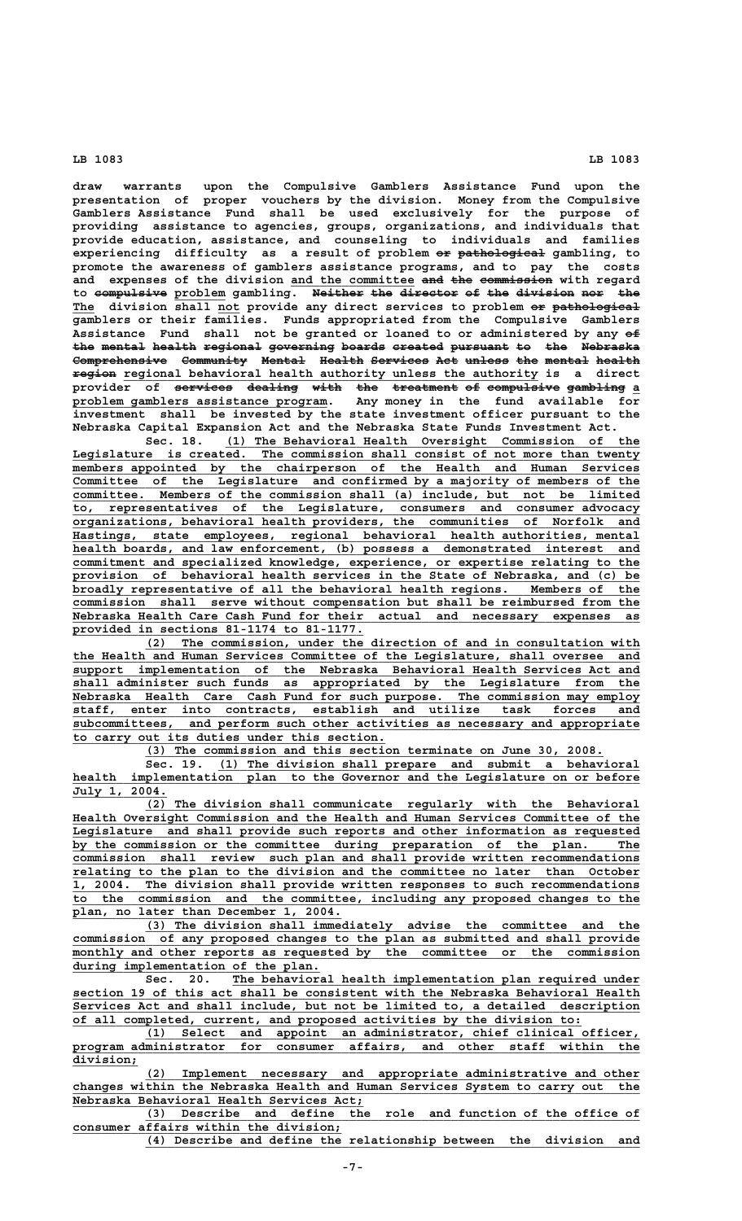**draw warrants upon the Compulsive Gamblers Assistance Fund upon the presentation of proper vouchers by the division. Money from the Compulsive Gamblers Assistance Fund shall be used exclusively for the purpose of providing assistance to agencies, groups, organizations, and individuals that provide education, assistance, and counseling to individuals and families** experiencing difficulty as a result of problem <del>or pathological</del> gambling, to **promote the awareness of gamblers assistance programs, and to pay the costs** and expenses of the division and the committee and the commission with regard to <del>compulsiv</del>e problem gambling. Neither the director of the division nor the  **\_\_\_ \_\_\_ —— ———————————— The division shall not provide any direct services to problem or pathological**

> **gamblers or their families. Funds appropriated from the Compulsive Gamblers** Assistance Fund shall not be granted or loaned to or administered by any  $\theta$ the mental health regional governing boards created pursuant to the Nebraska Comprehensive Community Mental Health Services Act unless the mental health  $r$ egion regional behavioral health authority unless the authority is a direct provider of services dealing with the treatment of compulsive gambling a problem gamblers assistance program. Any money in the fund available for **investment shall be invested by the state investment officer pursuant to the Nebraska Capital Expansion Act and the Nebraska State Funds Investment Act.**

 **\_\_\_\_\_\_\_\_\_\_\_\_\_\_\_\_\_\_\_\_\_\_\_\_\_\_\_\_\_\_\_\_\_\_\_\_\_\_\_\_\_\_\_\_\_\_\_\_\_\_\_\_\_\_\_\_\_ Sec. 18. (1) The Behavioral Health Oversight Commission of the \_\_\_\_\_\_\_\_\_\_\_\_\_\_\_\_\_\_\_\_\_\_\_\_\_\_\_\_\_\_\_\_\_\_\_\_\_\_\_\_\_\_\_\_\_\_\_\_\_\_\_\_\_\_\_\_\_\_\_\_\_\_\_\_\_\_\_\_\_\_\_\_\_\_\_\_\_\_ Legislature is created. The commission shall consist of not more than twenty \_\_\_\_\_\_\_\_\_\_\_\_\_\_\_\_\_\_\_\_\_\_\_\_\_\_\_\_\_\_\_\_\_\_\_\_\_\_\_\_\_\_\_\_\_\_\_\_\_\_\_\_\_\_\_\_\_\_\_\_\_\_\_\_\_\_\_\_\_\_\_\_\_\_\_\_\_\_ members appointed by the chairperson of the Health and Human Services \_\_\_\_\_\_\_\_\_\_\_\_\_\_\_\_\_\_\_\_\_\_\_\_\_\_\_\_\_\_\_\_\_\_\_\_\_\_\_\_\_\_\_\_\_\_\_\_\_\_\_\_\_\_\_\_\_\_\_\_\_\_\_\_\_\_\_\_\_\_\_\_\_\_\_\_\_\_ Committee of the Legislature and confirmed by a majority of members of the \_\_\_\_\_\_\_\_\_\_\_\_\_\_\_\_\_\_\_\_\_\_\_\_\_\_\_\_\_\_\_\_\_\_\_\_\_\_\_\_\_\_\_\_\_\_\_\_\_\_\_\_\_\_\_\_\_\_\_\_\_\_\_\_\_\_\_\_\_\_\_\_\_\_\_\_\_\_ committee. Members of the commission shall (a) include, but not be limited \_\_\_\_\_\_\_\_\_\_\_\_\_\_\_\_\_\_\_\_\_\_\_\_\_\_\_\_\_\_\_\_\_\_\_\_\_\_\_\_\_\_\_\_\_\_\_\_\_\_\_\_\_\_\_\_\_\_\_\_\_\_\_\_\_\_\_\_\_\_\_\_\_\_\_\_\_\_ to, representatives of the Legislature, consumers and consumer advocacy \_\_\_\_\_\_\_\_\_\_\_\_\_\_\_\_\_\_\_\_\_\_\_\_\_\_\_\_\_\_\_\_\_\_\_\_\_\_\_\_\_\_\_\_\_\_\_\_\_\_\_\_\_\_\_\_\_\_\_\_\_\_\_\_\_\_\_\_\_\_\_\_\_\_\_\_\_\_ organizations, behavioral health providers, the communities of Norfolk and \_\_\_\_\_\_\_\_\_\_\_\_\_\_\_\_\_\_\_\_\_\_\_\_\_\_\_\_\_\_\_\_\_\_\_\_\_\_\_\_\_\_\_\_\_\_\_\_\_\_\_\_\_\_\_\_\_\_\_\_\_\_\_\_\_\_\_\_\_\_\_\_\_\_\_\_\_\_ Hastings, state employees, regional behavioral health authorities, mental \_\_\_\_\_\_\_\_\_\_\_\_\_\_\_\_\_\_\_\_\_\_\_\_\_\_\_\_\_\_\_\_\_\_\_\_\_\_\_\_\_\_\_\_\_\_\_\_\_\_\_\_\_\_\_\_\_\_\_\_\_\_\_\_\_\_\_\_\_\_\_\_\_\_\_\_\_\_ health boards, and law enforcement, (b) possess a demonstrated interest and \_\_\_\_\_\_\_\_\_\_\_\_\_\_\_\_\_\_\_\_\_\_\_\_\_\_\_\_\_\_\_\_\_\_\_\_\_\_\_\_\_\_\_\_\_\_\_\_\_\_\_\_\_\_\_\_\_\_\_\_\_\_\_\_\_\_\_\_\_\_\_\_\_\_\_\_\_\_ commitment and specialized knowledge, experience, or expertise relating to the \_\_\_\_\_\_\_\_\_\_\_\_\_\_\_\_\_\_\_\_\_\_\_\_\_\_\_\_\_\_\_\_\_\_\_\_\_\_\_\_\_\_\_\_\_\_\_\_\_\_\_\_\_\_\_\_\_\_\_\_\_\_\_\_\_\_\_\_\_\_\_\_\_\_\_\_\_\_ provision of behavioral health services in the State of Nebraska, and (c) be** broadly representative of all the behavioral health regions. Members of the  **\_\_\_\_\_\_\_\_\_\_\_\_\_\_\_\_\_\_\_\_\_\_\_\_\_\_\_\_\_\_\_\_\_\_\_\_\_\_\_\_\_\_\_\_\_\_\_\_\_\_\_\_\_\_\_\_\_\_\_\_\_\_\_\_\_\_\_\_\_\_\_\_\_\_\_\_\_\_ commission shall serve without compensation but shall be reimbursed from the \_\_\_\_\_\_\_\_\_\_\_\_\_\_\_\_\_\_\_\_\_\_\_\_\_\_\_\_\_\_\_\_\_\_\_\_\_\_\_\_\_\_\_\_\_\_\_\_\_\_\_\_\_\_\_\_\_\_\_\_\_\_\_\_\_\_\_\_\_\_\_\_\_\_\_\_\_\_ Nebraska Health Care Cash Fund for their actual and necessary expenses as \_\_\_\_\_\_\_\_\_\_\_\_\_\_\_\_\_\_\_\_\_\_\_\_\_\_\_\_\_\_\_\_\_\_\_\_\_\_\_\_ provided in sections 81-1174 to 81-1177.**

 **\_\_\_\_\_\_\_\_\_\_\_\_\_\_\_\_\_\_\_\_\_\_\_\_\_\_\_\_\_\_\_\_\_\_\_\_\_\_\_\_\_\_\_\_\_\_\_\_\_\_\_\_\_\_\_\_\_\_\_\_\_\_\_\_\_\_\_\_ (2) The commission, under the direction of and in consultation with \_\_\_\_\_\_\_\_\_\_\_\_\_\_\_\_\_\_\_\_\_\_\_\_\_\_\_\_\_\_\_\_\_\_\_\_\_\_\_\_\_\_\_\_\_\_\_\_\_\_\_\_\_\_\_\_\_\_\_\_\_\_\_\_\_\_\_\_\_\_\_\_\_\_\_\_\_\_ the Health and Human Services Committee of the Legislature, shall oversee and**  $\texttt{support implementation}$  of the Nebraska Behavioral Health Services Act and  **\_\_\_\_\_\_\_\_\_\_\_\_\_\_\_\_\_\_\_\_\_\_\_\_\_\_\_\_\_\_\_\_\_\_\_\_\_\_\_\_\_\_\_\_\_\_\_\_\_\_\_\_\_\_\_\_\_\_\_\_\_\_\_\_\_\_\_\_\_\_\_\_\_\_\_\_\_\_ shall administer such funds as appropriated by the Legislature from the \_\_\_\_\_\_\_\_\_\_\_\_\_\_\_\_\_\_\_\_\_\_\_\_\_\_\_\_\_\_\_\_\_\_\_\_\_\_\_\_\_\_\_\_\_\_\_\_\_\_\_\_\_\_\_\_\_\_\_\_\_\_\_\_\_\_\_\_\_\_\_\_\_\_\_\_\_\_ Nebraska Health Care Cash Fund for such purpose. The commission may employ \_\_\_\_\_\_\_\_\_\_\_\_\_\_\_\_\_\_\_\_\_\_\_\_\_\_\_\_\_\_\_\_\_\_\_\_\_\_\_\_\_\_\_\_\_\_\_\_\_\_\_\_\_\_\_\_\_\_\_\_\_\_\_\_\_\_\_\_\_\_\_\_\_\_\_\_\_\_ staff, enter into contracts, establish and utilize task forces and \_\_\_\_\_\_\_\_\_\_\_\_\_\_\_\_\_\_\_\_\_\_\_\_\_\_\_\_\_\_\_\_\_\_\_\_\_\_\_\_\_\_\_\_\_\_\_\_\_\_\_\_\_\_\_\_\_\_\_\_\_\_\_\_\_\_\_\_\_\_\_\_\_\_\_\_\_\_ subcommittees, and perform such other activities as necessary and appropriate \_\_\_\_\_\_\_\_\_\_\_\_\_\_\_\_\_\_\_\_\_\_\_\_\_\_\_\_\_\_\_\_\_\_\_\_\_\_\_\_\_\_\_ to carry out its duties under this section.**

 **\_\_\_\_\_\_\_\_\_\_\_\_\_\_\_\_\_\_\_\_\_\_\_\_\_\_\_\_\_\_\_\_\_\_\_\_\_\_\_\_\_\_\_\_\_\_\_\_\_\_\_\_\_\_\_\_\_\_\_\_\_\_\_ (3) The commission and this section terminate on June 30, 2008.**

 **\_\_\_\_\_\_\_\_\_\_\_\_\_\_\_\_\_\_\_\_\_\_\_\_\_\_\_\_\_\_\_\_\_\_\_\_\_\_\_\_\_\_\_\_\_\_\_\_\_\_\_\_\_\_\_\_\_\_ Sec. 19. (1) The division shall prepare and submit a behavioral** health implementation plan to the Governor and the Legislature on or before  **\_\_\_\_\_\_\_\_\_\_\_\_\_ July 1, 2004.**

 **\_\_\_\_\_\_\_\_\_\_\_\_\_\_\_\_\_\_\_\_\_\_\_\_\_\_\_\_\_\_\_\_\_\_\_\_\_\_\_\_\_\_\_\_\_\_\_\_\_\_\_\_\_\_\_\_\_\_\_\_\_\_\_\_\_\_\_\_ (2) The division shall communicate regularly with the Behavioral \_\_\_\_\_\_\_\_\_\_\_\_\_\_\_\_\_\_\_\_\_\_\_\_\_\_\_\_\_\_\_\_\_\_\_\_\_\_\_\_\_\_\_\_\_\_\_\_\_\_\_\_\_\_\_\_\_\_\_\_\_\_\_\_\_\_\_\_\_\_\_\_\_\_\_\_\_\_ Health Oversight Commission and the Health and Human Services Committee of the \_\_\_\_\_\_\_\_\_\_\_\_\_\_\_\_\_\_\_\_\_\_\_\_\_\_\_\_\_\_\_\_\_\_\_\_\_\_\_\_\_\_\_\_\_\_\_\_\_\_\_\_\_\_\_\_\_\_\_\_\_\_\_\_\_\_\_\_\_\_\_\_\_\_\_\_\_\_ Legislature and shall provide such reports and other information as requested \_\_\_\_\_\_\_\_\_\_\_\_\_\_\_\_\_\_\_\_\_\_\_\_\_\_\_\_\_\_\_\_\_\_\_\_\_\_\_\_\_\_\_\_\_\_\_\_\_\_\_\_\_\_\_\_\_\_\_\_\_\_\_\_\_\_\_\_\_\_\_\_\_\_\_\_\_\_ by the commission or the committee during preparation of the plan. The \_\_\_\_\_\_\_\_\_\_\_\_\_\_\_\_\_\_\_\_\_\_\_\_\_\_\_\_\_\_\_\_\_\_\_\_\_\_\_\_\_\_\_\_\_\_\_\_\_\_\_\_\_\_\_\_\_\_\_\_\_\_\_\_\_\_\_\_\_\_\_\_\_\_\_\_\_\_ commission shall review such plan and shall provide written recommendations** relating to the plan to the division and the committee no later than October  **\_\_\_\_\_\_\_\_\_\_\_\_\_\_\_\_\_\_\_\_\_\_\_\_\_\_\_\_\_\_\_\_\_\_\_\_\_\_\_\_\_\_\_\_\_\_\_\_\_\_\_\_\_\_\_\_\_\_\_\_\_\_\_\_\_\_\_\_\_\_\_\_\_\_\_\_\_\_ 1, 2004. The division shall provide written responses to such recommendations \_\_\_\_\_\_\_\_\_\_\_\_\_\_\_\_\_\_\_\_\_\_\_\_\_\_\_\_\_\_\_\_\_\_\_\_\_\_\_\_\_\_\_\_\_\_\_\_\_\_\_\_\_\_\_\_\_\_\_\_\_\_\_\_\_\_\_\_\_\_\_\_\_\_\_\_\_\_ to the commission and the committee, including any proposed changes to the** plan, no later than December 1, 2004.

 **\_\_\_\_\_\_\_\_\_\_\_\_\_\_\_\_\_\_\_\_\_\_\_\_\_\_\_\_\_\_\_\_\_\_\_\_\_\_\_\_\_\_\_\_\_\_\_\_\_\_\_\_\_\_\_\_\_\_\_\_\_\_\_\_\_\_\_\_ (3) The division shall immediately advise the committee and the \_\_\_\_\_\_\_\_\_\_\_\_\_\_\_\_\_\_\_\_\_\_\_\_\_\_\_\_\_\_\_\_\_\_\_\_\_\_\_\_\_\_\_\_\_\_\_\_\_\_\_\_\_\_\_\_\_\_\_\_\_\_\_\_\_\_\_\_\_\_\_\_\_\_\_\_\_\_ commission of any proposed changes to the plan as submitted and shall provide** monthly and other reports as requested by the committee or the commission  **\_\_\_\_\_\_\_\_\_\_\_\_\_\_\_\_\_\_\_\_\_\_\_\_\_\_\_\_\_\_\_\_\_\_ during implementation of the plan.**

Sec. 20. The behavioral health implementation plan required under  **\_\_\_\_\_\_\_\_\_\_\_\_\_\_\_\_\_\_\_\_\_\_\_\_\_\_\_\_\_\_\_\_\_\_\_\_\_\_\_\_\_\_\_\_\_\_\_\_\_\_\_\_\_\_\_\_\_\_\_\_\_\_\_\_\_\_\_\_\_\_\_\_\_\_\_\_\_\_ section 19 of this act shall be consistent with the Nebraska Behavioral Health \_\_\_\_\_\_\_\_\_\_\_\_\_\_\_\_\_\_\_\_\_\_\_\_\_\_\_\_\_\_\_\_\_\_\_\_\_\_\_\_\_\_\_\_\_\_\_\_\_\_\_\_\_\_\_\_\_\_\_\_\_\_\_\_\_\_\_\_\_\_\_\_\_\_\_\_\_\_ Services Act and shall include, but not be limited to, a detailed description \_\_\_\_\_\_\_\_\_\_\_\_\_\_\_\_\_\_\_\_\_\_\_\_\_\_\_\_\_\_\_\_\_\_\_\_\_\_\_\_\_\_\_\_\_\_\_\_\_\_\_\_\_\_\_\_\_\_\_\_\_\_\_\_\_\_\_\_\_\_ of all completed, current, and proposed activities by the division to:**

 **\_\_\_\_\_\_\_\_\_\_\_\_\_\_\_\_\_\_\_\_\_\_\_\_\_\_\_\_\_\_\_\_\_\_\_\_\_\_\_\_\_\_\_\_\_\_\_\_\_\_\_\_\_\_\_\_\_\_\_\_\_\_\_\_\_\_\_\_ (1) Select and appoint an administrator, chief clinical officer, \_\_\_\_\_\_\_\_\_\_\_\_\_\_\_\_\_\_\_\_\_\_\_\_\_\_\_\_\_\_\_\_\_\_\_\_\_\_\_\_\_\_\_\_\_\_\_\_\_\_\_\_\_\_\_\_\_\_\_\_\_\_\_\_\_\_\_\_\_\_\_\_\_\_\_\_\_\_ program administrator for consumer affairs, and other staff within the division; \_\_\_\_\_\_\_\_\_**

 **\_\_\_\_\_\_\_\_\_\_\_\_\_\_\_\_\_\_\_\_\_\_\_\_\_\_\_\_\_\_\_\_\_\_\_\_\_\_\_\_\_\_\_\_\_\_\_\_\_\_\_\_\_\_\_\_\_\_\_\_\_\_\_\_\_\_\_\_ (2) Implement necessary and appropriate administrative and other** changes within the Nebraska Health and Human Services System to carry out the  **\_\_\_\_\_\_\_\_\_\_\_\_\_\_\_\_\_\_\_\_\_\_\_\_\_\_\_\_\_\_\_\_\_\_\_\_\_\_\_\_ Nebraska Behavioral Health Services Act;**

 **\_\_\_\_\_\_\_\_\_\_\_\_\_\_\_\_\_\_\_\_\_\_\_\_\_\_\_\_\_\_\_\_\_\_\_\_\_\_\_\_\_\_\_\_\_\_\_\_\_\_\_\_\_\_\_\_\_\_\_\_\_\_\_\_\_\_\_\_ (3) Describe and define the role and function of the office of \_\_\_\_\_\_\_\_\_\_\_\_\_\_\_\_\_\_\_\_\_\_\_\_\_\_\_\_\_\_\_\_\_\_\_\_\_ consumer affairs within the division;**

 **\_\_\_\_\_\_\_\_\_\_\_\_\_\_\_\_\_\_\_\_\_\_\_\_\_\_\_\_\_\_\_\_\_\_\_\_\_\_\_\_\_\_\_\_\_\_\_\_\_\_\_\_\_\_\_\_\_\_\_\_\_\_\_\_\_\_\_\_ (4) Describe and define the relationship between the division and**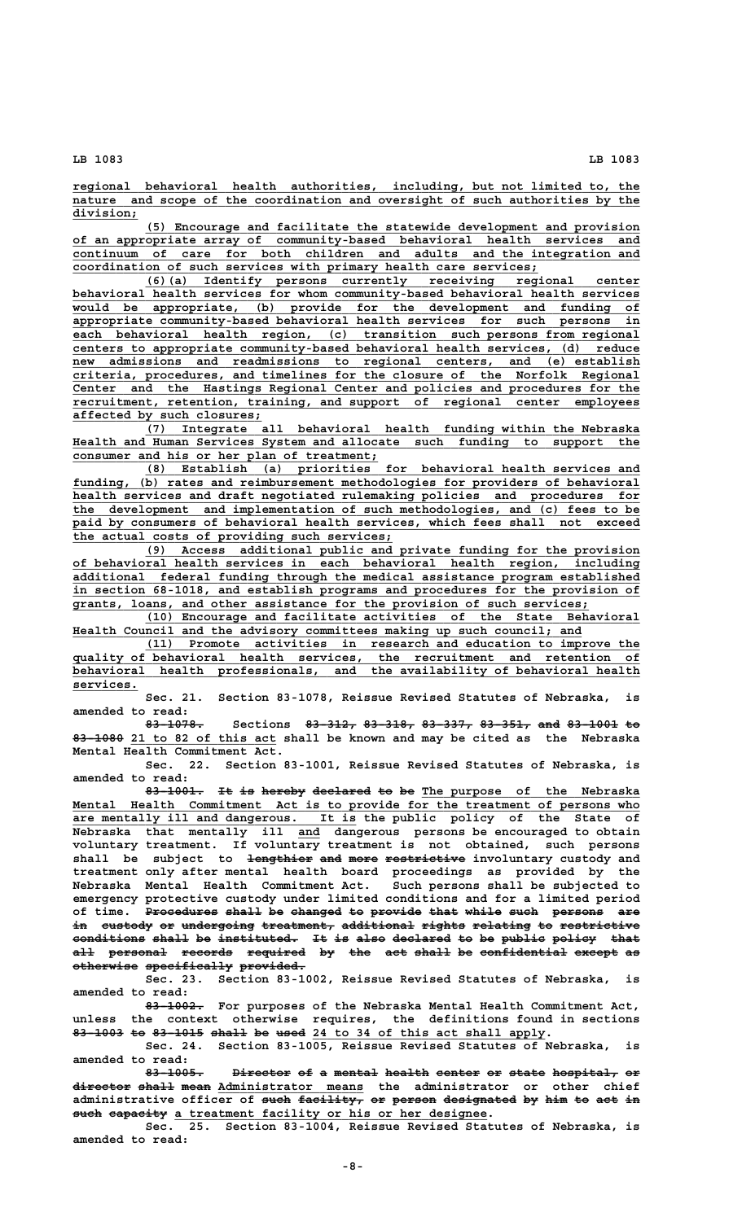**\_\_\_\_\_\_\_\_\_\_\_\_\_\_\_\_\_\_\_\_\_\_\_\_\_\_\_\_\_\_\_\_\_\_\_\_\_\_\_\_\_\_\_\_\_\_\_\_\_\_\_\_\_\_\_\_\_\_\_\_\_\_\_\_\_\_\_\_\_\_\_\_\_\_\_\_\_\_ regional behavioral health authorities, including, but not limited to, the**  $\overline{\phantom{a}}$  and scope of the coordination and oversight of such authorities by the  **division; \_\_\_\_\_\_\_\_\_**

 **\_\_\_\_\_\_\_\_\_\_\_\_\_\_\_\_\_\_\_\_\_\_\_\_\_\_\_\_\_\_\_\_\_\_\_\_\_\_\_\_\_\_\_\_\_\_\_\_\_\_\_\_\_\_\_\_\_\_\_\_\_\_\_\_\_\_\_\_ (5) Encourage and facilitate the statewide development and provision \_\_\_\_\_\_\_\_\_\_\_\_\_\_\_\_\_\_\_\_\_\_\_\_\_\_\_\_\_\_\_\_\_\_\_\_\_\_\_\_\_\_\_\_\_\_\_\_\_\_\_\_\_\_\_\_\_\_\_\_\_\_\_\_\_\_\_\_\_\_\_\_\_\_\_\_\_\_ of an appropriate array of community-based behavioral health services and \_\_\_\_\_\_\_\_\_\_\_\_\_\_\_\_\_\_\_\_\_\_\_\_\_\_\_\_\_\_\_\_\_\_\_\_\_\_\_\_\_\_\_\_\_\_\_\_\_\_\_\_\_\_\_\_\_\_\_\_\_\_\_\_\_\_\_\_\_\_\_\_\_\_\_\_\_\_ continuum of care for both children and adults and the integration and \_\_\_\_\_\_\_\_\_\_\_\_\_\_\_\_\_\_\_\_\_\_\_\_\_\_\_\_\_\_\_\_\_\_\_\_\_\_\_\_\_\_\_\_\_\_\_\_\_\_\_\_\_\_\_\_\_\_\_\_\_\_\_\_ coordination of such services with primary health care services;**

 **\_\_\_\_\_\_\_\_\_\_\_\_\_\_\_\_\_\_\_\_\_\_\_\_\_\_\_\_\_\_\_\_\_\_\_\_\_\_\_\_\_\_\_\_\_\_\_\_\_\_\_\_\_\_\_\_\_\_\_\_\_\_\_\_\_\_\_\_ (6)(a) Identify persons currently receiving regional center \_\_\_\_\_\_\_\_\_\_\_\_\_\_\_\_\_\_\_\_\_\_\_\_\_\_\_\_\_\_\_\_\_\_\_\_\_\_\_\_\_\_\_\_\_\_\_\_\_\_\_\_\_\_\_\_\_\_\_\_\_\_\_\_\_\_\_\_\_\_\_\_\_\_\_\_\_\_ behavioral health services for whom community-based behavioral health services \_\_\_\_\_\_\_\_\_\_\_\_\_\_\_\_\_\_\_\_\_\_\_\_\_\_\_\_\_\_\_\_\_\_\_\_\_\_\_\_\_\_\_\_\_\_\_\_\_\_\_\_\_\_\_\_\_\_\_\_\_\_\_\_\_\_\_\_\_\_\_\_\_\_\_\_\_\_ would be appropriate, (b) provide for the development and funding of \_\_\_\_\_\_\_\_\_\_\_\_\_\_\_\_\_\_\_\_\_\_\_\_\_\_\_\_\_\_\_\_\_\_\_\_\_\_\_\_\_\_\_\_\_\_\_\_\_\_\_\_\_\_\_\_\_\_\_\_\_\_\_\_\_\_\_\_\_\_\_\_\_\_\_\_\_\_ appropriate community-based behavioral health services for such persons in** each behavioral health region, (c) transition such persons from regional  **\_\_\_\_\_\_\_\_\_\_\_\_\_\_\_\_\_\_\_\_\_\_\_\_\_\_\_\_\_\_\_\_\_\_\_\_\_\_\_\_\_\_\_\_\_\_\_\_\_\_\_\_\_\_\_\_\_\_\_\_\_\_\_\_\_\_\_\_\_\_\_\_\_\_\_\_\_\_ centers to appropriate community-based behavioral health services, (d) reduce**  $new$  admissions and readmissions to regional centers, and (e) establish  **\_\_\_\_\_\_\_\_\_\_\_\_\_\_\_\_\_\_\_\_\_\_\_\_\_\_\_\_\_\_\_\_\_\_\_\_\_\_\_\_\_\_\_\_\_\_\_\_\_\_\_\_\_\_\_\_\_\_\_\_\_\_\_\_\_\_\_\_\_\_\_\_\_\_\_\_\_\_ criteria, procedures, and timelines for the closure of the Norfolk Regional \_\_\_\_\_\_\_\_\_\_\_\_\_\_\_\_\_\_\_\_\_\_\_\_\_\_\_\_\_\_\_\_\_\_\_\_\_\_\_\_\_\_\_\_\_\_\_\_\_\_\_\_\_\_\_\_\_\_\_\_\_\_\_\_\_\_\_\_\_\_\_\_\_\_\_\_\_\_ Center and the Hastings Regional Center and policies and procedures for the \_\_\_\_\_\_\_\_\_\_\_\_\_\_\_\_\_\_\_\_\_\_\_\_\_\_\_\_\_\_\_\_\_\_\_\_\_\_\_\_\_\_\_\_\_\_\_\_\_\_\_\_\_\_\_\_\_\_\_\_\_\_\_\_\_\_\_\_\_\_\_\_\_\_\_\_\_\_ recruitment, retention, training, and support of regional center employees \_\_\_\_\_\_\_\_\_\_\_\_\_\_\_\_\_\_\_\_\_\_\_\_\_\_ affected by such closures;**

 **\_\_\_\_\_\_\_\_\_\_\_\_\_\_\_\_\_\_\_\_\_\_\_\_\_\_\_\_\_\_\_\_\_\_\_\_\_\_\_\_\_\_\_\_\_\_\_\_\_\_\_\_\_\_\_\_\_\_\_\_\_\_\_\_\_\_\_\_ (7) Integrate all behavioral health funding within the Nebraska \_\_\_\_\_\_\_\_\_\_\_\_\_\_\_\_\_\_\_\_\_\_\_\_\_\_\_\_\_\_\_\_\_\_\_\_\_\_\_\_\_\_\_\_\_\_\_\_\_\_\_\_\_\_\_\_\_\_\_\_\_\_\_\_\_\_\_\_\_\_\_\_\_\_\_\_\_\_ Health and Human Services System and allocate such funding to support the** consumer and his or her plan of treatment;

 **\_\_\_\_\_\_\_\_\_\_\_\_\_\_\_\_\_\_\_\_\_\_\_\_\_\_\_\_\_\_\_\_\_\_\_\_\_\_\_\_\_\_\_\_\_\_\_\_\_\_\_\_\_\_\_\_\_\_\_\_\_\_\_\_\_\_\_\_ (8) Establish (a) priorities for behavioral health services and** funding, (b) rates and reimbursement methodologies for providers of behavioral  **\_\_\_\_\_\_\_\_\_\_\_\_\_\_\_\_\_\_\_\_\_\_\_\_\_\_\_\_\_\_\_\_\_\_\_\_\_\_\_\_\_\_\_\_\_\_\_\_\_\_\_\_\_\_\_\_\_\_\_\_\_\_\_\_\_\_\_\_\_\_\_\_\_\_\_\_\_\_ health services and draft negotiated rulemaking policies and procedures for \_\_\_\_\_\_\_\_\_\_\_\_\_\_\_\_\_\_\_\_\_\_\_\_\_\_\_\_\_\_\_\_\_\_\_\_\_\_\_\_\_\_\_\_\_\_\_\_\_\_\_\_\_\_\_\_\_\_\_\_\_\_\_\_\_\_\_\_\_\_\_\_\_\_\_\_\_\_ the development and implementation of such methodologies, and (c) fees to be \_\_\_\_\_\_\_\_\_\_\_\_\_\_\_\_\_\_\_\_\_\_\_\_\_\_\_\_\_\_\_\_\_\_\_\_\_\_\_\_\_\_\_\_\_\_\_\_\_\_\_\_\_\_\_\_\_\_\_\_\_\_\_\_\_\_\_\_\_\_\_\_\_\_\_\_\_\_ paid by consumers of behavioral health services, which fees shall not exceed \_\_\_\_\_\_\_\_\_\_\_\_\_\_\_\_\_\_\_\_\_\_\_\_\_\_\_\_\_\_\_\_\_\_\_\_\_\_\_\_\_\_\_\_ the actual costs of providing such services;**

 **\_\_\_\_\_\_\_\_\_\_\_\_\_\_\_\_\_\_\_\_\_\_\_\_\_\_\_\_\_\_\_\_\_\_\_\_\_\_\_\_\_\_\_\_\_\_\_\_\_\_\_\_\_\_\_\_\_\_\_\_\_\_\_\_\_\_\_\_ (9) Access additional public and private funding for the provision \_\_\_\_\_\_\_\_\_\_\_\_\_\_\_\_\_\_\_\_\_\_\_\_\_\_\_\_\_\_\_\_\_\_\_\_\_\_\_\_\_\_\_\_\_\_\_\_\_\_\_\_\_\_\_\_\_\_\_\_\_\_\_\_\_\_\_\_\_\_\_\_\_\_\_\_\_\_ of behavioral health services in each behavioral health region, including \_\_\_\_\_\_\_\_\_\_\_\_\_\_\_\_\_\_\_\_\_\_\_\_\_\_\_\_\_\_\_\_\_\_\_\_\_\_\_\_\_\_\_\_\_\_\_\_\_\_\_\_\_\_\_\_\_\_\_\_\_\_\_\_\_\_\_\_\_\_\_\_\_\_\_\_\_\_ additional federal funding through the medical assistance program established \_\_\_\_\_\_\_\_\_\_\_\_\_\_\_\_\_\_\_\_\_\_\_\_\_\_\_\_\_\_\_\_\_\_\_\_\_\_\_\_\_\_\_\_\_\_\_\_\_\_\_\_\_\_\_\_\_\_\_\_\_\_\_\_\_\_\_\_\_\_\_\_\_\_\_\_\_\_ in section 68-1018, and establish programs and procedures for the provision of \_\_\_\_\_\_\_\_\_\_\_\_\_\_\_\_\_\_\_\_\_\_\_\_\_\_\_\_\_\_\_\_\_\_\_\_\_\_\_\_\_\_\_\_\_\_\_\_\_\_\_\_\_\_\_\_\_\_\_\_\_\_\_\_\_\_\_\_\_\_\_ grants, loans, and other assistance for the provision of such services;**

 **\_\_\_\_\_\_\_\_\_\_\_\_\_\_\_\_\_\_\_\_\_\_\_\_\_\_\_\_\_\_\_\_\_\_\_\_\_\_\_\_\_\_\_\_\_\_\_\_\_\_\_\_\_\_\_\_\_\_\_\_\_\_\_\_\_\_\_\_ (10) Encourage and facilitate activities of the State Behavioral \_\_\_\_\_\_\_\_\_\_\_\_\_\_\_\_\_\_\_\_\_\_\_\_\_\_\_\_\_\_\_\_\_\_\_\_\_\_\_\_\_\_\_\_\_\_\_\_\_\_\_\_\_\_\_\_\_\_\_\_\_\_\_\_\_\_\_\_\_\_ Health Council and the advisory committees making up such council; and**

 **\_\_\_\_\_\_\_\_\_\_\_\_\_\_\_\_\_\_\_\_\_\_\_\_\_\_\_\_\_\_\_\_\_\_\_\_\_\_\_\_\_\_\_\_\_\_\_\_\_\_\_\_\_\_\_\_\_\_\_\_\_\_\_\_\_\_\_\_ (11) Promote activities in research and education to improve the \_\_\_\_\_\_\_\_\_\_\_\_\_\_\_\_\_\_\_\_\_\_\_\_\_\_\_\_\_\_\_\_\_\_\_\_\_\_\_\_\_\_\_\_\_\_\_\_\_\_\_\_\_\_\_\_\_\_\_\_\_\_\_\_\_\_\_\_\_\_\_\_\_\_\_\_\_\_ quality of behavioral health services, the recruitment and retention of \_\_\_\_\_\_\_\_\_\_\_\_\_\_\_\_\_\_\_\_\_\_\_\_\_\_\_\_\_\_\_\_\_\_\_\_\_\_\_\_\_\_\_\_\_\_\_\_\_\_\_\_\_\_\_\_\_\_\_\_\_\_\_\_\_\_\_\_\_\_\_\_\_\_\_\_\_\_ behavioral health professionals, and the availability of behavioral health services. \_\_\_\_\_\_\_\_\_**

**Sec. 21. Section 83-1078, Reissue Revised Statutes of Nebraska, is amended to read:**

83-1078. Sections 83-312, 83-318, 83-337, 83-351, and 83-1001 to  **——————— \_\_\_\_\_\_\_\_\_\_\_\_\_\_\_\_\_\_\_\_ 83-1080 21 to 82 of this act shall be known and may be cited as the Nebraska Mental Health Commitment Act.**

**Sec. 22. Section 83-1001, Reissue Revised Statutes of Nebraska, is amended to read:**

83-1001. It is hereby declared to be The purpose of the Nebraska  **\_\_\_\_\_\_\_\_\_\_\_\_\_\_\_\_\_\_\_\_\_\_\_\_\_\_\_\_\_\_\_\_\_\_\_\_\_\_\_\_\_\_\_\_\_\_\_\_\_\_\_\_\_\_\_\_\_\_\_\_\_\_\_\_\_\_\_\_\_\_\_\_\_\_\_\_\_\_ Mental Health Commitment Act is to provide for the treatment of persons who \_\_\_\_\_\_\_\_\_\_\_\_\_\_\_\_\_\_\_\_\_\_\_\_\_\_\_\_\_\_\_\_\_\_\_\_\_\_\_ are mentally ill and dangerous. It is the public policy of the State of \_\_\_ Nebraska that mentally ill and dangerous persons be encouraged to obtain voluntary treatment. If voluntary treatment is not obtained, such persons** shall be subject to <del>lengthier and more restrictive</del> involuntary custody and **treatment only after mental health board proceedings as provided by the Nebraska Mental Health Commitment Act. Such persons shall be subjected to emergency protective custody under limited conditions and for a limited period** of time. Procedures shall be changed to provide that while such persons are **in custody or undergoing treatment, additional rights relating to restrictive —— ——————— —— —————————— —————————— —————————— —————— ———————— —— ——————————** conditions shall be instituted. It is also declared to be public policy that all personal records required by the act shall be confidential except as  $\overrightarrow{\text{otherwise}}$  specifically provided.

**Sec. 23. Section 83-1002, Reissue Revised Statutes of Nebraska, is amended to read:**

 **———————— 83-1002. For purposes of the Nebraska Mental Health Commitment Act, unless the context otherwise requires, the definitions found in sections** 83 1003 to 83 1015 shall be used 24 to 34 of this act shall apply.

**Sec. 24. Section 83-1005, Reissue Revised Statutes of Nebraska, is amended to read:**

83-1005. Director of a mental health center or state hospital, or director shall mean Administrator means the administrator or other chief administrative officer of <del>such facility, or person designated</del> by <del>him to act in</del>  $\frac{1}{2}$   $\frac{1}{2}$   $\frac{1}{2}$   $\frac{1}{2}$   $\frac{1}{2}$   $\frac{1}{2}$   $\frac{1}{2}$   $\frac{1}{2}$   $\frac{1}{2}$   $\frac{1}{2}$   $\frac{1}{2}$   $\frac{1}{2}$   $\frac{1}{2}$   $\frac{1}{2}$   $\frac{1}{2}$   $\frac{1}{2}$   $\frac{1}{2}$   $\frac{1}{2}$   $\frac{1}{2}$   $\frac{1}{2}$   $\frac{1}{2}$   $\frac{1}{2}$   $\$ 

**Sec. 25. Section 83-1004, Reissue Revised Statutes of Nebraska, is amended to read:**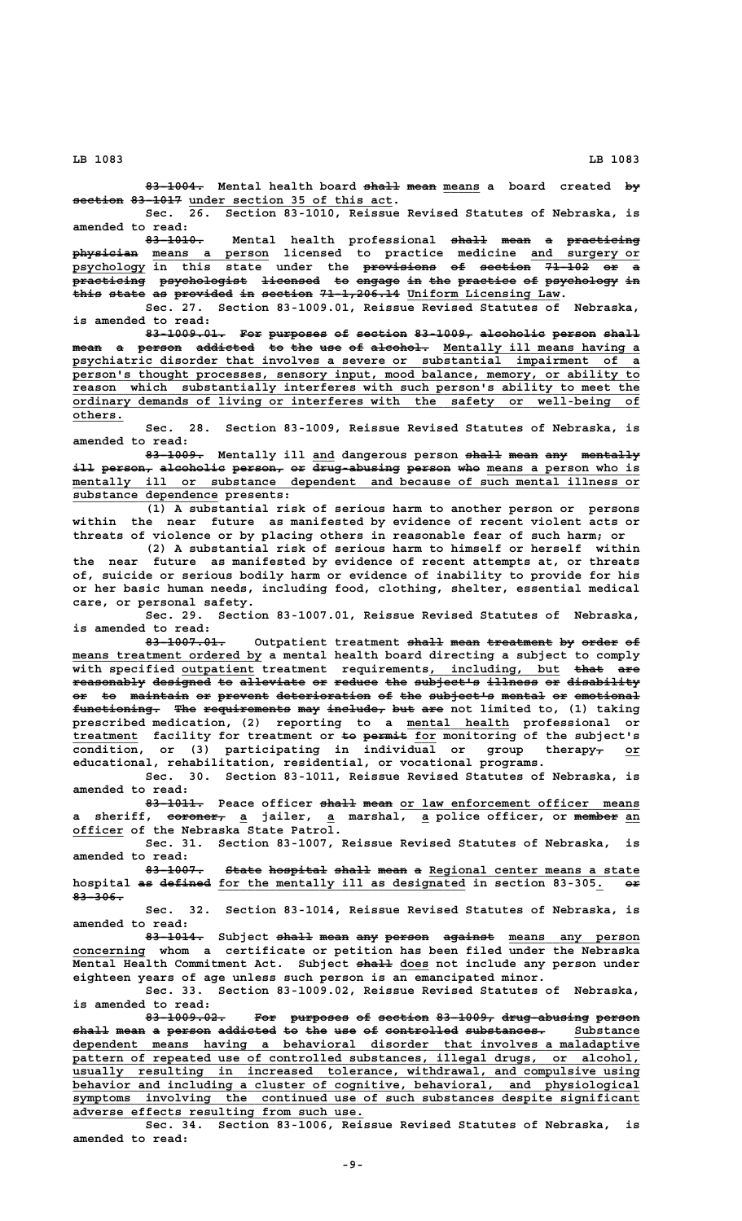83 1004. Mental health board shall mean means a board created by  $\texttt{section 35 of this act.}$ 

**Sec. 26. Section 83-1010, Reissue Revised Statutes of Nebraska, is amended to read:**

**83-1010. Mental health professional shall mean a practicing ———————— ————— ———— — —————————— ————————— \_\_\_\_\_\_\_\_\_\_\_\_\_\_\_\_ \_\_\_\_\_\_\_\_\_\_\_\_\_\_\_ physician means a person licensed to practice medicine and surgery or psychology in this state under the provisions of section 71-102 or a \_\_\_\_\_\_\_\_\_\_ —————————— —— ——————— —————— —— practicing psychologist licensed to engage in the practice of psychology in —————————— ———————————— ———————— —— —————— —— ——— ———————— —— —————————— —** this state as provided in section 71-1,206.14 Uniform Licensing Law.

**Sec. 27. Section 83-1009.01, Reissue Revised Statutes of Nebraska, is amended to read:**

83-1009.01. For purposes of section 83-1009, alcoholic person shall  $\begin{minipage}[c]{0.75\textwidth} \begin{itemize} \textbf{mean} & \textbf{a} & \textbf{pers} \textbf{on} & \textbf{addisted} & \textbf{to} & \textbf{the} \textbf{use} & \textbf{of} & \textbf{aleobol} \textbf{a} \\ \textbf{a} & \textbf{b} & \textbf{b} & \textbf{c} & \textbf{d} & \textbf{d} & \textbf{d} & \textbf{d} \end{itemize} \end{minipage}$  **\_\_\_\_\_\_\_\_\_\_\_\_\_\_\_\_\_\_\_\_\_\_\_\_\_\_\_\_\_\_\_\_\_\_\_\_\_\_\_\_\_\_\_\_\_\_\_\_\_\_\_\_\_\_\_\_\_\_\_\_\_\_\_\_\_\_\_\_\_\_\_\_\_\_\_\_\_\_ psychiatric disorder that involves a severe or substantial impairment of a \_\_\_\_\_\_\_\_\_\_\_\_\_\_\_\_\_\_\_\_\_\_\_\_\_\_\_\_\_\_\_\_\_\_\_\_\_\_\_\_\_\_\_\_\_\_\_\_\_\_\_\_\_\_\_\_\_\_\_\_\_\_\_\_\_\_\_\_\_\_\_\_\_\_\_\_\_\_ person's thought processes, sensory input, mood balance, memory, or ability to** reason which substantially interferes with such person's ability to meet the  **\_\_\_\_\_\_\_\_\_\_\_\_\_\_\_\_\_\_\_\_\_\_\_\_\_\_\_\_\_\_\_\_\_\_\_\_\_\_\_\_\_\_\_\_\_\_\_\_\_\_\_\_\_\_\_\_\_\_\_\_\_\_\_\_\_\_\_\_\_\_\_\_\_\_\_\_\_\_ ordinary demands of living or interferes with the safety or well-being of others. \_\_\_\_\_\_\_**

**Sec. 28. Section 83-1009, Reissue Revised Statutes of Nebraska, is amended to read:**

83-1009. Mentally ill and dangerous person shall mean any mentally ill person, alcoholic person, or drug-abusing person who means a person who is  $mentally$  ill or substance dependent and because of such mental illness or  **\_\_\_\_\_\_\_\_\_\_\_\_\_\_\_\_\_\_\_\_ substance dependence presents:**

**(1) A substantial risk of serious harm to another person or persons within the near future as manifested by evidence of recent violent acts or threats of violence or by placing others in reasonable fear of such harm; or**

**(2) A substantial risk of serious harm to himself or herself within the near future as manifested by evidence of recent attempts at, or threats of, suicide or serious bodily harm or evidence of inability to provide for his or her basic human needs, including food, clothing, shelter, essential medical care, or personal safety.**

**Sec. 29. Section 83-1007.01, Reissue Revised Statutes of Nebraska, is amended to read:**

83-1007.01. Outpatient treatment shall mean treatment by order of  $means treatment ordered by a mental health board directly a subject to comply$ </u> with specified outpatient treatment requirements, including, but that are reasonably designed to alleviate or reduce the subject's illness or disability **or to maintain or prevent deterioration of the subject's mental or emotional —— —— ———————— —— ——————— ————————————— —— ——— ————————— —————— —— ————————** functioning. The requirements may include, but are not limited to, (1) taking **prescribed medication, (2) reporting to a mental health professional or \_\_\_\_\_\_\_\_\_\_\_\_\_\_** treatment facility for treatment or to permit for monitoring of the subject's condition, or (3) participating in individual or group therapy<sub>7</sub> or **educational, rehabilitation, residential, or vocational programs.**

**Sec. 30. Section 83-1011, Reissue Revised Statutes of Nebraska, is amended to read:**

83-1011. Peace officer shall mean or law enforcement officer means a sheriff,  $e$ **oroner,** a jailer, a marshal, a police officer, or member an  **\_\_\_\_\_\_\_ officer of the Nebraska State Patrol.**

**Sec. 31. Section 83-1007, Reissue Revised Statutes of Nebraska, is amended to read:**

83-1007. State hospital shall mean a Regional center means a state hospital <del>as defined</del> for the mentally ill as designated in section 83-305. or  **83-306. ———————**

**Sec. 32. Section 83-1014, Reissue Revised Statutes of Nebraska, is amended to read:**

<del>83-1014.</del> Subject <del>shall mean any person against</del> means any person  **\_\_\_\_\_\_\_\_\_\_ concerning whom a certificate or petition has been filed under the Nebraska** Mental Health Commitment Act. Subject shall does not include any person under **eighteen years of age unless such person is an emancipated minor.**

**Sec. 33. Section 83-1009.02, Reissue Revised Statutes of Nebraska, is amended to read:**

83-1009.02. For purposes of section 83-1009, drug-abusing person  $\theta$  ahall mean a person addicted to the use of controlled substances. Substance  **\_\_\_\_\_\_\_\_\_\_\_\_\_\_\_\_\_\_\_\_\_\_\_\_\_\_\_\_\_\_\_\_\_\_\_\_\_\_\_\_\_\_\_\_\_\_\_\_\_\_\_\_\_\_\_\_\_\_\_\_\_\_\_\_\_\_\_\_\_\_\_\_\_\_\_\_\_\_ dependent means having a behavioral disorder that involves a maladaptive \_\_\_\_\_\_\_\_\_\_\_\_\_\_\_\_\_\_\_\_\_\_\_\_\_\_\_\_\_\_\_\_\_\_\_\_\_\_\_\_\_\_\_\_\_\_\_\_\_\_\_\_\_\_\_\_\_\_\_\_\_\_\_\_\_\_\_\_\_\_\_\_\_\_\_\_\_\_ pattern of repeated use of controlled substances, illegal drugs, or alcohol, \_\_\_\_\_\_\_\_\_\_\_\_\_\_\_\_\_\_\_\_\_\_\_\_\_\_\_\_\_\_\_\_\_\_\_\_\_\_\_\_\_\_\_\_\_\_\_\_\_\_\_\_\_\_\_\_\_\_\_\_\_\_\_\_\_\_\_\_\_\_\_\_\_\_\_\_\_\_ usually resulting in increased tolerance, withdrawal, and compulsive using \_\_\_\_\_\_\_\_\_\_\_\_\_\_\_\_\_\_\_\_\_\_\_\_\_\_\_\_\_\_\_\_\_\_\_\_\_\_\_\_\_\_\_\_\_\_\_\_\_\_\_\_\_\_\_\_\_\_\_\_\_\_\_\_\_\_\_\_\_\_\_\_\_\_\_\_\_\_ behavior and including a cluster of cognitive, behavioral, and physiological \_\_\_\_\_\_\_\_\_\_\_\_\_\_\_\_\_\_\_\_\_\_\_\_\_\_\_\_\_\_\_\_\_\_\_\_\_\_\_\_\_\_\_\_\_\_\_\_\_\_\_\_\_\_\_\_\_\_\_\_\_\_\_\_\_\_\_\_\_\_\_\_\_\_\_\_\_\_ symptoms involving the continued use of such substances despite significant \_\_\_\_\_\_\_\_\_\_\_\_\_\_\_\_\_\_\_\_\_\_\_\_\_\_\_\_\_\_\_\_\_\_\_\_\_\_\_\_ adverse effects resulting from such use.**

**Sec. 34. Section 83-1006, Reissue Revised Statutes of Nebraska, is amended to read:**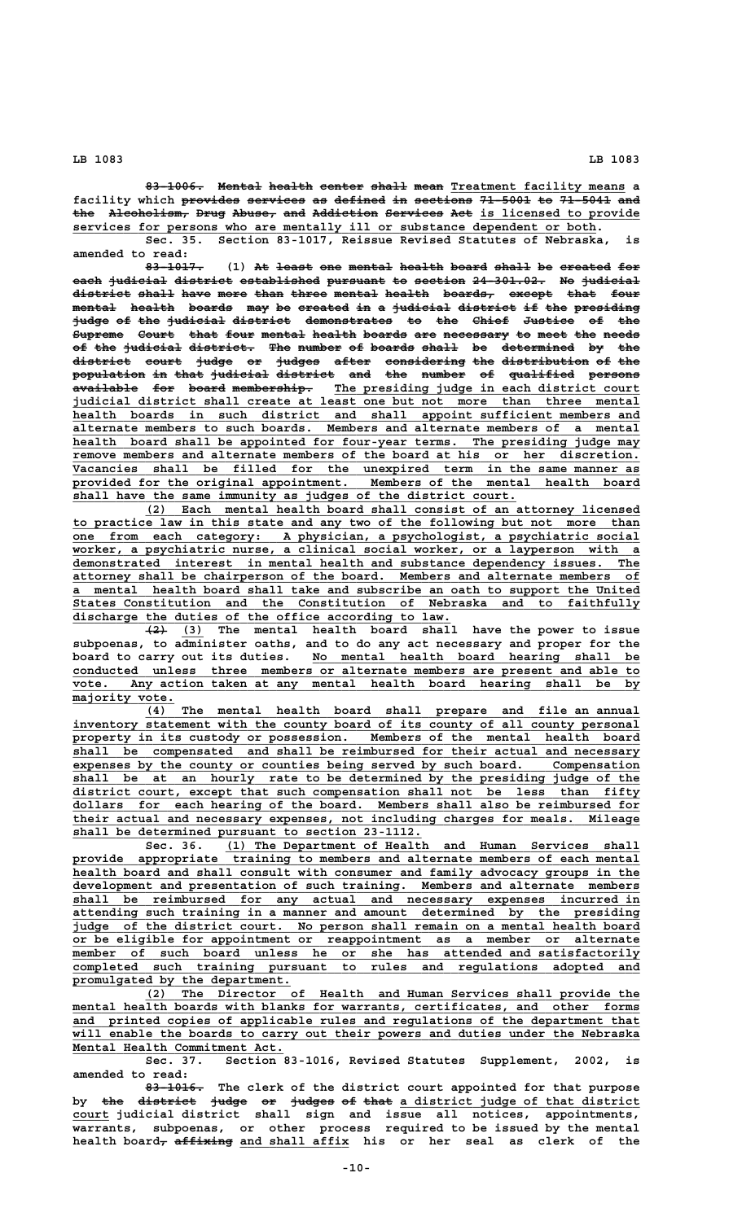83 1006. Mental health center shall mean Treatment facility means a facility which provides services as defined in sections 71-5001 to 71-5041 and  $t$ he Alcoholism, Drug Abuse, and Addiction Services Act is licensed to provide services for persons who are mentally ill or substance dependent or both. **Sec. 35. Section 83-1017, Reissue Revised Statutes of Nebraska, is**

**amended to read:**

83-1017. (1) At least one mental health board shall be created for each judicial district established pursuant to section 24-301.02. No judicial district shall have more than three mental health boards, except that four  $m$ ental health boards may be created in a judicial district if the presiding **judge of the judicial district demonstrates to the Chief Justice of the ————— —— ——— ———————— ———————— ———————————— —— ——— ————— ——————— —— ———** Supreme Court that four mental health boards are necessary to meet the needs of the judicial district. The number of boards shall be determined by the **district court judge or judges after considering the distribution of the ———————— ————— ————— —— —————— ————— ——————————— ——— ———————————— —— —— population in that judicial district and the number of qualified persons —————————— —— ———— ———————— ———————— ——— ——— —————— —— ————————— ———————**  $\texttt{available}$  for board membership. The presiding judge in each district court  **\_\_\_\_\_\_\_\_\_\_\_\_\_\_\_\_\_\_\_\_\_\_\_\_\_\_\_\_\_\_\_\_\_\_\_\_\_\_\_\_\_\_\_\_\_\_\_\_\_\_\_\_\_\_\_\_\_\_\_\_\_\_\_\_\_\_\_\_\_\_\_\_\_\_\_\_\_\_ judicial district shall create at least one but not more than three mental \_\_\_\_\_\_\_\_\_\_\_\_\_\_\_\_\_\_\_\_\_\_\_\_\_\_\_\_\_\_\_\_\_\_\_\_\_\_\_\_\_\_\_\_\_\_\_\_\_\_\_\_\_\_\_\_\_\_\_\_\_\_\_\_\_\_\_\_\_\_\_\_\_\_\_\_\_\_ health boards in such district and shall appoint sufficient members and \_\_\_\_\_\_\_\_\_\_\_\_\_\_\_\_\_\_\_\_\_\_\_\_\_\_\_\_\_\_\_\_\_\_\_\_\_\_\_\_\_\_\_\_\_\_\_\_\_\_\_\_\_\_\_\_\_\_\_\_\_\_\_\_\_\_\_\_\_\_\_\_\_\_\_\_\_\_ alternate members to such boards. Members and alternate members of a mental \_\_\_\_\_\_\_\_\_\_\_\_\_\_\_\_\_\_\_\_\_\_\_\_\_\_\_\_\_\_\_\_\_\_\_\_\_\_\_\_\_\_\_\_\_\_\_\_\_\_\_\_\_\_\_\_\_\_\_\_\_\_\_\_\_\_\_\_\_\_\_\_\_\_\_\_\_\_ health board shall be appointed for four-year terms. The presiding judge may \_\_\_\_\_\_\_\_\_\_\_\_\_\_\_\_\_\_\_\_\_\_\_\_\_\_\_\_\_\_\_\_\_\_\_\_\_\_\_\_\_\_\_\_\_\_\_\_\_\_\_\_\_\_\_\_\_\_\_\_\_\_\_\_\_\_\_\_\_\_\_\_\_\_\_\_\_\_ remove members and alternate members of the board at his or her discretion. \_\_\_\_\_\_\_\_\_\_\_\_\_\_\_\_\_\_\_\_\_\_\_\_\_\_\_\_\_\_\_\_\_\_\_\_\_\_\_\_\_\_\_\_\_\_\_\_\_\_\_\_\_\_\_\_\_\_\_\_\_\_\_\_\_\_\_\_\_\_\_\_\_\_\_\_\_\_ Vacancies shall be filled for the unexpired term in the same manner as \_\_\_\_\_\_\_\_\_\_\_\_\_\_\_\_\_\_\_\_\_\_\_\_\_\_\_\_\_\_\_\_\_\_\_\_\_\_\_\_\_\_\_\_\_\_\_\_\_\_\_\_\_\_\_\_\_\_\_\_\_\_\_\_\_\_\_\_\_\_\_\_\_\_\_\_\_\_ provided for the original appointment. Members of the mental health board \_\_\_\_\_\_\_\_\_\_\_\_\_\_\_\_\_\_\_\_\_\_\_\_\_\_\_\_\_\_\_\_\_\_\_\_\_\_\_\_\_\_\_\_\_\_\_\_\_\_\_\_\_\_\_\_\_\_\_\_\_ shall have the same immunity as judges of the district court.**

 **\_\_\_\_\_\_\_\_\_\_\_\_\_\_\_\_\_\_\_\_\_\_\_\_\_\_\_\_\_\_\_\_\_\_\_\_\_\_\_\_\_\_\_\_\_\_\_\_\_\_\_\_\_\_\_\_\_\_\_\_\_\_\_\_\_\_\_\_ (2) Each mental health board shall consist of an attorney licensed \_\_\_\_\_\_\_\_\_\_\_\_\_\_\_\_\_\_\_\_\_\_\_\_\_\_\_\_\_\_\_\_\_\_\_\_\_\_\_\_\_\_\_\_\_\_\_\_\_\_\_\_\_\_\_\_\_\_\_\_\_\_\_\_\_\_\_\_\_\_\_\_\_\_\_\_\_\_ to practice law in this state and any two of the following but not more than \_\_\_\_\_\_\_\_\_\_\_\_\_\_\_\_\_\_\_\_\_\_\_\_\_\_\_\_\_\_\_\_\_\_\_\_\_\_\_\_\_\_\_\_\_\_\_\_\_\_\_\_\_\_\_\_\_\_\_\_\_\_\_\_\_\_\_\_\_\_\_\_\_\_\_\_\_\_ one from each category: A physician, a psychologist, a psychiatric social \_\_\_\_\_\_\_\_\_\_\_\_\_\_\_\_\_\_\_\_\_\_\_\_\_\_\_\_\_\_\_\_\_\_\_\_\_\_\_\_\_\_\_\_\_\_\_\_\_\_\_\_\_\_\_\_\_\_\_\_\_\_\_\_\_\_\_\_\_\_\_\_\_\_\_\_\_\_ worker, a psychiatric nurse, a clinical social worker, or a layperson with a \_\_\_\_\_\_\_\_\_\_\_\_\_\_\_\_\_\_\_\_\_\_\_\_\_\_\_\_\_\_\_\_\_\_\_\_\_\_\_\_\_\_\_\_\_\_\_\_\_\_\_\_\_\_\_\_\_\_\_\_\_\_\_\_\_\_\_\_\_\_\_\_\_\_\_\_\_\_ demonstrated interest in mental health and substance dependency issues. The \_\_\_\_\_\_\_\_\_\_\_\_\_\_\_\_\_\_\_\_\_\_\_\_\_\_\_\_\_\_\_\_\_\_\_\_\_\_\_\_\_\_\_\_\_\_\_\_\_\_\_\_\_\_\_\_\_\_\_\_\_\_\_\_\_\_\_\_\_\_\_\_\_\_\_\_\_\_ attorney shall be chairperson of the board. Members and alternate members of \_\_\_\_\_\_\_\_\_\_\_\_\_\_\_\_\_\_\_\_\_\_\_\_\_\_\_\_\_\_\_\_\_\_\_\_\_\_\_\_\_\_\_\_\_\_\_\_\_\_\_\_\_\_\_\_\_\_\_\_\_\_\_\_\_\_\_\_\_\_\_\_\_\_\_\_\_\_ a mental health board shall take and subscribe an oath to support the United \_\_\_\_\_\_\_\_\_\_\_\_\_\_\_\_\_\_\_\_\_\_\_\_\_\_\_\_\_\_\_\_\_\_\_\_\_\_\_\_\_\_\_\_\_\_\_\_\_\_\_\_\_\_\_\_\_\_\_\_\_\_\_\_\_\_\_\_\_\_\_\_\_\_\_\_\_\_ States Constitution and the Constitution of Nebraska and to faithfully \_\_\_\_\_\_\_\_\_\_\_\_\_\_\_\_\_\_\_\_\_\_\_\_\_\_\_\_\_\_\_\_\_\_\_\_\_\_\_\_\_\_\_\_\_\_\_\_\_\_\_\_ discharge the duties of the office according to law.**

 $\overline{(4)}$   $\overline{(3)}$  The mental health board shall have the power to issue **subpoenas, to administer oaths, and to do any act necessary and proper for the \_\_\_\_\_\_\_\_\_\_\_\_\_\_\_\_\_\_\_\_\_\_\_\_\_\_\_\_\_\_\_\_\_\_\_\_\_\_\_\_\_\_\_\_\_ board to carry out its duties. No mental health board hearing shall be \_\_\_\_\_\_\_\_\_\_\_\_\_\_\_\_\_\_\_\_\_\_\_\_\_\_\_\_\_\_\_\_\_\_\_\_\_\_\_\_\_\_\_\_\_\_\_\_\_\_\_\_\_\_\_\_\_\_\_\_\_\_\_\_\_\_\_\_\_\_\_\_\_\_\_\_\_\_ conducted unless three members or alternate members are present and able to** vote. Any action taken at any mental health board hearing shall be by  **majority vote. \_\_\_\_\_\_\_\_\_\_\_\_\_\_**

 **\_\_\_\_\_\_\_\_\_\_\_\_\_\_\_\_\_\_\_\_\_\_\_\_\_\_\_\_\_\_\_\_\_\_\_\_\_\_\_\_\_\_\_\_\_\_\_\_\_\_\_\_\_\_\_\_\_\_\_\_\_\_\_\_\_\_\_\_ (4) The mental health board shall prepare and file an annual \_\_\_\_\_\_\_\_\_\_\_\_\_\_\_\_\_\_\_\_\_\_\_\_\_\_\_\_\_\_\_\_\_\_\_\_\_\_\_\_\_\_\_\_\_\_\_\_\_\_\_\_\_\_\_\_\_\_\_\_\_\_\_\_\_\_\_\_\_\_\_\_\_\_\_\_\_\_ inventory statement with the county board of its county of all county personal \_\_\_\_\_\_\_\_\_\_\_\_\_\_\_\_\_\_\_\_\_\_\_\_\_\_\_\_\_\_\_\_\_\_\_\_\_\_\_\_\_\_\_\_\_\_\_\_\_\_\_\_\_\_\_\_\_\_\_\_\_\_\_\_\_\_\_\_\_\_\_\_\_\_\_\_\_\_ property in its custody or possession. Members of the mental health board \_\_\_\_\_\_\_\_\_\_\_\_\_\_\_\_\_\_\_\_\_\_\_\_\_\_\_\_\_\_\_\_\_\_\_\_\_\_\_\_\_\_\_\_\_\_\_\_\_\_\_\_\_\_\_\_\_\_\_\_\_\_\_\_\_\_\_\_\_\_\_\_\_\_\_\_\_\_ shall be compensated and shall be reimbursed for their actual and necessary** expenses by the county or counties being served by such board. Compensation shall be at an hourly rate to be determined by the presiding judge of the  **\_\_\_\_\_\_\_\_\_\_\_\_\_\_\_\_\_\_\_\_\_\_\_\_\_\_\_\_\_\_\_\_\_\_\_\_\_\_\_\_\_\_\_\_\_\_\_\_\_\_\_\_\_\_\_\_\_\_\_\_\_\_\_\_\_\_\_\_\_\_\_\_\_\_\_\_\_\_ district court, except that such compensation shall not be less than fifty \_\_\_\_\_\_\_\_\_\_\_\_\_\_\_\_\_\_\_\_\_\_\_\_\_\_\_\_\_\_\_\_\_\_\_\_\_\_\_\_\_\_\_\_\_\_\_\_\_\_\_\_\_\_\_\_\_\_\_\_\_\_\_\_\_\_\_\_\_\_\_\_\_\_\_\_\_\_ dollars for each hearing of the board. Members shall also be reimbursed for \_\_\_\_\_\_\_\_\_\_\_\_\_\_\_\_\_\_\_\_\_\_\_\_\_\_\_\_\_\_\_\_\_\_\_\_\_\_\_\_\_\_\_\_\_\_\_\_\_\_\_\_\_\_\_\_\_\_\_\_\_\_\_\_\_\_\_\_\_\_\_\_\_\_\_\_\_\_ their actual and necessary expenses, not including charges for meals. Mileage \_\_\_\_\_\_\_\_\_\_\_\_\_\_\_\_\_\_\_\_\_\_\_\_\_\_\_\_\_\_\_\_\_\_\_\_\_\_\_\_\_\_\_\_\_\_\_\_ shall be determined pursuant to section 23-1112.**

**Sec. 36.** (1) The Department of Health and Human Services shall provide appropriate training to members and alternate members of each mental **health board and shall consult with consumer and family advocacy groups in the \_\_\_\_\_\_\_\_\_\_\_\_\_\_\_\_\_\_\_\_\_\_\_\_\_\_\_\_\_\_\_\_\_\_\_\_\_\_\_\_\_\_\_\_\_\_\_\_\_\_\_\_\_\_\_\_\_\_\_\_\_\_\_\_\_\_\_\_\_\_\_\_\_\_\_\_\_\_ development and presentation of such training. Members and alternate members**  $\text{shall}$  be reimbursed for any actual and necessary expenses incurred in  **\_\_\_\_\_\_\_\_\_\_\_\_\_\_\_\_\_\_\_\_\_\_\_\_\_\_\_\_\_\_\_\_\_\_\_\_\_\_\_\_\_\_\_\_\_\_\_\_\_\_\_\_\_\_\_\_\_\_\_\_\_\_\_\_\_\_\_\_\_\_\_\_\_\_\_\_\_\_ attending such training in a manner and amount determined by the presiding \_\_\_\_\_\_\_\_\_\_\_\_\_\_\_\_\_\_\_\_\_\_\_\_\_\_\_\_\_\_\_\_\_\_\_\_\_\_\_\_\_\_\_\_\_\_\_\_\_\_\_\_\_\_\_\_\_\_\_\_\_\_\_\_\_\_\_\_\_\_\_\_\_\_\_\_\_\_ judge of the district court. No person shall remain on a mental health board \_\_\_\_\_\_\_\_\_\_\_\_\_\_\_\_\_\_\_\_\_\_\_\_\_\_\_\_\_\_\_\_\_\_\_\_\_\_\_\_\_\_\_\_\_\_\_\_\_\_\_\_\_\_\_\_\_\_\_\_\_\_\_\_\_\_\_\_\_\_\_\_\_\_\_\_\_\_ or be eligible for appointment or reappointment as a member or alternate \_\_\_\_\_\_\_\_\_\_\_\_\_\_\_\_\_\_\_\_\_\_\_\_\_\_\_\_\_\_\_\_\_\_\_\_\_\_\_\_\_\_\_\_\_\_\_\_\_\_\_\_\_\_\_\_\_\_\_\_\_\_\_\_\_\_\_\_\_\_\_\_\_\_\_\_\_\_ member of such board unless he or she has attended and satisfactorily \_\_\_\_\_\_\_\_\_\_\_\_\_\_\_\_\_\_\_\_\_\_\_\_\_\_\_\_\_\_\_\_\_\_\_\_\_\_\_\_\_\_\_\_\_\_\_\_\_\_\_\_\_\_\_\_\_\_\_\_\_\_\_\_\_\_\_\_\_\_\_\_\_\_\_\_\_\_ completed such training pursuant to rules and regulations adopted and \_\_\_\_\_\_\_\_\_\_\_\_\_\_\_\_\_\_\_\_\_\_\_\_\_\_\_\_\_\_ promulgated by the department.**

 **\_\_\_\_\_\_\_\_\_\_\_\_\_\_\_\_\_\_\_\_\_\_\_\_\_\_\_\_\_\_\_\_\_\_\_\_\_\_\_\_\_\_\_\_\_\_\_\_\_\_\_\_\_\_\_\_\_\_\_\_\_\_\_\_\_\_\_\_ (2) The Director of Health and Human Services shall provide the \_\_\_\_\_\_\_\_\_\_\_\_\_\_\_\_\_\_\_\_\_\_\_\_\_\_\_\_\_\_\_\_\_\_\_\_\_\_\_\_\_\_\_\_\_\_\_\_\_\_\_\_\_\_\_\_\_\_\_\_\_\_\_\_\_\_\_\_\_\_\_\_\_\_\_\_\_\_ mental health boards with blanks for warrants, certificates, and other forms** and printed copies of applicable rules and regulations of the department that  **\_\_\_\_\_\_\_\_\_\_\_\_\_\_\_\_\_\_\_\_\_\_\_\_\_\_\_\_\_\_\_\_\_\_\_\_\_\_\_\_\_\_\_\_\_\_\_\_\_\_\_\_\_\_\_\_\_\_\_\_\_\_\_\_\_\_\_\_\_\_\_\_\_\_\_\_\_\_ will enable the boards to carry out their powers and duties under the Nebraska \_\_\_\_\_\_\_\_\_\_\_\_\_\_\_\_\_\_\_\_\_\_\_\_\_\_\_\_\_ Mental Health Commitment Act.**

**Sec. 37. Section 83-1016, Revised Statutes Supplement, 2002, is amended to read:**

 **———————— 83-1016. The clerk of the district court appointed for that purpose** by <del>the district judge or judges of that</del> a district judge of that district  **\_\_\_\_\_ court judicial district shall sign and issue all notices, appointments, warrants, subpoenas, or other process required to be issued by the mental** health board<sub>7</sub> affixing and shall affix his or her seal as clerk of the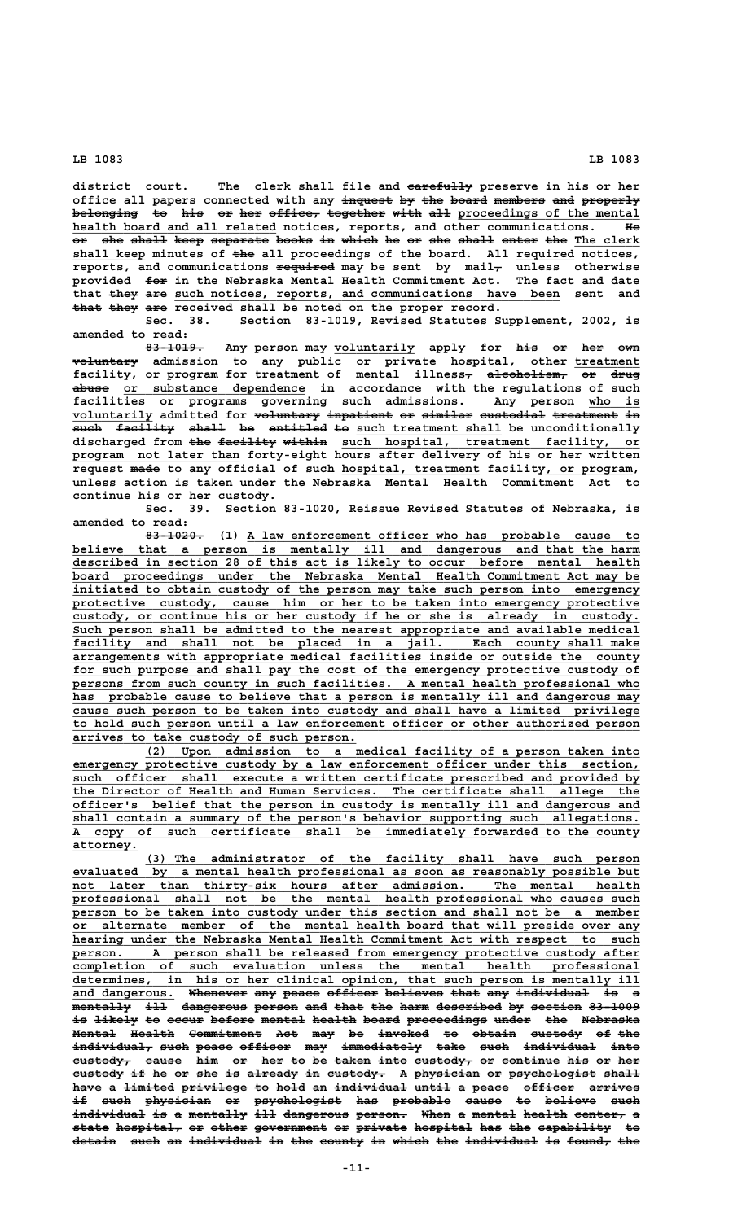district court. The clerk shall file and earefully preserve in his or her office all papers connected with any inquest by the board members and properly belonging to his or her office, together with all proceedings of the mental  **\_\_\_\_\_\_\_\_\_\_\_\_\_\_\_\_\_\_\_\_\_\_\_\_\_\_\_\_ —— health board and all related notices, reports, and other communications. He**  $\overrightarrow{or}$  she shall keep separate books in which he or she shall enter the The clerk  **\_\_\_\_\_\_\_\_\_\_ ——— \_\_\_ \_\_\_\_\_\_\_\_ shall keep minutes of the all proceedings of the board. All required notices, ———————— — reports, and communications required may be sent by mail, unless otherwise ——— provided for in the Nebraska Mental Health Commitment Act. The fact and date** that they are such notices, reports, and communications have been sent and that they are received shall be noted on the proper record.

**Sec. 38. Section 83-1019, Revised Statutes Supplement, 2002, is amended to read:**

83-1019. Any person may voluntarily apply for his or her own  **————————— voluntary admission to any public or private hospital, other treatment \_\_\_\_\_\_\_\_\_** facility, or program for treatment of mental illness<sub>7</sub> alcoholism, or drug  **————— \_\_\_\_\_\_\_\_\_\_\_\_\_\_\_\_\_\_\_\_\_\_\_\_\_ abuse or substance dependence in accordance with the regulations of such facilities or programs governing such admissions. Any person who is \_\_\_\_\_\_\_** voluntarily admitted for voluntary inpatient or similar eustodial treatment in  $\overline{\textbf{such}}$  facility shall be entitled to such treatment shall be unconditionally **discharged from the facility within** such hospital, treatment facility, or  **\_\_\_\_\_\_\_\_\_\_\_\_\_\_\_\_\_\_\_\_\_\_\_ program not later than forty-eight hours after delivery of his or her written ———— \_\_\_\_\_\_\_\_\_\_\_\_\_\_\_\_\_\_\_ \_\_\_\_\_\_\_\_\_\_\_\_ request made to any official of such hospital, treatment facility, or program, unless action is taken under the Nebraska Mental Health Commitment Act to continue his or her custody.**

**Sec. 39. Section 83-1020, Reissue Revised Statutes of Nebraska, is amended to read:**

 **———————— \_\_\_\_\_\_\_\_\_\_\_\_\_\_\_\_\_\_\_\_\_\_\_\_\_\_\_\_\_\_\_\_\_\_\_\_\_\_\_\_\_\_\_\_\_\_\_\_\_\_\_\_\_\_ 83-1020. (1) A law enforcement officer who has probable cause to \_\_\_\_\_\_\_\_\_\_\_\_\_\_\_\_\_\_\_\_\_\_\_\_\_\_\_\_\_\_\_\_\_\_\_\_\_\_\_\_\_\_\_\_\_\_\_\_\_\_\_\_\_\_\_\_\_\_\_\_\_\_\_\_\_\_\_\_\_\_\_\_\_\_\_\_\_\_ believe that a person is mentally ill and dangerous and that the harm \_\_\_\_\_\_\_\_\_\_\_\_\_\_\_\_\_\_\_\_\_\_\_\_\_\_\_\_\_\_\_\_\_\_\_\_\_\_\_\_\_\_\_\_\_\_\_\_\_\_\_\_\_\_\_\_\_\_\_\_\_\_\_\_\_\_\_\_\_\_\_\_\_\_\_\_\_\_ described in section 28 of this act is likely to occur before mental health \_\_\_\_\_\_\_\_\_\_\_\_\_\_\_\_\_\_\_\_\_\_\_\_\_\_\_\_\_\_\_\_\_\_\_\_\_\_\_\_\_\_\_\_\_\_\_\_\_\_\_\_\_\_\_\_\_\_\_\_\_\_\_\_\_\_\_\_\_\_\_\_\_\_\_\_\_\_ board proceedings under the Nebraska Mental Health Commitment Act may be \_\_\_\_\_\_\_\_\_\_\_\_\_\_\_\_\_\_\_\_\_\_\_\_\_\_\_\_\_\_\_\_\_\_\_\_\_\_\_\_\_\_\_\_\_\_\_\_\_\_\_\_\_\_\_\_\_\_\_\_\_\_\_\_\_\_\_\_\_\_\_\_\_\_\_\_\_\_ initiated to obtain custody of the person may take such person into emergency \_\_\_\_\_\_\_\_\_\_\_\_\_\_\_\_\_\_\_\_\_\_\_\_\_\_\_\_\_\_\_\_\_\_\_\_\_\_\_\_\_\_\_\_\_\_\_\_\_\_\_\_\_\_\_\_\_\_\_\_\_\_\_\_\_\_\_\_\_\_\_\_\_\_\_\_\_\_ protective custody, cause him or her to be taken into emergency protective \_\_\_\_\_\_\_\_\_\_\_\_\_\_\_\_\_\_\_\_\_\_\_\_\_\_\_\_\_\_\_\_\_\_\_\_\_\_\_\_\_\_\_\_\_\_\_\_\_\_\_\_\_\_\_\_\_\_\_\_\_\_\_\_\_\_\_\_\_\_\_\_\_\_\_\_\_\_ custody, or continue his or her custody if he or she is already in custody. \_\_\_\_\_\_\_\_\_\_\_\_\_\_\_\_\_\_\_\_\_\_\_\_\_\_\_\_\_\_\_\_\_\_\_\_\_\_\_\_\_\_\_\_\_\_\_\_\_\_\_\_\_\_\_\_\_\_\_\_\_\_\_\_\_\_\_\_\_\_\_\_\_\_\_\_\_\_ Such person shall be admitted to the nearest appropriate and available medical \_\_\_\_\_\_\_\_\_\_\_\_\_\_\_\_\_\_\_\_\_\_\_\_\_\_\_\_\_\_\_\_\_\_\_\_\_\_\_\_\_\_\_\_\_\_\_\_\_\_\_\_\_\_\_\_\_\_\_\_\_\_\_\_\_\_\_\_\_\_\_\_\_\_\_\_\_\_ facility and shall not be placed in a jail. Each county shall make \_\_\_\_\_\_\_\_\_\_\_\_\_\_\_\_\_\_\_\_\_\_\_\_\_\_\_\_\_\_\_\_\_\_\_\_\_\_\_\_\_\_\_\_\_\_\_\_\_\_\_\_\_\_\_\_\_\_\_\_\_\_\_\_\_\_\_\_\_\_\_\_\_\_\_\_\_\_ arrangements with appropriate medical facilities inside or outside the county** for such purpose and shall pay the cost of the emergency protective custody of  **\_\_\_\_\_\_\_\_\_\_\_\_\_\_\_\_\_\_\_\_\_\_\_\_\_\_\_\_\_\_\_\_\_\_\_\_\_\_\_\_\_\_\_\_\_\_\_\_\_\_\_\_\_\_\_\_\_\_\_\_\_\_\_\_\_\_\_\_\_\_\_\_\_\_\_\_\_\_ persons from such county in such facilities. A mental health professional who \_\_\_\_\_\_\_\_\_\_\_\_\_\_\_\_\_\_\_\_\_\_\_\_\_\_\_\_\_\_\_\_\_\_\_\_\_\_\_\_\_\_\_\_\_\_\_\_\_\_\_\_\_\_\_\_\_\_\_\_\_\_\_\_\_\_\_\_\_\_\_\_\_\_\_\_\_\_ has probable cause to believe that a person is mentally ill and dangerous may \_\_\_\_\_\_\_\_\_\_\_\_\_\_\_\_\_\_\_\_\_\_\_\_\_\_\_\_\_\_\_\_\_\_\_\_\_\_\_\_\_\_\_\_\_\_\_\_\_\_\_\_\_\_\_\_\_\_\_\_\_\_\_\_\_\_\_\_\_\_\_\_\_\_\_\_\_\_ cause such person to be taken into custody and shall have a limited privilege \_\_\_\_\_\_\_\_\_\_\_\_\_\_\_\_\_\_\_\_\_\_\_\_\_\_\_\_\_\_\_\_\_\_\_\_\_\_\_\_\_\_\_\_\_\_\_\_\_\_\_\_\_\_\_\_\_\_\_\_\_\_\_\_\_\_\_\_\_\_\_\_\_\_\_\_\_\_ to hold such person until a law enforcement officer or other authorized person \_\_\_\_\_\_\_\_\_\_\_\_\_\_\_\_\_\_\_\_\_\_\_\_\_\_\_\_\_\_\_\_\_\_\_\_\_\_\_ arrives to take custody of such person.**

 **\_\_\_\_\_\_\_\_\_\_\_\_\_\_\_\_\_\_\_\_\_\_\_\_\_\_\_\_\_\_\_\_\_\_\_\_\_\_\_\_\_\_\_\_\_\_\_\_\_\_\_\_\_\_\_\_\_\_\_\_\_\_\_\_\_\_\_\_ (2) Upon admission to a medical facility of a person taken into \_\_\_\_\_\_\_\_\_\_\_\_\_\_\_\_\_\_\_\_\_\_\_\_\_\_\_\_\_\_\_\_\_\_\_\_\_\_\_\_\_\_\_\_\_\_\_\_\_\_\_\_\_\_\_\_\_\_\_\_\_\_\_\_\_\_\_\_\_\_\_\_\_\_\_\_\_\_ emergency protective custody by a law enforcement officer under this section, \_\_\_\_\_\_\_\_\_\_\_\_\_\_\_\_\_\_\_\_\_\_\_\_\_\_\_\_\_\_\_\_\_\_\_\_\_\_\_\_\_\_\_\_\_\_\_\_\_\_\_\_\_\_\_\_\_\_\_\_\_\_\_\_\_\_\_\_\_\_\_\_\_\_\_\_\_\_ such officer shall execute a written certificate prescribed and provided by \_\_\_\_\_\_\_\_\_\_\_\_\_\_\_\_\_\_\_\_\_\_\_\_\_\_\_\_\_\_\_\_\_\_\_\_\_\_\_\_\_\_\_\_\_\_\_\_\_\_\_\_\_\_\_\_\_\_\_\_\_\_\_\_\_\_\_\_\_\_\_\_\_\_\_\_\_\_ the Director of Health and Human Services. The certificate shall allege the \_\_\_\_\_\_\_\_\_\_\_\_\_\_\_\_\_\_\_\_\_\_\_\_\_\_\_\_\_\_\_\_\_\_\_\_\_\_\_\_\_\_\_\_\_\_\_\_\_\_\_\_\_\_\_\_\_\_\_\_\_\_\_\_\_\_\_\_\_\_\_\_\_\_\_\_\_\_ officer's belief that the person in custody is mentally ill and dangerous and** shall contain a summary of the person's behavior supporting such allegations.  **\_\_\_\_\_\_\_\_\_\_\_\_\_\_\_\_\_\_\_\_\_\_\_\_\_\_\_\_\_\_\_\_\_\_\_\_\_\_\_\_\_\_\_\_\_\_\_\_\_\_\_\_\_\_\_\_\_\_\_\_\_\_\_\_\_\_\_\_\_\_\_\_\_\_\_\_\_\_ A copy of such certificate shall be immediately forwarded to the county attorney. \_\_\_\_\_\_\_\_\_**

 **\_\_\_\_\_\_\_\_\_\_\_\_\_\_\_\_\_\_\_\_\_\_\_\_\_\_\_\_\_\_\_\_\_\_\_\_\_\_\_\_\_\_\_\_\_\_\_\_\_\_\_\_\_\_\_\_\_\_\_\_\_\_\_\_\_\_\_\_ (3) The administrator of the facility shall have such person \_\_\_\_\_\_\_\_\_\_\_\_\_\_\_\_\_\_\_\_\_\_\_\_\_\_\_\_\_\_\_\_\_\_\_\_\_\_\_\_\_\_\_\_\_\_\_\_\_\_\_\_\_\_\_\_\_\_\_\_\_\_\_\_\_\_\_\_\_\_\_\_\_\_\_\_\_\_ evaluated by a mental health professional as soon as reasonably possible but** not later than thirty-six hours after admission. The mental health  **\_\_\_\_\_\_\_\_\_\_\_\_\_\_\_\_\_\_\_\_\_\_\_\_\_\_\_\_\_\_\_\_\_\_\_\_\_\_\_\_\_\_\_\_\_\_\_\_\_\_\_\_\_\_\_\_\_\_\_\_\_\_\_\_\_\_\_\_\_\_\_\_\_\_\_\_\_\_ professional shall not be the mental health professional who causes such \_\_\_\_\_\_\_\_\_\_\_\_\_\_\_\_\_\_\_\_\_\_\_\_\_\_\_\_\_\_\_\_\_\_\_\_\_\_\_\_\_\_\_\_\_\_\_\_\_\_\_\_\_\_\_\_\_\_\_\_\_\_\_\_\_\_\_\_\_\_\_\_\_\_\_\_\_\_ person to be taken into custody under this section and shall not be a member \_\_\_\_\_\_\_\_\_\_\_\_\_\_\_\_\_\_\_\_\_\_\_\_\_\_\_\_\_\_\_\_\_\_\_\_\_\_\_\_\_\_\_\_\_\_\_\_\_\_\_\_\_\_\_\_\_\_\_\_\_\_\_\_\_\_\_\_\_\_\_\_\_\_\_\_\_\_ or alternate member of the mental health board that will preside over any \_\_\_\_\_\_\_\_\_\_\_\_\_\_\_\_\_\_\_\_\_\_\_\_\_\_\_\_\_\_\_\_\_\_\_\_\_\_\_\_\_\_\_\_\_\_\_\_\_\_\_\_\_\_\_\_\_\_\_\_\_\_\_\_\_\_\_\_\_\_\_\_\_\_\_\_\_\_ hearing under the Nebraska Mental Health Commitment Act with respect to such** person. A person shall be released from emergency protective custody after  **\_\_\_\_\_\_\_\_\_\_\_\_\_\_\_\_\_\_\_\_\_\_\_\_\_\_\_\_\_\_\_\_\_\_\_\_\_\_\_\_\_\_\_\_\_\_\_\_\_\_\_\_\_\_\_\_\_\_\_\_\_\_\_\_\_\_\_\_\_\_\_\_\_\_\_\_\_\_ completion of such evaluation unless the mental health professional \_\_\_\_\_\_\_\_\_\_\_\_\_\_\_\_\_\_\_\_\_\_\_\_\_\_\_\_\_\_\_\_\_\_\_\_\_\_\_\_\_\_\_\_\_\_\_\_\_\_\_\_\_\_\_\_\_\_\_\_\_\_\_\_\_\_\_\_\_\_\_\_\_\_\_\_\_\_ determines, in his or her clinical opinion, that such person is mentally ill** and dangerous. Wheneve<del>r</del> any peace officer believes that any individual is a **mentally ill dangerous person and that the harm described by section 83-1009 ———————— ——— ————————— —————— ——— ———— ——— ———— ————————— —— ——————— ——————** is likely to occur before mental health board proceedings under the Nebraska **Mental Health Commitment Act may be invoked to obtain custody of the —————— —————— —————————— ——— ——— —— ——————— —— —————— ——————— —— —— individual, such peace officer may immediately take such individual into ——————————— ———— ————— ——————— ——— ——————————— ———— ———— —————————— ————**  $\overline{\text{eustody}}$  cause him or her to be taken into custody, or continue his or her custody if he or she is already in custody. A physician or psychologist shall **have a limited privilege to hold an individual until a peace officer arrives ———— — ——————— ————————— —— ———— —— —————————— ————— — ————— ——————— —————— if such physician or psychologist has probable cause to believe such —— ———— ————————— —— ———————————— ——— ———————— ————— —— ——————— ———** individual is a mentally ill dangerous person. When a mental health center, a state hospital, or other government or private hospital has the capability to detain such an individual in the county in which the individual is found, the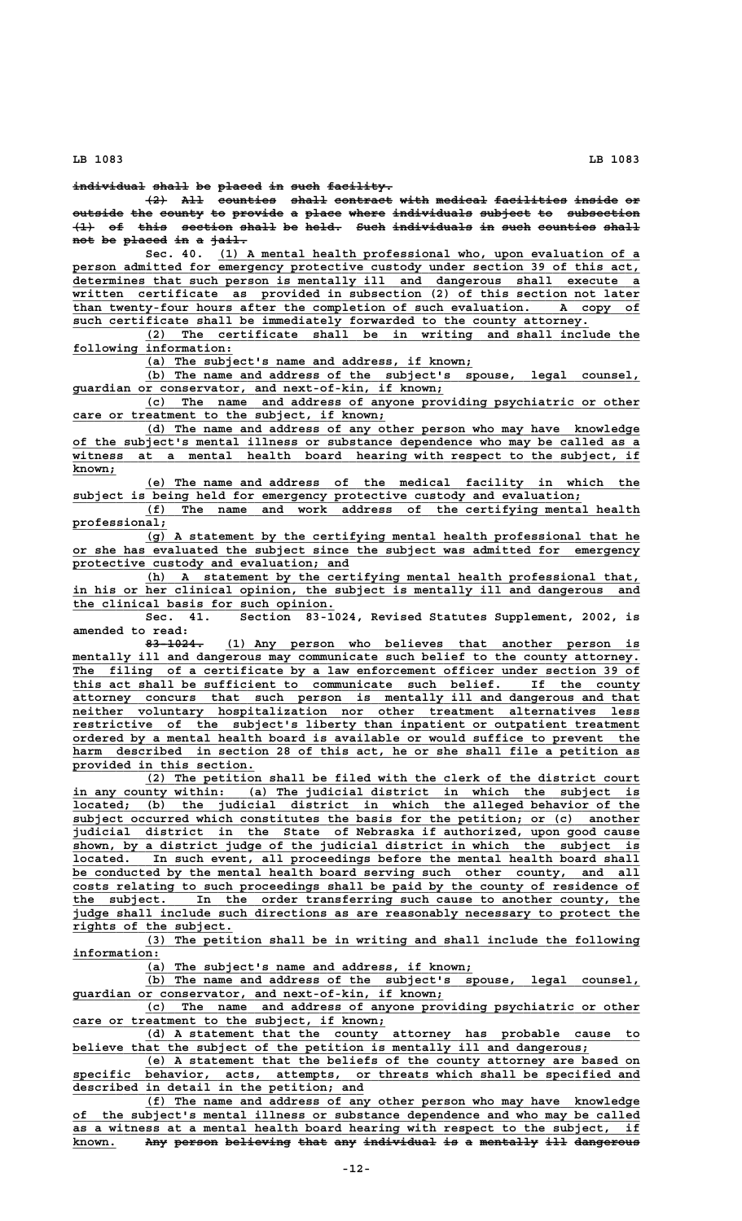individual shall be placed in such facility.

 $\overline{42}$  All counties shall contract with medical facilities inside or **outside the county to provide a place where individuals subject to subsection ——————— ——— —————— —— ——————— — ————— ————— ——————————— ——————— —— ——————————**  $\overline{1}$  of this section shall be held. Such individuals in such counties shall **not be placed in a jail. ——— —— —————— —— — —————**

 **\_\_\_\_\_\_\_\_\_\_\_\_\_\_\_\_\_\_\_\_\_\_\_\_\_\_\_\_\_\_\_\_\_\_\_\_\_\_\_\_\_\_\_\_\_\_\_\_\_\_\_\_\_\_\_\_\_\_ Sec. 40. (1) A mental health professional who, upon evaluation of a \_\_\_\_\_\_\_\_\_\_\_\_\_\_\_\_\_\_\_\_\_\_\_\_\_\_\_\_\_\_\_\_\_\_\_\_\_\_\_\_\_\_\_\_\_\_\_\_\_\_\_\_\_\_\_\_\_\_\_\_\_\_\_\_\_\_\_\_\_\_\_\_\_\_\_\_\_\_ person admitted for emergency protective custody under section 39 of this act, \_\_\_\_\_\_\_\_\_\_\_\_\_\_\_\_\_\_\_\_\_\_\_\_\_\_\_\_\_\_\_\_\_\_\_\_\_\_\_\_\_\_\_\_\_\_\_\_\_\_\_\_\_\_\_\_\_\_\_\_\_\_\_\_\_\_\_\_\_\_\_\_\_\_\_\_\_\_ determines that such person is mentally ill and dangerous shall execute a \_\_\_\_\_\_\_\_\_\_\_\_\_\_\_\_\_\_\_\_\_\_\_\_\_\_\_\_\_\_\_\_\_\_\_\_\_\_\_\_\_\_\_\_\_\_\_\_\_\_\_\_\_\_\_\_\_\_\_\_\_\_\_\_\_\_\_\_\_\_\_\_\_\_\_\_\_\_ written certificate as provided in subsection (2) of this section not later \_\_\_\_\_\_\_\_\_\_\_\_\_\_\_\_\_\_\_\_\_\_\_\_\_\_\_\_\_\_\_\_\_\_\_\_\_\_\_\_\_\_\_\_\_\_\_\_\_\_\_\_\_\_\_\_\_\_\_\_\_\_\_\_\_\_\_\_\_\_\_\_\_\_\_\_\_\_ than twenty-four hours after the completion of such evaluation. A copy of**  $\Box$  such certificate shall be immediately forwarded to the county attorney.

 **\_\_\_\_\_\_\_\_\_\_\_\_\_\_\_\_\_\_\_\_\_\_\_\_\_\_\_\_\_\_\_\_\_\_\_\_\_\_\_\_\_\_\_\_\_\_\_\_\_\_\_\_\_\_\_\_\_\_\_\_\_\_\_\_\_\_\_\_ (2) The certificate shall be in writing and shall include the following information: \_\_\_\_\_\_\_\_\_\_\_\_\_\_\_\_\_\_\_\_\_\_**

 **\_\_\_\_\_\_\_\_\_\_\_\_\_\_\_\_\_\_\_\_\_\_\_\_\_\_\_\_\_\_\_\_\_\_\_\_\_\_\_\_\_\_\_\_\_ (a) The subject's name and address, if known;**

 **\_\_\_\_\_\_\_\_\_\_\_\_\_\_\_\_\_\_\_\_\_\_\_\_\_\_\_\_\_\_\_\_\_\_\_\_\_\_\_\_\_\_\_\_\_\_\_\_\_\_\_\_\_\_\_\_\_\_\_\_\_\_\_\_\_\_\_\_ (b) The name and address of the subject's spouse, legal counsel, \_\_\_\_\_\_\_\_\_\_\_\_\_\_\_\_\_\_\_\_\_\_\_\_\_\_\_\_\_\_\_\_\_\_\_\_\_\_\_\_\_\_\_\_\_\_\_\_\_\_\_ guardian or conservator, and next-of-kin, if known;**

 **\_\_\_\_\_\_\_\_\_\_\_\_\_\_\_\_\_\_\_\_\_\_\_\_\_\_\_\_\_\_\_\_\_\_\_\_\_\_\_\_\_\_\_\_\_\_\_\_\_\_\_\_\_\_\_\_\_\_\_\_\_\_\_\_\_\_\_\_ (c) The name and address of anyone providing psychiatric or other** care or treatment to the subject, if known;

 **\_\_\_\_\_\_\_\_\_\_\_\_\_\_\_\_\_\_\_\_\_\_\_\_\_\_\_\_\_\_\_\_\_\_\_\_\_\_\_\_\_\_\_\_\_\_\_\_\_\_\_\_\_\_\_\_\_\_\_\_\_\_\_\_\_\_\_\_ (d) The name and address of any other person who may have knowledge \_\_\_\_\_\_\_\_\_\_\_\_\_\_\_\_\_\_\_\_\_\_\_\_\_\_\_\_\_\_\_\_\_\_\_\_\_\_\_\_\_\_\_\_\_\_\_\_\_\_\_\_\_\_\_\_\_\_\_\_\_\_\_\_\_\_\_\_\_\_\_\_\_\_\_\_\_\_ of the subject's mental illness or substance dependence who may be called as a** witness at a mental health board hearing with respect to the subject, if  **known;\_\_\_\_\_\_**

 **\_\_\_\_\_\_\_\_\_\_\_\_\_\_\_\_\_\_\_\_\_\_\_\_\_\_\_\_\_\_\_\_\_\_\_\_\_\_\_\_\_\_\_\_\_\_\_\_\_\_\_\_\_\_\_\_\_\_\_\_\_\_\_\_\_\_\_\_ (e) The name and address of the medical facility in which the \_\_\_\_\_\_\_\_\_\_\_\_\_\_\_\_\_\_\_\_\_\_\_\_\_\_\_\_\_\_\_\_\_\_\_\_\_\_\_\_\_\_\_\_\_\_\_\_\_\_\_\_\_\_\_\_\_\_\_\_\_\_\_\_\_\_\_\_\_\_ subject is being held for emergency protective custody and evaluation;**

 **\_\_\_\_\_\_\_\_\_\_\_\_\_\_\_\_\_\_\_\_\_\_\_\_\_\_\_\_\_\_\_\_\_\_\_\_\_\_\_\_\_\_\_\_\_\_\_\_\_\_\_\_\_\_\_\_\_\_\_\_\_\_\_\_\_\_\_\_ (f) The name and work address of the certifying mental health professional; \_\_\_\_\_\_\_\_\_\_\_\_\_**

 **\_\_\_\_\_\_\_\_\_\_\_\_\_\_\_\_\_\_\_\_\_\_\_\_\_\_\_\_\_\_\_\_\_\_\_\_\_\_\_\_\_\_\_\_\_\_\_\_\_\_\_\_\_\_\_\_\_\_\_\_\_\_\_\_\_\_\_\_ (g) A statement by the certifying mental health professional that he \_\_\_\_\_\_\_\_\_\_\_\_\_\_\_\_\_\_\_\_\_\_\_\_\_\_\_\_\_\_\_\_\_\_\_\_\_\_\_\_\_\_\_\_\_\_\_\_\_\_\_\_\_\_\_\_\_\_\_\_\_\_\_\_\_\_\_\_\_\_\_\_\_\_\_\_\_\_ or she has evaluated the subject since the subject was admitted for emergency \_\_\_\_\_\_\_\_\_\_\_\_\_\_\_\_\_\_\_\_\_\_\_\_\_\_\_\_\_\_\_\_\_\_\_\_\_\_ protective custody and evaluation; and**

 **\_\_\_\_\_\_\_\_\_\_\_\_\_\_\_\_\_\_\_\_\_\_\_\_\_\_\_\_\_\_\_\_\_\_\_\_\_\_\_\_\_\_\_\_\_\_\_\_\_\_\_\_\_\_\_\_\_\_\_\_\_\_\_\_\_\_\_\_ (h) A statement by the certifying mental health professional that,** in his or her clinical opinion, the subject is mentally ill and dangerous and  **\_\_\_\_\_\_\_\_\_\_\_\_\_\_\_\_\_\_\_\_\_\_\_\_\_\_\_\_\_\_\_\_\_\_\_\_ the clinical basis for such opinion.**

**Sec. 41. Section 83-1024, Revised Statutes Supplement, 2002, is amended to read:**

83-1024. (1) Any person who believes that another person is  $m$ entally ill and dangerous may communicate such belief to the county attorney. The filing of a certificate by a law enforcement officer under section 39 of  **\_\_\_\_\_\_\_\_\_\_\_\_\_\_\_\_\_\_\_\_\_\_\_\_\_\_\_\_\_\_\_\_\_\_\_\_\_\_\_\_\_\_\_\_\_\_\_\_\_\_\_\_\_\_\_\_\_\_\_\_\_\_\_\_\_\_\_\_\_\_\_\_\_\_\_\_\_\_ this act shall be sufficient to communicate such belief. If the county \_\_\_\_\_\_\_\_\_\_\_\_\_\_\_\_\_\_\_\_\_\_\_\_\_\_\_\_\_\_\_\_\_\_\_\_\_\_\_\_\_\_\_\_\_\_\_\_\_\_\_\_\_\_\_\_\_\_\_\_\_\_\_\_\_\_\_\_\_\_\_\_\_\_\_\_\_\_ attorney concurs that such person is mentally ill and dangerous and that \_\_\_\_\_\_\_\_\_\_\_\_\_\_\_\_\_\_\_\_\_\_\_\_\_\_\_\_\_\_\_\_\_\_\_\_\_\_\_\_\_\_\_\_\_\_\_\_\_\_\_\_\_\_\_\_\_\_\_\_\_\_\_\_\_\_\_\_\_\_\_\_\_\_\_\_\_\_ neither voluntary hospitalization nor other treatment alternatives less \_\_\_\_\_\_\_\_\_\_\_\_\_\_\_\_\_\_\_\_\_\_\_\_\_\_\_\_\_\_\_\_\_\_\_\_\_\_\_\_\_\_\_\_\_\_\_\_\_\_\_\_\_\_\_\_\_\_\_\_\_\_\_\_\_\_\_\_\_\_\_\_\_\_\_\_\_\_ restrictive of the subject's liberty than inpatient or outpatient treatment \_\_\_\_\_\_\_\_\_\_\_\_\_\_\_\_\_\_\_\_\_\_\_\_\_\_\_\_\_\_\_\_\_\_\_\_\_\_\_\_\_\_\_\_\_\_\_\_\_\_\_\_\_\_\_\_\_\_\_\_\_\_\_\_\_\_\_\_\_\_\_\_\_\_\_\_\_\_ ordered by a mental health board is available or would suffice to prevent the**  *described in section 28 of this act, he or she shall file a petition as*  **\_\_\_\_\_\_\_\_\_\_\_\_\_\_\_\_\_\_\_\_\_\_\_\_\_ provided in this section.**

 **\_\_\_\_\_\_\_\_\_\_\_\_\_\_\_\_\_\_\_\_\_\_\_\_\_\_\_\_\_\_\_\_\_\_\_\_\_\_\_\_\_\_\_\_\_\_\_\_\_\_\_\_\_\_\_\_\_\_\_\_\_\_\_\_\_\_\_\_ (2) The petition shall be filed with the clerk of the district court \_\_\_\_\_\_\_\_\_\_\_\_\_\_\_\_\_\_\_\_\_\_\_\_\_\_\_\_\_\_\_\_\_\_\_\_\_\_\_\_\_\_\_\_\_\_\_\_\_\_\_\_\_\_\_\_\_\_\_\_\_\_\_\_\_\_\_\_\_\_\_\_\_\_\_\_\_\_ in any county within: (a) The judicial district in which the subject is \_\_\_\_\_\_\_\_\_\_\_\_\_\_\_\_\_\_\_\_\_\_\_\_\_\_\_\_\_\_\_\_\_\_\_\_\_\_\_\_\_\_\_\_\_\_\_\_\_\_\_\_\_\_\_\_\_\_\_\_\_\_\_\_\_\_\_\_\_\_\_\_\_\_\_\_\_\_ located; (b) the judicial district in which the alleged behavior of the \_\_\_\_\_\_\_\_\_\_\_\_\_\_\_\_\_\_\_\_\_\_\_\_\_\_\_\_\_\_\_\_\_\_\_\_\_\_\_\_\_\_\_\_\_\_\_\_\_\_\_\_\_\_\_\_\_\_\_\_\_\_\_\_\_\_\_\_\_\_\_\_\_\_\_\_\_\_ subject occurred which constitutes the basis for the petition; or (c) another \_\_\_\_\_\_\_\_\_\_\_\_\_\_\_\_\_\_\_\_\_\_\_\_\_\_\_\_\_\_\_\_\_\_\_\_\_\_\_\_\_\_\_\_\_\_\_\_\_\_\_\_\_\_\_\_\_\_\_\_\_\_\_\_\_\_\_\_\_\_\_\_\_\_\_\_\_\_ judicial district in the State of Nebraska if authorized, upon good cause \_\_\_\_\_\_\_\_\_\_\_\_\_\_\_\_\_\_\_\_\_\_\_\_\_\_\_\_\_\_\_\_\_\_\_\_\_\_\_\_\_\_\_\_\_\_\_\_\_\_\_\_\_\_\_\_\_\_\_\_\_\_\_\_\_\_\_\_\_\_\_\_\_\_\_\_\_\_ shown, by a district judge of the judicial district in which the subject is \_\_\_\_\_\_\_\_\_\_\_\_\_\_\_\_\_\_\_\_\_\_\_\_\_\_\_\_\_\_\_\_\_\_\_\_\_\_\_\_\_\_\_\_\_\_\_\_\_\_\_\_\_\_\_\_\_\_\_\_\_\_\_\_\_\_\_\_\_\_\_\_\_\_\_\_\_\_ located. In such event, all proceedings before the mental health board shall** be conducted by the mental health board serving such other county, and all costs relating to such proceedings shall be paid by the county of residence of  **\_\_\_\_\_\_\_\_\_\_\_\_\_\_\_\_\_\_\_\_\_\_\_\_\_\_\_\_\_\_\_\_\_\_\_\_\_\_\_\_\_\_\_\_\_\_\_\_\_\_\_\_\_\_\_\_\_\_\_\_\_\_\_\_\_\_\_\_\_\_\_\_\_\_\_\_\_\_ the subject. In the order transferring such cause to another county, the \_\_\_\_\_\_\_\_\_\_\_\_\_\_\_\_\_\_\_\_\_\_\_\_\_\_\_\_\_\_\_\_\_\_\_\_\_\_\_\_\_\_\_\_\_\_\_\_\_\_\_\_\_\_\_\_\_\_\_\_\_\_\_\_\_\_\_\_\_\_\_\_\_\_\_\_\_\_ judge shall include such directions as are reasonably necessary to protect the \_\_\_\_\_\_\_\_\_\_\_\_\_\_\_\_\_\_\_\_\_\_ rights of the subject.**

> **\_\_\_\_\_\_\_\_\_\_\_\_\_\_\_\_\_\_\_\_\_\_\_\_\_\_\_\_\_\_\_\_\_\_\_\_\_\_\_\_\_\_\_\_\_\_\_\_\_\_\_\_\_\_\_\_\_\_\_\_\_\_\_\_\_\_\_\_ (3) The petition shall be in writing and shall include the following information: \_\_\_\_\_\_\_\_\_\_\_\_**

 **\_\_\_\_\_\_\_\_\_\_\_\_\_\_\_\_\_\_\_\_\_\_\_\_\_\_\_\_\_\_\_\_\_\_\_\_\_\_\_\_\_\_\_\_\_ (a) The subject's name and address, if known;**

 **\_\_\_\_\_\_\_\_\_\_\_\_\_\_\_\_\_\_\_\_\_\_\_\_\_\_\_\_\_\_\_\_\_\_\_\_\_\_\_\_\_\_\_\_\_\_\_\_\_\_\_\_\_\_\_\_\_\_\_\_\_\_\_\_\_\_\_\_ (b) The name and address of the subject's spouse, legal counsel, \_\_\_\_\_\_\_\_\_\_\_\_\_\_\_\_\_\_\_\_\_\_\_\_\_\_\_\_\_\_\_\_\_\_\_\_\_\_\_\_\_\_\_\_\_\_\_\_\_\_\_ guardian or conservator, and next-of-kin, if known;**

 **\_\_\_\_\_\_\_\_\_\_\_\_\_\_\_\_\_\_\_\_\_\_\_\_\_\_\_\_\_\_\_\_\_\_\_\_\_\_\_\_\_\_\_\_\_\_\_\_\_\_\_\_\_\_\_\_\_\_\_\_\_\_\_\_\_\_\_\_ (c) The name and address of anyone providing psychiatric or other** care or treatment to the subject, if known;

 **\_\_\_\_\_\_\_\_\_\_\_\_\_\_\_\_\_\_\_\_\_\_\_\_\_\_\_\_\_\_\_\_\_\_\_\_\_\_\_\_\_\_\_\_\_\_\_\_\_\_\_\_\_\_\_\_\_\_\_\_\_\_\_\_\_\_\_\_ (d) A statement that the county attorney has probable cause to \_\_\_\_\_\_\_\_\_\_\_\_\_\_\_\_\_\_\_\_\_\_\_\_\_\_\_\_\_\_\_\_\_\_\_\_\_\_\_\_\_\_\_\_\_\_\_\_\_\_\_\_\_\_\_\_\_\_\_\_\_\_\_\_\_\_\_\_\_\_\_ believe that the subject of the petition is mentally ill and dangerous;**

> **\_\_\_\_\_\_\_\_\_\_\_\_\_\_\_\_\_\_\_\_\_\_\_\_\_\_\_\_\_\_\_\_\_\_\_\_\_\_\_\_\_\_\_\_\_\_\_\_\_\_\_\_\_\_\_\_\_\_\_\_\_\_\_\_\_\_\_\_ (e) A statement that the beliefs of the county attorney are based on \_\_\_\_\_\_\_\_\_\_\_\_\_\_\_\_\_\_\_\_\_\_\_\_\_\_\_\_\_\_\_\_\_\_\_\_\_\_\_\_\_\_\_\_\_\_\_\_\_\_\_\_\_\_\_\_\_\_\_\_\_\_\_\_\_\_\_\_\_\_\_\_\_\_\_\_\_\_ specific behavior, acts, attempts, or threats which shall be specified and \_\_\_\_\_\_\_\_\_\_\_\_\_\_\_\_\_\_\_\_\_\_\_\_\_\_\_\_\_\_\_\_\_\_\_\_\_\_\_\_ described in detail in the petition; and**

> **\_\_\_\_\_\_\_\_\_\_\_\_\_\_\_\_\_\_\_\_\_\_\_\_\_\_\_\_\_\_\_\_\_\_\_\_\_\_\_\_\_\_\_\_\_\_\_\_\_\_\_\_\_\_\_\_\_\_\_\_\_\_\_\_\_\_\_\_ (f) The name and address of any other person who may have knowledge \_\_\_\_\_\_\_\_\_\_\_\_\_\_\_\_\_\_\_\_\_\_\_\_\_\_\_\_\_\_\_\_\_\_\_\_\_\_\_\_\_\_\_\_\_\_\_\_\_\_\_\_\_\_\_\_\_\_\_\_\_\_\_\_\_\_\_\_\_\_\_\_\_\_\_\_\_\_ of the subject's mental illness or substance dependence and who may be called \_\_\_\_\_\_\_\_\_\_\_\_\_\_\_\_\_\_\_\_\_\_\_\_\_\_\_\_\_\_\_\_\_\_\_\_\_\_\_\_\_\_\_\_\_\_\_\_\_\_\_\_\_\_\_\_\_\_\_\_\_\_\_\_\_\_\_\_\_\_\_\_\_\_\_\_\_\_ as a witness at a mental health board hearing with respect to the subject, if** known. Any person believing that any individual is a mentally ill dangerous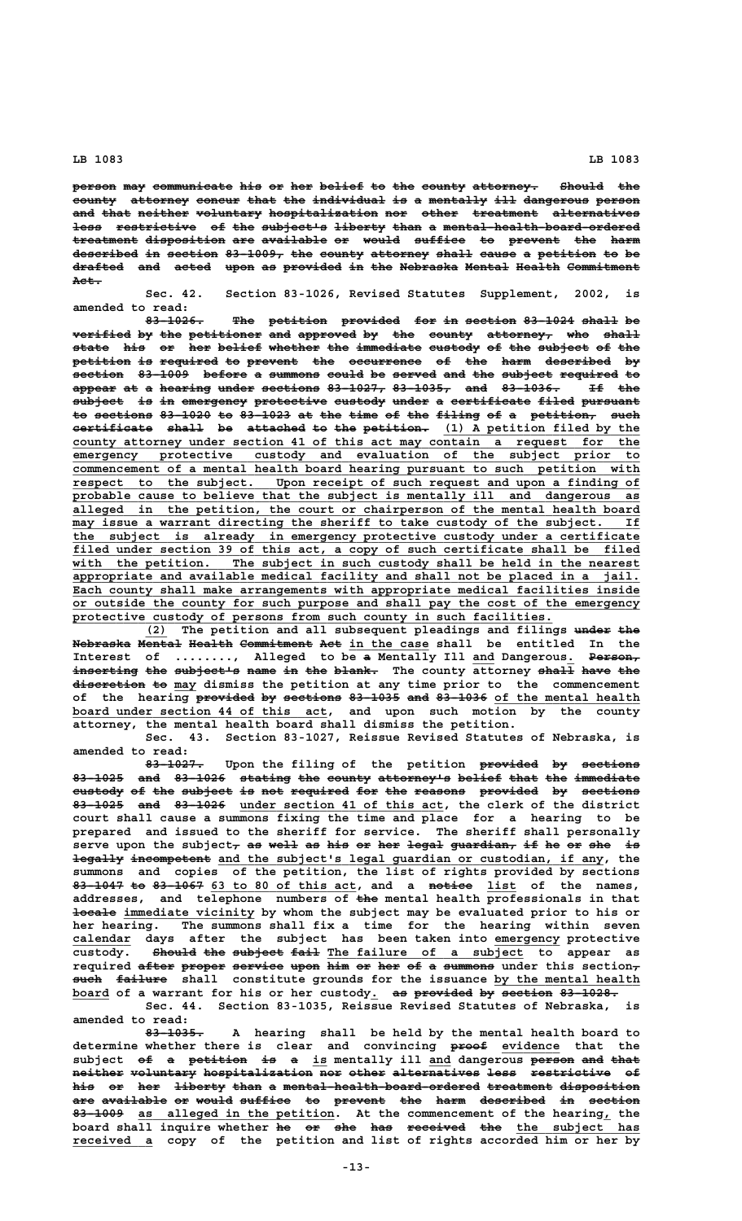person may communicate his or her belief to the county attorney. Should the -<br>county attorney concur that the individual is a mentally ill dangerous person and that neither voluntary hospitalization nor other treatment alternatives less restrictive of the subject's liberty than a mental health board ordered **treatment disposition are available or would suffice to prevent the harm** described in section 83-1009, the county attorney shall cause a petition to be **drafted and acted upon as provided in the Nebraska Mental Health Commitment ——————— ——— ————— ———— —— ———————— —— ——— ———————— —————— —————— —————————— Act.————**

**Sec. 42. Section 83-1026, Revised Statutes Supplement, 2002, is amended to read:**

83-1026. The petition provided for in section 83-1024 shall be verified by the petitioner and approved by the county attorney, who shall state his or her belief whether the immediate custody of the subject of the **petition is required to prevent the occurrence of the harm described by ———————— —— ———————— —— ——————— ——— —————————— —— ——— ———— ————————— —**  $setion$  83-1009 before a summons could be served and the subject required to appear at a hearing under sections 83-1027, 83-1035, and 83-1036. If the  ${\tt subject \ \}is\ \textbf{in} \ \textbf{emergency \ \textbf{presetive} \ \textbf{cutoff} \ \textbf{under} \ \textbf{a} \ \textbf{certificates} \ \textbf{filed \ \textbf{pursuant}} }$ to sections 83-1020 to 83-1023 at the time of the filing of a petition, such certificate shall be attached to the petition. (1) A petition filed by the county attorney under section 41 of this act may contain a request for the emergency protective custody and evaluation of the subject prior to  **\_\_\_\_\_\_\_\_\_\_\_\_\_\_\_\_\_\_\_\_\_\_\_\_\_\_\_\_\_\_\_\_\_\_\_\_\_\_\_\_\_\_\_\_\_\_\_\_\_\_\_\_\_\_\_\_\_\_\_\_\_\_\_\_\_\_\_\_\_\_\_\_\_\_\_\_\_\_ emergency protective custody and evaluation of the subject prior to \_\_\_\_\_\_\_\_\_\_\_\_\_\_\_\_\_\_\_\_\_\_\_\_\_\_\_\_\_\_\_\_\_\_\_\_\_\_\_\_\_\_\_\_\_\_\_\_\_\_\_\_\_\_\_\_\_\_\_\_\_\_\_\_\_\_\_\_\_\_\_\_\_\_\_\_\_\_ commencement of a mental health board hearing pursuant to such petition with \_\_\_\_\_\_\_\_\_\_\_\_\_\_\_\_\_\_\_\_\_\_\_\_\_\_\_\_\_\_\_\_\_\_\_\_\_\_\_\_\_\_\_\_\_\_\_\_\_\_\_\_\_\_\_\_\_\_\_\_\_\_\_\_\_\_\_\_\_\_\_\_\_\_\_\_\_\_ respect to the subject. Upon receipt of such request and upon a finding of \_\_\_\_\_\_\_\_\_\_\_\_\_\_\_\_\_\_\_\_\_\_\_\_\_\_\_\_\_\_\_\_\_\_\_\_\_\_\_\_\_\_\_\_\_\_\_\_\_\_\_\_\_\_\_\_\_\_\_\_\_\_\_\_\_\_\_\_\_\_\_\_\_\_\_\_\_\_ probable cause to believe that the subject is mentally ill and dangerous as \_\_\_\_\_\_\_\_\_\_\_\_\_\_\_\_\_\_\_\_\_\_\_\_\_\_\_\_\_\_\_\_\_\_\_\_\_\_\_\_\_\_\_\_\_\_\_\_\_\_\_\_\_\_\_\_\_\_\_\_\_\_\_\_\_\_\_\_\_\_\_\_\_\_\_\_\_\_ alleged in the petition, the court or chairperson of the mental health board** may issue a warrant directing the sheriff to take custody of the subject. If<br>the subject is already in emergency protective custody under a certificate  **\_\_\_\_\_\_\_\_\_\_\_\_\_\_\_\_\_\_\_\_\_\_\_\_\_\_\_\_\_\_\_\_\_\_\_\_\_\_\_\_\_\_\_\_\_\_\_\_\_\_\_\_\_\_\_\_\_\_\_\_\_\_\_\_\_\_\_\_\_\_\_\_\_\_\_\_\_\_ the subject is already in emergency protective custody under a certificate \_\_\_\_\_\_\_\_\_\_\_\_\_\_\_\_\_\_\_\_\_\_\_\_\_\_\_\_\_\_\_\_\_\_\_\_\_\_\_\_\_\_\_\_\_\_\_\_\_\_\_\_\_\_\_\_\_\_\_\_\_\_\_\_\_\_\_\_\_\_\_\_\_\_\_\_\_\_ filed under section 39 of this act, a copy of such certificate shall be filed** with the petition. The subject in such custody shall be held in the nearest  **\_\_\_\_\_\_\_\_\_\_\_\_\_\_\_\_\_\_\_\_\_\_\_\_\_\_\_\_\_\_\_\_\_\_\_\_\_\_\_\_\_\_\_\_\_\_\_\_\_\_\_\_\_\_\_\_\_\_\_\_\_\_\_\_\_\_\_\_\_\_\_\_\_\_\_\_\_\_ appropriate and available medical facility and shall not be placed in a jail.** Each county shall make arrangements with appropriate medical facilities inside  **\_\_\_\_\_\_\_\_\_\_\_\_\_\_\_\_\_\_\_\_\_\_\_\_\_\_\_\_\_\_\_\_\_\_\_\_\_\_\_\_\_\_\_\_\_\_\_\_\_\_\_\_\_\_\_\_\_\_\_\_\_\_\_\_\_\_\_\_\_\_\_\_\_\_\_\_\_\_ or outside the county for such purpose and shall pay the cost of the emergency \_\_\_\_\_\_\_\_\_\_\_\_\_\_\_\_\_\_\_\_\_\_\_\_\_\_\_\_\_\_\_\_\_\_\_\_\_\_\_\_\_\_\_\_\_\_\_\_\_\_\_\_\_\_\_\_\_\_\_\_\_\_\_\_\_\_ protective custody of persons from such county in such facilities.**

 **(2)** The petition and all subsequent pleadings and filings under the  $\textbf{N}$  **Mexical Health Commitment Act** in the case shall be entitled In the Interest of ........, Alleged to be <del>a</del> Mentally Ill and Dangerous. <del>Person,</del> i<del>nserting the subject's name in the blank.</del> The county attorney <del>shall have the</del> **discretion to may dismiss the petition at any time prior to the commencement —————————— —— \_\_\_** of the hearing <del>provided</del> <del>by sections 83-1035 and 83-1036</del> of the mental health  **\_\_\_\_\_\_\_\_\_\_\_\_\_\_\_\_\_\_\_\_\_\_\_\_\_\_\_\_\_\_\_\_\_\_\_ board under section 44 of this act, and upon such motion by the county attorney, the mental health board shall dismiss the petition.**

**Sec. 43. Section 83-1027, Reissue Revised Statutes of Nebraska, is amended to read:**

83-1027. Upon the filing of the petition provided by sections 83-1025 and 83-1026 stating the county attorney's belief that the immediate  $c$  and  $c$  and  $d$  the subject is not required for the reasons provided by sections 83-1025 and 83-1026 under section 41 of this act, the clerk of the district **court shall cause a summons fixing the time and place for a hearing to be prepared and issued to the sheriff for service. The sheriff shall personally** serve upon the subject<del>, as well as his or her legal guardian, if he or she is</del> legally incompetent and the subject's legal guardian or custodian, if any, the **summons and copies of the petition, the list of rights provided by sections 83-1047 to 83-1067 63 to 80 of this act, and a notice list of the names, ——————— —— ——————— \_\_\_\_\_\_\_\_\_\_\_\_\_\_\_\_\_\_\_\_ —————— \_\_\_\_ ——— addresses, and telephone numbers of the mental health professionals in that <del>locale</del> immediate vicinity by whom the subject may be evaluated prior to his or her hearing. The summons shall fix a time for the hearing within seven \_\_\_\_\_\_\_\_ \_\_\_\_\_\_\_\_\_ calendar days after the subject has been taken into emergency protective custody.** Should the subject fail The failure of a subject to appear as required after proper service upon him or her of a summons under this section<sub> $\tau$ </sub>  **———— ——————— \_\_\_\_\_\_\_\_\_\_\_\_\_\_\_\_\_\_\_\_ such failure shall constitute grounds for the issuance by the mental health** board of a warrant for his or her custody. as provided by section 83-1028. Sec. 44. Section 83-1035, Reissue Revised Statutes of Nebraska,

**amended to read:**

 **———————— 83-1035. A hearing shall be held by the mental health board to** determine whether there is clear and convincing <del>proof</del> evidence that the subject <del>of</del> a petition is a is mentally ill and dangerous person and that neither voluntary hospitalization nor other alternatives less restrictive of his or her liberty than a mental-health-board-ordered treatment disposition are available or would suffice to prevent the harm described in section 83-1009 as alleged in the petition. At the commencement of the hearing, the board shall inquire whether he or she has received the the subject has  **\_\_\_\_\_\_\_\_\_\_\_ received a copy of the petition and list of rights accorded him or her by**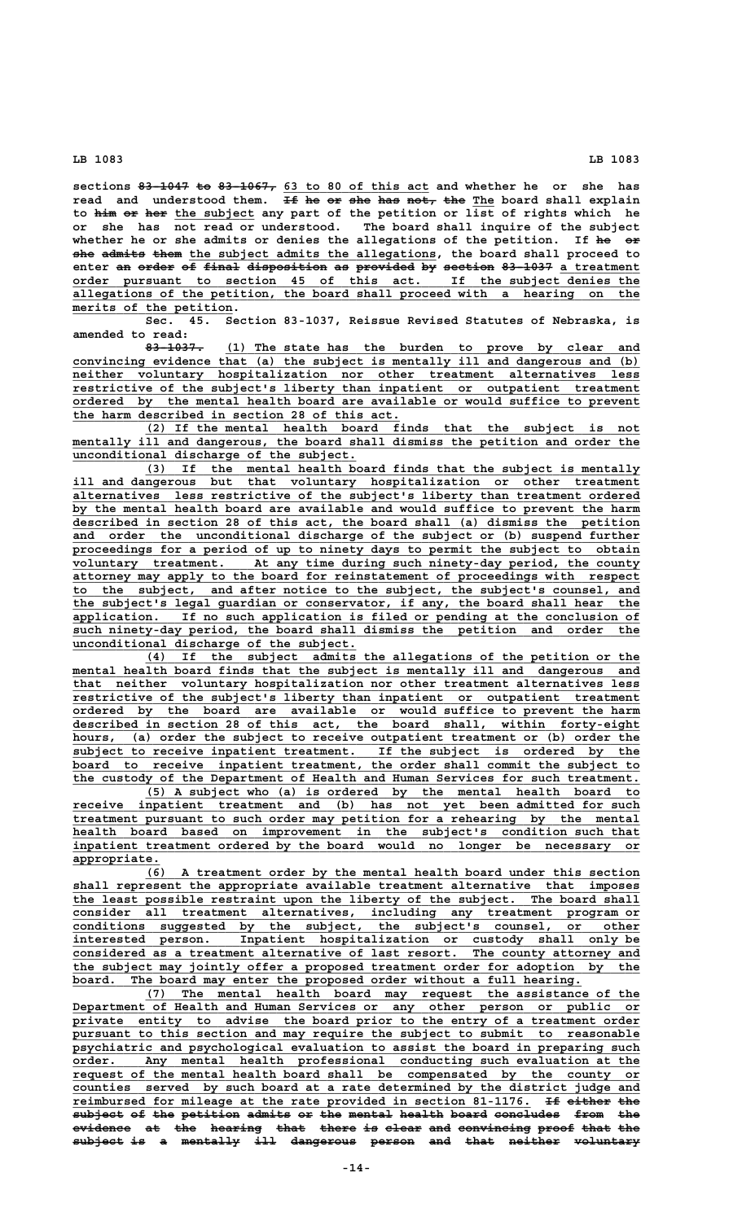sections <del>83 1047 to 83 1067,</del> 63 to 80 of this act and whether he or she has read and understood them. If he or she has not, the The board shall explain to him or her the subject any part of the petition or list of rights which he **or she has not read or understood. The board shall inquire of the subject** whether he or she admits or denies the allegations of the petition. If he or  $\theta$ he admits them the subject admits the allegations, the board shall proceed to enter an order of final disposition as provided by section 83-1037 a treatment  **\_\_\_\_\_\_\_\_\_\_\_\_\_\_\_\_\_\_\_\_\_\_\_\_\_\_\_\_\_\_\_\_\_\_\_\_\_\_\_\_\_\_\_\_\_\_\_\_\_\_\_\_\_\_\_\_\_\_\_\_\_\_\_\_\_\_\_\_\_\_\_\_\_\_\_\_\_\_ order pursuant to section 45 of this act. If the subject denies the \_\_\_\_\_\_\_\_\_\_\_\_\_\_\_\_\_\_\_\_\_\_\_\_\_\_\_\_\_\_\_\_\_\_\_\_\_\_\_\_\_\_\_\_\_\_\_\_\_\_\_\_\_\_\_\_\_\_\_\_\_\_\_\_\_\_\_\_\_\_\_\_\_\_\_\_\_\_ allegations of the petition, the board shall proceed with a hearing on the \_\_\_\_\_\_\_\_\_\_\_\_\_\_\_\_\_\_\_\_\_\_ merits of the petition.**

**Sec. 45. Section 83-1037, Reissue Revised Statutes of Nebraska, is amended to read:**

 **———————— \_\_\_\_\_\_\_\_\_\_\_\_\_\_\_\_\_\_\_\_\_\_\_\_\_\_\_\_\_\_\_\_\_\_\_\_\_\_\_\_\_\_\_\_\_\_\_\_\_\_\_\_\_\_\_\_\_ 83-1037. (1) The state has the burden to prove by clear and \_\_\_\_\_\_\_\_\_\_\_\_\_\_\_\_\_\_\_\_\_\_\_\_\_\_\_\_\_\_\_\_\_\_\_\_\_\_\_\_\_\_\_\_\_\_\_\_\_\_\_\_\_\_\_\_\_\_\_\_\_\_\_\_\_\_\_\_\_\_\_\_\_\_\_\_\_\_ convincing evidence that (a) the subject is mentally ill and dangerous and (b) \_\_\_\_\_\_\_\_\_\_\_\_\_\_\_\_\_\_\_\_\_\_\_\_\_\_\_\_\_\_\_\_\_\_\_\_\_\_\_\_\_\_\_\_\_\_\_\_\_\_\_\_\_\_\_\_\_\_\_\_\_\_\_\_\_\_\_\_\_\_\_\_\_\_\_\_\_\_ neither voluntary hospitalization nor other treatment alternatives less \_\_\_\_\_\_\_\_\_\_\_\_\_\_\_\_\_\_\_\_\_\_\_\_\_\_\_\_\_\_\_\_\_\_\_\_\_\_\_\_\_\_\_\_\_\_\_\_\_\_\_\_\_\_\_\_\_\_\_\_\_\_\_\_\_\_\_\_\_\_\_\_\_\_\_\_\_\_ restrictive of the subject's liberty than inpatient or outpatient treatment \_\_\_\_\_\_\_\_\_\_\_\_\_\_\_\_\_\_\_\_\_\_\_\_\_\_\_\_\_\_\_\_\_\_\_\_\_\_\_\_\_\_\_\_\_\_\_\_\_\_\_\_\_\_\_\_\_\_\_\_\_\_\_\_\_\_\_\_\_\_\_\_\_\_\_\_\_\_ ordered by the mental health board are available or would suffice to prevent \_\_\_\_\_\_\_\_\_\_\_\_\_\_\_\_\_\_\_\_\_\_\_\_\_\_\_\_\_\_\_\_\_\_\_\_\_\_\_\_\_\_\_\_\_ the harm described in section 28 of this act.**

 **\_\_\_\_\_\_\_\_\_\_\_\_\_\_\_\_\_\_\_\_\_\_\_\_\_\_\_\_\_\_\_\_\_\_\_\_\_\_\_\_\_\_\_\_\_\_\_\_\_\_\_\_\_\_\_\_\_\_\_\_\_\_\_\_\_\_\_\_ (2) If the mental health board finds that the subject is not**  $m$ entally ill and dangerous, the board shall dismiss the petition and order the  **\_\_\_\_\_\_\_\_\_\_\_\_\_\_\_\_\_\_\_\_\_\_\_\_\_\_\_\_\_\_\_\_\_\_\_\_\_\_\_ unconditional discharge of the subject.**

 **\_\_\_\_\_\_\_\_\_\_\_\_\_\_\_\_\_\_\_\_\_\_\_\_\_\_\_\_\_\_\_\_\_\_\_\_\_\_\_\_\_\_\_\_\_\_\_\_\_\_\_\_\_\_\_\_\_\_\_\_\_\_\_\_\_\_\_\_ (3) If the mental health board finds that the subject is mentally \_\_\_\_\_\_\_\_\_\_\_\_\_\_\_\_\_\_\_\_\_\_\_\_\_\_\_\_\_\_\_\_\_\_\_\_\_\_\_\_\_\_\_\_\_\_\_\_\_\_\_\_\_\_\_\_\_\_\_\_\_\_\_\_\_\_\_\_\_\_\_\_\_\_\_\_\_\_ ill and dangerous but that voluntary hospitalization or other treatment \_\_\_\_\_\_\_\_\_\_\_\_\_\_\_\_\_\_\_\_\_\_\_\_\_\_\_\_\_\_\_\_\_\_\_\_\_\_\_\_\_\_\_\_\_\_\_\_\_\_\_\_\_\_\_\_\_\_\_\_\_\_\_\_\_\_\_\_\_\_\_\_\_\_\_\_\_\_ alternatives less restrictive of the subject's liberty than treatment ordered** by the mental health board are available and would suffice to prevent the harm  **\_\_\_\_\_\_\_\_\_\_\_\_\_\_\_\_\_\_\_\_\_\_\_\_\_\_\_\_\_\_\_\_\_\_\_\_\_\_\_\_\_\_\_\_\_\_\_\_\_\_\_\_\_\_\_\_\_\_\_\_\_\_\_\_\_\_\_\_\_\_\_\_\_\_\_\_\_\_ described in section 28 of this act, the board shall (a) dismiss the petition** and order the unconditional discharge of the subject or (b) suspend further proceedings for a period of up to ninety days to permit the subject to obtain  **\_\_\_\_\_\_\_\_\_\_\_\_\_\_\_\_\_\_\_\_\_\_\_\_\_\_\_\_\_\_\_\_\_\_\_\_\_\_\_\_\_\_\_\_\_\_\_\_\_\_\_\_\_\_\_\_\_\_\_\_\_\_\_\_\_\_\_\_\_\_\_\_\_\_\_\_\_\_ voluntary treatment. At any time during such ninety-day period, the county \_\_\_\_\_\_\_\_\_\_\_\_\_\_\_\_\_\_\_\_\_\_\_\_\_\_\_\_\_\_\_\_\_\_\_\_\_\_\_\_\_\_\_\_\_\_\_\_\_\_\_\_\_\_\_\_\_\_\_\_\_\_\_\_\_\_\_\_\_\_\_\_\_\_\_\_\_\_ attorney may apply to the board for reinstatement of proceedings with respect \_\_\_\_\_\_\_\_\_\_\_\_\_\_\_\_\_\_\_\_\_\_\_\_\_\_\_\_\_\_\_\_\_\_\_\_\_\_\_\_\_\_\_\_\_\_\_\_\_\_\_\_\_\_\_\_\_\_\_\_\_\_\_\_\_\_\_\_\_\_\_\_\_\_\_\_\_\_ to the subject, and after notice to the subject, the subject's counsel, and \_\_\_\_\_\_\_\_\_\_\_\_\_\_\_\_\_\_\_\_\_\_\_\_\_\_\_\_\_\_\_\_\_\_\_\_\_\_\_\_\_\_\_\_\_\_\_\_\_\_\_\_\_\_\_\_\_\_\_\_\_\_\_\_\_\_\_\_\_\_\_\_\_\_\_\_\_\_ the subject's legal guardian or conservator, if any, the board shall hear the \_\_\_\_\_\_\_\_\_\_\_\_\_\_\_\_\_\_\_\_\_\_\_\_\_\_\_\_\_\_\_\_\_\_\_\_\_\_\_\_\_\_\_\_\_\_\_\_\_\_\_\_\_\_\_\_\_\_\_\_\_\_\_\_\_\_\_\_\_\_\_\_\_\_\_\_\_\_ application. If no such application is filed or pending at the conclusion of \_\_\_\_\_\_\_\_\_\_\_\_\_\_\_\_\_\_\_\_\_\_\_\_\_\_\_\_\_\_\_\_\_\_\_\_\_\_\_\_\_\_\_\_\_\_\_\_\_\_\_\_\_\_\_\_\_\_\_\_\_\_\_\_\_\_\_\_\_\_\_\_\_\_\_\_\_\_ such ninety-day period, the board shall dismiss the petition and order the \_\_\_\_\_\_\_\_\_\_\_\_\_\_\_\_\_\_\_\_\_\_\_\_\_\_\_\_\_\_\_\_\_\_\_\_\_\_\_ unconditional discharge of the subject.**

 **\_\_\_\_\_\_\_\_\_\_\_\_\_\_\_\_\_\_\_\_\_\_\_\_\_\_\_\_\_\_\_\_\_\_\_\_\_\_\_\_\_\_\_\_\_\_\_\_\_\_\_\_\_\_\_\_\_\_\_\_\_\_\_\_\_\_\_\_ (4) If the subject admits the allegations of the petition or the \_\_\_\_\_\_\_\_\_\_\_\_\_\_\_\_\_\_\_\_\_\_\_\_\_\_\_\_\_\_\_\_\_\_\_\_\_\_\_\_\_\_\_\_\_\_\_\_\_\_\_\_\_\_\_\_\_\_\_\_\_\_\_\_\_\_\_\_\_\_\_\_\_\_\_\_\_\_ mental health board finds that the subject is mentally ill and dangerous and \_\_\_\_\_\_\_\_\_\_\_\_\_\_\_\_\_\_\_\_\_\_\_\_\_\_\_\_\_\_\_\_\_\_\_\_\_\_\_\_\_\_\_\_\_\_\_\_\_\_\_\_\_\_\_\_\_\_\_\_\_\_\_\_\_\_\_\_\_\_\_\_\_\_\_\_\_\_ that neither voluntary hospitalization nor other treatment alternatives less \_\_\_\_\_\_\_\_\_\_\_\_\_\_\_\_\_\_\_\_\_\_\_\_\_\_\_\_\_\_\_\_\_\_\_\_\_\_\_\_\_\_\_\_\_\_\_\_\_\_\_\_\_\_\_\_\_\_\_\_\_\_\_\_\_\_\_\_\_\_\_\_\_\_\_\_\_\_ restrictive of the subject's liberty than inpatient or outpatient treatment** ordered by the board are available or would suffice to prevent the harm<br>described in section 28 of this act, the board shall, within forty-eight  **\_\_\_\_\_\_\_\_\_\_\_\_\_\_\_\_\_\_\_\_\_\_\_\_\_\_\_\_\_\_\_\_\_\_\_\_\_\_\_\_\_\_\_\_\_\_\_\_\_\_\_\_\_\_\_\_\_\_\_\_\_\_\_\_\_\_\_\_\_\_\_\_\_\_\_\_\_\_ described in section 28 of this act, the board shall, within forty-eight \_\_\_\_\_\_\_\_\_\_\_\_\_\_\_\_\_\_\_\_\_\_\_\_\_\_\_\_\_\_\_\_\_\_\_\_\_\_\_\_\_\_\_\_\_\_\_\_\_\_\_\_\_\_\_\_\_\_\_\_\_\_\_\_\_\_\_\_\_\_\_\_\_\_\_\_\_\_ hours, (a) order the subject to receive outpatient treatment or (b) order the** subject to receive inpatient treatment. If the subject is ordered by the  **\_\_\_\_\_\_\_\_\_\_\_\_\_\_\_\_\_\_\_\_\_\_\_\_\_\_\_\_\_\_\_\_\_\_\_\_\_\_\_\_\_\_\_\_\_\_\_\_\_\_\_\_\_\_\_\_\_\_\_\_\_\_\_\_\_\_\_\_\_\_\_\_\_\_\_\_\_\_ board to receive inpatient treatment, the order shall commit the subject to** the custody of the Department of Health and Human Services for such treatment.

 **\_\_\_\_\_\_\_\_\_\_\_\_\_\_\_\_\_\_\_\_\_\_\_\_\_\_\_\_\_\_\_\_\_\_\_\_\_\_\_\_\_\_\_\_\_\_\_\_\_\_\_\_\_\_\_\_\_\_\_\_\_\_\_\_\_\_\_\_ (5) A subject who (a) is ordered by the mental health board to \_\_\_\_\_\_\_\_\_\_\_\_\_\_\_\_\_\_\_\_\_\_\_\_\_\_\_\_\_\_\_\_\_\_\_\_\_\_\_\_\_\_\_\_\_\_\_\_\_\_\_\_\_\_\_\_\_\_\_\_\_\_\_\_\_\_\_\_\_\_\_\_\_\_\_\_\_\_ receive inpatient treatment and (b) has not yet been admitted for such \_\_\_\_\_\_\_\_\_\_\_\_\_\_\_\_\_\_\_\_\_\_\_\_\_\_\_\_\_\_\_\_\_\_\_\_\_\_\_\_\_\_\_\_\_\_\_\_\_\_\_\_\_\_\_\_\_\_\_\_\_\_\_\_\_\_\_\_\_\_\_\_\_\_\_\_\_\_ treatment pursuant to such order may petition for a rehearing by the mental \_\_\_\_\_\_\_\_\_\_\_\_\_\_\_\_\_\_\_\_\_\_\_\_\_\_\_\_\_\_\_\_\_\_\_\_\_\_\_\_\_\_\_\_\_\_\_\_\_\_\_\_\_\_\_\_\_\_\_\_\_\_\_\_\_\_\_\_\_\_\_\_\_\_\_\_\_\_ health board based on improvement in the subject's condition such that \_\_\_\_\_\_\_\_\_\_\_\_\_\_\_\_\_\_\_\_\_\_\_\_\_\_\_\_\_\_\_\_\_\_\_\_\_\_\_\_\_\_\_\_\_\_\_\_\_\_\_\_\_\_\_\_\_\_\_\_\_\_\_\_\_\_\_\_\_\_\_\_\_\_\_\_\_\_ inpatient treatment ordered by the board would no longer be necessary or appropriate. \_\_\_\_\_\_\_\_\_\_\_\_**

 **\_\_\_\_\_\_\_\_\_\_\_\_\_\_\_\_\_\_\_\_\_\_\_\_\_\_\_\_\_\_\_\_\_\_\_\_\_\_\_\_\_\_\_\_\_\_\_\_\_\_\_\_\_\_\_\_\_\_\_\_\_\_\_\_\_\_\_\_ (6) A treatment order by the mental health board under this section** shall represent the appropriate available treatment alternative that imposes the least possible restraint upon the liberty of the subject. The board shall  **\_\_\_\_\_\_\_\_\_\_\_\_\_\_\_\_\_\_\_\_\_\_\_\_\_\_\_\_\_\_\_\_\_\_\_\_\_\_\_\_\_\_\_\_\_\_\_\_\_\_\_\_\_\_\_\_\_\_\_\_\_\_\_\_\_\_\_\_\_\_\_\_\_\_\_\_\_\_ consider all treatment alternatives, including any treatment program or \_\_\_\_\_\_\_\_\_\_\_\_\_\_\_\_\_\_\_\_\_\_\_\_\_\_\_\_\_\_\_\_\_\_\_\_\_\_\_\_\_\_\_\_\_\_\_\_\_\_\_\_\_\_\_\_\_\_\_\_\_\_\_\_\_\_\_\_\_\_\_\_\_\_\_\_\_\_ conditions suggested by the subject, the subject's counsel, or other** interested person. Inpatient hospitalization or custody shall only be<br>considered as a treatment alternative of last resort. The county attorney and  **\_\_\_\_\_\_\_\_\_\_\_\_\_\_\_\_\_\_\_\_\_\_\_\_\_\_\_\_\_\_\_\_\_\_\_\_\_\_\_\_\_\_\_\_\_\_\_\_\_\_\_\_\_\_\_\_\_\_\_\_\_\_\_\_\_\_\_\_\_\_\_\_\_\_\_\_\_\_ considered as a treatment alternative of last resort. The county attorney and \_\_\_\_\_\_\_\_\_\_\_\_\_\_\_\_\_\_\_\_\_\_\_\_\_\_\_\_\_\_\_\_\_\_\_\_\_\_\_\_\_\_\_\_\_\_\_\_\_\_\_\_\_\_\_\_\_\_\_\_\_\_\_\_\_\_\_\_\_\_\_\_\_\_\_\_\_\_ the subject may jointly offer a proposed treatment order for adoption by the** board. The board may enter the proposed order without a full hearing.

 **\_\_\_\_\_\_\_\_\_\_\_\_\_\_\_\_\_\_\_\_\_\_\_\_\_\_\_\_\_\_\_\_\_\_\_\_\_\_\_\_\_\_\_\_\_\_\_\_\_\_\_\_\_\_\_\_\_\_\_\_\_\_\_\_\_\_\_\_ (7) The mental health board may request the assistance of the \_\_\_\_\_\_\_\_\_\_\_\_\_\_\_\_\_\_\_\_\_\_\_\_\_\_\_\_\_\_\_\_\_\_\_\_\_\_\_\_\_\_\_\_\_\_\_\_\_\_\_\_\_\_\_\_\_\_\_\_\_\_\_\_\_\_\_\_\_\_\_\_\_\_\_\_\_\_ Department of Health and Human Services or any other person or public or \_\_\_\_\_\_\_\_\_\_\_\_\_\_\_\_\_\_\_\_\_\_\_\_\_\_\_\_\_\_\_\_\_\_\_\_\_\_\_\_\_\_\_\_\_\_\_\_\_\_\_\_\_\_\_\_\_\_\_\_\_\_\_\_\_\_\_\_\_\_\_\_\_\_\_\_\_\_ private entity to advise the board prior to the entry of a treatment order Pursuant to this section and may require the subject to submit to reasonable \_\_\_\_\_\_\_\_\_\_\_\_\_\_\_\_\_\_\_\_\_\_\_\_\_\_\_\_\_\_\_\_\_\_\_\_\_\_\_\_\_\_\_\_\_\_\_\_\_\_\_\_\_\_\_\_\_\_\_\_\_\_\_\_\_\_\_\_\_\_\_\_\_\_\_\_\_\_ psychiatric and psychological evaluation to assist the board in preparing such \_\_\_\_\_\_\_\_\_\_\_\_\_\_\_\_\_\_\_\_\_\_\_\_\_\_\_\_\_\_\_\_\_\_\_\_\_\_\_\_\_\_\_\_\_\_\_\_\_\_\_\_\_\_\_\_\_\_\_\_\_\_\_\_\_\_\_\_\_\_\_\_\_\_\_\_\_\_ order. Any mental health professional conducting such evaluation at the \_\_\_\_\_\_\_\_\_\_\_\_\_\_\_\_\_\_\_\_\_\_\_\_\_\_\_\_\_\_\_\_\_\_\_\_\_\_\_\_\_\_\_\_\_\_\_\_\_\_\_\_\_\_\_\_\_\_\_\_\_\_\_\_\_\_\_\_\_\_\_\_\_\_\_\_\_\_ request of the mental health board shall be compensated by the county or \_\_\_\_\_\_\_\_\_\_\_\_\_\_\_\_\_\_\_\_\_\_\_\_\_\_\_\_\_\_\_\_\_\_\_\_\_\_\_\_\_\_\_\_\_\_\_\_\_\_\_\_\_\_\_\_\_\_\_\_\_\_\_\_\_\_\_\_\_\_\_\_\_\_\_\_\_\_ counties served by such board at a rate determined by the district judge and** reimbursed for mileage at the rate provided in section 81-1176. <del>If either the</del>  $\overline{\text{subject of the performance of the method of the method.}}$ evidence at the hearing that there is clear and convincing proof that the subject is a mentally ill dangerous person and that neither voluntary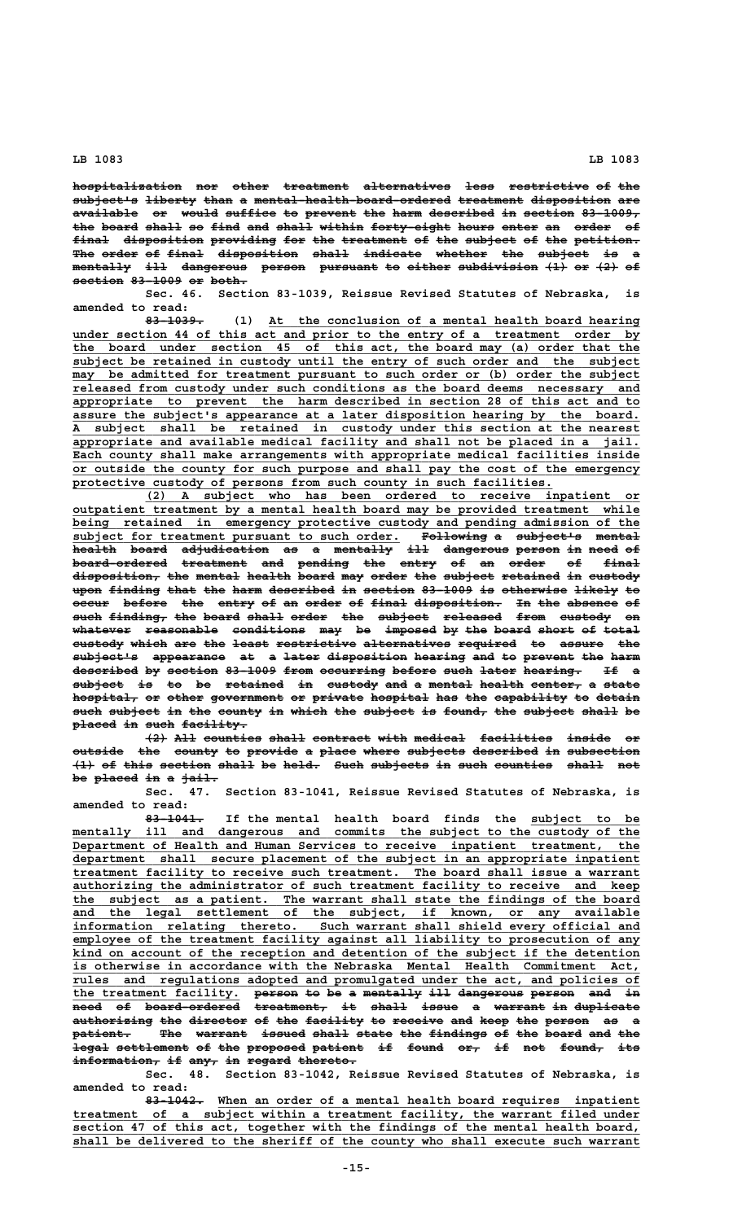hospitalization nor other treatment alternatives less restrictive of the  $=$   $\frac{1}{1}$   $\frac{1}{1}$   $\frac{1}{2}$   $\frac{1}{2}$   $\frac{1}{2}$   $\frac{1}{2}$   $\frac{1}{2}$   $\frac{1}{2}$   $\frac{1}{2}$   $\frac{1}{2}$   $\frac{1}{2}$   $\frac{1}{2}$   $\frac{1}{2}$   $\frac{1}{2}$   $\frac{1}{2}$   $\frac{1}{2}$   $\frac{1}{2}$   $\frac{1}{2}$   $\frac{1}{2}$   $\frac{1}{2}$   $\frac{1}{2}$   $\frac{1}{2}$ available or would suffice to prevent the harm described in section 83-1009, the board shall so find and shall within forty eight hours enter an order of **final disposition providing for the treatment of the subject of the petition. ————— ——————————— ————————— ——— ——— ————————— —— ——— ——————— —— ——— ————————— The order of final disposition shall indicate whether the subject is a ——— ————— —— ————— ——————————— ————— ———————— ——————— ——— ——————— ——**   $m$ entally ill dangerous person pursuant to either subdivision  $(1)$  or  $(2)$  of **section 83-1009 or both. ——————— ——————— —— —————**

**Sec. 46. Section 83-1039, Reissue Revised Statutes of Nebraska, is amended to read:**

 **———————— \_\_\_\_\_\_\_\_\_\_\_\_\_\_\_\_\_\_\_\_\_\_\_\_\_\_\_\_\_\_\_\_\_\_\_\_\_\_\_\_\_\_\_\_\_\_\_\_\_\_\_ 83-1039. (1) At the conclusion of a mental health board hearing** under section 44 of this act and prior to the entry of a treatment order by  **\_\_\_\_\_\_\_\_\_\_\_\_\_\_\_\_\_\_\_\_\_\_\_\_\_\_\_\_\_\_\_\_\_\_\_\_\_\_\_\_\_\_\_\_\_\_\_\_\_\_\_\_\_\_\_\_\_\_\_\_\_\_\_\_\_\_\_\_\_\_\_\_\_\_\_\_\_\_ the board under section 45 of this act, the board may (a) order that the \_\_\_\_\_\_\_\_\_\_\_\_\_\_\_\_\_\_\_\_\_\_\_\_\_\_\_\_\_\_\_\_\_\_\_\_\_\_\_\_\_\_\_\_\_\_\_\_\_\_\_\_\_\_\_\_\_\_\_\_\_\_\_\_\_\_\_\_\_\_\_\_\_\_\_\_\_\_ subject be retained in custody until the entry of such order and the subject**  $\text{may}$  be admitted for treatment pursuant to such order or (b) order the subject  **\_\_\_\_\_\_\_\_\_\_\_\_\_\_\_\_\_\_\_\_\_\_\_\_\_\_\_\_\_\_\_\_\_\_\_\_\_\_\_\_\_\_\_\_\_\_\_\_\_\_\_\_\_\_\_\_\_\_\_\_\_\_\_\_\_\_\_\_\_\_\_\_\_\_\_\_\_\_ released from custody under such conditions as the board deems necessary and \_\_\_\_\_\_\_\_\_\_\_\_\_\_\_\_\_\_\_\_\_\_\_\_\_\_\_\_\_\_\_\_\_\_\_\_\_\_\_\_\_\_\_\_\_\_\_\_\_\_\_\_\_\_\_\_\_\_\_\_\_\_\_\_\_\_\_\_\_\_\_\_\_\_\_\_\_\_ appropriate to prevent the harm described in section 28 of this act and to \_\_\_\_\_\_\_\_\_\_\_\_\_\_\_\_\_\_\_\_\_\_\_\_\_\_\_\_\_\_\_\_\_\_\_\_\_\_\_\_\_\_\_\_\_\_\_\_\_\_\_\_\_\_\_\_\_\_\_\_\_\_\_\_\_\_\_\_\_\_\_\_\_\_\_\_\_\_ assure the subject's appearance at a later disposition hearing by the board. \_\_\_\_\_\_\_\_\_\_\_\_\_\_\_\_\_\_\_\_\_\_\_\_\_\_\_\_\_\_\_\_\_\_\_\_\_\_\_\_\_\_\_\_\_\_\_\_\_\_\_\_\_\_\_\_\_\_\_\_\_\_\_\_\_\_\_\_\_\_\_\_\_\_\_\_\_\_ A subject shall be retained in custody under this section at the nearest \_\_\_\_\_\_\_\_\_\_\_\_\_\_\_\_\_\_\_\_\_\_\_\_\_\_\_\_\_\_\_\_\_\_\_\_\_\_\_\_\_\_\_\_\_\_\_\_\_\_\_\_\_\_\_\_\_\_\_\_\_\_\_\_\_\_\_\_\_\_\_\_\_\_\_\_\_\_ appropriate and available medical facility and shall not be placed in a jail. \_\_\_\_\_\_\_\_\_\_\_\_\_\_\_\_\_\_\_\_\_\_\_\_\_\_\_\_\_\_\_\_\_\_\_\_\_\_\_\_\_\_\_\_\_\_\_\_\_\_\_\_\_\_\_\_\_\_\_\_\_\_\_\_\_\_\_\_\_\_\_\_\_\_\_\_\_\_ Each county shall make arrangements with appropriate medical facilities inside \_\_\_\_\_\_\_\_\_\_\_\_\_\_\_\_\_\_\_\_\_\_\_\_\_\_\_\_\_\_\_\_\_\_\_\_\_\_\_\_\_\_\_\_\_\_\_\_\_\_\_\_\_\_\_\_\_\_\_\_\_\_\_\_\_\_\_\_\_\_\_\_\_\_\_\_\_\_ or outside the county for such purpose and shall pay the cost of the emergency \_\_\_\_\_\_\_\_\_\_\_\_\_\_\_\_\_\_\_\_\_\_\_\_\_\_\_\_\_\_\_\_\_\_\_\_\_\_\_\_\_\_\_\_\_\_\_\_\_\_\_\_\_\_\_\_\_\_\_\_\_\_\_\_\_\_ protective custody of persons from such county in such facilities.**

 **\_\_\_\_\_\_\_\_\_\_\_\_\_\_\_\_\_\_\_\_\_\_\_\_\_\_\_\_\_\_\_\_\_\_\_\_\_\_\_\_\_\_\_\_\_\_\_\_\_\_\_\_\_\_\_\_\_\_\_\_\_\_\_\_\_\_\_\_ (2) A subject who has been ordered to receive inpatient or \_\_\_\_\_\_\_\_\_\_\_\_\_\_\_\_\_\_\_\_\_\_\_\_\_\_\_\_\_\_\_\_\_\_\_\_\_\_\_\_\_\_\_\_\_\_\_\_\_\_\_\_\_\_\_\_\_\_\_\_\_\_\_\_\_\_\_\_\_\_\_\_\_\_\_\_\_\_ outpatient treatment by a mental health board may be provided treatment while \_\_\_\_\_\_\_\_\_\_\_\_\_\_\_\_\_\_\_\_\_\_\_\_\_\_\_\_\_\_\_\_\_\_\_\_\_\_\_\_\_\_\_\_\_\_\_\_\_\_\_\_\_\_\_\_\_\_\_\_\_\_\_\_\_\_\_\_\_\_\_\_\_\_\_\_\_\_ being retained in emergency protective custody and pending admission of the** subject for treatment pursuant to such order. <del>Following a subject's</del> mental **health board adjudication as a mentally ill dangerous person in need of —————— ————— ———————————— —— — ———————— ——— ————————— —————— —— ———— —** b<del>oard-ordered treatment and pending the entry of an order of final</del>  $d$ isposition, the mental health board may order the subject retained in custody upon finding that the harm described in section 83 1009 is otherwise likely to **occur before the entry of an order of final disposition. In the absence of ————— —————— ——— ————— —— —— ————— —— ————— ———————————— —— ——— ——————— — such finding, the board shall order the subject released from custody on ———— ———————— ——— ————— ————— ————— ——— ——————— ———————— ———— ——————— —** whatever reasonable conditions may be imposed by the board short of total custody which are the least restrictive alternatives required to assure the  ${\tt subject-}\space{\begin{tabular}{l} \hbox{\textbf{a}}} \end{tabular}}$  appearance at a later disposition hearing and to prevent the harm described by section 83-1009 from occurring before such later hearing. If a subject is to be retained in custody and a mental health center, a state  ${\tt hospital-}$  or other government or private hospital has the capability to detain such subject in the county in which the subject is found, the subject shall be placed in such facility.

**(2) All counties shall contract with medical facilities inside or ——— ——— ———————— ————— ———————— ———— ——————— —————————— —————— ——**  ${\small \textbf{outside} \quad \textbf{the} \quad \textbf{county to} \quad \textbf{provided} \quad \textbf{a} \quad \textbf{plate} \quad \textbf{where} \quad \textbf{subsection}}$  $+1$  of this section shall be held. Such subjects in such counties shall not be p<del>laced</del> in a jail.

**Sec. 47. Section 83-1041, Reissue Revised Statutes of Nebraska, is amended to read:**

83-1041. If the mental health board finds the subject to be  $mentally$  ill and dangerous and commits the subject to the custody of the  **\_\_\_\_\_\_\_\_\_\_\_\_\_\_\_\_\_\_\_\_\_\_\_\_\_\_\_\_\_\_\_\_\_\_\_\_\_\_\_\_\_\_\_\_\_\_\_\_\_\_\_\_\_\_\_\_\_\_\_\_\_\_\_\_\_\_\_\_\_\_\_\_\_\_\_\_\_\_ Department of Health and Human Services to receive inpatient treatment, the \_\_\_\_\_\_\_\_\_\_\_\_\_\_\_\_\_\_\_\_\_\_\_\_\_\_\_\_\_\_\_\_\_\_\_\_\_\_\_\_\_\_\_\_\_\_\_\_\_\_\_\_\_\_\_\_\_\_\_\_\_\_\_\_\_\_\_\_\_\_\_\_\_\_\_\_\_\_ department shall secure placement of the subject in an appropriate inpatient** treatment facility to receive such treatment. The board shall issue a warrant  **\_\_\_\_\_\_\_\_\_\_\_\_\_\_\_\_\_\_\_\_\_\_\_\_\_\_\_\_\_\_\_\_\_\_\_\_\_\_\_\_\_\_\_\_\_\_\_\_\_\_\_\_\_\_\_\_\_\_\_\_\_\_\_\_\_\_\_\_\_\_\_\_\_\_\_\_\_\_ authorizing the administrator of such treatment facility to receive and keep** the subject as a patient. The warrant shall state the findings of the board  **\_\_\_\_\_\_\_\_\_\_\_\_\_\_\_\_\_\_\_\_\_\_\_\_\_\_\_\_\_\_\_\_\_\_\_\_\_\_\_\_\_\_\_\_\_\_\_\_\_\_\_\_\_\_\_\_\_\_\_\_\_\_\_\_\_\_\_\_\_\_\_\_\_\_\_\_\_\_ and the legal settlement of the subject, if known, or any available \_\_\_\_\_\_\_\_\_\_\_\_\_\_\_\_\_\_\_\_\_\_\_\_\_\_\_\_\_\_\_\_\_\_\_\_\_\_\_\_\_\_\_\_\_\_\_\_\_\_\_\_\_\_\_\_\_\_\_\_\_\_\_\_\_\_\_\_\_\_\_\_\_\_\_\_\_\_ information relating thereto. Such warrant shall shield every official and \_\_\_\_\_\_\_\_\_\_\_\_\_\_\_\_\_\_\_\_\_\_\_\_\_\_\_\_\_\_\_\_\_\_\_\_\_\_\_\_\_\_\_\_\_\_\_\_\_\_\_\_\_\_\_\_\_\_\_\_\_\_\_\_\_\_\_\_\_\_\_\_\_\_\_\_\_\_ employee of the treatment facility against all liability to prosecution of any \_\_\_\_\_\_\_\_\_\_\_\_\_\_\_\_\_\_\_\_\_\_\_\_\_\_\_\_\_\_\_\_\_\_\_\_\_\_\_\_\_\_\_\_\_\_\_\_\_\_\_\_\_\_\_\_\_\_\_\_\_\_\_\_\_\_\_\_\_\_\_\_\_\_\_\_\_\_ kind on account of the reception and detention of the subject if the detention \_\_\_\_\_\_\_\_\_\_\_\_\_\_\_\_\_\_\_\_\_\_\_\_\_\_\_\_\_\_\_\_\_\_\_\_\_\_\_\_\_\_\_\_\_\_\_\_\_\_\_\_\_\_\_\_\_\_\_\_\_\_\_\_\_\_\_\_\_\_\_\_\_\_\_\_\_\_ is otherwise in accordance with the Nebraska Mental Health Commitment Act, \_\_\_\_\_\_\_\_\_\_\_\_\_\_\_\_\_\_\_\_\_\_\_\_\_\_\_\_\_\_\_\_\_\_\_\_\_\_\_\_\_\_\_\_\_\_\_\_\_\_\_\_\_\_\_\_\_\_\_\_\_\_\_\_\_\_\_\_\_\_\_\_\_\_\_\_\_\_ rules and regulations adopted and promulgated under the act, and policies of** the treatment facility. person to be a mentally ill dangerous person and in **need of board-ordered treatment, it shall issue a warrant in duplicate ———— —— ————————————— —————————— —— ————— ————— — ——————— —— ————————** authorizing the director of the facility to receive and keep the person as a patient. The warrant issued shall state the findings of the board and the  $\frac{1}{1}$  settlement of the proposed patient if found or, if not found, its **information, if any, in regard thereto. ———————————— —— ———— —— —————— ————————**

> **Sec. 48. Section 83-1042, Reissue Revised Statutes of Nebraska, is amended to read:**

 **———————— \_\_\_\_\_\_\_\_\_\_\_\_\_\_\_\_\_\_\_\_\_\_\_\_\_\_\_\_\_\_\_\_\_\_\_\_\_\_\_\_\_\_\_\_\_\_\_\_\_\_\_\_\_\_\_\_\_\_ 83-1042. When an order of a mental health board requires inpatient \_\_\_\_\_\_\_\_\_\_\_\_\_\_\_\_\_\_\_\_\_\_\_\_\_\_\_\_\_\_\_\_\_\_\_\_\_\_\_\_\_\_\_\_\_\_\_\_\_\_\_\_\_\_\_\_\_\_\_\_\_\_\_\_\_\_\_\_\_\_\_\_\_\_\_\_\_\_ treatment of a subject within a treatment facility, the warrant filed under** treatment of a subject within a treatment facility, the warrant filed under section 47 of this act, together with the findings of the mental health board, shall be delivered to the sheriff of the county who shall execute such warrant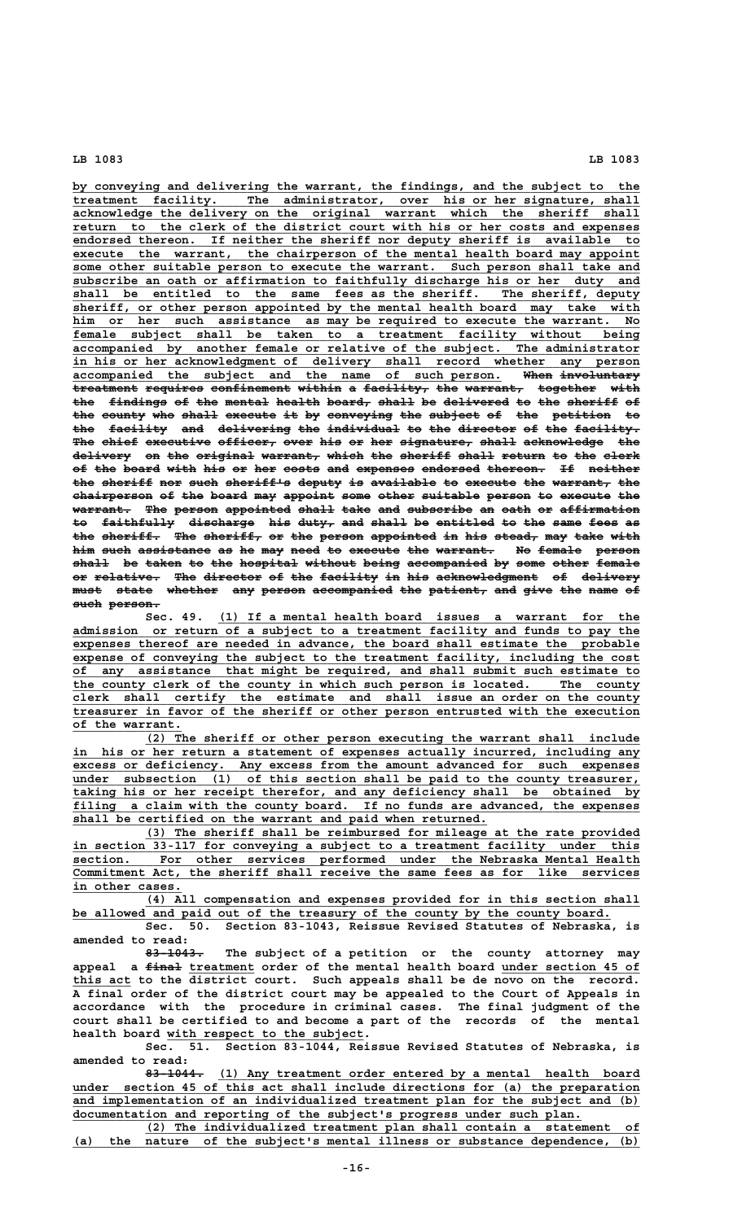**\_\_\_\_\_\_\_\_\_\_\_\_\_\_\_\_\_\_\_\_\_\_\_\_\_\_\_\_\_\_\_\_\_\_\_\_\_\_\_\_\_\_\_\_\_\_\_\_\_\_\_\_\_\_\_\_\_\_\_\_\_\_\_\_\_\_\_\_\_\_\_\_\_\_\_\_\_\_ by conveying and delivering the warrant, the findings, and the subject to the**  $t$ reatment facility. The administrator, over his or her signature, shall  **\_\_\_\_\_\_\_\_\_\_\_\_\_\_\_\_\_\_\_\_\_\_\_\_\_\_\_\_\_\_\_\_\_\_\_\_\_\_\_\_\_\_\_\_\_\_\_\_\_\_\_\_\_\_\_\_\_\_\_\_\_\_\_\_\_\_\_\_\_\_\_\_\_\_\_\_\_\_ acknowledge the delivery on the original warrant which the sheriff shall \_\_\_\_\_\_\_\_\_\_\_\_\_\_\_\_\_\_\_\_\_\_\_\_\_\_\_\_\_\_\_\_\_\_\_\_\_\_\_\_\_\_\_\_\_\_\_\_\_\_\_\_\_\_\_\_\_\_\_\_\_\_\_\_\_\_\_\_\_\_\_\_\_\_\_\_\_\_ return to the clerk of the district court with his or her costs and expenses \_\_\_\_\_\_\_\_\_\_\_\_\_\_\_\_\_\_\_\_\_\_\_\_\_\_\_\_\_\_\_\_\_\_\_\_\_\_\_\_\_\_\_\_\_\_\_\_\_\_\_\_\_\_\_\_\_\_\_\_\_\_\_\_\_\_\_\_\_\_\_\_\_\_\_\_\_\_ endorsed thereon. If neither the sheriff nor deputy sheriff is available to** execute the warrant, the chairperson of the mental health board may appoint some other suitable person to execute the warrant. Such person shall take and  **\_\_\_\_\_\_\_\_\_\_\_\_\_\_\_\_\_\_\_\_\_\_\_\_\_\_\_\_\_\_\_\_\_\_\_\_\_\_\_\_\_\_\_\_\_\_\_\_\_\_\_\_\_\_\_\_\_\_\_\_\_\_\_\_\_\_\_\_\_\_\_\_\_\_\_\_\_\_ subscribe an oath or affirmation to faithfully discharge his or her duty and** shall be entitled to the same fees as the sheriff. The sheriff, deputy  **\_\_\_\_\_\_\_\_\_\_\_\_\_\_\_\_\_\_\_\_\_\_\_\_\_\_\_\_\_\_\_\_\_\_\_\_\_\_\_\_\_\_\_\_\_\_\_\_\_\_\_\_\_\_\_\_\_\_\_\_\_\_\_\_\_\_\_\_\_\_\_\_\_\_\_\_\_\_ sheriff, or other person appointed by the mental health board may take with**  $\begin{array}{llll} \hbox{him} & \hbox{or} & \hbox{her} & \hbox{such} & \hbox{assistance} & \hbox{as may be required to execute the warrant.} & \hbox{No} \end{array}$  **\_\_\_\_\_\_\_\_\_\_\_\_\_\_\_\_\_\_\_\_\_\_\_\_\_\_\_\_\_\_\_\_\_\_\_\_\_\_\_\_\_\_\_\_\_\_\_\_\_\_\_\_\_\_\_\_\_\_\_\_\_\_\_\_\_\_\_\_\_\_\_\_\_\_\_\_\_\_ female subject shall be taken to a treatment facility without being \_\_\_\_\_\_\_\_\_\_\_\_\_\_\_\_\_\_\_\_\_\_\_\_\_\_\_\_\_\_\_\_\_\_\_\_\_\_\_\_\_\_\_\_\_\_\_\_\_\_\_\_\_\_\_\_\_\_\_\_\_\_\_\_\_\_\_\_\_\_\_\_\_\_\_\_\_\_ accompanied by another female or relative of the subject. The administrator \_\_\_\_\_\_\_\_\_\_\_\_\_\_\_\_\_\_\_\_\_\_\_\_\_\_\_\_\_\_\_\_\_\_\_\_\_\_\_\_\_\_\_\_\_\_\_\_\_\_\_\_\_\_\_\_\_\_\_\_\_\_\_\_\_\_\_\_\_\_\_\_\_\_\_\_\_\_ in his or her acknowledgment of delivery shall record whether any person** accompanied the subject and the name of such person. When involuntary  $\overline{\text{treatment required}}$  requires confinement within a facility, the warrant, together with the findings of the mental health board, shall be delivered to the sheriff of the county who shall execute it by conveying the subject of the petition to the facility and delivering the individual to the director of the facility. The chief executive officer, over his or her signature, shall acknowledge the delivery on the original warrant, which the sheriff shall return to the clerk of the board with his or her costs and expenses endorsed thereon. If neither the sheriff nor such sheriff's deputy is available to execute the warrant, the chairperson of the board may appoint some other suitable person to execute the **warrant.** The person appointed shall take and subscribe an oath or affirmation to faithfully discharge his duty, and shall be entitled to the same fees as the sheriff. The sheriff, or the person appointed in his stead, may take with him such assistance as he may need to execute the warrant. Ho female person  $\texttt{shall}$  be taken to the hospital without being accompanied by some other female or relative. The director of the facility in his acknowledgment of delivery must state whether any person accompanied the patient, and give the name of  $<sub>such</sub> person.$ </sub>

 **\_\_\_\_\_\_\_\_\_\_\_\_\_\_\_\_\_\_\_\_\_\_\_\_\_\_\_\_\_\_\_\_\_\_\_\_\_\_\_\_\_\_\_\_\_\_\_\_\_\_\_\_\_\_\_\_\_\_ Sec. 49. (1) If a mental health board issues a warrant for the \_\_\_\_\_\_\_\_\_\_\_\_\_\_\_\_\_\_\_\_\_\_\_\_\_\_\_\_\_\_\_\_\_\_\_\_\_\_\_\_\_\_\_\_\_\_\_\_\_\_\_\_\_\_\_\_\_\_\_\_\_\_\_\_\_\_\_\_\_\_\_\_\_\_\_\_\_\_ admission or return of a subject to a treatment facility and funds to pay the** expenses thereof are needed in advance, the board shall estimate the probable expense of conveying the subject to the treatment facility, including the cost  **\_\_\_\_\_\_\_\_\_\_\_\_\_\_\_\_\_\_\_\_\_\_\_\_\_\_\_\_\_\_\_\_\_\_\_\_\_\_\_\_\_\_\_\_\_\_\_\_\_\_\_\_\_\_\_\_\_\_\_\_\_\_\_\_\_\_\_\_\_\_\_\_\_\_\_\_\_\_ of any assistance that might be required, and shall submit such estimate to** the county clerk of the county in which such person is located. The county  **\_\_\_\_\_\_\_\_\_\_\_\_\_\_\_\_\_\_\_\_\_\_\_\_\_\_\_\_\_\_\_\_\_\_\_\_\_\_\_\_\_\_\_\_\_\_\_\_\_\_\_\_\_\_\_\_\_\_\_\_\_\_\_\_\_\_\_\_\_\_\_\_\_\_\_\_\_\_ clerk shall certify the estimate and shall issue an order on the county \_\_\_\_\_\_\_\_\_\_\_\_\_\_\_\_\_\_\_\_\_\_\_\_\_\_\_\_\_\_\_\_\_\_\_\_\_\_\_\_\_\_\_\_\_\_\_\_\_\_\_\_\_\_\_\_\_\_\_\_\_\_\_\_\_\_\_\_\_\_\_\_\_\_\_\_\_\_ treasurer in favor of the sheriff or other person entrusted with the execution \_\_\_\_\_\_\_\_\_\_\_\_\_\_\_ of the warrant.**

 **\_\_\_\_\_\_\_\_\_\_\_\_\_\_\_\_\_\_\_\_\_\_\_\_\_\_\_\_\_\_\_\_\_\_\_\_\_\_\_\_\_\_\_\_\_\_\_\_\_\_\_\_\_\_\_\_\_\_\_\_\_\_\_\_\_\_\_\_ (2) The sheriff or other person executing the warrant shall include \_\_\_\_\_\_\_\_\_\_\_\_\_\_\_\_\_\_\_\_\_\_\_\_\_\_\_\_\_\_\_\_\_\_\_\_\_\_\_\_\_\_\_\_\_\_\_\_\_\_\_\_\_\_\_\_\_\_\_\_\_\_\_\_\_\_\_\_\_\_\_\_\_\_\_\_\_\_ in his or her return a statement of expenses actually incurred, including any \_\_\_\_\_\_\_\_\_\_\_\_\_\_\_\_\_\_\_\_\_\_\_\_\_\_\_\_\_\_\_\_\_\_\_\_\_\_\_\_\_\_\_\_\_\_\_\_\_\_\_\_\_\_\_\_\_\_\_\_\_\_\_\_\_\_\_\_\_\_\_\_\_\_\_\_\_\_ excess or deficiency. Any excess from the amount advanced for such expenses \_\_\_\_\_\_\_\_\_\_\_\_\_\_\_\_\_\_\_\_\_\_\_\_\_\_\_\_\_\_\_\_\_\_\_\_\_\_\_\_\_\_\_\_\_\_\_\_\_\_\_\_\_\_\_\_\_\_\_\_\_\_\_\_\_\_\_\_\_\_\_\_\_\_\_\_\_\_ under subsection (1) of this section shall be paid to the county treasurer, \_\_\_\_\_\_\_\_\_\_\_\_\_\_\_\_\_\_\_\_\_\_\_\_\_\_\_\_\_\_\_\_\_\_\_\_\_\_\_\_\_\_\_\_\_\_\_\_\_\_\_\_\_\_\_\_\_\_\_\_\_\_\_\_\_\_\_\_\_\_\_\_\_\_\_\_\_\_ taking his or her receipt therefor, and any deficiency shall be obtained by \_\_\_\_\_\_\_\_\_\_\_\_\_\_\_\_\_\_\_\_\_\_\_\_\_\_\_\_\_\_\_\_\_\_\_\_\_\_\_\_\_\_\_\_\_\_\_\_\_\_\_\_\_\_\_\_\_\_\_\_\_\_\_\_\_\_\_\_\_\_\_\_\_\_\_\_\_\_ filing a claim with the county board. If no funds are advanced, the expenses** shall be certified on the warrant and paid when returned.

 **\_\_\_\_\_\_\_\_\_\_\_\_\_\_\_\_\_\_\_\_\_\_\_\_\_\_\_\_\_\_\_\_\_\_\_\_\_\_\_\_\_\_\_\_\_\_\_\_\_\_\_\_\_\_\_\_\_\_\_\_\_\_\_\_\_\_\_\_ (3) The sheriff shall be reimbursed for mileage at the rate provided \_\_\_\_\_\_\_\_\_\_\_\_\_\_\_\_\_\_\_\_\_\_\_\_\_\_\_\_\_\_\_\_\_\_\_\_\_\_\_\_\_\_\_\_\_\_\_\_\_\_\_\_\_\_\_\_\_\_\_\_\_\_\_\_\_\_\_\_\_\_\_\_\_\_\_\_\_\_ in section 33-117 for conveying a subject to a treatment facility under this \_\_\_\_\_\_\_\_\_\_\_\_\_\_\_\_\_\_\_\_\_\_\_\_\_\_\_\_\_\_\_\_\_\_\_\_\_\_\_\_\_\_\_\_\_\_\_\_\_\_\_\_\_\_\_\_\_\_\_\_\_\_\_\_\_\_\_\_\_\_\_\_\_\_\_\_\_\_ section. For other services performed under the Nebraska Mental Health \_\_\_\_\_\_\_\_\_\_\_\_\_\_\_\_\_\_\_\_\_\_\_\_\_\_\_\_\_\_\_\_\_\_\_\_\_\_\_\_\_\_\_\_\_\_\_\_\_\_\_\_\_\_\_\_\_\_\_\_\_\_\_\_\_\_\_\_\_\_\_\_\_\_\_\_\_\_ Commitment Act, the sheriff shall receive the same fees as for like services \_\_\_\_\_\_\_\_\_\_\_\_\_\_\_ in other cases.**

 **\_\_\_\_\_\_\_\_\_\_\_\_\_\_\_\_\_\_\_\_\_\_\_\_\_\_\_\_\_\_\_\_\_\_\_\_\_\_\_\_\_\_\_\_\_\_\_\_\_\_\_\_\_\_\_\_\_\_\_\_\_\_\_\_\_\_\_\_ (4) All compensation and expenses provided for in this section shall** be allowed and paid out of the treasury of the county by the county board.

Sec. 50. Section 83-1043, Reissue Revised Statutes of Nebraska, **amended to read:**

 **———————— 83-1043. The subject of a petition or the county attorney may ————— \_\_\_\_\_\_\_\_\_ \_\_\_\_\_\_\_\_\_\_\_\_\_\_\_\_\_\_\_ appeal a final treatment order of the mental health board under section 45 of** this act to the district court. Such appeals shall be de novo on the record. **A final order of the district court may be appealed to the Court of Appeals in accordance with the procedure in criminal cases. The final judgment of the court shall be certified to and become a part of the records of the mental \_\_\_\_\_\_\_\_\_\_\_\_\_\_\_\_\_\_\_\_\_\_\_\_\_\_\_ health board with respect to the subject.**

**Sec. 51. Section 83-1044, Reissue Revised Statutes of Nebraska, is amended to read:**

 **———————— \_\_\_\_\_\_\_\_\_\_\_\_\_\_\_\_\_\_\_\_\_\_\_\_\_\_\_\_\_\_\_\_\_\_\_\_\_\_\_\_\_\_\_\_\_\_\_\_\_\_\_\_\_\_\_\_\_\_ 83-1044. (1) Any treatment order entered by a mental health board** under section 45 of this act shall include directions for (a) the preparation  **\_\_\_\_\_\_\_\_\_\_\_\_\_\_\_\_\_\_\_\_\_\_\_\_\_\_\_\_\_\_\_\_\_\_\_\_\_\_\_\_\_\_\_\_\_\_\_\_\_\_\_\_\_\_\_\_\_\_\_\_\_\_\_\_\_\_\_\_\_\_\_\_\_\_\_\_\_\_ and implementation of an individualized treatment plan for the subject and (b) \_\_\_\_\_\_\_\_\_\_\_\_\_\_\_\_\_\_\_\_\_\_\_\_\_\_\_\_\_\_\_\_\_\_\_\_\_\_\_\_\_\_\_\_\_\_\_\_\_\_\_\_\_\_\_\_\_\_\_\_\_\_\_\_\_\_\_\_\_\_ documentation and reporting of the subject's progress under such plan.**

 **\_\_\_\_\_\_\_\_\_\_\_\_\_\_\_\_\_\_\_\_\_\_\_\_\_\_\_\_\_\_\_\_\_\_\_\_\_\_\_\_\_\_\_\_\_\_\_\_\_\_\_\_\_\_\_\_\_\_\_\_\_\_\_\_\_\_\_\_ (2) The individualized treatment plan shall contain a statement of \_\_\_\_\_\_\_\_\_\_\_\_\_\_\_\_\_\_\_\_\_\_\_\_\_\_\_\_\_\_\_\_\_\_\_\_\_\_\_\_\_\_\_\_\_\_\_\_\_\_\_\_\_\_\_\_\_\_\_\_\_\_\_\_\_\_\_\_\_\_\_\_\_\_\_\_\_\_ (a) the nature of the subject's mental illness or substance dependence, (b)**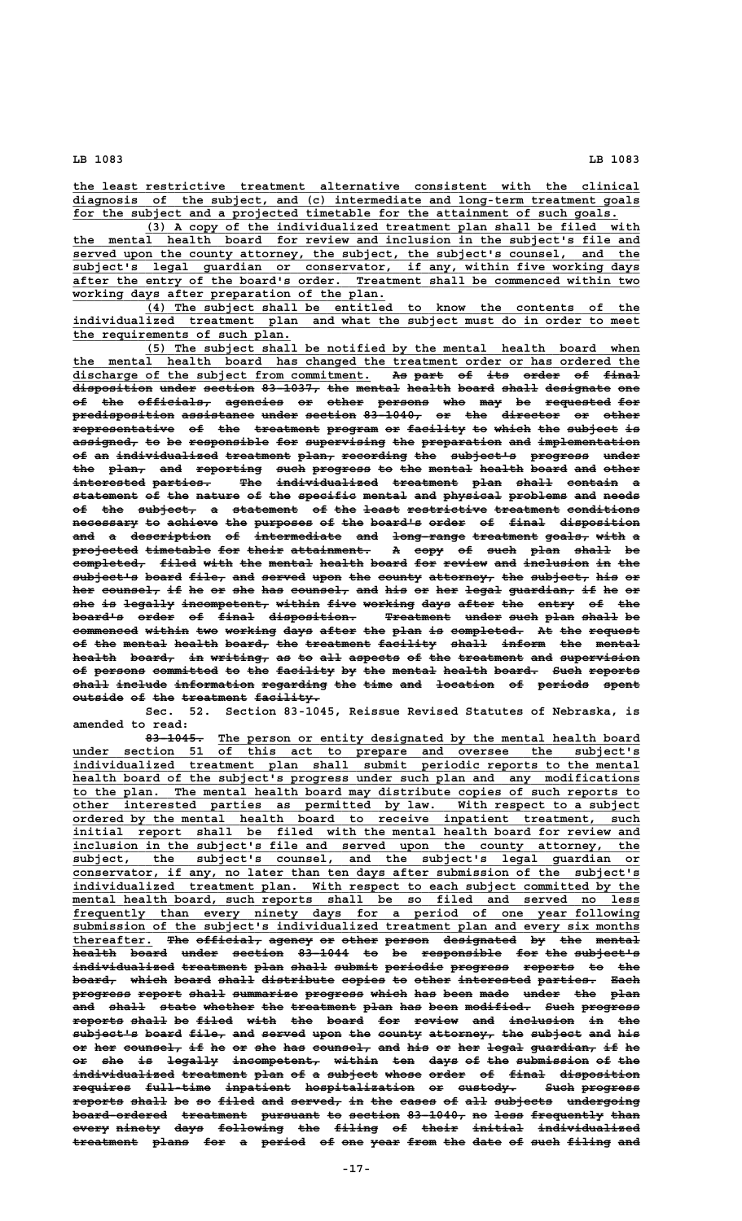**\_\_\_\_\_\_\_\_\_\_\_\_\_\_\_\_\_\_\_\_\_\_\_\_\_\_\_\_\_\_\_\_\_\_\_\_\_\_\_\_\_\_\_\_\_\_\_\_\_\_\_\_\_\_\_\_\_\_\_\_\_\_\_\_\_\_\_\_\_\_\_\_\_\_\_\_\_\_ the least restrictive treatment alternative consistent with the clinical \_\_\_\_\_\_\_\_\_\_\_\_\_\_\_\_\_\_\_\_\_\_\_\_\_\_\_\_\_\_\_\_\_\_\_\_\_\_\_\_\_\_\_\_\_\_\_\_\_\_\_\_\_\_\_\_\_\_\_\_\_\_\_\_\_\_\_\_\_\_\_\_\_\_\_\_\_\_ diagnosis of the subject, and (c) intermediate and long-term treatment goals** for the subject and a projected timetable for the attainment of such goals.

 **\_\_\_\_\_\_\_\_\_\_\_\_\_\_\_\_\_\_\_\_\_\_\_\_\_\_\_\_\_\_\_\_\_\_\_\_\_\_\_\_\_\_\_\_\_\_\_\_\_\_\_\_\_\_\_\_\_\_\_\_\_\_\_\_\_\_\_\_ (3) A copy of the individualized treatment plan shall be filed with \_\_\_\_\_\_\_\_\_\_\_\_\_\_\_\_\_\_\_\_\_\_\_\_\_\_\_\_\_\_\_\_\_\_\_\_\_\_\_\_\_\_\_\_\_\_\_\_\_\_\_\_\_\_\_\_\_\_\_\_\_\_\_\_\_\_\_\_\_\_\_\_\_\_\_\_\_\_ the mental health board for review and inclusion in the subject's file and \_\_\_\_\_\_\_\_\_\_\_\_\_\_\_\_\_\_\_\_\_\_\_\_\_\_\_\_\_\_\_\_\_\_\_\_\_\_\_\_\_\_\_\_\_\_\_\_\_\_\_\_\_\_\_\_\_\_\_\_\_\_\_\_\_\_\_\_\_\_\_\_\_\_\_\_\_\_ served upon the county attorney, the subject, the subject's counsel, and the \_\_\_\_\_\_\_\_\_\_\_\_\_\_\_\_\_\_\_\_\_\_\_\_\_\_\_\_\_\_\_\_\_\_\_\_\_\_\_\_\_\_\_\_\_\_\_\_\_\_\_\_\_\_\_\_\_\_\_\_\_\_\_\_\_\_\_\_\_\_\_\_\_\_\_\_\_\_ subject's legal guardian or conservator, if any, within five working days \_\_\_\_\_\_\_\_\_\_\_\_\_\_\_\_\_\_\_\_\_\_\_\_\_\_\_\_\_\_\_\_\_\_\_\_\_\_\_\_\_\_\_\_\_\_\_\_\_\_\_\_\_\_\_\_\_\_\_\_\_\_\_\_\_\_\_\_\_\_\_\_\_\_\_\_\_\_ after the entry of the board's order. Treatment shall be commenced within two \_\_\_\_\_\_\_\_\_\_\_\_\_\_\_\_\_\_\_\_\_\_\_\_\_\_\_\_\_\_\_\_\_\_\_\_\_\_\_\_\_\_\_ working days after preparation of the plan.**

 **\_\_\_\_\_\_\_\_\_\_\_\_\_\_\_\_\_\_\_\_\_\_\_\_\_\_\_\_\_\_\_\_\_\_\_\_\_\_\_\_\_\_\_\_\_\_\_\_\_\_\_\_\_\_\_\_\_\_\_\_\_\_\_\_\_\_\_\_ (4) The subject shall be entitled to know the contents of the \_\_\_\_\_\_\_\_\_\_\_\_\_\_\_\_\_\_\_\_\_\_\_\_\_\_\_\_\_\_\_\_\_\_\_\_\_\_\_\_\_\_\_\_\_\_\_\_\_\_\_\_\_\_\_\_\_\_\_\_\_\_\_\_\_\_\_\_\_\_\_\_\_\_\_\_\_\_ individualized treatment plan and what the subject must do in order to meet \_\_\_\_\_\_\_\_\_\_\_\_\_\_\_\_\_\_\_\_\_\_\_\_\_\_\_\_\_\_ the requirements of such plan.**

 **\_\_\_\_\_\_\_\_\_\_\_\_\_\_\_\_\_\_\_\_\_\_\_\_\_\_\_\_\_\_\_\_\_\_\_\_\_\_\_\_\_\_\_\_\_\_\_\_\_\_\_\_\_\_\_\_\_\_\_\_\_\_\_\_\_\_\_\_ (5) The subject shall be notified by the mental health board when** the mental health board has changed the treatment order or has ordered the **discharge of the subject from commitment. As part of its order of final \_\_\_\_\_\_\_\_\_\_\_\_\_\_\_\_\_\_\_\_\_\_\_\_\_\_\_\_\_\_\_\_\_\_\_\_\_\_\_\_\_ —— ———— —— ——— ————— —— ———— disposition under section 83-1037, the mental health board shall designate one ——————————— ————— ——————— ———————— ——— —————— —————— ————— ————— ————————— ——** of the officials, agencies or other persons who may be requested for predisposition assistance under section 83-1040, or the director or other **representative of the treatment program or facility to which the subject is —————————————— —— ——— ————————— ——————— —— ———————— —— ————— ——— ——————— ——**  $\overline{\texttt{associated}}$  to be responsible for supervising the preparation and implementation **of an individualized treatment plan, recording the subject's progress under —— —— —————————————— ————————— ————— ————————— ——— ————————— ———————— ————** the p<del>lan, and reporting such progress to the mental health board and other  $\overline{\phantom{a}}$ </del> **interested parties. The individualized treatment plan shall contain a —————————— ———————— ——— —————————————— ————————— ———— ————— ———————**  statement of the nature of the specific mental and physical problems and needs **of the subject, a statement of the least restrictive treatment conditions —— ——— ———————— — ————————— —— ——— ————— ——————————— ————————— ——————————**  $\overline{\textbf{n}}$  and  $\overline{\textbf{n}}$  to achieve the purposes of the board's order of final disposition and a description of intermediate and long-range treatment goals, with a projected timetable for their attainment. A copy of such plan shall be **completed, filed with the mental health board for review and inclusion in the**  $s$ ubject's board file, and served upon the county attorney, the subject, his or her counsel, if he or she has counsel, and his or her legal guardian, if he or she is legally incompetent, within five working days after the entry of the<br>**board's order of final disposition.** Treatment under such plan shall be board's order of final disposition. commenced within two working days after the plan is completed. At the request of the mental health board, the treatment facility shall inform the mental health board, in writing, as to all aspects of the treatment and supervision of <del>persons committed to the facility</del> by <del>the mental health board. Such reports</del> **shall include information regarding the time and location of periods spent ————— ——————— ——————————— ————————— ——— ———— ——— ———————— —— ——————— ————**  $o$ utside of the treatment facility.

**Sec. 52. Section 83-1045, Reissue Revised Statutes of Nebraska, is amended to read:**

83-1045. The person or entity designated by the mental health board  **\_\_\_\_\_\_\_\_\_\_\_\_\_\_\_\_\_\_\_\_\_\_\_\_\_\_\_\_\_\_\_\_\_\_\_\_\_\_\_\_\_\_\_\_\_\_\_\_\_\_\_\_\_\_\_\_\_\_\_\_\_\_\_\_\_\_\_\_\_\_\_\_\_\_\_\_\_\_ under section 51 of this act to prepare and oversee the subject's \_\_\_\_\_\_\_\_\_\_\_\_\_\_\_\_\_\_\_\_\_\_\_\_\_\_\_\_\_\_\_\_\_\_\_\_\_\_\_\_\_\_\_\_\_\_\_\_\_\_\_\_\_\_\_\_\_\_\_\_\_\_\_\_\_\_\_\_\_\_\_\_\_\_\_\_\_\_ individualized treatment plan shall submit periodic reports to the mental \_\_\_\_\_\_\_\_\_\_\_\_\_\_\_\_\_\_\_\_\_\_\_\_\_\_\_\_\_\_\_\_\_\_\_\_\_\_\_\_\_\_\_\_\_\_\_\_\_\_\_\_\_\_\_\_\_\_\_\_\_\_\_\_\_\_\_\_\_\_\_\_\_\_\_\_\_\_ health board of the subject's progress under such plan and any modifications \_\_\_\_\_\_\_\_\_\_\_\_\_\_\_\_\_\_\_\_\_\_\_\_\_\_\_\_\_\_\_\_\_\_\_\_\_\_\_\_\_\_\_\_\_\_\_\_\_\_\_\_\_\_\_\_\_\_\_\_\_\_\_\_\_\_\_\_\_\_\_\_\_\_\_\_\_\_ to the plan. The mental health board may distribute copies of such reports to \_\_\_\_\_\_\_\_\_\_\_\_\_\_\_\_\_\_\_\_\_\_\_\_\_\_\_\_\_\_\_\_\_\_\_\_\_\_\_\_\_\_\_\_\_\_\_\_\_\_\_\_\_\_\_\_\_\_\_\_\_\_\_\_\_\_\_\_\_\_\_\_\_\_\_\_\_\_ other interested parties as permitted by law. With respect to a subject \_\_\_\_\_\_\_\_\_\_\_\_\_\_\_\_\_\_\_\_\_\_\_\_\_\_\_\_\_\_\_\_\_\_\_\_\_\_\_\_\_\_\_\_\_\_\_\_\_\_\_\_\_\_\_\_\_\_\_\_\_\_\_\_\_\_\_\_\_\_\_\_\_\_\_\_\_\_ ordered by the mental health board to receive inpatient treatment, such \_\_\_\_\_\_\_\_\_\_\_\_\_\_\_\_\_\_\_\_\_\_\_\_\_\_\_\_\_\_\_\_\_\_\_\_\_\_\_\_\_\_\_\_\_\_\_\_\_\_\_\_\_\_\_\_\_\_\_\_\_\_\_\_\_\_\_\_\_\_\_\_\_\_\_\_\_\_ initial report shall be filed with the mental health board for review and \_\_\_\_\_\_\_\_\_\_\_\_\_\_\_\_\_\_\_\_\_\_\_\_\_\_\_\_\_\_\_\_\_\_\_\_\_\_\_\_\_\_\_\_\_\_\_\_\_\_\_\_\_\_\_\_\_\_\_\_\_\_\_\_\_\_\_\_\_\_\_\_\_\_\_\_\_\_ inclusion in the subject's file and served upon the county attorney, the**  $\overline{\text{subject}}$ , the subject's counsel, and the subject's legal guardian or conservator, if any, no later than ten days after submission of the subject's individualized treatment plan. With respect to each subject committed by the  **\_\_\_\_\_\_\_\_\_\_\_\_\_\_\_\_\_\_\_\_\_\_\_\_\_\_\_\_\_\_\_\_\_\_\_\_\_\_\_\_\_\_\_\_\_\_\_\_\_\_\_\_\_\_\_\_\_\_\_\_\_\_\_\_\_\_\_\_\_\_\_\_\_\_\_\_\_\_ individualized treatment plan. With respect to each subject committed by the**  $m$ ental health board, such reports shall be so filed and served no less  **\_\_\_\_\_\_\_\_\_\_\_\_\_\_\_\_\_\_\_\_\_\_\_\_\_\_\_\_\_\_\_\_\_\_\_\_\_\_\_\_\_\_\_\_\_\_\_\_\_\_\_\_\_\_\_\_\_\_\_\_\_\_\_\_\_\_\_\_\_\_\_\_\_\_\_\_\_\_ frequently than every ninety days for a period of one year following \_\_\_\_\_\_\_\_\_\_\_\_\_\_\_\_\_\_\_\_\_\_\_\_\_\_\_\_\_\_\_\_\_\_\_\_\_\_\_\_\_\_\_\_\_\_\_\_\_\_\_\_\_\_\_\_\_\_\_\_\_\_\_\_\_\_\_\_\_\_\_\_\_\_\_\_\_\_ submission of the subject's individualized treatment plan and every six months** thereafter. <del>The official, agency or other person designated</del> b<del>y the mental</del> **health board under section 83-1044 to be responsible for the subject's —————— ————— ————— ——————— ——————— —— —— ——————————— ——— ——— ————————** individualized treatment plan shall submit periodie progress reports to the board, which board shall distribute copies to other interested parties. Each **progress report shall summarize progress which has been made under the plan** and shall state whether the treatment plan has been modified. Such progress reports shall be filed with the board for review and inclusion in the  $s$ ubject's board file, and served upon the county attorney, the subject and his or her counsel, if he or she has counsel, and his or her legal guardian, if he **or she is legally incompetent, within ten days of the submission of the —— ——— —— ——————— ———————————— —————— ——— ———— —— ——— —————————— —— ——** individualized treatment plan of a subject whose order of final disposition **requires full-time inpatient hospitalization or custody. Such progress ———————— ————————— ————————— ——————————————— —— ———————— ———— ————————**  $\frac{1}{2}$  reports shall be so filed and served, in the cases of all subjects undergoing board-ordered treatment pursuant to section 83-1040, no less frequently than **every ninety days following the filing of their initial individualized ————— —————— ———— ————————— ——— —————— —— ————— ——————— —————————————** treatment plans for a period of one year from the date of such filing and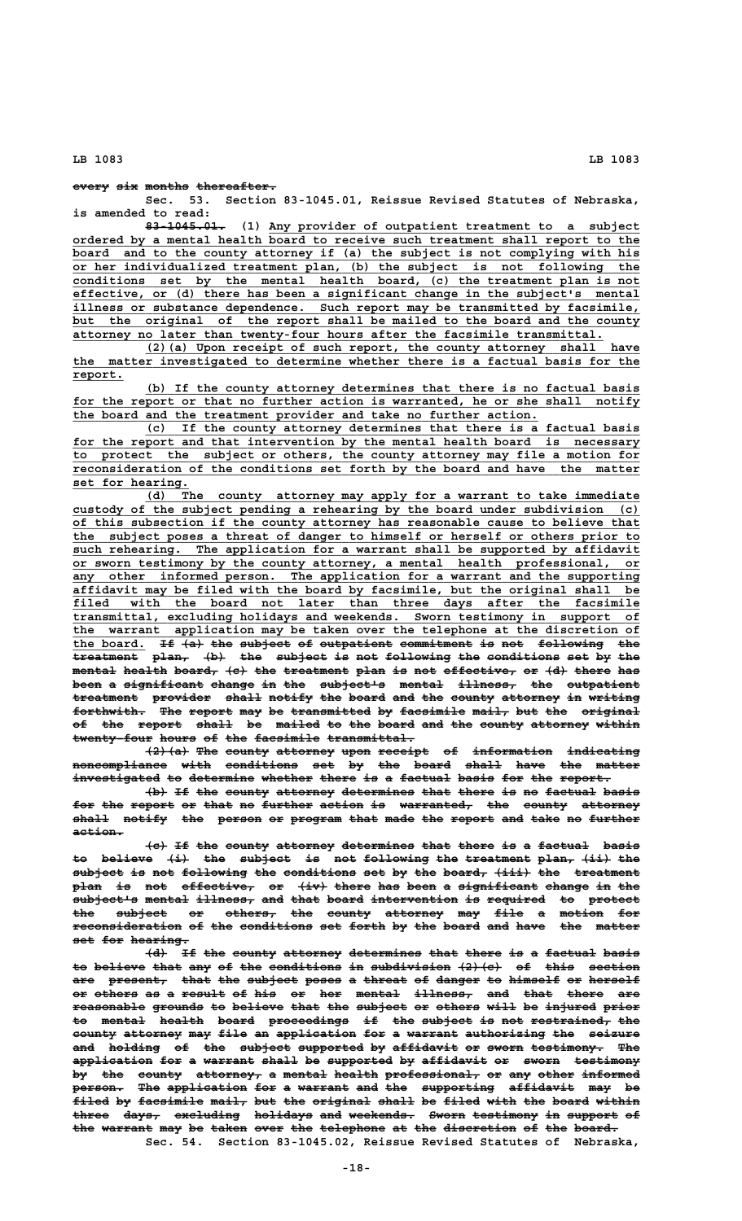## **every six months thereafter.**

**Sec. 53. Section 83-1045.01, Reissue Revised Statutes of Nebraska, is amended to read:**

83-1045.01. (1) Any provider of outpatient treatment to a subject  **\_\_\_\_\_\_\_\_\_\_\_\_\_\_\_\_\_\_\_\_\_\_\_\_\_\_\_\_\_\_\_\_\_\_\_\_\_\_\_\_\_\_\_\_\_\_\_\_\_\_\_\_\_\_\_\_\_\_\_\_\_\_\_\_\_\_\_\_\_\_\_\_\_\_\_\_\_\_ ordered by a mental health board to receive such treatment shall report to the** board and to the county attorney if (a) the subject is not complying with his  **\_\_\_\_\_\_\_\_\_\_\_\_\_\_\_\_\_\_\_\_\_\_\_\_\_\_\_\_\_\_\_\_\_\_\_\_\_\_\_\_\_\_\_\_\_\_\_\_\_\_\_\_\_\_\_\_\_\_\_\_\_\_\_\_\_\_\_\_\_\_\_\_\_\_\_\_\_\_ or her individualized treatment plan, (b) the subject is not following the \_\_\_\_\_\_\_\_\_\_\_\_\_\_\_\_\_\_\_\_\_\_\_\_\_\_\_\_\_\_\_\_\_\_\_\_\_\_\_\_\_\_\_\_\_\_\_\_\_\_\_\_\_\_\_\_\_\_\_\_\_\_\_\_\_\_\_\_\_\_\_\_\_\_\_\_\_\_ conditions set by the mental health board, (c) the treatment plan is not \_\_\_\_\_\_\_\_\_\_\_\_\_\_\_\_\_\_\_\_\_\_\_\_\_\_\_\_\_\_\_\_\_\_\_\_\_\_\_\_\_\_\_\_\_\_\_\_\_\_\_\_\_\_\_\_\_\_\_\_\_\_\_\_\_\_\_\_\_\_\_\_\_\_\_\_\_\_ effective, or (d) there has been a significant change in the subject's mental \_\_\_\_\_\_\_\_\_\_\_\_\_\_\_\_\_\_\_\_\_\_\_\_\_\_\_\_\_\_\_\_\_\_\_\_\_\_\_\_\_\_\_\_\_\_\_\_\_\_\_\_\_\_\_\_\_\_\_\_\_\_\_\_\_\_\_\_\_\_\_\_\_\_\_\_\_\_ illness or substance dependence. Such report may be transmitted by facsimile,** but the original of the report shall be mailed to the board and the county attorney no later than twenty-four hours after the facsimile transmittal.

 **\_\_\_\_\_\_\_\_\_\_\_\_\_\_\_\_\_\_\_\_\_\_\_\_\_\_\_\_\_\_\_\_\_\_\_\_\_\_\_\_\_\_\_\_\_\_\_\_\_\_\_\_\_\_\_\_\_\_\_\_\_\_\_\_\_\_\_\_ (2)(a) Upon receipt of such report, the county attorney shall have \_\_\_\_\_\_\_\_\_\_\_\_\_\_\_\_\_\_\_\_\_\_\_\_\_\_\_\_\_\_\_\_\_\_\_\_\_\_\_\_\_\_\_\_\_\_\_\_\_\_\_\_\_\_\_\_\_\_\_\_\_\_\_\_\_\_\_\_\_\_\_\_\_\_\_\_\_\_ the matter investigated to determine whether there is a factual basis for the report. \_\_\_\_\_\_\_**

 **\_\_\_\_\_\_\_\_\_\_\_\_\_\_\_\_\_\_\_\_\_\_\_\_\_\_\_\_\_\_\_\_\_\_\_\_\_\_\_\_\_\_\_\_\_\_\_\_\_\_\_\_\_\_\_\_\_\_\_\_\_\_\_\_\_\_\_\_ (b) If the county attorney determines that there is no factual basis** for the report or that no further action is warranted, he or she shall notify  **\_\_\_\_\_\_\_\_\_\_\_\_\_\_\_\_\_\_\_\_\_\_\_\_\_\_\_\_\_\_\_\_\_\_\_\_\_\_\_\_\_\_\_\_\_\_\_\_\_\_\_\_\_\_\_\_\_\_\_\_\_\_\_\_ the board and the treatment provider and take no further action.**

 **\_\_\_\_\_\_\_\_\_\_\_\_\_\_\_\_\_\_\_\_\_\_\_\_\_\_\_\_\_\_\_\_\_\_\_\_\_\_\_\_\_\_\_\_\_\_\_\_\_\_\_\_\_\_\_\_\_\_\_\_\_\_\_\_\_\_\_\_ (c) If the county attorney determines that there is a factual basis** for the report and that intervention by the mental health board is necessary  **\_\_\_\_\_\_\_\_\_\_\_\_\_\_\_\_\_\_\_\_\_\_\_\_\_\_\_\_\_\_\_\_\_\_\_\_\_\_\_\_\_\_\_\_\_\_\_\_\_\_\_\_\_\_\_\_\_\_\_\_\_\_\_\_\_\_\_\_\_\_\_\_\_\_\_\_\_\_ to protect the subject or others, the county attorney may file a motion for \_\_\_\_\_\_\_\_\_\_\_\_\_\_\_\_\_\_\_\_\_\_\_\_\_\_\_\_\_\_\_\_\_\_\_\_\_\_\_\_\_\_\_\_\_\_\_\_\_\_\_\_\_\_\_\_\_\_\_\_\_\_\_\_\_\_\_\_\_\_\_\_\_\_\_\_\_\_ reconsideration of the conditions set forth by the board and have the matter \_\_\_\_\_\_\_\_\_\_\_\_\_\_\_\_ set for hearing.**

 **\_\_\_\_\_\_\_\_\_\_\_\_\_\_\_\_\_\_\_\_\_\_\_\_\_\_\_\_\_\_\_\_\_\_\_\_\_\_\_\_\_\_\_\_\_\_\_\_\_\_\_\_\_\_\_\_\_\_\_\_\_\_\_\_\_\_\_\_ (d) The county attorney may apply for a warrant to take immediate** custody of the subject pending a rehearing by the board under subdivision (c)  **\_\_\_\_\_\_\_\_\_\_\_\_\_\_\_\_\_\_\_\_\_\_\_\_\_\_\_\_\_\_\_\_\_\_\_\_\_\_\_\_\_\_\_\_\_\_\_\_\_\_\_\_\_\_\_\_\_\_\_\_\_\_\_\_\_\_\_\_\_\_\_\_\_\_\_\_\_\_ of this subsection if the county attorney has reasonable cause to believe that \_\_\_\_\_\_\_\_\_\_\_\_\_\_\_\_\_\_\_\_\_\_\_\_\_\_\_\_\_\_\_\_\_\_\_\_\_\_\_\_\_\_\_\_\_\_\_\_\_\_\_\_\_\_\_\_\_\_\_\_\_\_\_\_\_\_\_\_\_\_\_\_\_\_\_\_\_\_ the subject poses a threat of danger to himself or herself or others prior to \_\_\_\_\_\_\_\_\_\_\_\_\_\_\_\_\_\_\_\_\_\_\_\_\_\_\_\_\_\_\_\_\_\_\_\_\_\_\_\_\_\_\_\_\_\_\_\_\_\_\_\_\_\_\_\_\_\_\_\_\_\_\_\_\_\_\_\_\_\_\_\_\_\_\_\_\_\_ such rehearing. The application for a warrant shall be supported by affidavit \_\_\_\_\_\_\_\_\_\_\_\_\_\_\_\_\_\_\_\_\_\_\_\_\_\_\_\_\_\_\_\_\_\_\_\_\_\_\_\_\_\_\_\_\_\_\_\_\_\_\_\_\_\_\_\_\_\_\_\_\_\_\_\_\_\_\_\_\_\_\_\_\_\_\_\_\_\_ or sworn testimony by the county attorney, a mental health professional, or \_\_\_\_\_\_\_\_\_\_\_\_\_\_\_\_\_\_\_\_\_\_\_\_\_\_\_\_\_\_\_\_\_\_\_\_\_\_\_\_\_\_\_\_\_\_\_\_\_\_\_\_\_\_\_\_\_\_\_\_\_\_\_\_\_\_\_\_\_\_\_\_\_\_\_\_\_\_ any other informed person. The application for a warrant and the supporting \_\_\_\_\_\_\_\_\_\_\_\_\_\_\_\_\_\_\_\_\_\_\_\_\_\_\_\_\_\_\_\_\_\_\_\_\_\_\_\_\_\_\_\_\_\_\_\_\_\_\_\_\_\_\_\_\_\_\_\_\_\_\_\_\_\_\_\_\_\_\_\_\_\_\_\_\_\_ affidavit may be filed with the board by facsimile, but the original shall be** filed with the board not later than three days after the facsimile  **\_\_\_\_\_\_\_\_\_\_\_\_\_\_\_\_\_\_\_\_\_\_\_\_\_\_\_\_\_\_\_\_\_\_\_\_\_\_\_\_\_\_\_\_\_\_\_\_\_\_\_\_\_\_\_\_\_\_\_\_\_\_\_\_\_\_\_\_\_\_\_\_\_\_\_\_\_\_ transmittal, excluding holidays and weekends. Sworn testimony in support of \_\_\_\_\_\_\_\_\_\_\_\_\_\_\_\_\_\_\_\_\_\_\_\_\_\_\_\_\_\_\_\_\_\_\_\_\_\_\_\_\_\_\_\_\_\_\_\_\_\_\_\_\_\_\_\_\_\_\_\_\_\_\_\_\_\_\_\_\_\_\_\_\_\_\_\_\_\_ the warrant application may be taken over the telephone at the discretion of** the board. If (a) the subject of outpatient commitment is not following the **treatment plan, (b) the subject is not following the conditions set by the ————————— ————— ——— ——— ——————— —— ——— ————————— ——— —————————— ——— —— ———**  $\frac{1}{2}$  mental health board, (c) the treatment plan is not effective, or (d) there has been a significant change in the subject's mental illness, the outpatient treatment provider shall notify the board and the county attorney in writing forthwith. The report may be transmitted by facsimile mail, but the original of the report shall be mailed to the board and the county attorney within twenty-four hours of the facsimile transmittal.

 $(4)$  (a) The county attorney upon receipt of information indicating noncompliance with conditions set by the board shall have the matter investigated to determine whether there is a factual basis for the report.

**(b) If the county attorney determines that there is no factual basis ——— —— ——— —————— ———————— —————————— ———— ————— —— —— ——————— ————** for the report or that no further action is warranted, the county attorney shall notify the person or program that made the report and take no further  **action. ———————**

**(c) If the county attorney determines that there is a factual basis ——— —— ——— —————— ———————— —————————— ———— ————— —— — ——————— ————** to believe  $\{\pm\}$  the subject is not following the treatment plan,  $\{\pm\}$  the  ${\tt subject \,\,i.e. \,\,not\,\,f}$  and following the conditions set by the board,  $\{ \texttt{iii} \}$  the treatment plan is not effective, or  $\{iv\}$  there has been a significant change in the  $\frac{1}{\text{subject to}}$  mental illness, and that board intervention is required to protect the subject or others, the county attorney may file a motion for reconsideration of the conditions set forth by the board and have the matter **set for hearing. ——— ——— ————————**

**(d) If the county attorney determines that there is a factual basis ——— —— ——— —————— ———————— —————————— ———— ————— —— — ——————— ————** to believe that any of the conditions in subdivision  $(2)$  (c) of this section are present, that the subject poses a threat of danger to himself or herself **or others as a result of his or her mental illness, and that there are —— —————— —— — —————— —— ——— —— ——— —————— ———————— ——— ———— ————— —— reasonable grounds to believe that the subject or others will be injured prior —————————— ——————— —— ——————— ———— ——— ——————— —— —————— ———— —— ——————— ————** to mental health board proceedings if the subject is not restrained, the county attorney may file an application for a warrant authorizing the seizure and holding of the subject supported by affidavit or sworn testimony. The application for a warrant shall be supported by affidavit or sworn testimony by the county attorney, a mental health professional, or any other informed  $\frac{p}{p}$  The application for a warrant and the supporting affidavit may be filed by facsimile mail, but the original shall be filed with the board within three days, excluding holidays and weekends. Sworn testimony in support of the warrant may be taken over the telephone at the discretion of the board.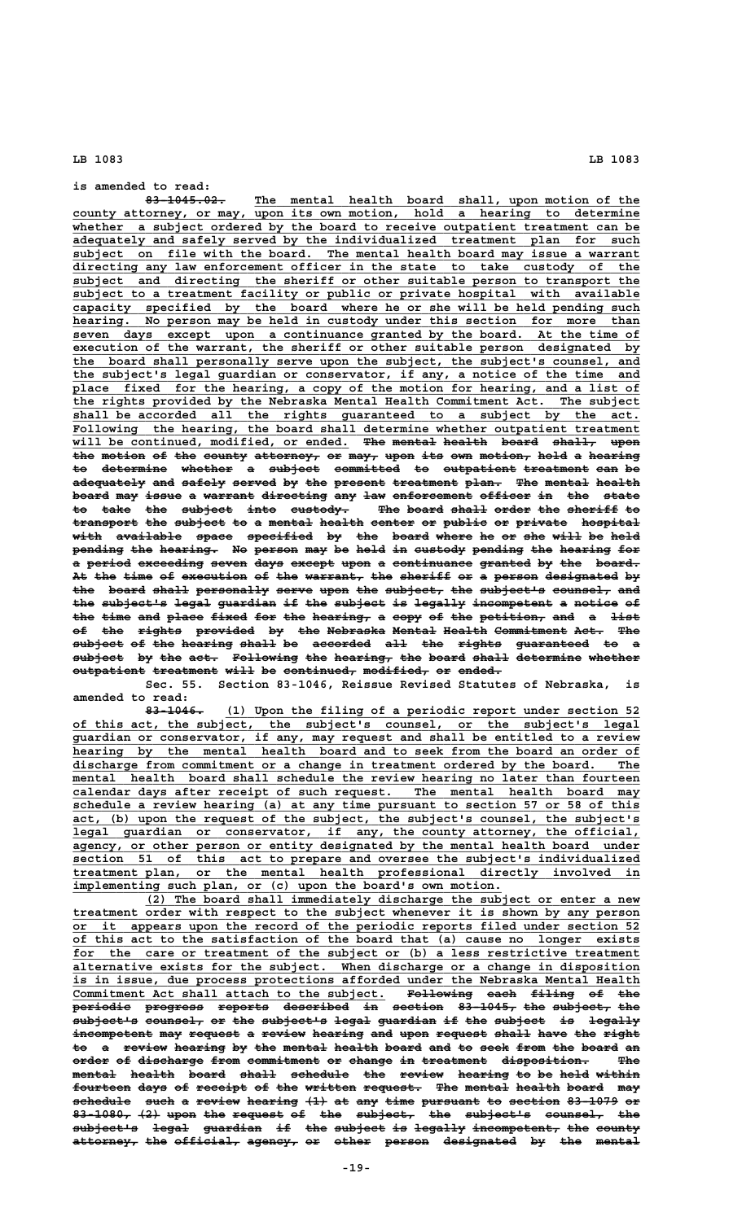**is amended to read:**

83-1045.02. The mental health board shall, upon motion of the  **\_\_\_\_\_\_\_\_\_\_\_\_\_\_\_\_\_\_\_\_\_\_\_\_\_\_\_\_\_\_\_\_\_\_\_\_\_\_\_\_\_\_\_\_\_\_\_\_\_\_\_\_\_\_\_\_\_\_\_\_\_\_\_\_\_\_\_\_\_\_\_\_\_\_\_\_\_\_ county attorney, or may, upon its own motion, hold a hearing to determine** whether a subject ordered by the board to receive outpatient treatment can be  **\_\_\_\_\_\_\_\_\_\_\_\_\_\_\_\_\_\_\_\_\_\_\_\_\_\_\_\_\_\_\_\_\_\_\_\_\_\_\_\_\_\_\_\_\_\_\_\_\_\_\_\_\_\_\_\_\_\_\_\_\_\_\_\_\_\_\_\_\_\_\_\_\_\_\_\_\_\_ adequately and safely served by the individualized treatment plan for such** subject on file with the board. The mental health board may issue a warrant  **\_\_\_\_\_\_\_\_\_\_\_\_\_\_\_\_\_\_\_\_\_\_\_\_\_\_\_\_\_\_\_\_\_\_\_\_\_\_\_\_\_\_\_\_\_\_\_\_\_\_\_\_\_\_\_\_\_\_\_\_\_\_\_\_\_\_\_\_\_\_\_\_\_\_\_\_\_\_ directing any law enforcement officer in the state to take custody of the** subject and directing the sheriff or other suitable person to transport the  **\_\_\_\_\_\_\_\_\_\_\_\_\_\_\_\_\_\_\_\_\_\_\_\_\_\_\_\_\_\_\_\_\_\_\_\_\_\_\_\_\_\_\_\_\_\_\_\_\_\_\_\_\_\_\_\_\_\_\_\_\_\_\_\_\_\_\_\_\_\_\_\_\_\_\_\_\_\_ subject to a treatment facility or public or private hospital with available \_\_\_\_\_\_\_\_\_\_\_\_\_\_\_\_\_\_\_\_\_\_\_\_\_\_\_\_\_\_\_\_\_\_\_\_\_\_\_\_\_\_\_\_\_\_\_\_\_\_\_\_\_\_\_\_\_\_\_\_\_\_\_\_\_\_\_\_\_\_\_\_\_\_\_\_\_\_ capacity specified by the board where he or she will be held pending such** hearing. No person may be held in custody under this section for more than  **\_\_\_\_\_\_\_\_\_\_\_\_\_\_\_\_\_\_\_\_\_\_\_\_\_\_\_\_\_\_\_\_\_\_\_\_\_\_\_\_\_\_\_\_\_\_\_\_\_\_\_\_\_\_\_\_\_\_\_\_\_\_\_\_\_\_\_\_\_\_\_\_\_\_\_\_\_\_ seven days except upon a continuance granted by the board. At the time of \_\_\_\_\_\_\_\_\_\_\_\_\_\_\_\_\_\_\_\_\_\_\_\_\_\_\_\_\_\_\_\_\_\_\_\_\_\_\_\_\_\_\_\_\_\_\_\_\_\_\_\_\_\_\_\_\_\_\_\_\_\_\_\_\_\_\_\_\_\_\_\_\_\_\_\_\_\_ execution of the warrant, the sheriff or other suitable person designated by \_\_\_\_\_\_\_\_\_\_\_\_\_\_\_\_\_\_\_\_\_\_\_\_\_\_\_\_\_\_\_\_\_\_\_\_\_\_\_\_\_\_\_\_\_\_\_\_\_\_\_\_\_\_\_\_\_\_\_\_\_\_\_\_\_\_\_\_\_\_\_\_\_\_\_\_\_\_ the board shall personally serve upon the subject, the subject's counsel, and \_\_\_\_\_\_\_\_\_\_\_\_\_\_\_\_\_\_\_\_\_\_\_\_\_\_\_\_\_\_\_\_\_\_\_\_\_\_\_\_\_\_\_\_\_\_\_\_\_\_\_\_\_\_\_\_\_\_\_\_\_\_\_\_\_\_\_\_\_\_\_\_\_\_\_\_\_\_ the subject's legal guardian or conservator, if any, a notice of the time and \_\_\_\_\_\_\_\_\_\_\_\_\_\_\_\_\_\_\_\_\_\_\_\_\_\_\_\_\_\_\_\_\_\_\_\_\_\_\_\_\_\_\_\_\_\_\_\_\_\_\_\_\_\_\_\_\_\_\_\_\_\_\_\_\_\_\_\_\_\_\_\_\_\_\_\_\_\_ place fixed for the hearing, a copy of the motion for hearing, and a list of \_\_\_\_\_\_\_\_\_\_\_\_\_\_\_\_\_\_\_\_\_\_\_\_\_\_\_\_\_\_\_\_\_\_\_\_\_\_\_\_\_\_\_\_\_\_\_\_\_\_\_\_\_\_\_\_\_\_\_\_\_\_\_\_\_\_\_\_\_\_\_\_\_\_\_\_\_\_ the rights provided by the Nebraska Mental Health Commitment Act. The subject \_\_\_\_\_\_\_\_\_\_\_\_\_\_\_\_\_\_\_\_\_\_\_\_\_\_\_\_\_\_\_\_\_\_\_\_\_\_\_\_\_\_\_\_\_\_\_\_\_\_\_\_\_\_\_\_\_\_\_\_\_\_\_\_\_\_\_\_\_\_\_\_\_\_\_\_\_\_ shall be accorded all the rights guaranteed to a subject by the act. \_\_\_\_\_\_\_\_\_\_\_\_\_\_\_\_\_\_\_\_\_\_\_\_\_\_\_\_\_\_\_\_\_\_\_\_\_\_\_\_\_\_\_\_\_\_\_\_\_\_\_\_\_\_\_\_\_\_\_\_\_\_\_\_\_\_\_\_\_\_\_\_\_\_\_\_\_\_ Following the hearing, the board shall determine whether outpatient treatment** will be continued, modified, or ended. The mental health board shall, upon the motion of the county attorney, or may, upon its own motion, hold a hearing to determine whether a subject committed to outpatient treatment can be adequately and safely served by the present treatment plan. The mental health board may issue a warrant directing any law enforcement officer in the state to take the subject into custody. The board shall order the sheriff to transport the subject to a mental health center or public or private hospital with available space specified by the board where he or she will be held pending the hearing. No person may be held in custody pending the hearing for a period exceeding seven days except upon a continuance granted by the board. At the time of execution of the warrant, the sheriff or a person designated by the board shall personally serve upon the subject, the subject's counsel, and the subject<sup>1</sup>s legal guardian if the subject is legally incompetent a notice of the time and place fixed for the hearing, a copy of the petition, and a list of the rights provided by the Nebraska Mental Health Commitment Act. The **subject of the hearing shall be accorded all the rights guaranteed to a ——————— —— ——— ——————— ————— —— ———————— ——— ——— —————— —————————— —— —**  $\texttt{subject} \quad \texttt{by the act.} \quad \texttt{Following the hearing, the board shall determine whether}$  $o$ utpatient treatment will be continued, modified, or ended.

**Sec. 55. Section 83-1046, Reissue Revised Statutes of Nebraska, is amended to read:**

83-1046. (1) Upon the filing of a periodic report under section 52  **\_\_\_\_\_\_\_\_\_\_\_\_\_\_\_\_\_\_\_\_\_\_\_\_\_\_\_\_\_\_\_\_\_\_\_\_\_\_\_\_\_\_\_\_\_\_\_\_\_\_\_\_\_\_\_\_\_\_\_\_\_\_\_\_\_\_\_\_\_\_\_\_\_\_\_\_\_\_ of this act, the subject, the subject's counsel, or the subject's legal \_\_\_\_\_\_\_\_\_\_\_\_\_\_\_\_\_\_\_\_\_\_\_\_\_\_\_\_\_\_\_\_\_\_\_\_\_\_\_\_\_\_\_\_\_\_\_\_\_\_\_\_\_\_\_\_\_\_\_\_\_\_\_\_\_\_\_\_\_\_\_\_\_\_\_\_\_\_ guardian or conservator, if any, may request and shall be entitled to a review** hearing by the mental health board and to seek from the board an order of  **\_\_\_\_\_\_\_\_\_\_\_\_\_\_\_\_\_\_\_\_\_\_\_\_\_\_\_\_\_\_\_\_\_\_\_\_\_\_\_\_\_\_\_\_\_\_\_\_\_\_\_\_\_\_\_\_\_\_\_\_\_\_\_\_\_\_\_\_\_\_\_\_\_\_\_\_\_\_ discharge from commitment or a change in treatment ordered by the board. The \_\_\_\_\_\_\_\_\_\_\_\_\_\_\_\_\_\_\_\_\_\_\_\_\_\_\_\_\_\_\_\_\_\_\_\_\_\_\_\_\_\_\_\_\_\_\_\_\_\_\_\_\_\_\_\_\_\_\_\_\_\_\_\_\_\_\_\_\_\_\_\_\_\_\_\_\_\_ mental health board shall schedule the review hearing no later than fourteen \_\_\_\_\_\_\_\_\_\_\_\_\_\_\_\_\_\_\_\_\_\_\_\_\_\_\_\_\_\_\_\_\_\_\_\_\_\_\_\_\_\_\_\_\_\_\_\_\_\_\_\_\_\_\_\_\_\_\_\_\_\_\_\_\_\_\_\_\_\_\_\_\_\_\_\_\_\_ calendar days after receipt of such request. The mental health board may \_\_\_\_\_\_\_\_\_\_\_\_\_\_\_\_\_\_\_\_\_\_\_\_\_\_\_\_\_\_\_\_\_\_\_\_\_\_\_\_\_\_\_\_\_\_\_\_\_\_\_\_\_\_\_\_\_\_\_\_\_\_\_\_\_\_\_\_\_\_\_\_\_\_\_\_\_\_ schedule a review hearing (a) at any time pursuant to section 57 or 58 of this \_\_\_\_\_\_\_\_\_\_\_\_\_\_\_\_\_\_\_\_\_\_\_\_\_\_\_\_\_\_\_\_\_\_\_\_\_\_\_\_\_\_\_\_\_\_\_\_\_\_\_\_\_\_\_\_\_\_\_\_\_\_\_\_\_\_\_\_\_\_\_\_\_\_\_\_\_\_ act, (b) upon the request of the subject, the subject's counsel, the subject's** legal guardian or conservator, if any, the county attorney, the official,  **\_\_\_\_\_\_\_\_\_\_\_\_\_\_\_\_\_\_\_\_\_\_\_\_\_\_\_\_\_\_\_\_\_\_\_\_\_\_\_\_\_\_\_\_\_\_\_\_\_\_\_\_\_\_\_\_\_\_\_\_\_\_\_\_\_\_\_\_\_\_\_\_\_\_\_\_\_\_ agency, or other person or entity designated by the mental health board under**  $section 51$  of this act to prepare and oversee the subject's individualized  **\_\_\_\_\_\_\_\_\_\_\_\_\_\_\_\_\_\_\_\_\_\_\_\_\_\_\_\_\_\_\_\_\_\_\_\_\_\_\_\_\_\_\_\_\_\_\_\_\_\_\_\_\_\_\_\_\_\_\_\_\_\_\_\_\_\_\_\_\_\_\_\_\_\_\_\_\_\_ treatment plan, or the mental health professional directly involved in \_\_\_\_\_\_\_\_\_\_\_\_\_\_\_\_\_\_\_\_\_\_\_\_\_\_\_\_\_\_\_\_\_\_\_\_\_\_\_\_\_\_\_\_\_\_\_\_\_\_\_\_\_\_\_\_\_\_\_ implementing such plan, or (c) upon the board's own motion.**

 **\_\_\_\_\_\_\_\_\_\_\_\_\_\_\_\_\_\_\_\_\_\_\_\_\_\_\_\_\_\_\_\_\_\_\_\_\_\_\_\_\_\_\_\_\_\_\_\_\_\_\_\_\_\_\_\_\_\_\_\_\_\_\_\_\_\_\_\_ (2) The board shall immediately discharge the subject or enter a new \_\_\_\_\_\_\_\_\_\_\_\_\_\_\_\_\_\_\_\_\_\_\_\_\_\_\_\_\_\_\_\_\_\_\_\_\_\_\_\_\_\_\_\_\_\_\_\_\_\_\_\_\_\_\_\_\_\_\_\_\_\_\_\_\_\_\_\_\_\_\_\_\_\_\_\_\_\_ treatment order with respect to the subject whenever it is shown by any person \_\_\_\_\_\_\_\_\_\_\_\_\_\_\_\_\_\_\_\_\_\_\_\_\_\_\_\_\_\_\_\_\_\_\_\_\_\_\_\_\_\_\_\_\_\_\_\_\_\_\_\_\_\_\_\_\_\_\_\_\_\_\_\_\_\_\_\_\_\_\_\_\_\_\_\_\_\_ or it appears upon the record of the periodic reports filed under section 52 \_\_\_\_\_\_\_\_\_\_\_\_\_\_\_\_\_\_\_\_\_\_\_\_\_\_\_\_\_\_\_\_\_\_\_\_\_\_\_\_\_\_\_\_\_\_\_\_\_\_\_\_\_\_\_\_\_\_\_\_\_\_\_\_\_\_\_\_\_\_\_\_\_\_\_\_\_\_ of this act to the satisfaction of the board that (a) cause no longer exists** for the care or treatment of the subject or (b) a less restrictive treatment  **\_\_\_\_\_\_\_\_\_\_\_\_\_\_\_\_\_\_\_\_\_\_\_\_\_\_\_\_\_\_\_\_\_\_\_\_\_\_\_\_\_\_\_\_\_\_\_\_\_\_\_\_\_\_\_\_\_\_\_\_\_\_\_\_\_\_\_\_\_\_\_\_\_\_\_\_\_\_ alternative exists for the subject. When discharge or a change in disposition** is in issue, due process protections afforded under the Nebraska Mental Health **Commitment Act shall attach to the subject. Following each filing of the \_\_\_\_\_\_\_\_\_\_\_\_\_\_\_\_\_\_\_\_\_\_\_\_\_\_\_\_\_\_\_\_\_\_\_\_\_\_\_\_\_\_\_ ————————— ———— —————— —— —— periodic progress reports described in section 83-1045, the subject, the ———————— ———————— ——————— ————————— —— ——————— ———————— ——— ———————— ——**  $s$ ubject's counsel, or the subject's legal guardian if the subject is legally incompetent may request a review hearing and upon request shall have the right to a review hearing by the mental health board and to seek from the board an **order of discharge from commitment or change in treatment disposition. The mental health board shall schedule the review hearing to be held within —————— —————— ————— ————— ———————— ——— —————— ——————— —— —— ———— —————** fourteen days of receipt of the written request. The mental health board may schedule such a review hearing (1) at any time pursuant to section 83-1079 or 83-1080, (2) upon the request of the subject, the subject's counsel, the subject's legal guardian if the subject is legally incompetent, the county  $\tt{attorney-}$  the official, agency, or other person designated by the mental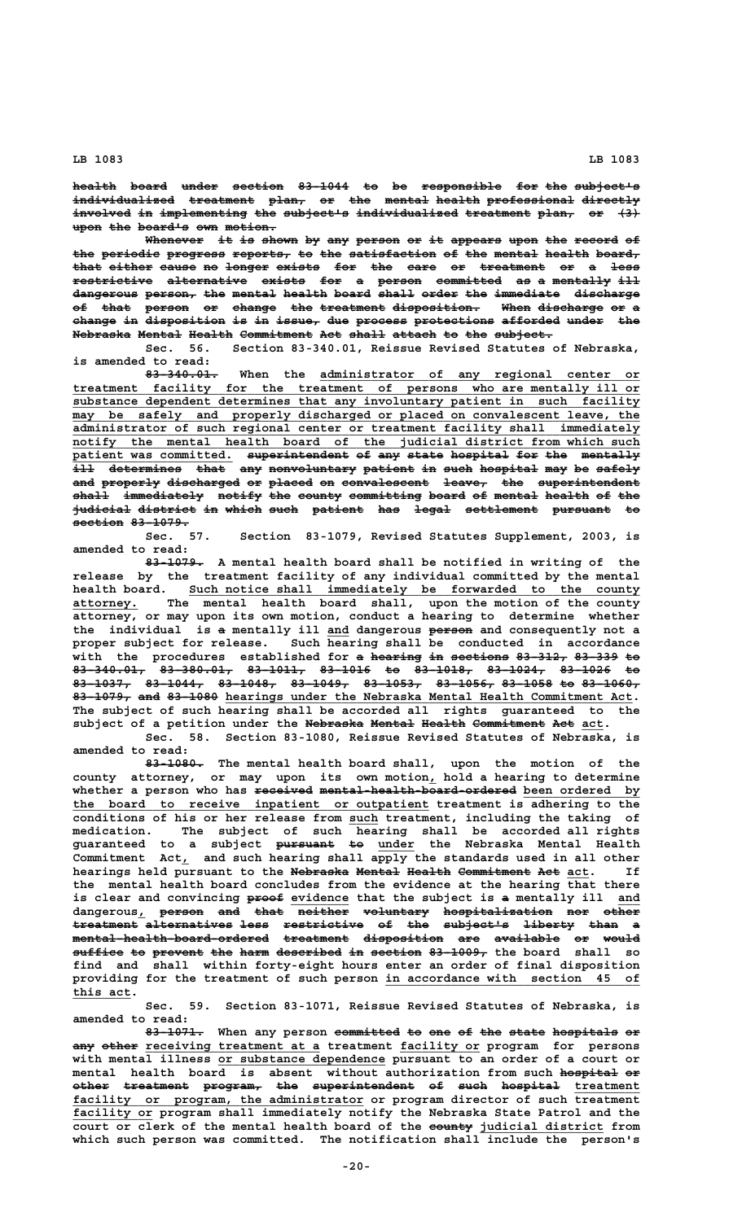**health board under section 83-1044 to be responsible for the subject's —————— ————— ————— ——————— ——————— —— —— ——————————— ——— ——— ————————** individualized treatment plan, or the mental health professional directly involved in implementing the subject's individualized treatment plan, or  $\overline{3}$ **upon the board's own motion.** 

Whenever it is shown by any person or it appears upon the record of the periodic progress reports, to the satisfaction of the mental health board, that either cause no longer exists for the care or treatment or a less **restrictive alternative exists for a person committed as a mentally ill ——————————— ——————————— —————— ——— — —————— ————————— —— — ———————— ———**  $\frac{1}{3}$  dangerous person, the mental health board shall order the immediate discharge of that person or change the treatment disposition. When discharge or a change in disposition is in issue, due process protections afforded under the **Nebraska Mental Health Commitment Act shall attach to the subject. ———————— —————— —————— —————————— ——— ————— —————— —— ——— ————————**

**Sec. 56. Section 83-340.01, Reissue Revised Statutes of Nebraska, is amended to read:**

 **—————————— \_\_\_\_\_\_\_\_\_\_\_\_\_\_\_\_\_\_\_\_\_\_\_\_\_\_\_\_\_\_\_\_\_\_\_\_\_\_\_\_\_\_\_\_ 83-340.01. When the administrator of any regional center or \_\_\_\_\_\_\_\_\_\_\_\_\_\_\_\_\_\_\_\_\_\_\_\_\_\_\_\_\_\_\_\_\_\_\_\_\_\_\_\_\_\_\_\_\_\_\_\_\_\_\_\_\_\_\_\_\_\_\_\_\_\_\_\_\_\_\_\_\_\_\_\_\_\_\_\_\_\_ treatment facility for the treatment of persons who are mentally ill or \_\_\_\_\_\_\_\_\_\_\_\_\_\_\_\_\_\_\_\_\_\_\_\_\_\_\_\_\_\_\_\_\_\_\_\_\_\_\_\_\_\_\_\_\_\_\_\_\_\_\_\_\_\_\_\_\_\_\_\_\_\_\_\_\_\_\_\_\_\_\_\_\_\_\_\_\_\_ substance dependent determines that any involuntary patient in such facility**  $\max$  be safely and properly discharged or placed on convalescent leave, the  **\_\_\_\_\_\_\_\_\_\_\_\_\_\_\_\_\_\_\_\_\_\_\_\_\_\_\_\_\_\_\_\_\_\_\_\_\_\_\_\_\_\_\_\_\_\_\_\_\_\_\_\_\_\_\_\_\_\_\_\_\_\_\_\_\_\_\_\_\_\_\_\_\_\_\_\_\_\_ administrator of such regional center or treatment facility shall immediately**  $\begin{minipage}{0.5\linewidth} \begin{minipage}{0.5\linewidth} \begin{minipage}{0.5\linewidth} \begin{minipage}{0.5\linewidth} \begin{minipage}{0.5\linewidth} \end{minipage} \begin{minipage}{0.5\linewidth} \begin{minipage}{0.5\linewidth} \begin{minipage}{0.5\linewidth} \end{minipage} \begin{minipage}{0.5\linewidth} \begin{minipage}{0.5\linewidth} \end{minipage} \end{minipage} \begin{minipage}{0.5\linewidth} \begin{minipage}{0.5\linewidth} \begin{minipage}{0.5\linewidth} \begin{minipage}{0.5\linewidth} \end{minipage} \end{min$ patient was committed. <del>superintendent</del> <del>of any state hospital for the mentally</del> **ill determines that any nonvoluntary patient in such hospital may be safely ——— —————————— ———— ——— ———————————— ——————— —— ———— ———————— ——— —— —————** and properly discharged or placed on convalescent leave<sub>r</sub> the superintendent shall immediately notify the county committing board of mental health of the **judicial district in which such patient has legal settlement pursuant to ———————— ———————— —— ————— ———— ——————— ——— ————— —————————— ———————— — section 83-1079.** 

> **Sec. 57. Section 83-1079, Revised Statutes Supplement, 2003, is amended to read:**

> 83-1079. A mental health board shall be notified in writing of the **release by the treatment facility of any individual committed by the mental** health board. Such notice shall immediately be forwarded to the county  **\_\_\_\_\_\_\_\_\_ attorney. The mental health board shall, upon the motion of the county attorney, or may upon its own motion, conduct a hearing to determine whether** the individual is a mentally ill and dangerous person and consequently not a **proper subject for release. Such hearing shall be conducted in accordance** with the procedures established for a hearing in sections 83-312, 83-339 to **83-340.01, 83-380.01, 83-1011, 83-1016 to 83-1018, 83-1024, 83-1026 to —————————— —————————— ———————— ——————— —— ———————— ———————— ——————— —— 83-1037, 83-1044, 83-1048, 83-1049, 83-1053, 83-1056, 83-1058 to 83-1060, ———————— ———————— ———————— ———————— ———————— ———————— ——————— —— ————————** 83-1079, and 83-1080 hearings under the Nebraska Mental Health Commitment Act. **The subject of such hearing shall be accorded all rights guaranteed to the** subject of a petition under the Nebraska Mental Health Commitment Act act.

> **Sec. 58. Section 83-1080, Reissue Revised Statutes of Nebraska, is amended to read:**

 **———————— 83-1080. The mental health board shall, upon the motion of the** county attorney, or may upon its own motion<sub>1</sub> hold a hearing to determine whether a person who has received mental-health-board-ordered been ordered by the board to receive inpatient or outpatient treatment is adhering to the  **\_\_\_\_ conditions of his or her release from such treatment, including the taking of medication. The subject of such hearing shall be accorded all rights guaranteed to a subject pursuant to under the Nebraska Mental Health ———————— —— \_\_\_\_\_ \_ Commitment Act, and such hearing shall apply the standards used in all other** hearings held pursuant to the Nebraska Mental Health Commitment Act act. If **the mental health board concludes from the evidence at the hearing that there ————— \_\_\_\_\_\_\_\_ — \_\_\_ is clear and convincing proof evidence that the subject is a mentally ill and** dangerous, <del>person and that neither voluntary hospitalization nor other</del> **treatment alternatives less restrictive of the subject's liberty than a ————————— ———————————— ———— ——————————— —— ——— ————————— ——————— ———— mental-health-board-ordered treatment disposition are available or would ——————————————————————————— ————————— ——————————— ——— ————————— —— ———— suffice to prevent the harm described in section 83-1009, the board shall so ——————— —— ——————— ——— ———— ————————— —— ——————— ——————— find and shall within forty-eight hours enter an order of final disposition** providing for the treatment of such person in accordance with section 45 of  **this act. \_\_\_\_\_\_\_\_**

**Sec. 59. Section 83-1071, Reissue Revised Statutes of Nebraska, is amended to read:**

83-1071. When any person committed to one of the state hospitals or any other receiving treatment at a treatment facility or program for persons with mental illness or substance dependence pursuant to an order of a court or **mental health board is absent without authorization from such hospital or ———————— — other treatment program, the superintendent of such hospital treatment** facility or program, the administrator or program director of such treatment  **\_\_\_\_\_\_\_\_\_\_\_ facility or program shall immediately notify the Nebraska State Patrol and the** court or clerk of the mental health board of the eounty judicial district from **which such person was committed. The notification shall include the person's**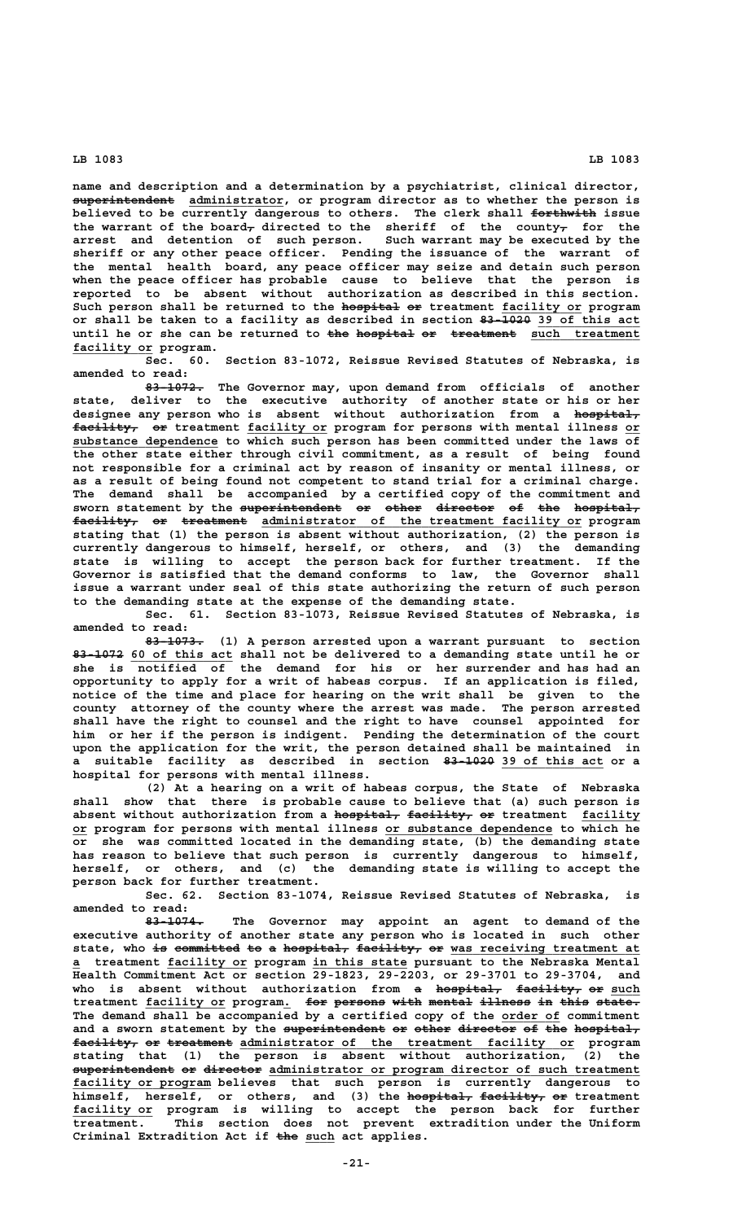**name and description and a determination by a psychiatrist, clinical director, —————————————— \_\_\_\_\_\_\_\_\_\_\_\_\_ superintendent administrator, or program director as to whether the person is** believed to be currently dangerous to others. The clerk shall forthwith issue  **—— the warrant of the board, directed to the sheriff of the county, for the arrest and detention of such person. Such warrant may be executed by the sheriff or any other peace officer. Pending the issuance of the warrant of the mental health board, any peace officer may seize and detain such person when the peace officer has probable cause to believe that the person is reported to be absent without authorization as described in this section.** Such person shall be returned to the hospital or treatment facility or program or shall be taken to a facility as described in section 83 1020 39 of this act until he or she can be returned to the hospital or treatment such treatment  **\_\_\_\_\_\_\_\_\_\_\_ facility or program.**

**Sec. 60. Section 83-1072, Reissue Revised Statutes of Nebraska, is amended to read:**

83 1072. The Governor may, upon demand from officials of another **state, deliver to the executive authority of another state or his or her designee any person who is absent without authorization from a hospital, ————————**  $f$ **acility,**  $F$  or treatment facility or program for persons with mental illness or substance dependence to which such person has been committed under the laws of **the other state either through civil commitment, as a result of being found not responsible for a criminal act by reason of insanity or mental illness, or as a result of being found not competent to stand trial for a criminal charge. The demand shall be accompanied by a certified copy of the commitment and** sworn statement by the superintendent or other director of the hospital, facility, or treatment administrator of the treatment facility or program **stating that (1) the person is absent without authorization, (2) the person is currently dangerous to himself, herself, or others, and (3) the demanding state is willing to accept the person back for further treatment. If the Governor is satisfied that the demand conforms to law, the Governor shall issue a warrant under seal of this state authorizing the return of such person to the demanding state at the expense of the demanding state.**

**Sec. 61. Section 83-1073, Reissue Revised Statutes of Nebraska, is amended to read:**

 **———————— 83-1073. (1) A person arrested upon a warrant pursuant to section** 83-1072 60 of this act shall not be delivered to a demanding state until he or **she is notified of the demand for his or her surrender and has had an opportunity to apply for a writ of habeas corpus. If an application is filed, notice of the time and place for hearing on the writ shall be given to the county attorney of the county where the arrest was made. The person arrested shall have the right to counsel and the right to have counsel appointed for him or her if the person is indigent. Pending the determination of the court upon the application for the writ, the person detained shall be maintained in a** suitable facility as described in section 83-1020 39 of this act or a **hospital for persons with mental illness.**

**(2) At a hearing on a writ of habeas corpus, the State of Nebraska shall show that there is probable cause to believe that (a) such person is** absent without authorization from a hospital, facility, or treatment facility or program for persons with mental illness or substance dependence to which he **or she was committed located in the demanding state, (b) the demanding state has reason to believe that such person is currently dangerous to himself, herself, or others, and (c) the demanding state is willing to accept the person back for further treatment.**

Sec. 62. Section 83-1074, Reissue Revised Statutes of Nebraska, **amended to read:**

 **———————— 83-1074. The Governor may appoint an agent to demand of the executive authority of another state any person who is located in such other** state, who is committed to a hospital, facility, or was receiving treatment at  **\_ \_\_\_\_\_\_\_\_\_\_\_ \_\_\_\_\_\_\_\_\_\_\_\_\_ a treatment facility or program in this state pursuant to the Nebraska Mental Health Commitment Act or section 29-1823, 29-2203, or 29-3701 to 29-3704, and** who is absent without authorization from <del>a hospital, facility, or</del> such treatment facility or program. for persons with mental illness in this state. The demand shall be accompanied by a certified copy of the order of commitment and a sworn statement by the superintendent or other director of the hospital<sub>7</sub> **facility, or treatment administrator of the treatment facility or program ————————— —— ————————— \_\_\_\_\_\_\_\_\_\_\_\_\_\_\_\_\_\_\_\_\_\_\_\_\_\_\_\_\_\_\_\_\_\_\_\_\_\_\_\_\_\_\_\_\_\_ stating that (1) the person is absent without authorization, (2) the**  $\texttt{superintendent}$  or director administrator or program director of such treatment  **\_\_\_\_\_\_\_\_\_\_\_\_\_\_\_\_\_\_\_ facility or program believes that such person is currently dangerous to himself, herself, or others, and (3) the hospital, facility, or treatment ————————— ————————— —— \_\_\_\_\_\_\_\_\_\_\_ facility or program is willing to accept the person back for further treatment. This section does not prevent extradition under the Uniform** Criminal Extradition Act if the such act applies.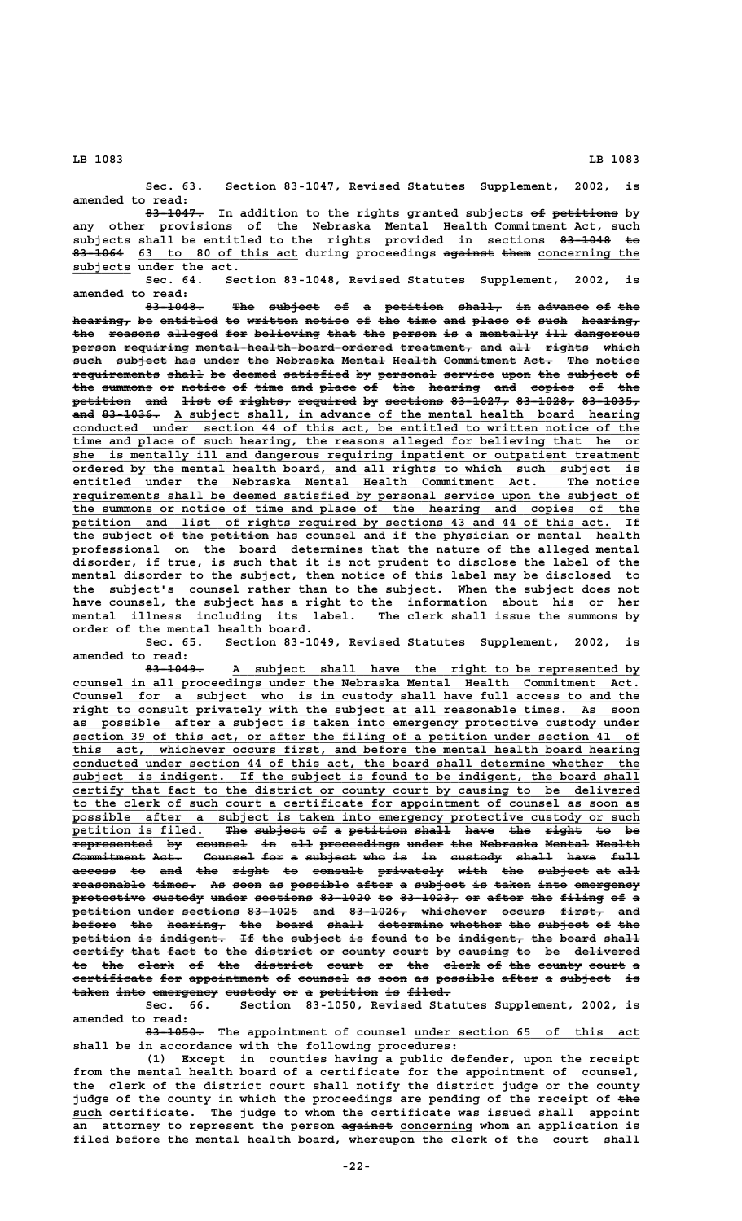**Sec. 63. Section 83-1047, Revised Statutes Supplement, 2002, is amended to read:**

 **———————— —— ————————— 83-1047. In addition to the rights granted subjects of petitions by any other provisions of the Nebraska Mental Health Commitment Act, such** subjects shall be entitled to the rights provided in sections 83-1048 to 83-1064 63 to 80 of this act during proceedings against them concerning the  **\_\_\_\_\_\_\_\_ subjects under the act.**

**Sec. 64. Section 83-1048, Revised Statutes Supplement, 2002, is amended to read:**

83-1048. The subject of a petition shall<sub>7</sub> in advance of the hearing, be entitled to written notice of the time and place of such hearing, the reasons alleged for believing that the person is a mentally ill dangerous **person requiring mental-health-board-ordered treatment, and all rights which**  $\textbf{such} \quad \textbf{subject} \quad \textbf{has} \quad \textbf{under} \quad \textbf{the} \quad \textbf{Nebraska} \quad \textbf{Mental} \quad \textbf{Hear} \quad \textbf{Commutment} \quad \textbf{Act-} \quad \textbf{The} \quad \textbf{notice}$ requirements shall be deemed satisfied by personal service upon the subject of the summons or notice of time and place of the hearing and copies of the **petition and list of rights, required by sections 83-1027, 83-1028, 83-1035, ———————— ——— ———— —— ——————— ———————— —— ———————— ———————— ———————— ———————— ——— ———————— \_\_\_\_\_\_\_\_\_\_\_\_\_\_\_\_\_\_\_\_\_\_\_\_\_\_\_\_\_\_\_\_\_\_\_\_\_\_\_\_\_\_\_\_\_\_\_\_\_\_\_\_\_\_\_\_\_\_\_\_\_\_\_\_ and 83-1036. A subject shall, in advance of the mental health board hearing** conducted under section 44 of this act, be entitled to written notice of the  **\_\_\_\_\_\_\_\_\_\_\_\_\_\_\_\_\_\_\_\_\_\_\_\_\_\_\_\_\_\_\_\_\_\_\_\_\_\_\_\_\_\_\_\_\_\_\_\_\_\_\_\_\_\_\_\_\_\_\_\_\_\_\_\_\_\_\_\_\_\_\_\_\_\_\_\_\_\_ time and place of such hearing, the reasons alleged for believing that he or \_\_\_\_\_\_\_\_\_\_\_\_\_\_\_\_\_\_\_\_\_\_\_\_\_\_\_\_\_\_\_\_\_\_\_\_\_\_\_\_\_\_\_\_\_\_\_\_\_\_\_\_\_\_\_\_\_\_\_\_\_\_\_\_\_\_\_\_\_\_\_\_\_\_\_\_\_\_ she is mentally ill and dangerous requiring inpatient or outpatient treatment \_\_\_\_\_\_\_\_\_\_\_\_\_\_\_\_\_\_\_\_\_\_\_\_\_\_\_\_\_\_\_\_\_\_\_\_\_\_\_\_\_\_\_\_\_\_\_\_\_\_\_\_\_\_\_\_\_\_\_\_\_\_\_\_\_\_\_\_\_\_\_\_\_\_\_\_\_\_ ordered by the mental health board, and all rights to which such subject is \_\_\_\_\_\_\_\_\_\_\_\_\_\_\_\_\_\_\_\_\_\_\_\_\_\_\_\_\_\_\_\_\_\_\_\_\_\_\_\_\_\_\_\_\_\_\_\_\_\_\_\_\_\_\_\_\_\_\_\_\_\_\_\_\_\_\_\_\_\_\_\_\_\_\_\_\_\_ entitled under the Nebraska Mental Health Commitment Act. The notice \_\_\_\_\_\_\_\_\_\_\_\_\_\_\_\_\_\_\_\_\_\_\_\_\_\_\_\_\_\_\_\_\_\_\_\_\_\_\_\_\_\_\_\_\_\_\_\_\_\_\_\_\_\_\_\_\_\_\_\_\_\_\_\_\_\_\_\_\_\_\_\_\_\_\_\_\_\_ requirements shall be deemed satisfied by personal service upon the subject of \_\_\_\_\_\_\_\_\_\_\_\_\_\_\_\_\_\_\_\_\_\_\_\_\_\_\_\_\_\_\_\_\_\_\_\_\_\_\_\_\_\_\_\_\_\_\_\_\_\_\_\_\_\_\_\_\_\_\_\_\_\_\_\_\_\_\_\_\_\_\_\_\_\_\_\_\_\_ the summons or notice of time and place of the hearing and copies of the \_\_\_\_\_\_\_\_\_\_\_\_\_\_\_\_\_\_\_\_\_\_\_\_\_\_\_\_\_\_\_\_\_\_\_\_\_\_\_\_\_\_\_\_\_\_\_\_\_\_\_\_\_\_\_\_\_\_\_\_\_\_\_\_\_\_\_\_\_\_\_\_\_\_ petition and list of rights required by sections 43 and 44 of this act. If** the subject of the petition has counsel and if the physician or mental health **professional on the board determines that the nature of the alleged mental disorder, if true, is such that it is not prudent to disclose the label of the mental disorder to the subject, then notice of this label may be disclosed to the subject's counsel rather than to the subject. When the subject does not have counsel, the subject has a right to the information about his or her** mental illness including its label. **order of the mental health board.**

**Sec. 65. Section 83-1049, Revised Statutes Supplement, 2002, is amended to read:**

 **———————— \_\_\_\_\_\_\_\_\_\_\_\_\_\_\_\_\_\_\_\_\_\_\_\_\_\_\_\_\_\_\_\_\_\_\_\_\_\_\_\_\_\_\_\_\_\_\_\_\_\_\_\_\_\_\_\_ 83-1049. A subject shall have the right to be represented by \_\_\_\_\_\_\_\_\_\_\_\_\_\_\_\_\_\_\_\_\_\_\_\_\_\_\_\_\_\_\_\_\_\_\_\_\_\_\_\_\_\_\_\_\_\_\_\_\_\_\_\_\_\_\_\_\_\_\_\_\_\_\_\_\_\_\_\_\_\_\_\_\_\_\_\_\_\_ counsel in all proceedings under the Nebraska Mental Health Commitment Act. \_\_\_\_\_\_\_\_\_\_\_\_\_\_\_\_\_\_\_\_\_\_\_\_\_\_\_\_\_\_\_\_\_\_\_\_\_\_\_\_\_\_\_\_\_\_\_\_\_\_\_\_\_\_\_\_\_\_\_\_\_\_\_\_\_\_\_\_\_\_\_\_\_\_\_\_\_\_ Counsel for a subject who is in custody shall have full access to and the \_\_\_\_\_\_\_\_\_\_\_\_\_\_\_\_\_\_\_\_\_\_\_\_\_\_\_\_\_\_\_\_\_\_\_\_\_\_\_\_\_\_\_\_\_\_\_\_\_\_\_\_\_\_\_\_\_\_\_\_\_\_\_\_\_\_\_\_\_\_\_\_\_\_\_\_\_\_ right to consult privately with the subject at all reasonable times. As soon \_\_\_\_\_\_\_\_\_\_\_\_\_\_\_\_\_\_\_\_\_\_\_\_\_\_\_\_\_\_\_\_\_\_\_\_\_\_\_\_\_\_\_\_\_\_\_\_\_\_\_\_\_\_\_\_\_\_\_\_\_\_\_\_\_\_\_\_\_\_\_\_\_\_\_\_\_\_ as possible after a subject is taken into emergency protective custody under \_\_\_\_\_\_\_\_\_\_\_\_\_\_\_\_\_\_\_\_\_\_\_\_\_\_\_\_\_\_\_\_\_\_\_\_\_\_\_\_\_\_\_\_\_\_\_\_\_\_\_\_\_\_\_\_\_\_\_\_\_\_\_\_\_\_\_\_\_\_\_\_\_\_\_\_\_\_ section 39 of this act, or after the filing of a petition under section 41 of \_\_\_\_\_\_\_\_\_\_\_\_\_\_\_\_\_\_\_\_\_\_\_\_\_\_\_\_\_\_\_\_\_\_\_\_\_\_\_\_\_\_\_\_\_\_\_\_\_\_\_\_\_\_\_\_\_\_\_\_\_\_\_\_\_\_\_\_\_\_\_\_\_\_\_\_\_\_ this act, whichever occurs first, and before the mental health board hearing \_\_\_\_\_\_\_\_\_\_\_\_\_\_\_\_\_\_\_\_\_\_\_\_\_\_\_\_\_\_\_\_\_\_\_\_\_\_\_\_\_\_\_\_\_\_\_\_\_\_\_\_\_\_\_\_\_\_\_\_\_\_\_\_\_\_\_\_\_\_\_\_\_\_\_\_\_\_ conducted under section 44 of this act, the board shall determine whether the**  $\substack{\text{subject}\\\text{subject}\\\text{is~indigent.}\end{split}$  If the subject is found to be indigent, the board shall  **\_\_\_\_\_\_\_\_\_\_\_\_\_\_\_\_\_\_\_\_\_\_\_\_\_\_\_\_\_\_\_\_\_\_\_\_\_\_\_\_\_\_\_\_\_\_\_\_\_\_\_\_\_\_\_\_\_\_\_\_\_\_\_\_\_\_\_\_\_\_\_\_\_\_\_\_\_\_ certify that fact to the district or county court by causing to be delivered \_\_\_\_\_\_\_\_\_\_\_\_\_\_\_\_\_\_\_\_\_\_\_\_\_\_\_\_\_\_\_\_\_\_\_\_\_\_\_\_\_\_\_\_\_\_\_\_\_\_\_\_\_\_\_\_\_\_\_\_\_\_\_\_\_\_\_\_\_\_\_\_\_\_\_\_\_\_ to the clerk of such court a certificate for appointment of counsel as soon as** possible after a subject is taken into emergency protective custody or such petition is filed. The subject of a petition shall have the right to be **represented by counsel in all proceedings under the Nebraska Mental Health** Commitment Act. Counsel for a subject who is in custody shall have full access to and the right to consult privately with the subject at all reasonable times. As soon as possible after a subject is taken into emergency protective custody under sections 83-1020 to 83-1023, or after the filing of a petition under sections 83-1025 and 83-1026, whichever occurs first, and **before the hearing, the board shall determine whether the subject of the —————— ——— ———————— ——— ————— ————— ————————— ——————— ——— ——————— —— —— petition is indigent. If the subject is found to be indigent, the board shall ———————— —— ————————— —— ——— ——————— —— ————— —— —— ————————— ——— ————— ————** certify that fact to the district or county court by causing to be delivered to the clerk of the district court or the clerk of the county court a certificate for appointment of counsel as soon as possible after a subject is taken into emergency custody or a petition is filed.

**Sec. 66. Section 83-1050, Revised Statutes Supplement, 2002, is amended to read:**

 **———————— \_\_\_\_\_\_\_\_\_\_\_\_\_\_\_\_\_\_\_\_\_\_\_\_\_\_\_\_\_\_\_ 83-1050. The appointment of counsel under section 65 of this act shall be in accordance with the following procedures:**

**(1) Except in counties having a public defender, upon the receipt** from the mental health board of a certificate for the appointment of counsel, **the clerk of the district court shall notify the district judge or the county** judge of the county in which the proceedings are pending of the receipt of  $\frac{1}{2}$ such certificate. The judge to whom the certificate was issued shall appoint an attorney to represent the person against concerning whom an application is **filed before the mental health board, whereupon the clerk of the court shall**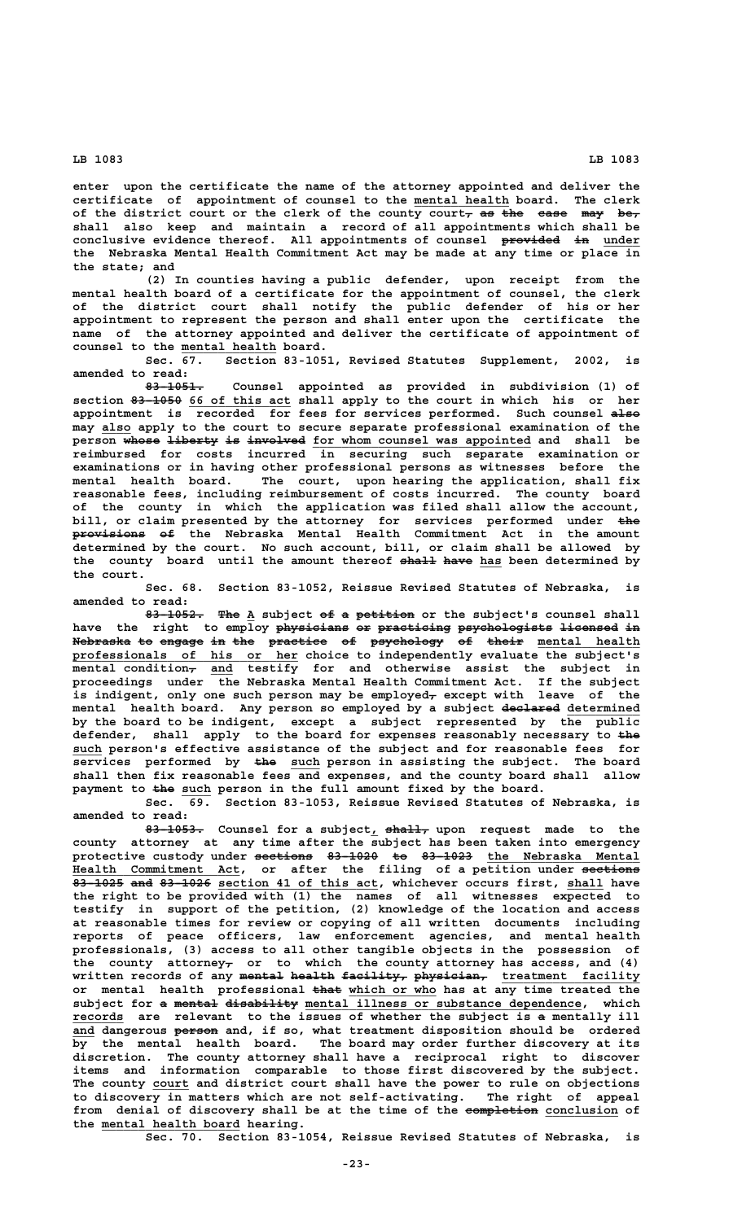**enter upon the certificate the name of the attorney appointed and deliver the** certificate of appointment of counsel to the mental health board. The clerk of the district court or the clerk of the county court<sub>7</sub> as the ease may be<sub>7</sub> **shall also keep and maintain a record of all appointments which shall be** conclusive evidence thereof. All appointments of counsel  $\frac{1}{P}$  and  $\frac{1}{P}$  and  $\frac{1}{P}$ **the Nebraska Mental Health Commitment Act may be made at any time or place in the state; and**

**(2) In counties having a public defender, upon receipt from the mental health board of a certificate for the appointment of counsel, the clerk of the district court shall notify the public defender of his or her appointment to represent the person and shall enter upon the certificate the name of the attorney appointed and deliver the certificate of appointment of \_\_\_\_\_\_\_\_\_\_\_\_\_ counsel to the mental health board.**

**Sec. 67. Section 83-1051, Revised Statutes Supplement, 2002, is amended to read:**

83-1051. Counsel appointed as provided in subdivision (1) of  **——————— \_\_\_\_\_\_\_\_\_\_\_\_\_\_ section 83-1050 66 of this act shall apply to the court in which his or her appointment is recorded for fees for services performed. Such counsel also ———** may also apply to the court to secure separate professional examination of the person <del>whose liberty is involved</del> for whom counsel was appointed and shall be **reimbursed for costs incurred in securing such separate examination or examinations or in having other professional persons as witnesses before the mental health board. The court, upon hearing the application, shall fix reasonable fees, including reimbursement of costs incurred. The county board of the county in which the application was filed shall allow the account,** bill, or claim presented by the attorney for services performed under <del>the</del>  **—————————— —— provisions of the Nebraska Mental Health Commitment Act in the amount determined by the court. No such account, bill, or claim shall be allowed by** the county board until the amount thereof shall have has been determined by  **the court.**

**Sec. 68. Section 83-1052, Reissue Revised Statutes of Nebraska, is amended to read:**

83-1052. The A subject of a petition or the subject's counsel shall have the right to employ physicians or practicing psychologists licensed in **Nebraska to engage in the practice of psychology of their mental health ———————— —— —————— —— ——— ———————— —— —————————— —— ————— \_\_\_\_\_\_\_\_\_\_\_\_\_\_ \_\_\_\_\_\_\_\_\_\_\_\_\_\_\_\_\_\_\_\_\_\_\_\_\_\_\_\_\_\_\_ professionals of his or her choice to independently evaluate the subject's**  $m$  mental condition<sub> $\tau$ </sub> and testify for and otherwise assist the subject in **proceedings under the Nebraska Mental Health Commitment Act. If the subject** is indigent, only one such person may be employed<sub>r</sub> except with leave of the **mental health board. Any person so employed by a subject declared determined ———————— \_\_\_\_\_\_\_\_\_\_ by the board to be indigent, except a subject represented by the public defender, shall apply to the board for expenses reasonably necessary to the ——— \_\_\_\_ such person's effective assistance of the subject and for reasonable fees for services** performed by the such person in assisting the subject. The board **shall then fix reasonable fees and expenses, and the county board shall allow** payment to the such person in the full amount fixed by the board.

**Sec. 69. Section 83-1053, Reissue Revised Statutes of Nebraska, is amended to read:**

83-1053. Counsel for a subject, shall, upon request made to the **county attorney at any time after the subject has been taken into emergency** protective custody under <del>sections</del> 83-1020 to 83-1023 the Nebraska Mental  **\_\_\_\_\_\_\_\_\_\_\_\_\_\_\_\_\_\_\_\_\_\_\_ ———————— Health Commitment Act, or after the filing of a petition under sections** 83 1025 and 83 1026 section 41 of this act, whichever occurs first, shall have **the right to be provided with (1) the names of all witnesses expected to testify in support of the petition, (2) knowledge of the location and access at reasonable times for review or copying of all written documents including reports of peace officers, law enforcement agencies, and mental health professionals, (3) access to all other tangible objects in the possession of — the county attorney, or to which the county attorney has access, and (4) written records of any mental health facility, physician, treatment facility —————— —————— ————————— —————————— \_\_\_\_\_\_\_\_\_\_\_\_\_\_\_\_\_\_\_ ———— \_\_\_\_\_\_\_\_\_\_\_\_ or mental health professional that which or who has at any time treated the** subject for a mental disability mental illness or substance dependence, which  **\_\_\_\_\_\_\_ records are relevant to the issues of whether the subject is a mentally ill**  and dangerous person and, if so, what treatment disposition should be ordered **by the mental health board. The board may order further discovery at its discretion. The county attorney shall have a reciprocal right to discover items and information comparable to those first discovered by the subject.** The county court and district court shall have the power to rule on objections **to discovery in matters which are not self-activating. The right of appeal** from denial of discovery shall be at the time of the eempletion conclusion of  **\_\_\_\_\_\_\_\_\_\_\_\_\_\_\_\_\_\_\_ the mental health board hearing.**

**Sec. 70. Section 83-1054, Reissue Revised Statutes of Nebraska, is**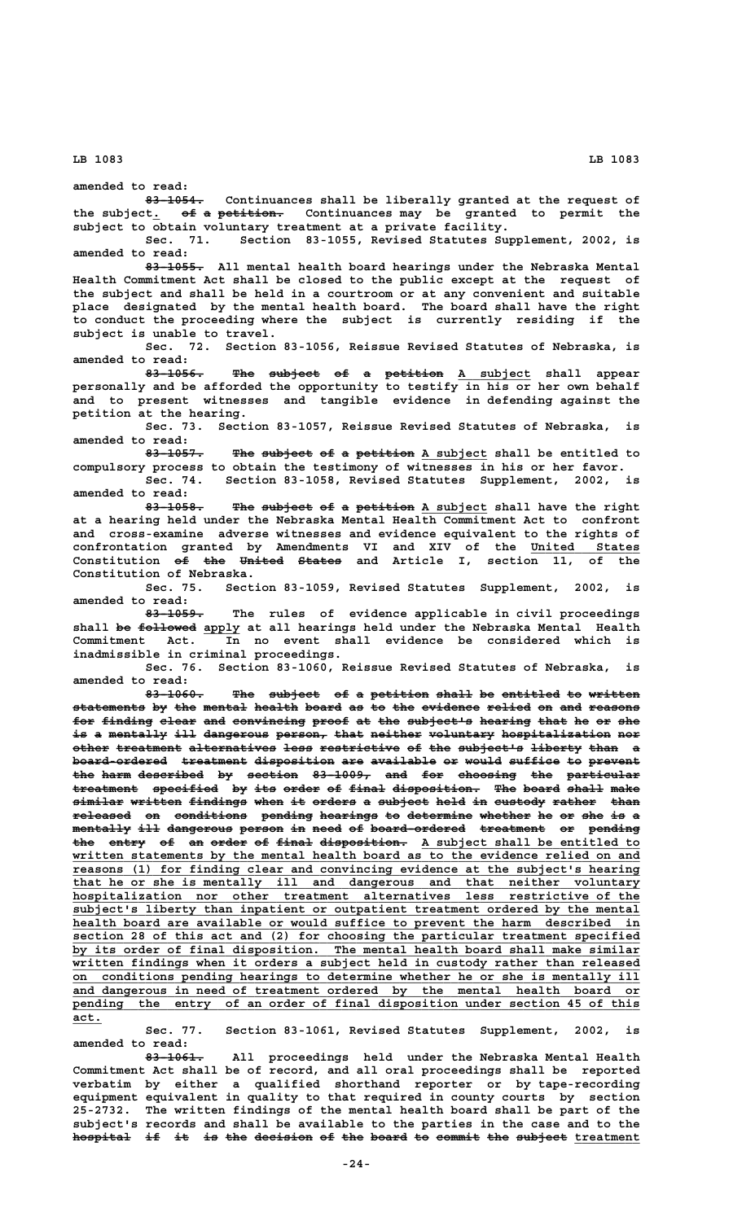**amended to read:**

 **———————— 83-1054. Continuances shall be liberally granted at the request of** the subject<sub>1</sub> of a petition. Continuances may be granted to permit the **subject to obtain voluntary treatment at a private facility.**

**Sec. 71. Section 83-1055, Revised Statutes Supplement, 2002, is amended to read:**

83-1055. All mental health board hearings under the Nebraska Mental **Health Commitment Act shall be closed to the public except at the request of the subject and shall be held in a courtroom or at any convenient and suitable place designated by the mental health board. The board shall have the right to conduct the proceeding where the subject is currently residing if the subject is unable to travel.**

**Sec. 72. Section 83-1056, Reissue Revised Statutes of Nebraska, is amended to read:**

83-1056. The subject of a petition A subject shall appear **personally and be afforded the opportunity to testify in his or her own behalf and to present witnesses and tangible evidence in defending against the petition at the hearing.**

**Sec. 73. Section 83-1057, Reissue Revised Statutes of Nebraska, is amended to read:**

The subject of a petition A subject shall be entitled to **compulsory process to obtain the testimony of witnesses in his or her favor. Sec. 74. Section 83-1058, Revised Statutes Supplement, 2002, is**

**amended to read:**

83 1058. The subject of a petition A subject shall have the right **at a hearing held under the Nebraska Mental Health Commitment Act to confront and cross-examine adverse witnesses and evidence equivalent to the rights of confrontation granted by Amendments VI and XIV of the United States \_\_\_\_\_\_\_\_\_\_\_\_\_\_\_** Constitution <del>of the United States</del> and Article I, section 11, of the **Constitution of Nebraska.**

**Sec. 75. Section 83-1059, Revised Statutes Supplement, 2002, is amended to read:**

83-1059. The rules of evidence applicable in civil proceedings shall <del>be followed</del> apply at all hearings held under the Nebraska Mental Health **Commitment Act. In no event shall evidence be considered which is inadmissible in criminal proceedings.**

**Sec. 76. Section 83-1060, Reissue Revised Statutes of Nebraska, is amended to read:**

83-1060. The subject of a petition shall be entitled to written **statements by the mental health board as to the evidence relied on and reasons —————————— —— ——— —————— —————— ————— —— —— ——— ———————— —————— —— ——— ——————** for finding clear and convincing proof at the subject<sup>1</sup>s hearing that he or she is a mentally ill dangerous person, that neither voluntary hospitalization nor other treatment alternatives less restrictive of the subject<sup>1</sup>s liberty than a board-ordered treatment disposition are available or would suffice to prevent the harm described by section 83-1009, and for choosing the particular treatment specified by its order of final disposition. The board shall make  $\boldsymbol{s}$  imilar written findings when it orders a subject held in custody rather than released on conditions pending hearings to determine whether he or she is a mentally ill dangerous person in need of board-ordered treatment or pending the entry of an order of final disposition. A subject shall be entitled to written statements by the mental health board as to the evidence relied on and  **\_\_\_\_\_\_\_\_\_\_\_\_\_\_\_\_\_\_\_\_\_\_\_\_\_\_\_\_\_\_\_\_\_\_\_\_\_\_\_\_\_\_\_\_\_\_\_\_\_\_\_\_\_\_\_\_\_\_\_\_\_\_\_\_\_\_\_\_\_\_\_\_\_\_\_\_\_\_ reasons (1) for finding clear and convincing evidence at the subject's hearing** that he or she is mentally ill and dangerous and that neither voluntary<br>hospitalization nor other treatment alternatives less restrictive of the  **\_\_\_\_\_\_\_\_\_\_\_\_\_\_\_\_\_\_\_\_\_\_\_\_\_\_\_\_\_\_\_\_\_\_\_\_\_\_\_\_\_\_\_\_\_\_\_\_\_\_\_\_\_\_\_\_\_\_\_\_\_\_\_\_\_\_\_\_\_\_\_\_\_\_\_\_\_\_ hospitalization nor other treatment alternatives less restrictive of the \_\_\_\_\_\_\_\_\_\_\_\_\_\_\_\_\_\_\_\_\_\_\_\_\_\_\_\_\_\_\_\_\_\_\_\_\_\_\_\_\_\_\_\_\_\_\_\_\_\_\_\_\_\_\_\_\_\_\_\_\_\_\_\_\_\_\_\_\_\_\_\_\_\_\_\_\_\_ subject's liberty than inpatient or outpatient treatment ordered by the mental \_\_\_\_\_\_\_\_\_\_\_\_\_\_\_\_\_\_\_\_\_\_\_\_\_\_\_\_\_\_\_\_\_\_\_\_\_\_\_\_\_\_\_\_\_\_\_\_\_\_\_\_\_\_\_\_\_\_\_\_\_\_\_\_\_\_\_\_\_\_\_\_\_\_\_\_\_\_ health board are available or would suffice to prevent the harm described in \_\_\_\_\_\_\_\_\_\_\_\_\_\_\_\_\_\_\_\_\_\_\_\_\_\_\_\_\_\_\_\_\_\_\_\_\_\_\_\_\_\_\_\_\_\_\_\_\_\_\_\_\_\_\_\_\_\_\_\_\_\_\_\_\_\_\_\_\_\_\_\_\_\_\_\_\_\_ section 28 of this act and (2) for choosing the particular treatment specified \_\_\_\_\_\_\_\_\_\_\_\_\_\_\_\_\_\_\_\_\_\_\_\_\_\_\_\_\_\_\_\_\_\_\_\_\_\_\_\_\_\_\_\_\_\_\_\_\_\_\_\_\_\_\_\_\_\_\_\_\_\_\_\_\_\_\_\_\_\_\_\_\_\_\_\_\_\_ by its order of final disposition. The mental health board shall make similar \_\_\_\_\_\_\_\_\_\_\_\_\_\_\_\_\_\_\_\_\_\_\_\_\_\_\_\_\_\_\_\_\_\_\_\_\_\_\_\_\_\_\_\_\_\_\_\_\_\_\_\_\_\_\_\_\_\_\_\_\_\_\_\_\_\_\_\_\_\_\_\_\_\_\_\_\_\_ written findings when it orders a subject held in custody rather than released \_\_\_\_\_\_\_\_\_\_\_\_\_\_\_\_\_\_\_\_\_\_\_\_\_\_\_\_\_\_\_\_\_\_\_\_\_\_\_\_\_\_\_\_\_\_\_\_\_\_\_\_\_\_\_\_\_\_\_\_\_\_\_\_\_\_\_\_\_\_\_\_\_\_\_\_\_\_ on conditions pending hearings to determine whether he or she is mentally ill** and dangerous in need of treatment ordered by the mental health board or pending the entry of an order of final disposition under section 45 of this  **act.\_\_\_\_**

**Sec. 77. Section 83-1061, Revised Statutes Supplement, 2002, is amended to read:**

 **———————— 83-1061. All proceedings held under the Nebraska Mental Health Commitment Act shall be of record, and all oral proceedings shall be reported verbatim by either a qualified shorthand reporter or by tape-recording equipment equivalent in quality to that required in county courts by section 25-2732. The written findings of the mental health board shall be part of the subject's records and shall be available to the parties in the case and to the** hospital if it is the decision of the board to commit the subject treatment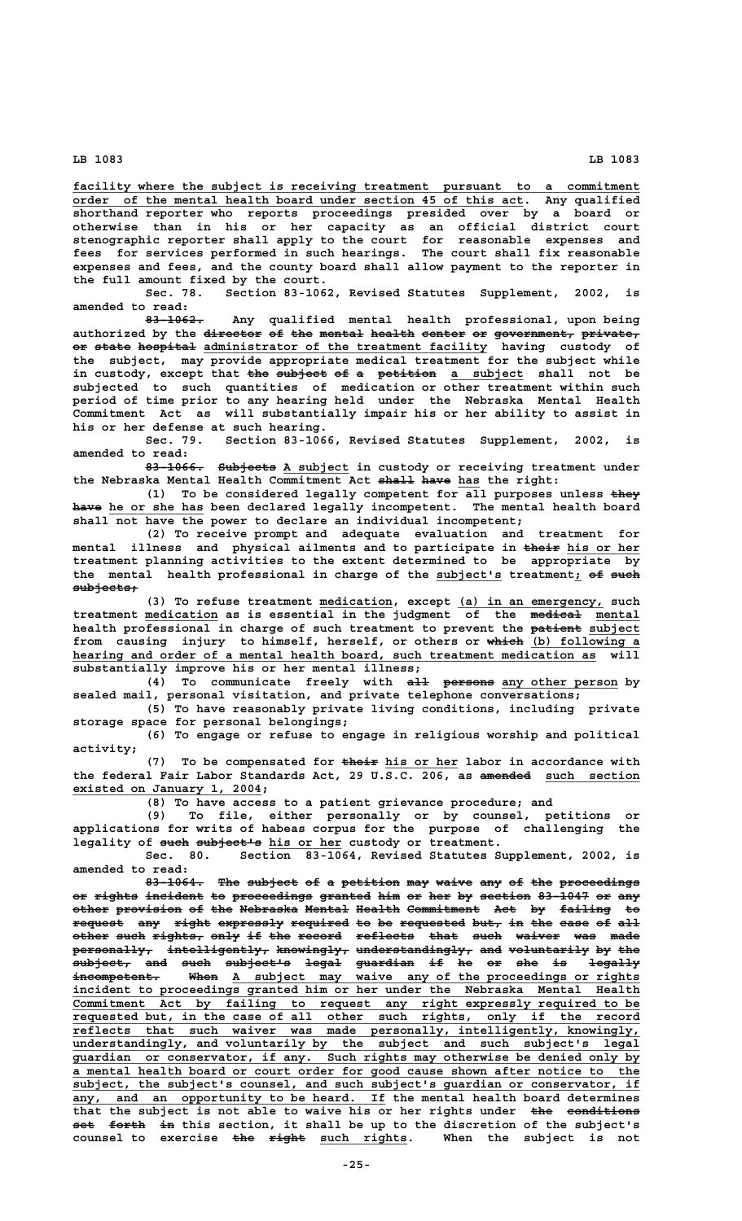facility where the subject is receiving treatment pursuant to a commitment  **\_\_\_\_\_\_\_\_\_\_\_\_\_\_\_\_\_\_\_\_\_\_\_\_\_\_\_\_\_\_\_\_\_\_\_\_\_\_\_\_\_\_\_\_\_\_\_\_\_\_\_\_\_\_\_\_\_\_\_\_\_\_ order of the mental health board under section 45 of this act. Any qualified shorthand reporter who reports proceedings presided over by a board or otherwise than in his or her capacity as an official district court stenographic reporter shall apply to the court for reasonable expenses and fees for services performed in such hearings. The court shall fix reasonable expenses and fees, and the county board shall allow payment to the reporter in the full amount fixed by the court.**

**Sec. 78. Section 83-1062, Revised Statutes Supplement, 2002, is amended to read:**

83-1062. Any qualified mental health professional, upon being authorized by the director of the mental health center or government, private, **or state hospital administrator of the treatment facility having custody of the subject, may provide appropriate medical treatment for the subject while** in custody, except that <del>the subject of a petition</del> a subject shall not be **subjected to such quantities of medication or other treatment within such period of time prior to any hearing held under the Nebraska Mental Health Commitment Act as will substantially impair his or her ability to assist in his or her defense at such hearing.**

**Sec. 79. Section 83-1066, Revised Statutes Supplement, 2002, is amended to read:**

83-1066. Subjects A subject in custody or receiving treatment under the Nebraska Mental Health Commitment Act shall have has the right:

(1) To be considered legally competent for all purposes unless they have he or she has been declared legally incompetent. The mental health board **shall not have the power to declare an individual incompetent;**

**(2) To receive prompt and adequate evaluation and treatment for** mental illness and physical ailments and to participate in their his or her **treatment planning activities to the extent determined to be appropriate by** the mental health professional in charge of the subject's treatment; of such  **subjects; —————————**

 **\_\_\_\_\_\_\_\_\_\_ \_\_\_\_\_\_\_\_\_\_\_\_\_\_\_\_\_\_\_\_ (3) To refuse treatment medication, except (a) in an emergency, such \_\_\_\_\_\_\_\_\_\_ ——————— \_\_\_\_\_\_ treatment medication as is essential in the judgment of the medical mental** health professional in charge of such treatment to prevent the patient subject from causing injury to himself, herself, or others or which (b) following a hearing and order of a mental health board, such treatment medication as will **substantially improve his or her mental illness;**

(4) To communicate freely with all persons any other person by **sealed mail, personal visitation, and private telephone conversations;**

**(5) To have reasonably private living conditions, including private storage space for personal belongings;**

**(6) To engage or refuse to engage in religious worship and political activity;**

(7) To be compensated for their his or her labor in accordance with the federal Fair Labor Standards Act, 29 U.S.C. 206, as amended such section  **\_\_\_\_\_\_\_\_\_\_\_\_\_\_\_\_\_\_\_\_\_\_\_\_\_\_ existed on January 1, 2004;**

**(8) To have access to a patient grievance procedure; and**

**(9) To file, either personally or by counsel, petitions or applications for writs of habeas corpus for the purpose of challenging the** legality of such subject's his or her custody or treatment.

**Sec. 80. Section 83-1064, Revised Statutes Supplement, 2002, is amended to read:**

83 1064. The subject of a petition may waive any of the proceedings or rights incident to proceedings granted him or her by section 83-1047 or any other provision of the Nebraska Mental Health Commitment Act by failing to request any right expressly required to be requested but, in the case of all other such rights, only if the record reflects that such waiver was made personally, intelligently, knowingly, understandingly, and voluntarily by the  ${\sf subject}{\sf r}$  and such subject's legal guardian if he or she is legally  **———————————— ———— \_\_\_\_\_\_\_\_\_\_\_\_\_\_\_\_\_\_\_\_\_\_\_\_\_\_\_\_\_\_\_\_\_\_\_\_\_\_\_\_\_\_\_\_\_\_\_\_\_\_\_\_\_\_\_\_ incompetent. When A subject may waive any of the proceedings or rights \_\_\_\_\_\_\_\_\_\_\_\_\_\_\_\_\_\_\_\_\_\_\_\_\_\_\_\_\_\_\_\_\_\_\_\_\_\_\_\_\_\_\_\_\_\_\_\_\_\_\_\_\_\_\_\_\_\_\_\_\_\_\_\_\_\_\_\_\_\_\_\_\_\_\_\_\_\_ incident to proceedings granted him or her under the Nebraska Mental Health \_\_\_\_\_\_\_\_\_\_\_\_\_\_\_\_\_\_\_\_\_\_\_\_\_\_\_\_\_\_\_\_\_\_\_\_\_\_\_\_\_\_\_\_\_\_\_\_\_\_\_\_\_\_\_\_\_\_\_\_\_\_\_\_\_\_\_\_\_\_\_\_\_\_\_\_\_\_ Commitment Act by failing to request any right expressly required to be \_\_\_\_\_\_\_\_\_\_\_\_\_\_\_\_\_\_\_\_\_\_\_\_\_\_\_\_\_\_\_\_\_\_\_\_\_\_\_\_\_\_\_\_\_\_\_\_\_\_\_\_\_\_\_\_\_\_\_\_\_\_\_\_\_\_\_\_\_\_\_\_\_\_\_\_\_\_ requested but, in the case of all other such rights, only if the record \_\_\_\_\_\_\_\_\_\_\_\_\_\_\_\_\_\_\_\_\_\_\_\_\_\_\_\_\_\_\_\_\_\_\_\_\_\_\_\_\_\_\_\_\_\_\_\_\_\_\_\_\_\_\_\_\_\_\_\_\_\_\_\_\_\_\_\_\_\_\_\_\_\_\_\_\_\_ reflects that such waiver was made personally, intelligently, knowingly,**  $understandingly, and voluntary by the subject and such subjects legendingly, and voluntary the subject.$  **\_\_\_\_\_\_\_\_\_\_\_\_\_\_\_\_\_\_\_\_\_\_\_\_\_\_\_\_\_\_\_\_\_\_\_\_\_\_\_\_\_\_\_\_\_\_\_\_\_\_\_\_\_\_\_\_\_\_\_\_\_\_\_\_\_\_\_\_\_\_\_\_\_\_\_\_\_\_ guardian or conservator, if any. Such rights may otherwise be denied only by \_\_\_\_\_\_\_\_\_\_\_\_\_\_\_\_\_\_\_\_\_\_\_\_\_\_\_\_\_\_\_\_\_\_\_\_\_\_\_\_\_\_\_\_\_\_\_\_\_\_\_\_\_\_\_\_\_\_\_\_\_\_\_\_\_\_\_\_\_\_\_\_\_\_\_\_\_\_ a mental health board or court order for good cause shown after notice to the \_\_\_\_\_\_\_\_\_\_\_\_\_\_\_\_\_\_\_\_\_\_\_\_\_\_\_\_\_\_\_\_\_\_\_\_\_\_\_\_\_\_\_\_\_\_\_\_\_\_\_\_\_\_\_\_\_\_\_\_\_\_\_\_\_\_\_\_\_\_\_\_\_\_\_\_\_\_ subject, the subject's counsel, and such subject's guardian or conservator, if** any, and an opportunity to be heard. If the mental health board determines that the subject is not able to waive his or her rights under the conditions **set forth in this section, it shall be up to the discretion of the subject's** counsel to exercise the right such rights. When the subject is not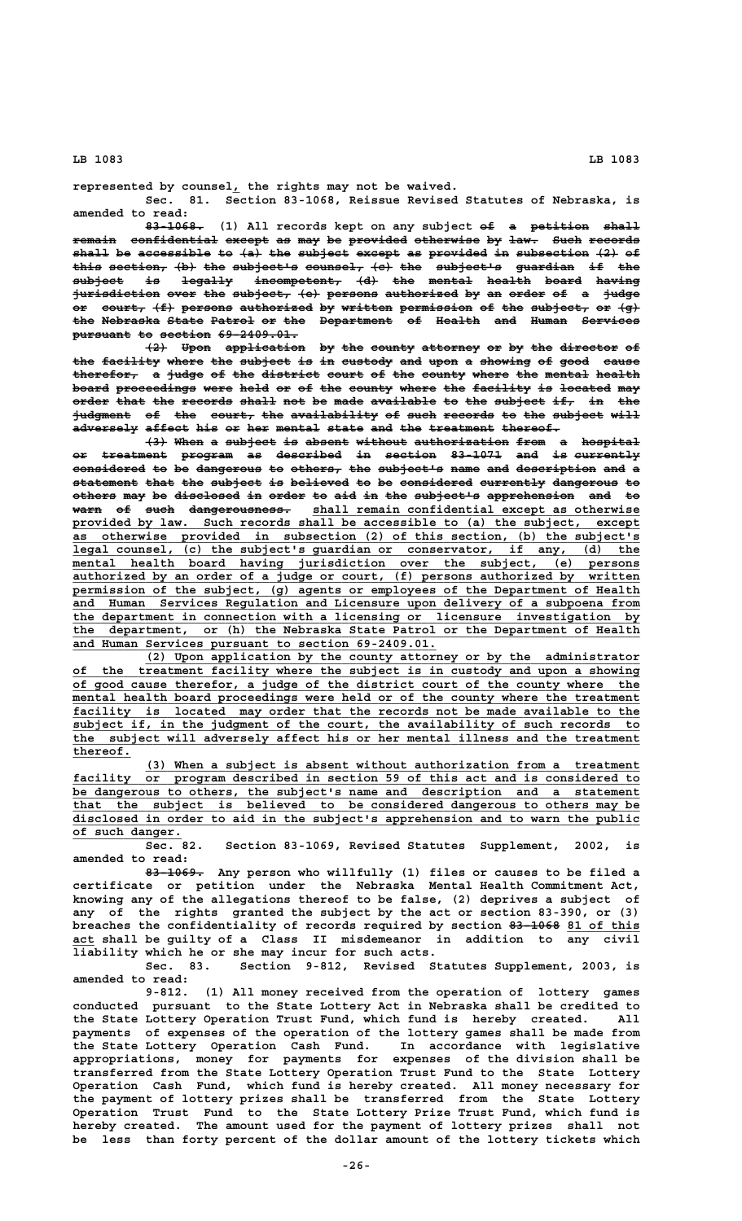**\_ represented by counsel, the rights may not be waived.**

**Sec. 81. Section 83-1068, Reissue Revised Statutes of Nebraska, is amended to read:**

83-1068. (1) All records kept on any subject of a potition shall remain confidential except as may be provided otherwise by law. Such records shall be accessible to  $\{a\}$  the subject except as provided in subsection  $\{2\}$  of this section, (b) the subject's counsel, (c) the subject's guardian if the **subject is legally incompetent, (d) the mental health board having ——————— —— ——————— ———————————— ——— ——— —————— —————— ————— —————**  $j$ urisdiction over the subject,  $\{e\}$  persons authorized by an order of a judge or court, (f) persons authorized by written permission of the subject, or (g) **the Nebraska State Patrol or the Department of Health and Human Services ——— ———————— ————— —————— —— ——— —————————— —— —————— ——— ————— ——————— pursuant to section 69-2409.01.** 

 $\{2\}$  Upon application by the county attorney or by the director of the facility where the subject is in custody and upon a showing of good cause  $t$ herefor, a judge of the district court of the county where the mental health board proceedings were held or of the county where the facility is located may **order that the records shall not be made available to the subject if, in the** judgment of the court, the availability of such records to the subject will adversely affect his or her mental state and the treatment thereof.

**(3) When a subject is absent without authorization from a hospital ——— ———— — ——————— —— —————— ——————— ————————————— ———— — ———————** or treatment program as described in section 83-1071 and is currently considered to be dangerous to others, the subject<sup>1</sup>s name and description and a **statement that the subject is believed to be considered currently dangerous to ————————— ———— ——— ——————— —— ———————— —— —— —————————— ————————— ————————— —** others may be disclosed in order to aid in the subject's apprehension and to <del>warn of such dangerousness.</del> shall remain confidential except as otherwise  **\_\_\_\_\_\_\_\_\_\_\_\_\_\_\_\_\_\_\_\_\_\_\_\_\_\_\_\_\_\_\_\_\_\_\_\_\_\_\_\_\_\_\_\_\_\_\_\_\_\_\_\_\_\_\_\_\_\_\_\_\_\_\_\_\_\_\_\_\_\_\_\_\_\_\_\_\_\_ provided by law. Such records shall be accessible to (a) the subject, except \_\_\_\_\_\_\_\_\_\_\_\_\_\_\_\_\_\_\_\_\_\_\_\_\_\_\_\_\_\_\_\_\_\_\_\_\_\_\_\_\_\_\_\_\_\_\_\_\_\_\_\_\_\_\_\_\_\_\_\_\_\_\_\_\_\_\_\_\_\_\_\_\_\_\_\_\_\_ as otherwise provided in subsection (2) of this section, (b) the subject's \_\_\_\_\_\_\_\_\_\_\_\_\_\_\_\_\_\_\_\_\_\_\_\_\_\_\_\_\_\_\_\_\_\_\_\_\_\_\_\_\_\_\_\_\_\_\_\_\_\_\_\_\_\_\_\_\_\_\_\_\_\_\_\_\_\_\_\_\_\_\_\_\_\_\_\_\_\_ legal counsel, (c) the subject's guardian or conservator, if any, (d) the \_\_\_\_\_\_\_\_\_\_\_\_\_\_\_\_\_\_\_\_\_\_\_\_\_\_\_\_\_\_\_\_\_\_\_\_\_\_\_\_\_\_\_\_\_\_\_\_\_\_\_\_\_\_\_\_\_\_\_\_\_\_\_\_\_\_\_\_\_\_\_\_\_\_\_\_\_\_ mental health board having jurisdiction over the subject, (e) persons \_\_\_\_\_\_\_\_\_\_\_\_\_\_\_\_\_\_\_\_\_\_\_\_\_\_\_\_\_\_\_\_\_\_\_\_\_\_\_\_\_\_\_\_\_\_\_\_\_\_\_\_\_\_\_\_\_\_\_\_\_\_\_\_\_\_\_\_\_\_\_\_\_\_\_\_\_\_ authorized by an order of a judge or court, (f) persons authorized by written \_\_\_\_\_\_\_\_\_\_\_\_\_\_\_\_\_\_\_\_\_\_\_\_\_\_\_\_\_\_\_\_\_\_\_\_\_\_\_\_\_\_\_\_\_\_\_\_\_\_\_\_\_\_\_\_\_\_\_\_\_\_\_\_\_\_\_\_\_\_\_\_\_\_\_\_\_\_ permission of the subject, (g) agents or employees of the Department of Health \_\_\_\_\_\_\_\_\_\_\_\_\_\_\_\_\_\_\_\_\_\_\_\_\_\_\_\_\_\_\_\_\_\_\_\_\_\_\_\_\_\_\_\_\_\_\_\_\_\_\_\_\_\_\_\_\_\_\_\_\_\_\_\_\_\_\_\_\_\_\_\_\_\_\_\_\_\_ and Human Services Regulation and Licensure upon delivery of a subpoena from \_\_\_\_\_\_\_\_\_\_\_\_\_\_\_\_\_\_\_\_\_\_\_\_\_\_\_\_\_\_\_\_\_\_\_\_\_\_\_\_\_\_\_\_\_\_\_\_\_\_\_\_\_\_\_\_\_\_\_\_\_\_\_\_\_\_\_\_\_\_\_\_\_\_\_\_\_\_ the department in connection with a licensing or licensure investigation by \_\_\_\_\_\_\_\_\_\_\_\_\_\_\_\_\_\_\_\_\_\_\_\_\_\_\_\_\_\_\_\_\_\_\_\_\_\_\_\_\_\_\_\_\_\_\_\_\_\_\_\_\_\_\_\_\_\_\_\_\_\_\_\_\_\_\_\_\_\_\_\_\_\_\_\_\_\_ the department, or (h) the Nebraska State Patrol or the Department of Health \_\_\_\_\_\_\_\_\_\_\_\_\_\_\_\_\_\_\_\_\_\_\_\_\_\_\_\_\_\_\_\_\_\_\_\_\_\_\_\_\_\_\_\_\_\_\_\_\_\_ and Human Services pursuant to section 69-2409.01.**

 **\_\_\_\_\_\_\_\_\_\_\_\_\_\_\_\_\_\_\_\_\_\_\_\_\_\_\_\_\_\_\_\_\_\_\_\_\_\_\_\_\_\_\_\_\_\_\_\_\_\_\_\_\_\_\_\_\_\_\_\_\_\_\_\_\_\_\_\_ (2) Upon application by the county attorney or by the administrator \_\_\_\_\_\_\_\_\_\_\_\_\_\_\_\_\_\_\_\_\_\_\_\_\_\_\_\_\_\_\_\_\_\_\_\_\_\_\_\_\_\_\_\_\_\_\_\_\_\_\_\_\_\_\_\_\_\_\_\_\_\_\_\_\_\_\_\_\_\_\_\_\_\_\_\_\_\_ of the treatment facility where the subject is in custody and upon a showing \_\_\_\_\_\_\_\_\_\_\_\_\_\_\_\_\_\_\_\_\_\_\_\_\_\_\_\_\_\_\_\_\_\_\_\_\_\_\_\_\_\_\_\_\_\_\_\_\_\_\_\_\_\_\_\_\_\_\_\_\_\_\_\_\_\_\_\_\_\_\_\_\_\_\_\_\_\_ of good cause therefor, a judge of the district court of the county where the \_\_\_\_\_\_\_\_\_\_\_\_\_\_\_\_\_\_\_\_\_\_\_\_\_\_\_\_\_\_\_\_\_\_\_\_\_\_\_\_\_\_\_\_\_\_\_\_\_\_\_\_\_\_\_\_\_\_\_\_\_\_\_\_\_\_\_\_\_\_\_\_\_\_\_\_\_\_ mental health board proceedings were held or of the county where the treatment** facility is located may order that the records not be made available to the  **\_\_\_\_\_\_\_\_\_\_\_\_\_\_\_\_\_\_\_\_\_\_\_\_\_\_\_\_\_\_\_\_\_\_\_\_\_\_\_\_\_\_\_\_\_\_\_\_\_\_\_\_\_\_\_\_\_\_\_\_\_\_\_\_\_\_\_\_\_\_\_\_\_\_\_\_\_\_ subject if, in the judgment of the court, the availability of such records to \_\_\_\_\_\_\_\_\_\_\_\_\_\_\_\_\_\_\_\_\_\_\_\_\_\_\_\_\_\_\_\_\_\_\_\_\_\_\_\_\_\_\_\_\_\_\_\_\_\_\_\_\_\_\_\_\_\_\_\_\_\_\_\_\_\_\_\_\_\_\_\_\_\_\_\_\_\_ the subject will adversely affect his or her mental illness and the treatment thereof. \_\_\_\_\_\_\_\_**

 **\_\_\_\_\_\_\_\_\_\_\_\_\_\_\_\_\_\_\_\_\_\_\_\_\_\_\_\_\_\_\_\_\_\_\_\_\_\_\_\_\_\_\_\_\_\_\_\_\_\_\_\_\_\_\_\_\_\_\_\_\_\_\_\_\_\_\_\_ (3) When a subject is absent without authorization from a treatment** facility or program described in section 59 of this act and is considered to  **\_\_\_\_\_\_\_\_\_\_\_\_\_\_\_\_\_\_\_\_\_\_\_\_\_\_\_\_\_\_\_\_\_\_\_\_\_\_\_\_\_\_\_\_\_\_\_\_\_\_\_\_\_\_\_\_\_\_\_\_\_\_\_\_\_\_\_\_\_\_\_\_\_\_\_\_\_\_ be dangerous to others, the subject's name and description and a statement \_\_\_\_\_\_\_\_\_\_\_\_\_\_\_\_\_\_\_\_\_\_\_\_\_\_\_\_\_\_\_\_\_\_\_\_\_\_\_\_\_\_\_\_\_\_\_\_\_\_\_\_\_\_\_\_\_\_\_\_\_\_\_\_\_\_\_\_\_\_\_\_\_\_\_\_\_\_ that the subject is believed to be considered dangerous to others may be** that the subject is believed to be considered dangerous to others may be disclosed in order to aid in the subject's apprehension and to warn the public  **\_\_\_\_\_\_\_\_\_\_\_\_\_\_\_ of such danger.**

**Sec. 82. Section 83-1069, Revised Statutes Supplement, 2002, is amended to read:**

 **———————— 83-1069. Any person who willfully (1) files or causes to be filed a certificate or petition under the Nebraska Mental Health Commitment Act, knowing any of the allegations thereof to be false, (2) deprives a subject of any of the rights granted the subject by the act or section 83-390, or (3)** breaches the confidentiality of records required by section  $83-1068$  81 of this  **\_\_\_ act shall be guilty of a Class II misdemeanor in addition to any civil liability which he or she may incur for such acts.**

**Sec. 83. Section 9-812, Revised Statutes Supplement, 2003, is amended to read:**

**9-812. (1) All money received from the operation of lottery games conducted pursuant to the State Lottery Act in Nebraska shall be credited to the State Lottery Operation Trust Fund, which fund is hereby created. All payments of expenses of the operation of the lottery games shall be made from the State Lottery Operation Cash Fund. In accordance with legislative appropriations, money for payments for expenses of the division shall be transferred from the State Lottery Operation Trust Fund to the State Lottery Operation Cash Fund, which fund is hereby created. All money necessary for the payment of lottery prizes shall be transferred from the State Lottery Operation Trust Fund to the State Lottery Prize Trust Fund, which fund is hereby created. The amount used for the payment of lottery prizes shall not be less than forty percent of the dollar amount of the lottery tickets which**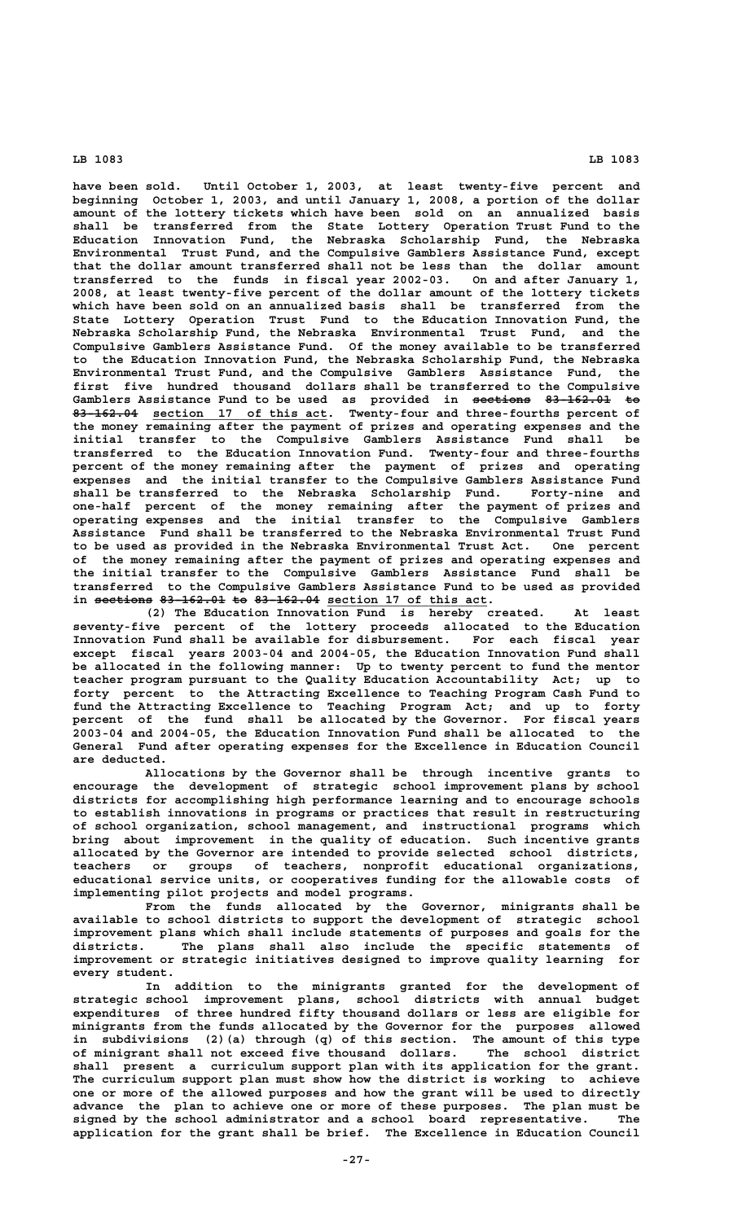**have been sold. Until October 1, 2003, at least twenty-five percent and beginning October 1, 2003, and until January 1, 2008, a portion of the dollar amount of the lottery tickets which have been sold on an annualized basis shall be transferred from the State Lottery Operation Trust Fund to the Education Innovation Fund, the Nebraska Scholarship Fund, the Nebraska Environmental Trust Fund, and the Compulsive Gamblers Assistance Fund, except that the dollar amount transferred shall not be less than the dollar amount transferred to the funds in fiscal year 2002-03. On and after January 1, 2008, at least twenty-five percent of the dollar amount of the lottery tickets which have been sold on an annualized basis shall be transferred from the State Lottery Operation Trust Fund to the Education Innovation Fund, the Nebraska Scholarship Fund, the Nebraska Environmental Trust Fund, and the Compulsive Gamblers Assistance Fund. Of the money available to be transferred to the Education Innovation Fund, the Nebraska Scholarship Fund, the Nebraska Environmental Trust Fund, and the Compulsive Gamblers Assistance Fund, the first five hundred thousand dollars shall be transferred to the Compulsive** Gamblers Assistance Fund to be used as provided in <del>sections 83-162.01 to</del>  **————————— \_\_\_\_\_\_\_\_\_\_\_\_\_\_\_\_\_\_\_\_\_\_\_\_ 83-162.04 section 17 of this act. Twenty-four and three-fourths percent of the money remaining after the payment of prizes and operating expenses and the initial transfer to the Compulsive Gamblers Assistance Fund shall be transferred to the Education Innovation Fund. Twenty-four and three-fourths percent of the money remaining after the payment of prizes and operating expenses and the initial transfer to the Compulsive Gamblers Assistance Fund shall be transferred to the Nebraska Scholarship Fund. Forty-nine and one-half percent of the money remaining after the payment of prizes and operating expenses and the initial transfer to the Compulsive Gamblers Assistance Fund shall be transferred to the Nebraska Environmental Trust Fund to be used as provided in the Nebraska Environmental Trust Act. One percent of the money remaining after the payment of prizes and operating expenses and the initial transfer to the Compulsive Gamblers Assistance Fund shall be transferred to the Compulsive Gamblers Assistance Fund to be used as provided** in sections 83-162.01 to 83-162.04 section 17 of this act.

**(2) The Education Innovation Fund is hereby created. At least seventy-five percent of the lottery proceeds allocated to the Education Innovation Fund shall be available for disbursement. For each fiscal year except fiscal years 2003-04 and 2004-05, the Education Innovation Fund shall be allocated in the following manner: Up to twenty percent to fund the mentor teacher program pursuant to the Quality Education Accountability Act; up to forty percent to the Attracting Excellence to Teaching Program Cash Fund to fund the Attracting Excellence to Teaching Program Act; and up to forty percent of the fund shall be allocated by the Governor. For fiscal years 2003-04 and 2004-05, the Education Innovation Fund shall be allocated to the General Fund after operating expenses for the Excellence in Education Council are deducted.**

**Allocations by the Governor shall be through incentive grants to encourage the development of strategic school improvement plans by school districts for accomplishing high performance learning and to encourage schools to establish innovations in programs or practices that result in restructuring of school organization, school management, and instructional programs which bring about improvement in the quality of education. Such incentive grants allocated by the Governor are intended to provide selected school districts, teachers or groups of teachers, nonprofit educational organizations, educational service units, or cooperatives funding for the allowable costs of implementing pilot projects and model programs.**

**From the funds allocated by the Governor, minigrants shall be available to school districts to support the development of strategic school improvement plans which shall include statements of purposes and goals for the districts. The plans shall also include the specific statements of improvement or strategic initiatives designed to improve quality learning for every student.**

**In addition to the minigrants granted for the development of strategic school improvement plans, school districts with annual budget expenditures of three hundred fifty thousand dollars or less are eligible for minigrants from the funds allocated by the Governor for the purposes allowed in subdivisions (2)(a) through (q) of this section. The amount of this type of minigrant shall not exceed five thousand dollars. The school district shall present a curriculum support plan with its application for the grant. The curriculum support plan must show how the district is working to achieve one or more of the allowed purposes and how the grant will be used to directly advance the plan to achieve one or more of these purposes. The plan must be signed by the school administrator and a school board representative. The application for the grant shall be brief. The Excellence in Education Council**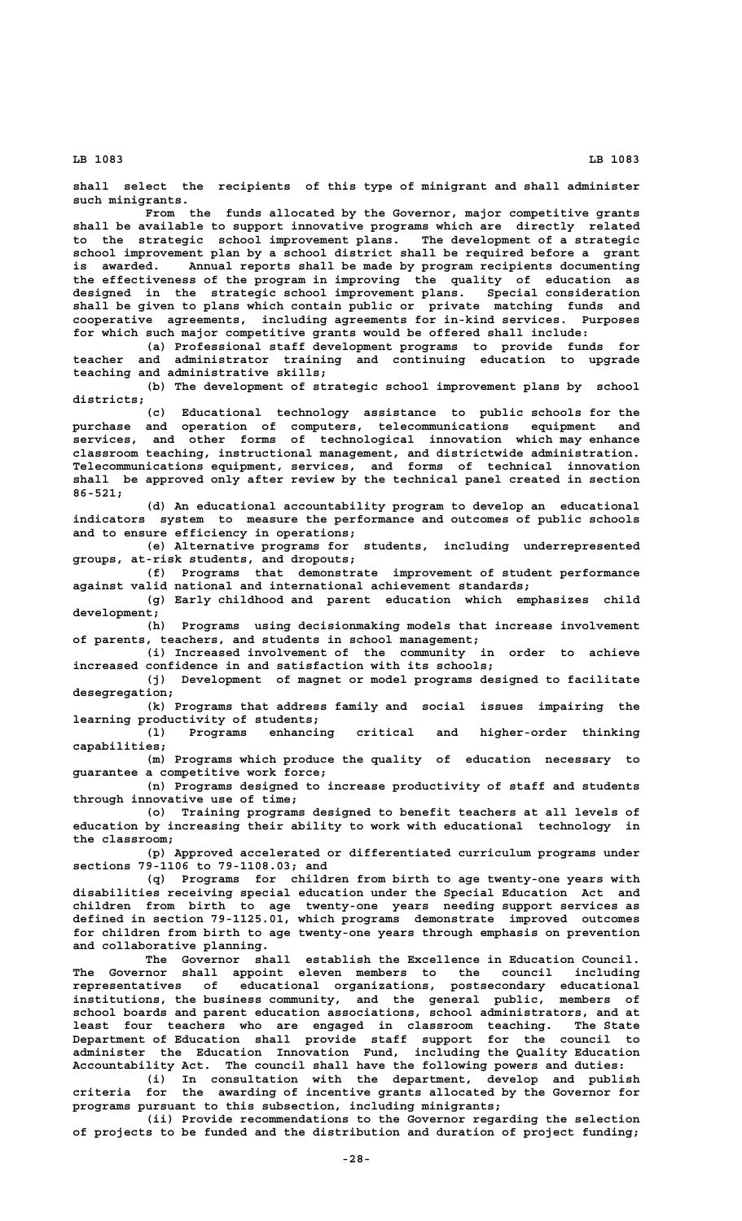**shall select the recipients of this type of minigrant and shall administer such minigrants.**

**From the funds allocated by the Governor, major competitive grants shall be available to support innovative programs which are directly related to the strategic school improvement plans. The development of a strategic school improvement plan by a school district shall be required before a grant is awarded. Annual reports shall be made by program recipients documenting the effectiveness of the program in improving the quality of education as designed in the strategic school improvement plans. Special consideration shall be given to plans which contain public or private matching funds and cooperative agreements, including agreements for in-kind services. Purposes for which such major competitive grants would be offered shall include:**

**(a) Professional staff development programs to provide funds for teacher and administrator training and continuing education to upgrade teaching and administrative skills;**

**(b) The development of strategic school improvement plans by school districts;**

**(c) Educational technology assistance to public schools for the purchase and operation of computers, telecommunications equipment and services, and other forms of technological innovation which may enhance classroom teaching, instructional management, and districtwide administration. Telecommunications equipment, services, and forms of technical innovation shall be approved only after review by the technical panel created in section 86-521;**

**(d) An educational accountability program to develop an educational indicators system to measure the performance and outcomes of public schools and to ensure efficiency in operations;**

**(e) Alternative programs for students, including underrepresented groups, at-risk students, and dropouts;**

**(f) Programs that demonstrate improvement of student performance against valid national and international achievement standards;**

**(g) Early childhood and parent education which emphasizes child development;**

**(h) Programs using decisionmaking models that increase involvement of parents, teachers, and students in school management;**

**(i) Increased involvement of the community in order to achieve increased confidence in and satisfaction with its schools;**

**(j) Development of magnet or model programs designed to facilitate desegregation;**

**(k) Programs that address family and social issues impairing the learning productivity of students;**

**(l) Programs enhancing critical and higher-order thinking capabilities;**

**(m) Programs which produce the quality of education necessary to guarantee a competitive work force;**

**(n) Programs designed to increase productivity of staff and students through innovative use of time;**

**(o) Training programs designed to benefit teachers at all levels of education by increasing their ability to work with educational technology in the classroom;**

**(p) Approved accelerated or differentiated curriculum programs under sections 79-1106 to 79-1108.03; and**

**(q) Programs for children from birth to age twenty-one years with disabilities receiving special education under the Special Education Act and children from birth to age twenty-one years needing support services as defined in section 79-1125.01, which programs demonstrate improved outcomes for children from birth to age twenty-one years through emphasis on prevention and collaborative planning.**

**The Governor shall establish the Excellence in Education Council. The Governor shall appoint eleven members to the council including representatives of educational organizations, postsecondary educational institutions, the business community, and the general public, members of school boards and parent education associations, school administrators, and at least four teachers who are engaged in classroom teaching. The State Department of Education shall provide staff support for the council to administer the Education Innovation Fund, including the Quality Education Accountability Act. The council shall have the following powers and duties:**

**(i) In consultation with the department, develop and publish criteria for the awarding of incentive grants allocated by the Governor for programs pursuant to this subsection, including minigrants;**

**(ii) Provide recommendations to the Governor regarding the selection of projects to be funded and the distribution and duration of project funding;**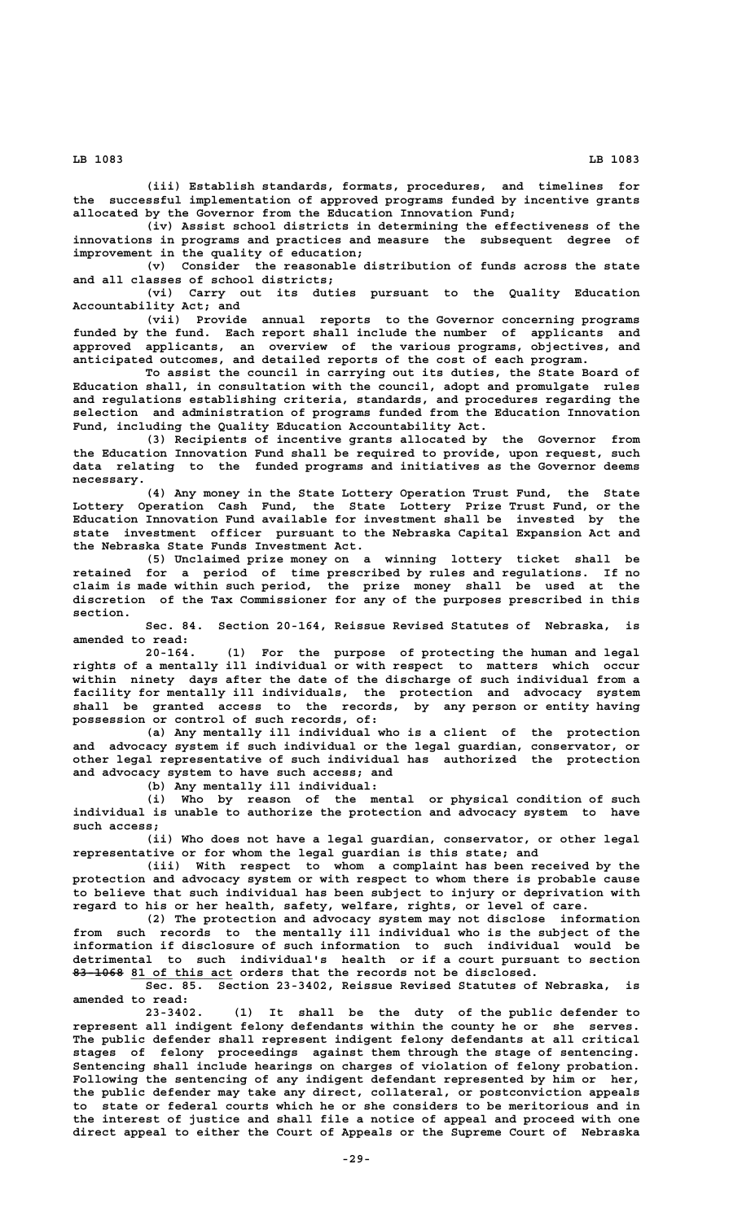**(iii) Establish standards, formats, procedures, and timelines for the successful implementation of approved programs funded by incentive grants allocated by the Governor from the Education Innovation Fund;**

**(iv) Assist school districts in determining the effectiveness of the innovations in programs and practices and measure the subsequent degree of improvement in the quality of education;**

**(v) Consider the reasonable distribution of funds across the state and all classes of school districts;**

**(vi) Carry out its duties pursuant to the Quality Education Accountability Act; and**

**(vii) Provide annual reports to the Governor concerning programs funded by the fund. Each report shall include the number of applicants and approved applicants, an overview of the various programs, objectives, and anticipated outcomes, and detailed reports of the cost of each program.**

**To assist the council in carrying out its duties, the State Board of Education shall, in consultation with the council, adopt and promulgate rules and regulations establishing criteria, standards, and procedures regarding the selection and administration of programs funded from the Education Innovation Fund, including the Quality Education Accountability Act.**

**(3) Recipients of incentive grants allocated by the Governor from the Education Innovation Fund shall be required to provide, upon request, such data relating to the funded programs and initiatives as the Governor deems necessary.**

**(4) Any money in the State Lottery Operation Trust Fund, the State Lottery Operation Cash Fund, the State Lottery Prize Trust Fund, or the Education Innovation Fund available for investment shall be invested by the state investment officer pursuant to the Nebraska Capital Expansion Act and the Nebraska State Funds Investment Act.**

**(5) Unclaimed prize money on a winning lottery ticket shall be retained for a period of time prescribed by rules and regulations. If no claim is made within such period, the prize money shall be used at the discretion of the Tax Commissioner for any of the purposes prescribed in this section.**

**Sec. 84. Section 20-164, Reissue Revised Statutes of Nebraska, is amended to read:**

**20-164. (1) For the purpose of protecting the human and legal rights of a mentally ill individual or with respect to matters which occur within ninety days after the date of the discharge of such individual from a facility for mentally ill individuals, the protection and advocacy system shall be granted access to the records, by any person or entity having possession or control of such records, of:**

**(a) Any mentally ill individual who is a client of the protection and advocacy system if such individual or the legal guardian, conservator, or other legal representative of such individual has authorized the protection and advocacy system to have such access; and**

**(b) Any mentally ill individual:**

**(i) Who by reason of the mental or physical condition of such individual is unable to authorize the protection and advocacy system to have such access;**

**(ii) Who does not have a legal guardian, conservator, or other legal representative or for whom the legal guardian is this state; and**

**(iii) With respect to whom a complaint has been received by the protection and advocacy system or with respect to whom there is probable cause to believe that such individual has been subject to injury or deprivation with regard to his or her health, safety, welfare, rights, or level of care.**

**(2) The protection and advocacy system may not disclose information from such records to the mentally ill individual who is the subject of the information if disclosure of such information to such individual would be detrimental to such individual's health or if a court pursuant to section** 83-1068 81 of this act orders that the records not be disclosed.

**Sec. 85. Section 23-3402, Reissue Revised Statutes of Nebraska, is amended to read:**

**23-3402. (1) It shall be the duty of the public defender to represent all indigent felony defendants within the county he or she serves. The public defender shall represent indigent felony defendants at all critical stages of felony proceedings against them through the stage of sentencing. Sentencing shall include hearings on charges of violation of felony probation. Following the sentencing of any indigent defendant represented by him or her, the public defender may take any direct, collateral, or postconviction appeals to state or federal courts which he or she considers to be meritorious and in the interest of justice and shall file a notice of appeal and proceed with one direct appeal to either the Court of Appeals or the Supreme Court of Nebraska**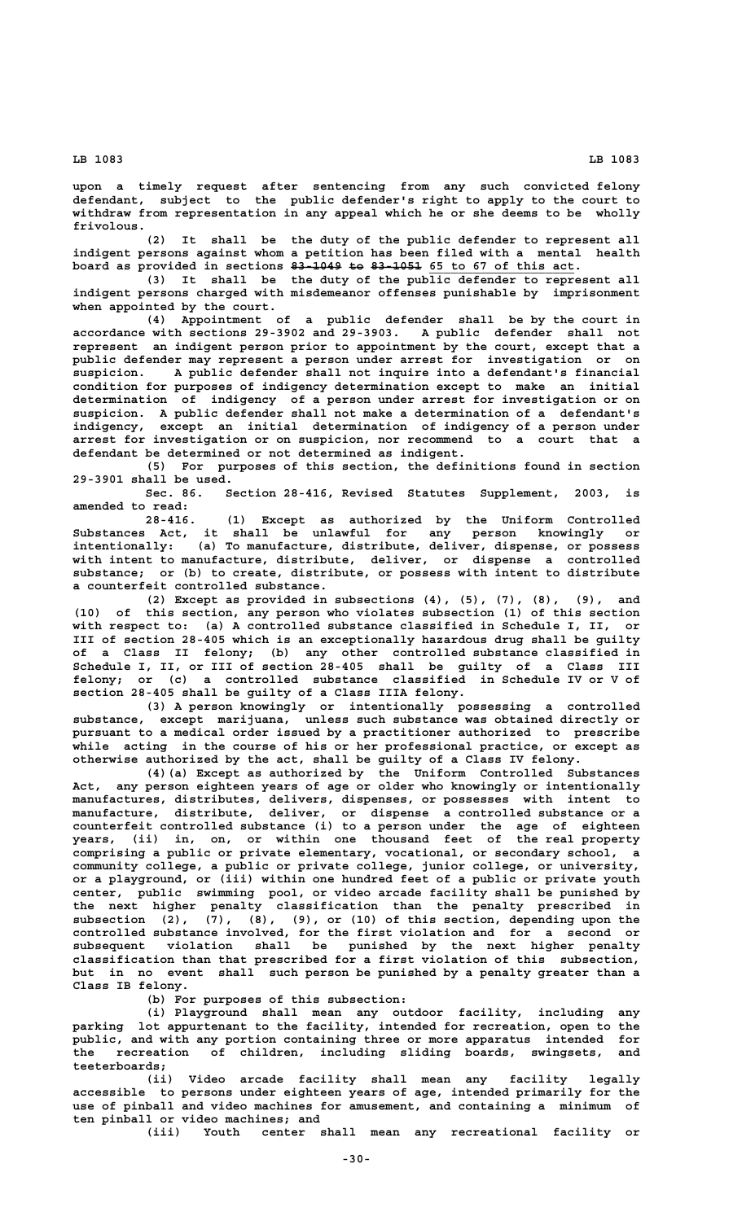**upon a timely request after sentencing from any such convicted felony defendant, subject to the public defender's right to apply to the court to withdraw from representation in any appeal which he or she deems to be wholly**

 **frivolous.** It shall be the duty of the public defender to represent all **indigent persons against whom a petition has been filed with a mental health** board as provided in sections  $83-1049$  to  $83-1051$  65 to 67 of this act.

**(3) It shall be the duty of the public defender to represent all indigent persons charged with misdemeanor offenses punishable by imprisonment when appointed by the court.**

**(4) Appointment of a public defender shall be by the court in accordance with sections 29-3902 and 29-3903. A public defender shall not represent an indigent person prior to appointment by the court, except that a public defender may represent a person under arrest for investigation or on suspicion. A public defender shall not inquire into a defendant's financial condition for purposes of indigency determination except to make an initial determination of indigency of a person under arrest for investigation or on suspicion. A public defender shall not make a determination of a defendant's indigency, except an initial determination of indigency of a person under arrest for investigation or on suspicion, nor recommend to a court that a defendant be determined or not determined as indigent.**

**(5) For purposes of this section, the definitions found in section 29-3901 shall be used.**

**Sec. 86. Section 28-416, Revised Statutes Supplement, 2003, is amended to read:**

**28-416. (1) Except as authorized by the Uniform Controlled Substances Act, it shall be unlawful for any person knowingly or intentionally: (a) To manufacture, distribute, deliver, dispense, or possess with intent to manufacture, distribute, deliver, or dispense a controlled substance; or (b) to create, distribute, or possess with intent to distribute a counterfeit controlled substance.**

**(2) Except as provided in subsections (4), (5), (7), (8), (9), and (10) of this section, any person who violates subsection (1) of this section with respect to: (a) A controlled substance classified in Schedule I, II, or III of section 28-405 which is an exceptionally hazardous drug shall be guilty of a Class II felony; (b) any other controlled substance classified in Schedule I, II, or III of section 28-405 shall be guilty of a Class III felony; or (c) a controlled substance classified in Schedule IV or V of section 28-405 shall be guilty of a Class IIIA felony.**

**(3) A person knowingly or intentionally possessing a controlled substance, except marijuana, unless such substance was obtained directly or pursuant to a medical order issued by a practitioner authorized to prescribe while acting in the course of his or her professional practice, or except as otherwise authorized by the act, shall be guilty of a Class IV felony.**

**(4)(a) Except as authorized by the Uniform Controlled Substances Act, any person eighteen years of age or older who knowingly or intentionally manufactures, distributes, delivers, dispenses, or possesses with intent to manufacture, distribute, deliver, or dispense a controlled substance or a counterfeit controlled substance (i) to a person under the age of eighteen years, (ii) in, on, or within one thousand feet of the real property comprising a public or private elementary, vocational, or secondary school, a community college, a public or private college, junior college, or university, or a playground, or (iii) within one hundred feet of a public or private youth center, public swimming pool, or video arcade facility shall be punished by the next higher penalty classification than the penalty prescribed in subsection (2), (7), (8), (9), or (10) of this section, depending upon the controlled substance involved, for the first violation and for a second or subsequent violation shall be punished by the next higher penalty classification than that prescribed for a first violation of this subsection, but in no event shall such person be punished by a penalty greater than a Class IB felony.**

**(b) For purposes of this subsection:**

**(i) Playground shall mean any outdoor facility, including any parking lot appurtenant to the facility, intended for recreation, open to the public, and with any portion containing three or more apparatus intended for the recreation of children, including sliding boards, swingsets, and teeterboards;**

**(ii) Video arcade facility shall mean any facility legally accessible to persons under eighteen years of age, intended primarily for the use of pinball and video machines for amusement, and containing a minimum of ten pinball or video machines; and**

**(iii) Youth center shall mean any recreational facility or**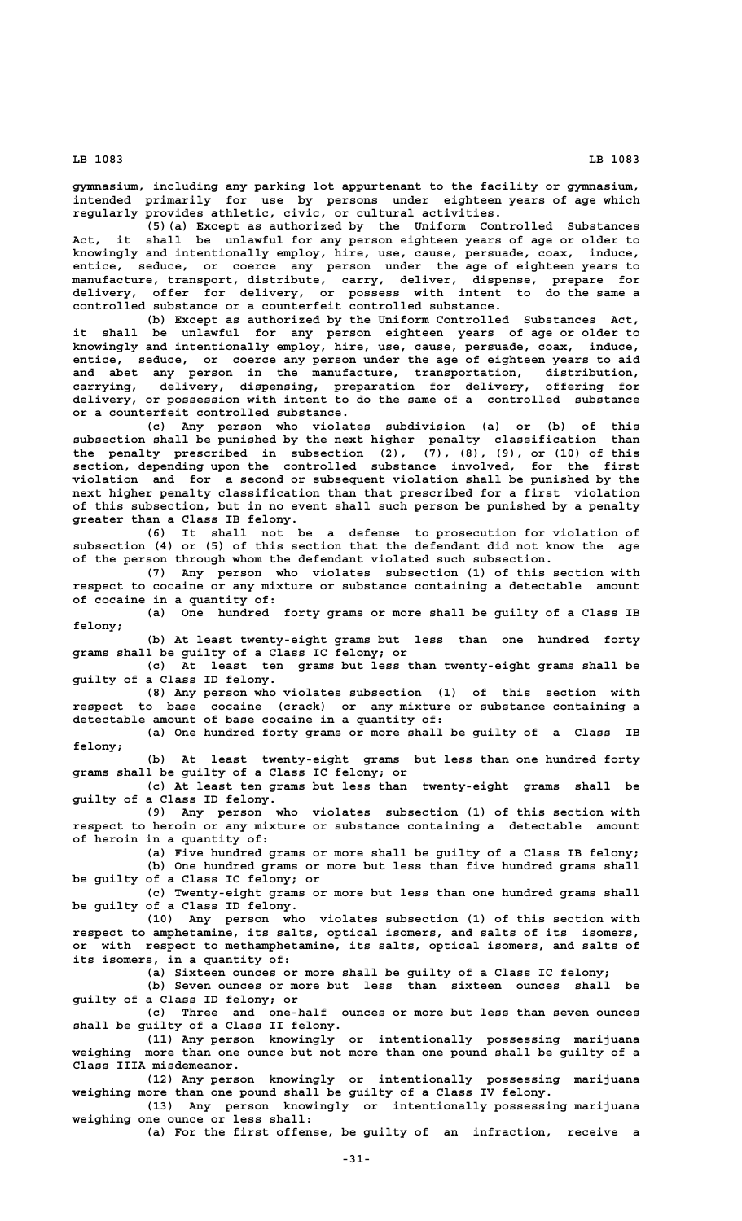**gymnasium, including any parking lot appurtenant to the facility or gymnasium, intended primarily for use by persons under eighteen years of age which regularly provides athletic, civic, or cultural activities.**

**(5)(a) Except as authorized by the Uniform Controlled Substances Act, it shall be unlawful for any person eighteen years of age or older to knowingly and intentionally employ, hire, use, cause, persuade, coax, induce, entice, seduce, or coerce any person under the age of eighteen years to manufacture, transport, distribute, carry, deliver, dispense, prepare for delivery, offer for delivery, or possess with intent to do the same a controlled substance or a counterfeit controlled substance.**

**(b) Except as authorized by the Uniform Controlled Substances Act, it shall be unlawful for any person eighteen years of age or older to knowingly and intentionally employ, hire, use, cause, persuade, coax, induce, entice, seduce, or coerce any person under the age of eighteen years to aid and abet any person in the manufacture, transportation, distribution, carrying, delivery, dispensing, preparation for delivery, offering for delivery, or possession with intent to do the same of a controlled substance or a counterfeit controlled substance.**

**(c) Any person who violates subdivision (a) or (b) of this subsection shall be punished by the next higher penalty classification than the penalty prescribed in subsection (2), (7), (8), (9), or (10) of this section, depending upon the controlled substance involved, for the first violation and for a second or subsequent violation shall be punished by the next higher penalty classification than that prescribed for a first violation of this subsection, but in no event shall such person be punished by a penalty greater than a Class IB felony.**

**(6) It shall not be a defense to prosecution for violation of subsection (4) or (5) of this section that the defendant did not know the age of the person through whom the defendant violated such subsection.**

**(7) Any person who violates subsection (1) of this section with respect to cocaine or any mixture or substance containing a detectable amount of cocaine in a quantity of:**

**(a) One hundred forty grams or more shall be guilty of a Class IB felony;**

**(b) At least twenty-eight grams but less than one hundred forty grams shall be guilty of a Class IC felony; or**

**(c) At least ten grams but less than twenty-eight grams shall be guilty of a Class ID felony.**

**(8) Any person who violates subsection (1) of this section with respect to base cocaine (crack) or any mixture or substance containing a detectable amount of base cocaine in a quantity of:**

**(a) One hundred forty grams or more shall be guilty of a Class IB felony;**

**(b) At least twenty-eight grams but less than one hundred forty grams shall be guilty of a Class IC felony; or**

**(c) At least ten grams but less than twenty-eight grams shall be guilty of a Class ID felony.**

**(9) Any person who violates subsection (1) of this section with respect to heroin or any mixture or substance containing a detectable amount of heroin in a quantity of:**

**(a) Five hundred grams or more shall be guilty of a Class IB felony;**

**(b) One hundred grams or more but less than five hundred grams shall be guilty of a Class IC felony; or**

**(c) Twenty-eight grams or more but less than one hundred grams shall be guilty of a Class ID felony.**

**(10) Any person who violates subsection (1) of this section with respect to amphetamine, its salts, optical isomers, and salts of its isomers, or with respect to methamphetamine, its salts, optical isomers, and salts of its isomers, in a quantity of:**

**(a) Sixteen ounces or more shall be guilty of a Class IC felony;**

**(b) Seven ounces or more but less than sixteen ounces shall be guilty of a Class ID felony; or**

**(c) Three and one-half ounces or more but less than seven ounces shall be guilty of a Class II felony.**

**(11) Any person knowingly or intentionally possessing marijuana weighing more than one ounce but not more than one pound shall be guilty of a Class IIIA misdemeanor.**

**(12) Any person knowingly or intentionally possessing marijuana weighing more than one pound shall be guilty of a Class IV felony.**

**(13) Any person knowingly or intentionally possessing marijuana weighing one ounce or less shall:**

**(a) For the first offense, be guilty of an infraction, receive a**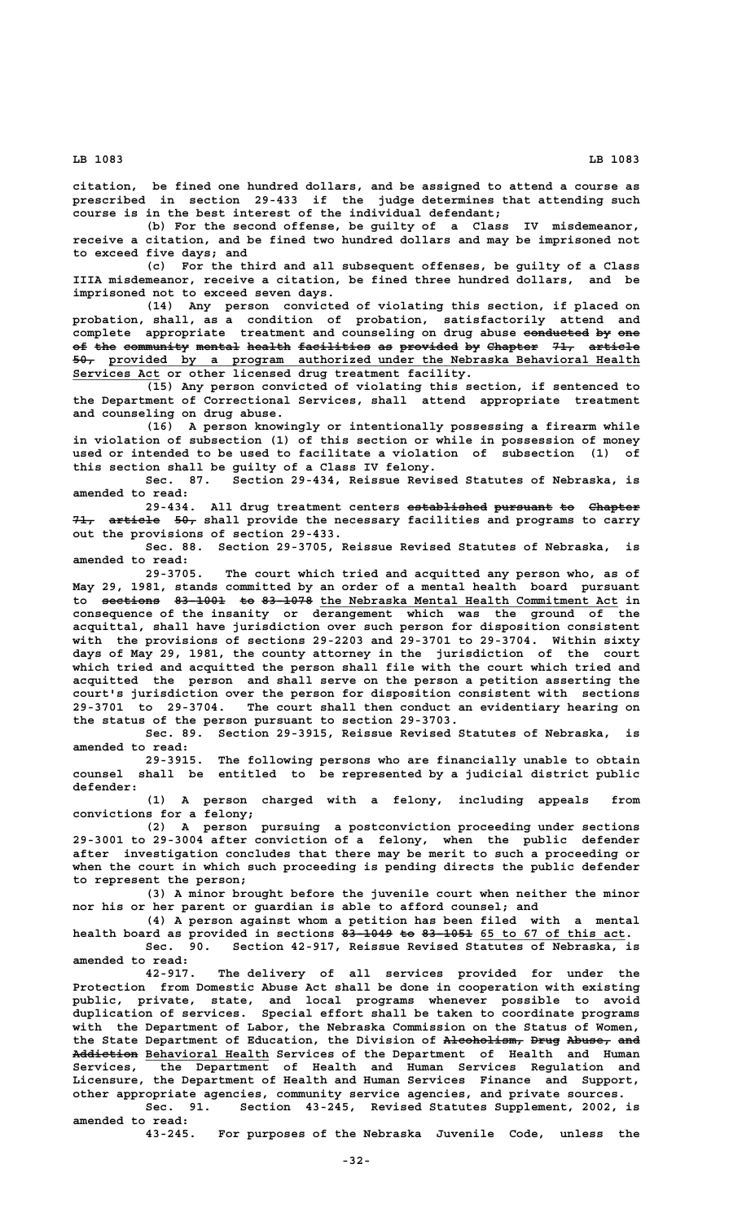**citation, be fined one hundred dollars, and be assigned to attend a course as prescribed in section 29-433 if the judge determines that attending such course is in the best interest of the individual defendant;**

**(b) For the second offense, be guilty of a Class IV misdemeanor, receive a citation, and be fined two hundred dollars and may be imprisoned not to exceed five days; and**

**(c) For the third and all subsequent offenses, be guilty of a Class IIIA misdemeanor, receive a citation, be fined three hundred dollars, and be imprisoned not to exceed seven days.**

**(14) Any person convicted of violating this section, if placed on probation, shall, as a condition of probation, satisfactorily attend and** complete appropriate treatment and counseling on drug abuse conducted by one of the community mental health facilities as provided by Chapter 71, article  **——— \_\_\_\_\_\_\_\_\_\_\_\_\_\_\_\_\_\_\_\_\_\_\_\_\_\_\_\_\_\_\_\_\_\_\_\_\_\_\_\_\_\_\_\_\_\_\_\_\_\_\_\_\_\_\_\_\_\_\_\_\_\_\_\_\_\_\_\_\_\_\_\_\_ 50, provided by a program authorized under the Nebraska Behavioral Health \_\_\_\_\_\_\_\_\_\_\_\_ Services Act or other licensed drug treatment facility.**

**(15) Any person convicted of violating this section, if sentenced to the Department of Correctional Services, shall attend appropriate treatment and counseling on drug abuse.**

**(16) A person knowingly or intentionally possessing a firearm while in violation of subsection (1) of this section or while in possession of money used or intended to be used to facilitate a violation of subsection (1) of this section shall be guilty of a Class IV felony.**

**Sec. 87. Section 29-434, Reissue Revised Statutes of Nebraska, is amended to read:**

All drug treatment centers established pursuant to Chapter  $\frac{1}{2}$   $\frac{1}{2}$   $\frac{1}{2}$   $\frac{1}{2}$  shall provide the necessary facilities and programs to carry **out the provisions of section 29-433.**

**Sec. 88. Section 29-3705, Reissue Revised Statutes of Nebraska, is amended to read:**

**29-3705. The court which tried and acquitted any person who, as of May 29, 1981, stands committed by an order of a mental health board pursuant** to sections 83-1001 to 83-1078 the Nebraska Mental Health Commitment Act in **consequence of the insanity or derangement which was the ground of the acquittal, shall have jurisdiction over such person for disposition consistent with the provisions of sections 29-2203 and 29-3701 to 29-3704. Within sixty days of May 29, 1981, the county attorney in the jurisdiction of the court which tried and acquitted the person shall file with the court which tried and acquitted the person and shall serve on the person a petition asserting the court's jurisdiction over the person for disposition consistent with sections 29-3701 to 29-3704. The court shall then conduct an evidentiary hearing on the status of the person pursuant to section 29-3703.**

**Sec. 89. Section 29-3915, Reissue Revised Statutes of Nebraska, is amended to read:**

**29-3915. The following persons who are financially unable to obtain counsel shall be entitled to be represented by a judicial district public defender:**

**(1) A person charged with a felony, including appeals from convictions for a felony;**

**(2) A person pursuing a postconviction proceeding under sections 29-3001 to 29-3004 after conviction of a felony, when the public defender after investigation concludes that there may be merit to such a proceeding or when the court in which such proceeding is pending directs the public defender to represent the person;**

**(3) A minor brought before the juvenile court when neither the minor nor his or her parent or guardian is able to afford counsel; and**

**(4) A person against whom a petition has been filed with a mental** health board as provided in sections  $83-1049$  to  $83-1051$  65 to 67 of this act. **Sec. 90. Section 42-917, Reissue Revised Statutes of Nebraska, is**

**amended to read:**

**42-917. The delivery of all services provided for under the Protection from Domestic Abuse Act shall be done in cooperation with existing public, private, state, and local programs whenever possible to avoid duplication of services. Special effort shall be taken to coordinate programs with the Department of Labor, the Nebraska Commission on the Status of Women,** the State Department of Education, the Division of Alcoholism, Drug Abuse, and  **————————— \_\_\_\_\_\_\_\_\_\_\_\_\_\_\_\_\_ Addiction Behavioral Health Services of the Department of Health and Human Services, the Department of Health and Human Services Regulation and Licensure, the Department of Health and Human Services Finance and Support, other appropriate agencies, community service agencies, and private sources.**

**Sec. 91. Section 43-245, Revised Statutes Supplement, 2002, is amended to read:**

**43-245. For purposes of the Nebraska Juvenile Code, unless the**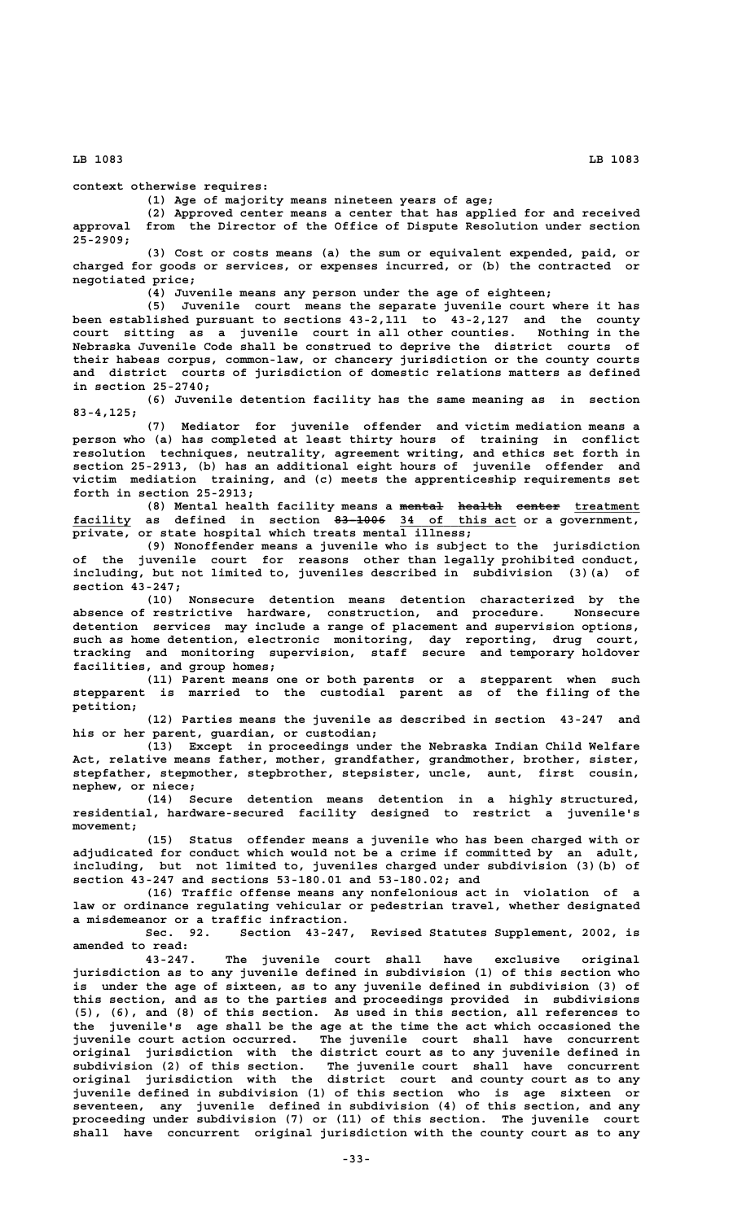**context otherwise requires:**

**(1) Age of majority means nineteen years of age;**

**(2) Approved center means a center that has applied for and received approval from the Director of the Office of Dispute Resolution under section 25-2909;**

**(3) Cost or costs means (a) the sum or equivalent expended, paid, or charged for goods or services, or expenses incurred, or (b) the contracted or negotiated price;**

**(4) Juvenile means any person under the age of eighteen;**

**(5) Juvenile court means the separate juvenile court where it has been established pursuant to sections 43-2,111 to 43-2,127 and the county court sitting as a juvenile court in all other counties. Nothing in the Nebraska Juvenile Code shall be construed to deprive the district courts of their habeas corpus, common-law, or chancery jurisdiction or the county courts and district courts of jurisdiction of domestic relations matters as defined in section 25-2740;**

**(6) Juvenile detention facility has the same meaning as in section 83-4,125;**

**(7) Mediator for juvenile offender and victim mediation means a person who (a) has completed at least thirty hours of training in conflict resolution techniques, neutrality, agreement writing, and ethics set forth in section 25-2913, (b) has an additional eight hours of juvenile offender and victim mediation training, and (c) meets the apprenticeship requirements set forth in section 25-2913;**

(8) Mental health facility means a mental health eenter treatment  **\_\_\_\_\_\_\_\_ ——————— \_\_\_\_\_\_\_\_\_\_\_\_\_\_\_\_ facility as defined in section 83-1006 34 of this act or a government, private, or state hospital which treats mental illness;**

**(9) Nonoffender means a juvenile who is subject to the jurisdiction of the juvenile court for reasons other than legally prohibited conduct, including, but not limited to, juveniles described in subdivision (3)(a) of section 43-247;**

**(10) Nonsecure detention means detention characterized by the absence of restrictive hardware, construction, and procedure. Nonsecure detention services may include a range of placement and supervision options, such as home detention, electronic monitoring, day reporting, drug court, tracking and monitoring supervision, staff secure and temporary holdover facilities, and group homes;**

**(11) Parent means one or both parents or a stepparent when such stepparent is married to the custodial parent as of the filing of the petition;**

**(12) Parties means the juvenile as described in section 43-247 and his or her parent, guardian, or custodian;**

**(13) Except in proceedings under the Nebraska Indian Child Welfare Act, relative means father, mother, grandfather, grandmother, brother, sister, stepfather, stepmother, stepbrother, stepsister, uncle, aunt, first cousin, nephew, or niece;**

**(14) Secure detention means detention in a highly structured, residential, hardware-secured facility designed to restrict a juvenile's movement;**

**(15) Status offender means a juvenile who has been charged with or adjudicated for conduct which would not be a crime if committed by an adult, including, but not limited to, juveniles charged under subdivision (3)(b) of section 43-247 and sections 53-180.01 and 53-180.02; and**

**(16) Traffic offense means any nonfelonious act in violation of a law or ordinance regulating vehicular or pedestrian travel, whether designated a misdemeanor or a traffic infraction.**

**Sec. 92. Section 43-247, Revised Statutes Supplement, 2002, is amended to read:**

**43-247. The juvenile court shall have exclusive original jurisdiction as to any juvenile defined in subdivision (1) of this section who is under the age of sixteen, as to any juvenile defined in subdivision (3) of this section, and as to the parties and proceedings provided in subdivisions (5), (6), and (8) of this section. As used in this section, all references to the juvenile's age shall be the age at the time the act which occasioned the juvenile court action occurred. The juvenile court shall have concurrent original jurisdiction with the district court as to any juvenile defined in subdivision (2) of this section. The juvenile court shall have concurrent original jurisdiction with the district court and county court as to any juvenile defined in subdivision (1) of this section who is age sixteen or seventeen, any juvenile defined in subdivision (4) of this section, and any proceeding under subdivision (7) or (11) of this section. The juvenile court shall have concurrent original jurisdiction with the county court as to any**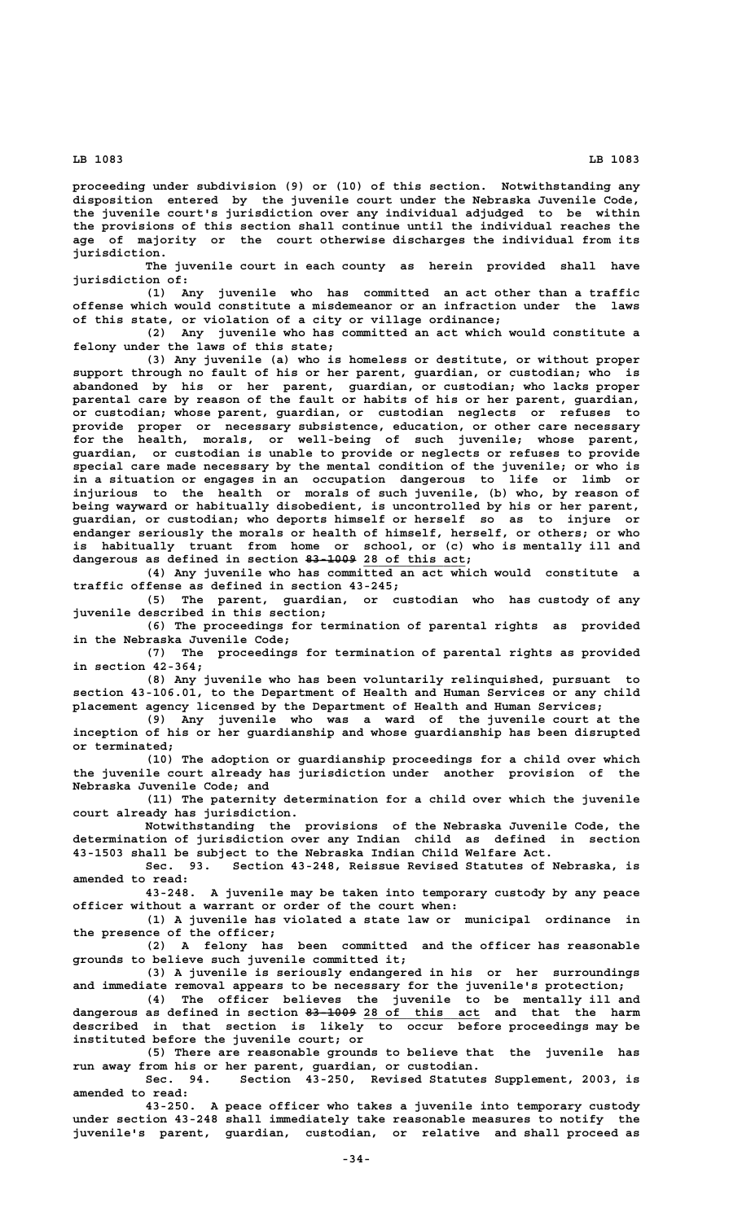**proceeding under subdivision (9) or (10) of this section. Notwithstanding any disposition entered by the juvenile court under the Nebraska Juvenile Code, the juvenile court's jurisdiction over any individual adjudged to be within the provisions of this section shall continue until the individual reaches the age of majority or the court otherwise discharges the individual from its jurisdiction.**

**The juvenile court in each county as herein provided shall have jurisdiction of:**

**(1) Any juvenile who has committed an act other than a traffic offense which would constitute a misdemeanor or an infraction under the laws of this state, or violation of a city or village ordinance;**

**(2) Any juvenile who has committed an act which would constitute a felony under the laws of this state;**

**(3) Any juvenile (a) who is homeless or destitute, or without proper support through no fault of his or her parent, guardian, or custodian; who is abandoned by his or her parent, guardian, or custodian; who lacks proper parental care by reason of the fault or habits of his or her parent, guardian, or custodian; whose parent, guardian, or custodian neglects or refuses to provide proper or necessary subsistence, education, or other care necessary for the health, morals, or well-being of such juvenile; whose parent, guardian, or custodian is unable to provide or neglects or refuses to provide special care made necessary by the mental condition of the juvenile; or who is in a situation or engages in an occupation dangerous to life or limb or injurious to the health or morals of such juvenile, (b) who, by reason of being wayward or habitually disobedient, is uncontrolled by his or her parent, guardian, or custodian; who deports himself or herself so as to injure or endanger seriously the morals or health of himself, herself, or others; or who is habitually truant from home or school, or (c) who is mentally ill and ——————— \_\_\_\_\_\_\_\_\_\_\_\_\_\_ dangerous as defined in section 83-1009 28 of this act;**

> **(4) Any juvenile who has committed an act which would constitute a traffic offense as defined in section 43-245;**

> **(5) The parent, guardian, or custodian who has custody of any juvenile described in this section;**

> **(6) The proceedings for termination of parental rights as provided in the Nebraska Juvenile Code;**

> **(7) The proceedings for termination of parental rights as provided in section 42-364;**

> **(8) Any juvenile who has been voluntarily relinquished, pursuant to section 43-106.01, to the Department of Health and Human Services or any child placement agency licensed by the Department of Health and Human Services;**

> **(9) Any juvenile who was a ward of the juvenile court at the inception of his or her guardianship and whose guardianship has been disrupted or terminated;**

> **(10) The adoption or guardianship proceedings for a child over which the juvenile court already has jurisdiction under another provision of the Nebraska Juvenile Code; and**

> **(11) The paternity determination for a child over which the juvenile court already has jurisdiction.**

> **Notwithstanding the provisions of the Nebraska Juvenile Code, the determination of jurisdiction over any Indian child as defined in section 43-1503 shall be subject to the Nebraska Indian Child Welfare Act.**

> **Sec. 93. Section 43-248, Reissue Revised Statutes of Nebraska, is amended to read:**

> **43-248. A juvenile may be taken into temporary custody by any peace officer without a warrant or order of the court when:**

> **(1) A juvenile has violated a state law or municipal ordinance in the presence of the officer;**

> **(2) A felony has been committed and the officer has reasonable grounds to believe such juvenile committed it;**

> **(3) A juvenile is seriously endangered in his or her surroundings and immediate removal appears to be necessary for the juvenile's protection;**

> **(4) The officer believes the juvenile to be mentally ill and** dangerous as defined in section 83-1009 28 of this act and that the harm **described in that section is likely to occur before proceedings may be instituted before the juvenile court; or**

> **(5) There are reasonable grounds to believe that the juvenile has run away from his or her parent, guardian, or custodian.**

> **Sec. 94. Section 43-250, Revised Statutes Supplement, 2003, is amended to read:**

> **43-250. A peace officer who takes a juvenile into temporary custody under section 43-248 shall immediately take reasonable measures to notify the juvenile's parent, guardian, custodian, or relative and shall proceed as**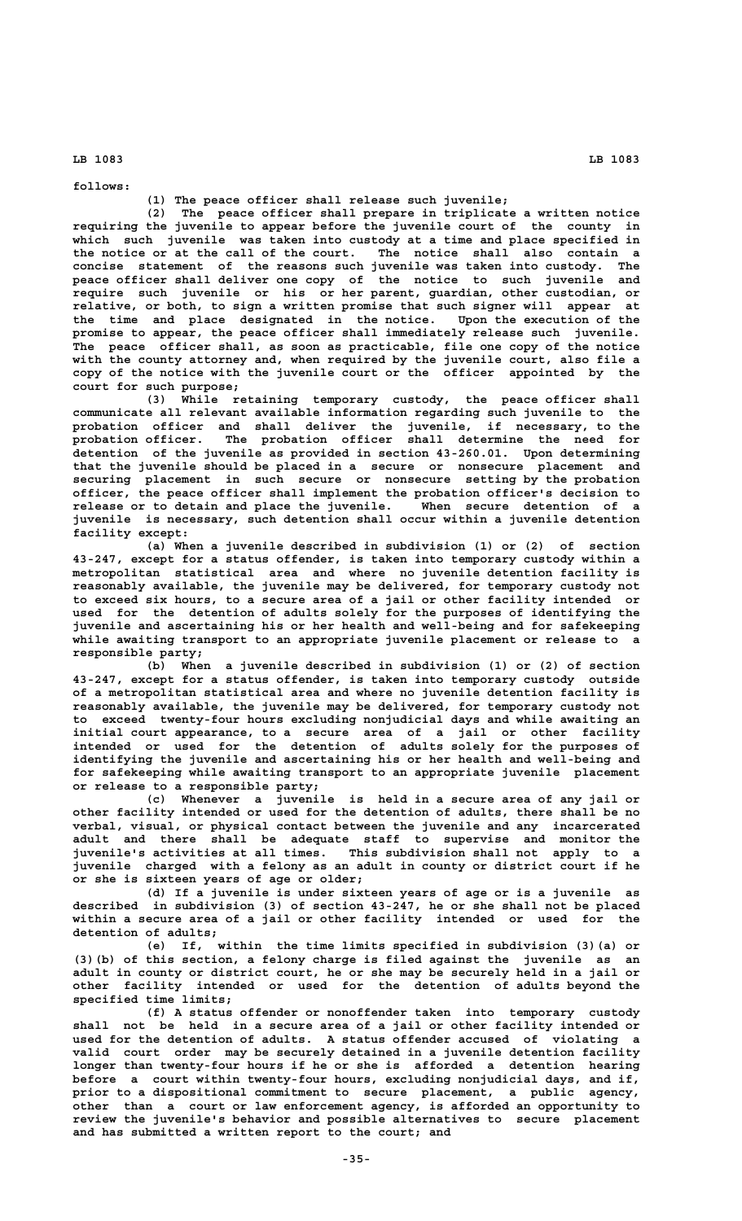**follows:**

**(1) The peace officer shall release such juvenile;**

**(2) The peace officer shall prepare in triplicate a written notice requiring the juvenile to appear before the juvenile court of the county in which such juvenile was taken into custody at a time and place specified in the notice or at the call of the court. The notice shall also contain a concise statement of the reasons such juvenile was taken into custody. The peace officer shall deliver one copy of the notice to such juvenile and require such juvenile or his or her parent, guardian, other custodian, or relative, or both, to sign a written promise that such signer will appear at the time and place designated in the notice. Upon the execution of the promise to appear, the peace officer shall immediately release such juvenile. The peace officer shall, as soon as practicable, file one copy of the notice with the county attorney and, when required by the juvenile court, also file a copy of the notice with the juvenile court or the officer appointed by the court for such purpose;**

**(3) While retaining temporary custody, the peace officer shall communicate all relevant available information regarding such juvenile to the probation officer and shall deliver the juvenile, if necessary, to the probation officer. The probation officer shall determine the need for detention of the juvenile as provided in section 43-260.01. Upon determining that the juvenile should be placed in a secure or nonsecure placement and securing placement in such secure or nonsecure setting by the probation officer, the peace officer shall implement the probation officer's decision to release or to detain and place the juvenile. When secure detention of a juvenile is necessary, such detention shall occur within a juvenile detention facility except:**

**(a) When a juvenile described in subdivision (1) or (2) of section 43-247, except for a status offender, is taken into temporary custody within a metropolitan statistical area and where no juvenile detention facility is reasonably available, the juvenile may be delivered, for temporary custody not to exceed six hours, to a secure area of a jail or other facility intended or used for the detention of adults solely for the purposes of identifying the juvenile and ascertaining his or her health and well-being and for safekeeping while awaiting transport to an appropriate juvenile placement or release to a responsible party;**

**(b) When a juvenile described in subdivision (1) or (2) of section 43-247, except for a status offender, is taken into temporary custody outside of a metropolitan statistical area and where no juvenile detention facility is reasonably available, the juvenile may be delivered, for temporary custody not to exceed twenty-four hours excluding nonjudicial days and while awaiting an initial court appearance, to a secure area of a jail or other facility intended or used for the detention of adults solely for the purposes of identifying the juvenile and ascertaining his or her health and well-being and for safekeeping while awaiting transport to an appropriate juvenile placement or release to a responsible party;**

**(c) Whenever a juvenile is held in a secure area of any jail or other facility intended or used for the detention of adults, there shall be no verbal, visual, or physical contact between the juvenile and any incarcerated adult and there shall be adequate staff to supervise and monitor the juvenile's activities at all times. This subdivision shall not apply to a juvenile charged with a felony as an adult in county or district court if he or she is sixteen years of age or older;**

**(d) If a juvenile is under sixteen years of age or is a juvenile as described in subdivision (3) of section 43-247, he or she shall not be placed within a secure area of a jail or other facility intended or used for the detention of adults;**

**(e) If, within the time limits specified in subdivision (3)(a) or (3)(b) of this section, a felony charge is filed against the juvenile as an adult in county or district court, he or she may be securely held in a jail or other facility intended or used for the detention of adults beyond the specified time limits;**

**(f) A status offender or nonoffender taken into temporary custody shall not be held in a secure area of a jail or other facility intended or used for the detention of adults. A status offender accused of violating a valid court order may be securely detained in a juvenile detention facility longer than twenty-four hours if he or she is afforded a detention hearing before a court within twenty-four hours, excluding nonjudicial days, and if, prior to a dispositional commitment to secure placement, a public agency, other than a court or law enforcement agency, is afforded an opportunity to review the juvenile's behavior and possible alternatives to secure placement and has submitted a written report to the court; and**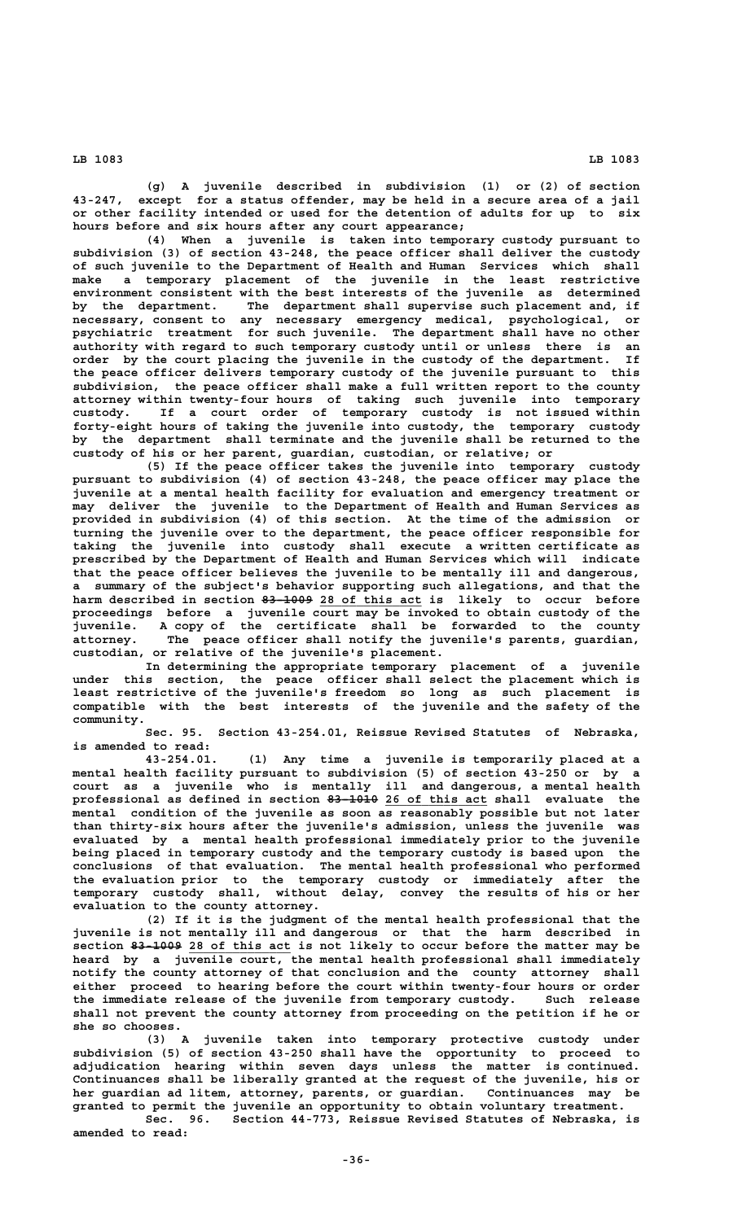**(g) A juvenile described in subdivision (1) or (2) of section 43-247, except for a status offender, may be held in a secure area of a jail or other facility intended or used for the detention of adults for up to six hours before and six hours after any court appearance;**

**(4) When a juvenile is taken into temporary custody pursuant to subdivision (3) of section 43-248, the peace officer shall deliver the custody of such juvenile to the Department of Health and Human Services which shall make a temporary placement of the juvenile in the least restrictive environment consistent with the best interests of the juvenile as determined by the department. The department shall supervise such placement and, if necessary, consent to any necessary emergency medical, psychological, or psychiatric treatment for such juvenile. The department shall have no other authority with regard to such temporary custody until or unless there is an order by the court placing the juvenile in the custody of the department. If the peace officer delivers temporary custody of the juvenile pursuant to this subdivision, the peace officer shall make a full written report to the county attorney within twenty-four hours of taking such juvenile into temporary custody. If a court order of temporary custody is not issued within forty-eight hours of taking the juvenile into custody, the temporary custody by the department shall terminate and the juvenile shall be returned to the custody of his or her parent, guardian, custodian, or relative; or**

**(5) If the peace officer takes the juvenile into temporary custody pursuant to subdivision (4) of section 43-248, the peace officer may place the juvenile at a mental health facility for evaluation and emergency treatment or may deliver the juvenile to the Department of Health and Human Services as provided in subdivision (4) of this section. At the time of the admission or turning the juvenile over to the department, the peace officer responsible for taking the juvenile into custody shall execute a written certificate as prescribed by the Department of Health and Human Services which will indicate that the peace officer believes the juvenile to be mentally ill and dangerous, a summary of the subject's behavior supporting such allegations, and that the** harm described in section 83-1009 28 of this act is likely to occur before **proceedings before a juvenile court may be invoked to obtain custody of the juvenile. A copy of the certificate shall be forwarded to the county attorney. The peace officer shall notify the juvenile's parents, guardian, custodian, or relative of the juvenile's placement.**

**In determining the appropriate temporary placement of a juvenile under this section, the peace officer shall select the placement which is least restrictive of the juvenile's freedom so long as such placement is compatible with the best interests of the juvenile and the safety of the community.**

**Sec. 95. Section 43-254.01, Reissue Revised Statutes of Nebraska, is amended to read:**

**43-254.01. (1) Any time a juvenile is temporarily placed at a mental health facility pursuant to subdivision (5) of section 43-250 or by a court as a juvenile who is mentally ill and dangerous, a mental health** professional as defined in section 83-1010 26 of this act shall evaluate the **mental condition of the juvenile as soon as reasonably possible but not later than thirty-six hours after the juvenile's admission, unless the juvenile was evaluated by a mental health professional immediately prior to the juvenile being placed in temporary custody and the temporary custody is based upon the conclusions of that evaluation. The mental health professional who performed the evaluation prior to the temporary custody or immediately after the temporary custody shall, without delay, convey the results of his or her evaluation to the county attorney.**

**(2) If it is the judgment of the mental health professional that the juvenile is not mentally ill and dangerous or that the harm described in** section 83-1009 28 of this act is not likely to occur before the matter may be **heard by a juvenile court, the mental health professional shall immediately notify the county attorney of that conclusion and the county attorney shall either proceed to hearing before the court within twenty-four hours or order the immediate release of the juvenile from temporary custody. Such release shall not prevent the county attorney from proceeding on the petition if he or she so chooses.**

**(3) A juvenile taken into temporary protective custody under subdivision (5) of section 43-250 shall have the opportunity to proceed to adjudication hearing within seven days unless the matter is continued. Continuances shall be liberally granted at the request of the juvenile, his or her guardian ad litem, attorney, parents, or guardian. Continuances may be granted to permit the juvenile an opportunity to obtain voluntary treatment. Sec. 96. Section 44-773, Reissue Revised Statutes of Nebraska, is**

**amended to read:**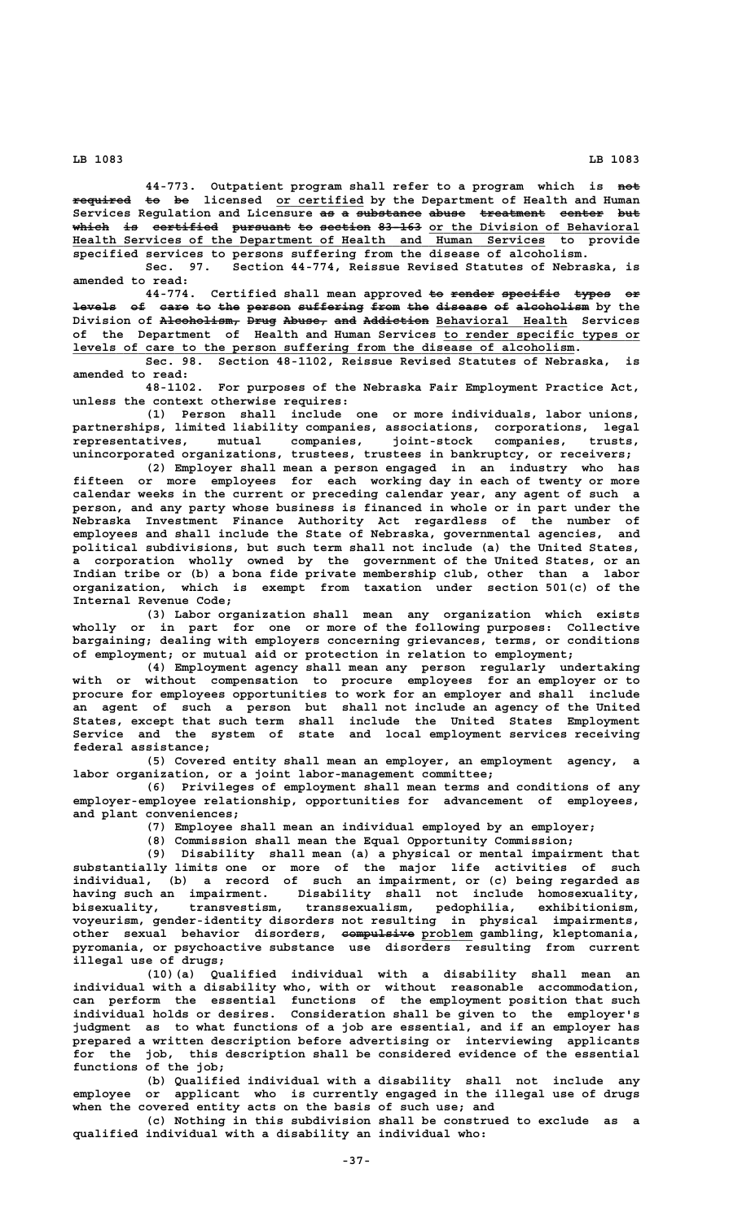**44-773. Outpatient program shall refer to a program which is not —— required to be licensed or certified by the Department of Health and Human** Services Regulation and Licensure as a substance abuse treatment center but which is certified pursuant to section 83 163 or the Division of Behavioral  **\_\_\_\_\_\_\_\_\_\_\_\_\_\_\_\_\_\_\_\_\_\_\_\_\_\_\_\_\_\_\_\_\_\_\_\_\_\_\_\_\_\_\_\_\_\_\_\_\_\_\_\_\_\_\_\_\_\_\_\_\_\_\_\_\_ Health Services of the Department of Health and Human Services to provide specified services to persons suffering from the disease of alcoholism.**

**Sec. 97. Section 44-774, Reissue Revised Statutes of Nebraska, is amended to read:**

**44-774. Certified shall mean approved to render specific types or —— —————— ———————— ————— —** levels of care to the person suffering from the disease of alcoholism by the Division of Alcoholism, Drug Abuse, and Addiction Behavioral Health Services of the Department of Health and Human Services to render specific types or levels of care to the person suffering from the disease of alcoholism.

**Sec. 98. Section 48-1102, Reissue Revised Statutes of Nebraska, is amended to read:**

**48-1102. For purposes of the Nebraska Fair Employment Practice Act, unless the context otherwise requires:**

**(1) Person shall include one or more individuals, labor unions, partnerships, limited liability companies, associations, corporations, legal representatives, mutual companies, joint-stock companies, trusts, representatives,** mutual companies, joint-stock companies, trusts, unincorporated organizations, trustees, trustees in bankruptcy, or receivers;

**(2) Employer shall mean a person engaged in an industry who has fifteen or more employees for each working day in each of twenty or more calendar weeks in the current or preceding calendar year, any agent of such a person, and any party whose business is financed in whole or in part under the Nebraska Investment Finance Authority Act regardless of the number of employees and shall include the State of Nebraska, governmental agencies, and political subdivisions, but such term shall not include (a) the United States, a corporation wholly owned by the government of the United States, or an Indian tribe or (b) a bona fide private membership club, other than a labor organization, which is exempt from taxation under section 501(c) of the Internal Revenue Code;**

**(3) Labor organization shall mean any organization which exists wholly or in part for one or more of the following purposes: Collective bargaining; dealing with employers concerning grievances, terms, or conditions of employment; or mutual aid or protection in relation to employment;**

**(4) Employment agency shall mean any person regularly undertaking with or without compensation to procure employees for an employer or to procure for employees opportunities to work for an employer and shall include an agent of such a person but shall not include an agency of the United States, except that such term shall include the United States Employment Service and the system of state and local employment services receiving federal assistance;**

**(5) Covered entity shall mean an employer, an employment agency, a labor organization, or a joint labor-management committee;**

**(6) Privileges of employment shall mean terms and conditions of any employer-employee relationship, opportunities for advancement of employees, and plant conveniences;**

**(7) Employee shall mean an individual employed by an employer;**

**(8) Commission shall mean the Equal Opportunity Commission;**

**(9) Disability shall mean (a) a physical or mental impairment that substantially limits one or more of the major life activities of such individual, (b) a record of such an impairment, or (c) being regarded as having such an impairment. Disability shall not include homosexuality, bisexuality, transvestism, transsexualism, pedophilia, exhibitionism, voyeurism, gender-identity disorders not resulting in physical impairments, —————————— \_\_\_\_\_\_\_ other sexual behavior disorders, compulsive problem gambling, kleptomania, pyromania, or psychoactive substance use disorders resulting from current illegal use of drugs;**

**(10)(a) Qualified individual with a disability shall mean an individual with a disability who, with or without reasonable accommodation, can perform the essential functions of the employment position that such individual holds or desires. Consideration shall be given to the employer's judgment as to what functions of a job are essential, and if an employer has prepared a written description before advertising or interviewing applicants for the job, this description shall be considered evidence of the essential functions of the job;**

**(b) Qualified individual with a disability shall not include any employee or applicant who is currently engaged in the illegal use of drugs when the covered entity acts on the basis of such use; and**

**(c) Nothing in this subdivision shall be construed to exclude as a qualified individual with a disability an individual who:**

 **LB 1083 LB 1083**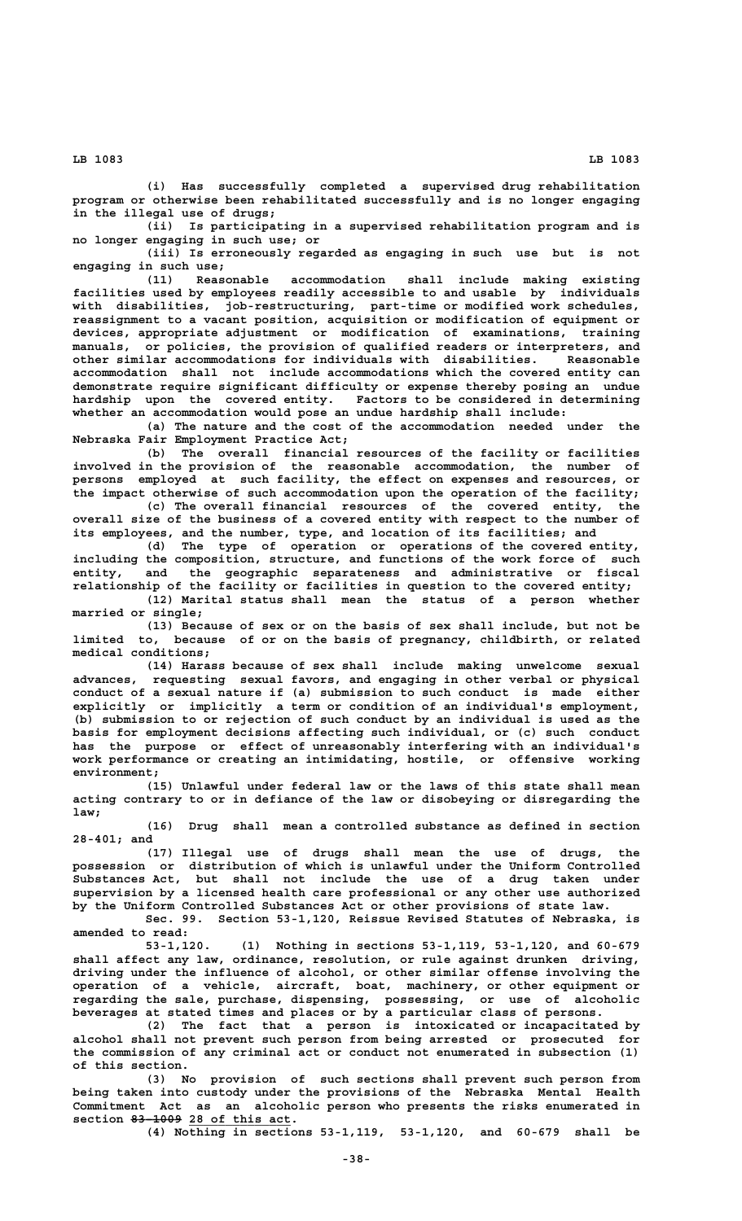**(i) Has successfully completed a supervised drug rehabilitation program or otherwise been rehabilitated successfully and is no longer engaging in the illegal use of drugs;**

**(ii) Is participating in a supervised rehabilitation program and is no longer engaging in such use; or**

**(iii) Is erroneously regarded as engaging in such use but is not engaging in such use;**

**(11) Reasonable accommodation shall include making existing facilities used by employees readily accessible to and usable by individuals with disabilities, job-restructuring, part-time or modified work schedules, reassignment to a vacant position, acquisition or modification of equipment or devices, appropriate adjustment or modification of examinations, training manuals, or policies, the provision of qualified readers or interpreters, and other similar accommodations for individuals with disabilities. Reasonable accommodation shall not include accommodations which the covered entity can demonstrate require significant difficulty or expense thereby posing an undue hardship upon the covered entity. Factors to be considered in determining whether an accommodation would pose an undue hardship shall include:**

**(a) The nature and the cost of the accommodation needed under the Nebraska Fair Employment Practice Act;**

**(b) The overall financial resources of the facility or facilities involved in the provision of the reasonable accommodation, the number of persons employed at such facility, the effect on expenses and resources, or the impact otherwise of such accommodation upon the operation of the facility; (c) The overall financial resources of the covered entity, the**

**overall size of the business of a covered entity with respect to the number of its employees, and the number, type, and location of its facilities; and**

**(d) The type of operation or operations of the covered entity, including the composition, structure, and functions of the work force of such entity, and the geographic separateness and administrative or fiscal relationship of the facility or facilities in question to the covered entity; (12) Marital status shall mean the status of a person whether**

**married or single;**

**(13) Because of sex or on the basis of sex shall include, but not be limited to, because of or on the basis of pregnancy, childbirth, or related medical conditions;**

**(14) Harass because of sex shall include making unwelcome sexual advances, requesting sexual favors, and engaging in other verbal or physical conduct of a sexual nature if (a) submission to such conduct is made either explicitly or implicitly a term or condition of an individual's employment, (b) submission to or rejection of such conduct by an individual is used as the basis for employment decisions affecting such individual, or (c) such conduct has the purpose or effect of unreasonably interfering with an individual's work performance or creating an intimidating, hostile, or offensive working environment;**

**(15) Unlawful under federal law or the laws of this state shall mean acting contrary to or in defiance of the law or disobeying or disregarding the law;**

**(16) Drug shall mean a controlled substance as defined in section 28-401; and**

**(17) Illegal use of drugs shall mean the use of drugs, the possession or distribution of which is unlawful under the Uniform Controlled Substances Act, but shall not include the use of a drug taken under supervision by a licensed health care professional or any other use authorized by the Uniform Controlled Substances Act or other provisions of state law.**

**Sec. 99. Section 53-1,120, Reissue Revised Statutes of Nebraska, is amended to read:**

**53-1,120. (1) Nothing in sections 53-1,119, 53-1,120, and 60-679 shall affect any law, ordinance, resolution, or rule against drunken driving, driving under the influence of alcohol, or other similar offense involving the operation of a vehicle, aircraft, boat, machinery, or other equipment or regarding the sale, purchase, dispensing, possessing, or use of alcoholic beverages at stated times and places or by a particular class of persons.**

**(2) The fact that a person is intoxicated or incapacitated by alcohol shall not prevent such person from being arrested or prosecuted for the commission of any criminal act or conduct not enumerated in subsection (1) of this section.**

**(3) No provision of such sections shall prevent such person from being taken into custody under the provisions of the Nebraska Mental Health Commitment Act as an alcoholic person who presents the risks enumerated in ——————— \_\_\_\_\_\_\_\_\_\_\_\_\_\_ section 83-1009 28 of this act.**

**(4) Nothing in sections 53-1,119, 53-1,120, and 60-679 shall be**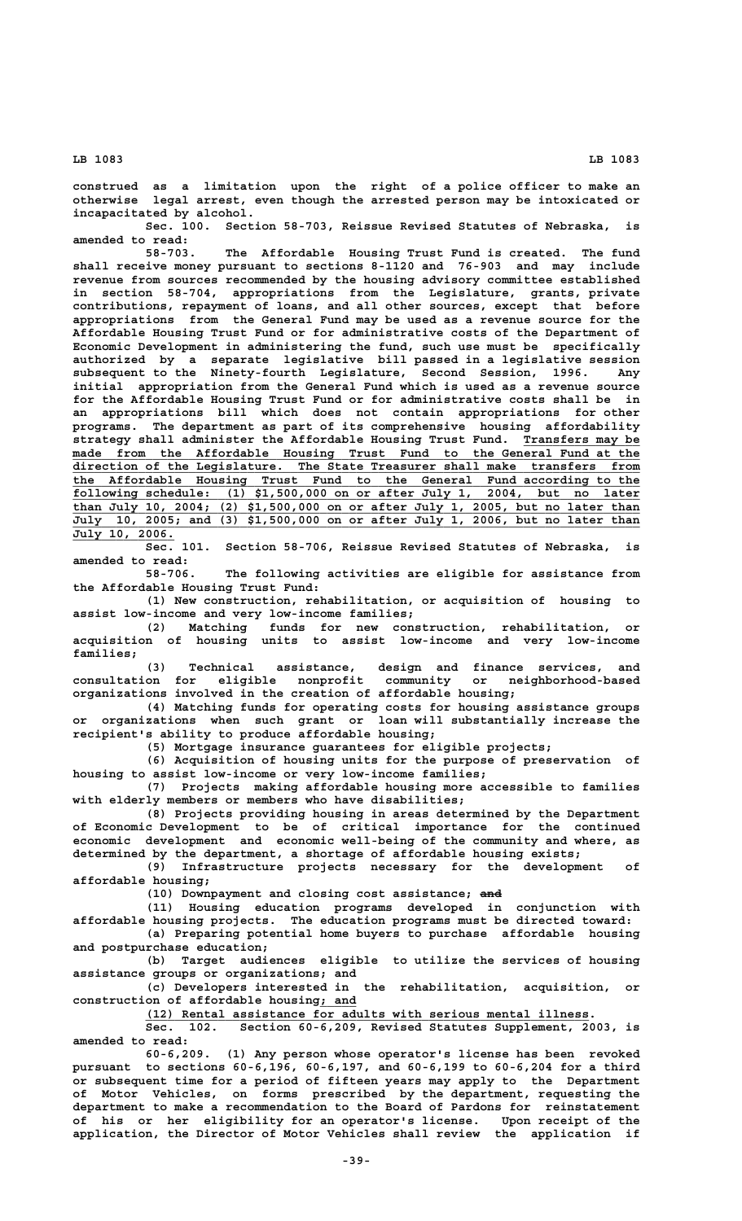**construed as a limitation upon the right of a police officer to make an otherwise legal arrest, even though the arrested person may be intoxicated or incapacitated by alcohol.**

**Sec. 100. Section 58-703, Reissue Revised Statutes of Nebraska, is amended to read:**

**58-703. The Affordable Housing Trust Fund is created. The fund shall receive money pursuant to sections 8-1120 and 76-903 and may include revenue from sources recommended by the housing advisory committee established in section 58-704, appropriations from the Legislature, grants, private contributions, repayment of loans, and all other sources, except that before appropriations from the General Fund may be used as a revenue source for the Affordable Housing Trust Fund or for administrative costs of the Department of Economic Development in administering the fund, such use must be specifically authorized by a separate legislative bill passed in a legislative session subsequent to the Ninety-fourth Legislature, Second Session, 1996. Any initial appropriation from the General Fund which is used as a revenue source for the Affordable Housing Trust Fund or for administrative costs shall be in an appropriations bill which does not contain appropriations for other programs. The department as part of its comprehensive housing affordability** strategy shall administer the Affordable Housing Trust Fund. Transfers may be made from the Affordable Housing Trust Fund to the General Fund at the  **\_\_\_\_\_\_\_\_\_\_\_\_\_\_\_\_\_\_\_\_\_\_\_\_\_\_\_\_\_\_\_\_\_\_\_\_\_\_\_\_\_\_\_\_\_\_\_\_\_\_\_\_\_\_\_\_\_\_\_\_\_\_\_\_\_\_\_\_\_\_\_\_\_\_\_\_\_\_ direction of the Legislature. The State Treasurer shall make transfers from \_\_\_\_\_\_\_\_\_\_\_\_\_\_\_\_\_\_\_\_\_\_\_\_\_\_\_\_\_\_\_\_\_\_\_\_\_\_\_\_\_\_\_\_\_\_\_\_\_\_\_\_\_\_\_\_\_\_\_\_\_\_\_\_\_\_\_\_\_\_\_\_\_\_\_\_\_\_ the Affordable Housing Trust Fund to the General Fund according to the \_\_\_\_\_\_\_\_\_\_\_\_\_\_\_\_\_\_\_\_\_\_\_\_\_\_\_\_\_\_\_\_\_\_\_\_\_\_\_\_\_\_\_\_\_\_\_\_\_\_\_\_\_\_\_\_\_\_\_\_\_\_\_\_\_\_\_\_\_\_\_\_\_\_\_\_\_\_ following schedule: (1) \$1,500,000 on or after July 1, 2004, but no later \_\_\_\_\_\_\_\_\_\_\_\_\_\_\_\_\_\_\_\_\_\_\_\_\_\_\_\_\_\_\_\_\_\_\_\_\_\_\_\_\_\_\_\_\_\_\_\_\_\_\_\_\_\_\_\_\_\_\_\_\_\_\_\_\_\_\_\_\_\_\_\_\_\_\_\_\_\_ than July 10, 2004; (2) \$1,500,000 on or after July 1, 2005, but no later than \_\_\_\_\_\_\_\_\_\_\_\_\_\_\_\_\_\_\_\_\_\_\_\_\_\_\_\_\_\_\_\_\_\_\_\_\_\_\_\_\_\_\_\_\_\_\_\_\_\_\_\_\_\_\_\_\_\_\_\_\_\_\_\_\_\_\_\_\_\_\_\_\_\_\_\_\_\_ July 10, 2005; and (3) \$1,500,000 on or after July 1, 2006, but no later than \_\_\_\_\_\_\_\_\_\_\_\_\_\_ July 10, 2006.**

**Sec. 101. Section 58-706, Reissue Revised Statutes of Nebraska, is amended to read:**

**58-706. The following activities are eligible for assistance from the Affordable Housing Trust Fund:**

**(1) New construction, rehabilitation, or acquisition of housing to assist low-income and very low-income families;**

**(2) Matching funds for new construction, rehabilitation, or acquisition of housing units to assist low-income and very low-income families;**

**(3) Technical assistance, design and finance services, and consultation for eligible nonprofit community or neighborhood-based organizations involved in the creation of affordable housing;**

**(4) Matching funds for operating costs for housing assistance groups or organizations when such grant or loan will substantially increase the recipient's ability to produce affordable housing;**

**(5) Mortgage insurance guarantees for eligible projects;**

**(6) Acquisition of housing units for the purpose of preservation of housing to assist low-income or very low-income families;**

**(7) Projects making affordable housing more accessible to families with elderly members or members who have disabilities;**

**(8) Projects providing housing in areas determined by the Department of Economic Development to be of critical importance for the continued economic development and economic well-being of the community and where, as determined by the department, a shortage of affordable housing exists;**

**(9) Infrastructure projects necessary for the development of affordable housing;**

(10) Downpayment and closing cost assistance; and

**(11) Housing education programs developed in conjunction with affordable housing projects. The education programs must be directed toward: (a) Preparing potential home buyers to purchase affordable housing**

**and postpurchase education; (b) Target audiences eligible to utilize the services of housing assistance groups or organizations; and**

**(c) Developers interested in the rehabilitation, acquisition, or \_\_\_\_\_ construction of affordable housing; and**

 **\_\_\_\_\_\_\_\_\_\_\_\_\_\_\_\_\_\_\_\_\_\_\_\_\_\_\_\_\_\_\_\_\_\_\_\_\_\_\_\_\_\_\_\_\_\_\_\_\_\_\_\_\_\_\_\_\_\_\_\_\_ (12) Rental assistance for adults with serious mental illness.**

**Sec. 102. Section 60-6,209, Revised Statutes Supplement, 2003, is amended to read:**

**60-6,209. (1) Any person whose operator's license has been revoked pursuant to sections 60-6,196, 60-6,197, and 60-6,199 to 60-6,204 for a third or subsequent time for a period of fifteen years may apply to the Department of Motor Vehicles, on forms prescribed by the department, requesting the department to make a recommendation to the Board of Pardons for reinstatement of his or her eligibility for an operator's license. Upon receipt of the application, the Director of Motor Vehicles shall review the application if**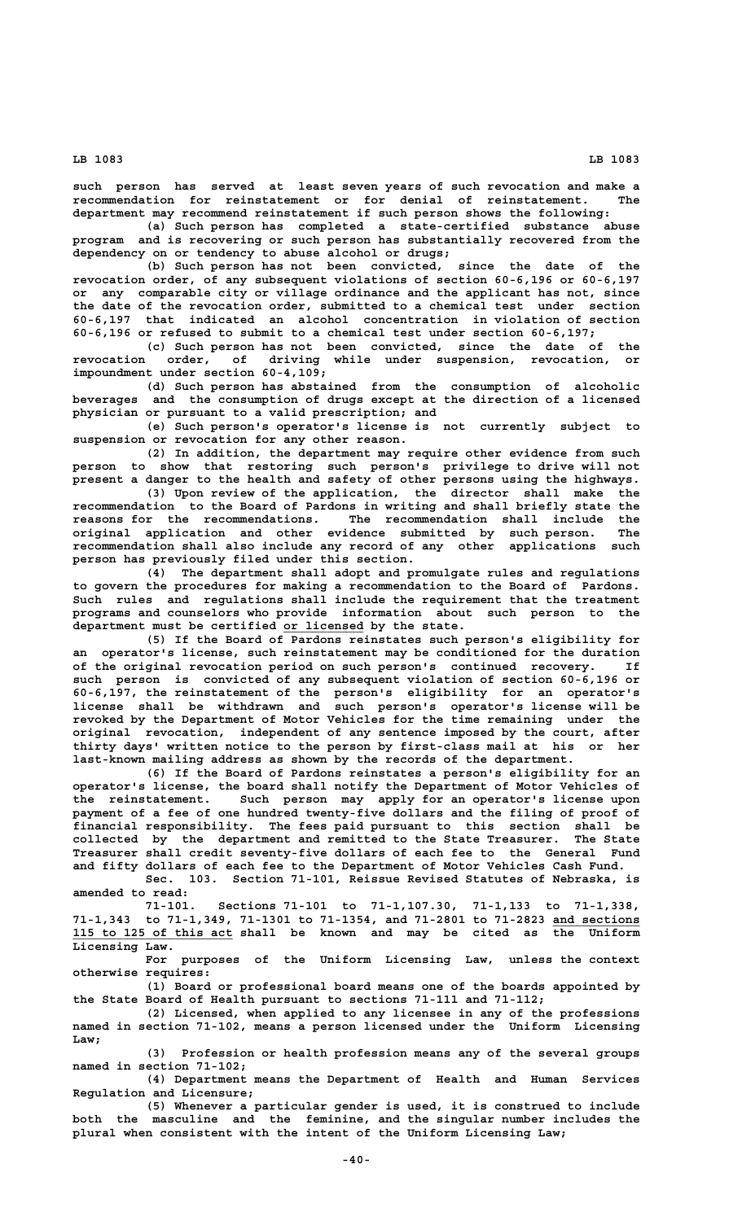**such person has served at least seven years of such revocation and make a recommendation for reinstatement or for denial of reinstatement. The department may recommend reinstatement if such person shows the following:**

**(a) Such person has completed a state-certified substance abuse program and is recovering or such person has substantially recovered from the dependency on or tendency to abuse alcohol or drugs;**

**(b) Such person has not been convicted, since the date of the revocation order, of any subsequent violations of section 60-6,196 or 60-6,197 or any comparable city or village ordinance and the applicant has not, since the date of the revocation order, submitted to a chemical test under section 60-6,197 that indicated an alcohol concentration in violation of section 60-6,196 or refused to submit to a chemical test under section 60-6,197;**

**(c) Such person has not been convicted, since the date of the revocation order, of driving while under suspension, revocation, or impoundment under section 60-4,109;**

**(d) Such person has abstained from the consumption of alcoholic beverages and the consumption of drugs except at the direction of a licensed physician or pursuant to a valid prescription; and**

**(e) Such person's operator's license is not currently subject to suspension or revocation for any other reason.**

**(2) In addition, the department may require other evidence from such person to show that restoring such person's privilege to drive will not present a danger to the health and safety of other persons using the highways.**

**(3) Upon review of the application, the director shall make the recommendation to the Board of Pardons in writing and shall briefly state the reasons for the recommendations. The recommendation shall include the original application and other evidence submitted by such person. The recommendation shall also include any record of any other applications such person has previously filed under this section.**

**(4) The department shall adopt and promulgate rules and regulations to govern the procedures for making a recommendation to the Board of Pardons. Such rules and regulations shall include the requirement that the treatment programs and counselors who provide information about such person to the \_\_\_\_\_\_\_\_\_\_\_ department must be certified or licensed by the state.**

**(5) If the Board of Pardons reinstates such person's eligibility for an operator's license, such reinstatement may be conditioned for the duration of the original revocation period on such person's continued recovery. If such person is convicted of any subsequent violation of section 60-6,196 or 60-6,197, the reinstatement of the person's eligibility for an operator's license shall be withdrawn and such person's operator's license will be revoked by the Department of Motor Vehicles for the time remaining under the original revocation, independent of any sentence imposed by the court, after thirty days' written notice to the person by first-class mail at his or her last-known mailing address as shown by the records of the department.**

**(6) If the Board of Pardons reinstates a person's eligibility for an operator's license, the board shall notify the Department of Motor Vehicles of the reinstatement. Such person may apply for an operator's license upon payment of a fee of one hundred twenty-five dollars and the filing of proof of financial responsibility. The fees paid pursuant to this section shall be collected by the department and remitted to the State Treasurer. The State Treasurer shall credit seventy-five dollars of each fee to the General Fund and fifty dollars of each fee to the Department of Motor Vehicles Cash Fund.**

**Sec. 103. Section 71-101, Reissue Revised Statutes of Nebraska, is amended to read:**

**71-101. Sections 71-101 to 71-1,107.30, 71-1,133 to 71-1,338, 71-1,343 to 71-1,349, 71-1301 to 71-1354, and 71-2801 to 71-2823 and sections \_\_\_\_\_\_\_\_\_\_\_\_** 115 to 125 of this act shall be known and may be cited as the Uniform  **Licensing Law.**

**For purposes of the Uniform Licensing Law, unless the context otherwise requires:**

**(1) Board or professional board means one of the boards appointed by the State Board of Health pursuant to sections 71-111 and 71-112;**

**(2) Licensed, when applied to any licensee in any of the professions named in section 71-102, means a person licensed under the Uniform Licensing Law;**

**(3) Profession or health profession means any of the several groups named in section 71-102;**

**(4) Department means the Department of Health and Human Services Regulation and Licensure;**

**(5) Whenever a particular gender is used, it is construed to include both the masculine and the feminine, and the singular number includes the plural when consistent with the intent of the Uniform Licensing Law;**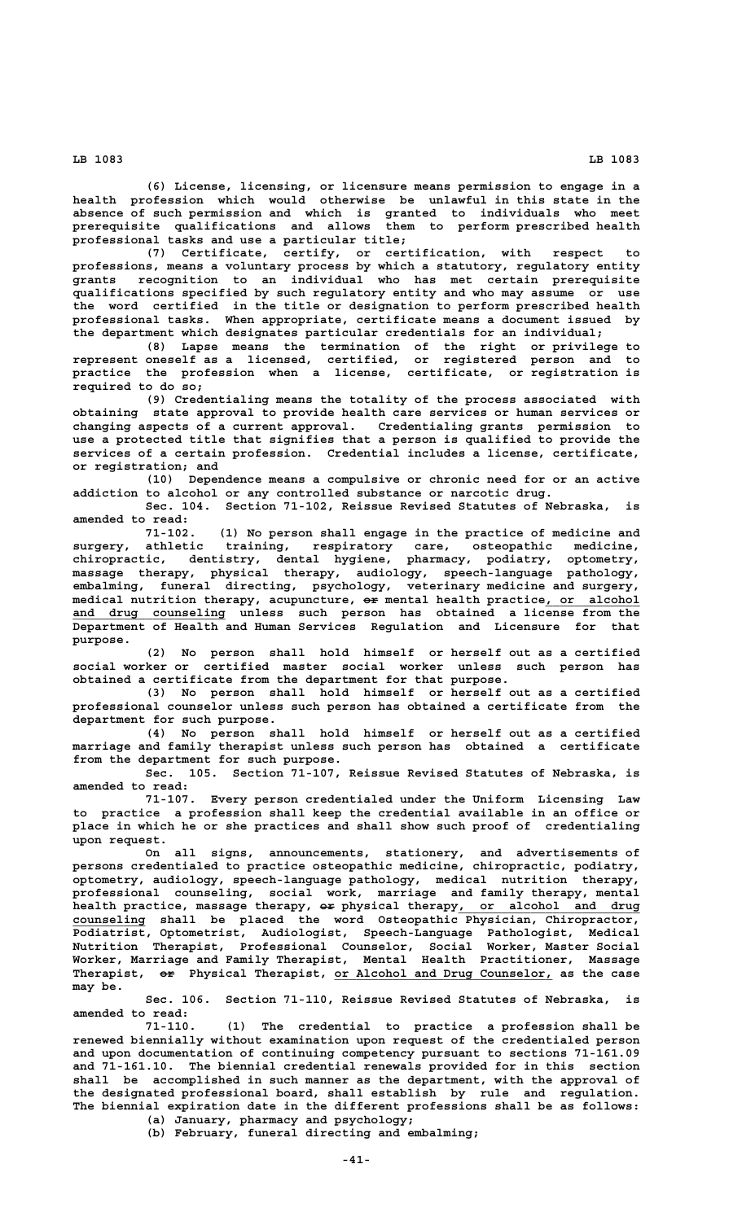**(6) License, licensing, or licensure means permission to engage in a health profession which would otherwise be unlawful in this state in the absence of such permission and which is granted to individuals who meet prerequisite qualifications and allows them to perform prescribed health professional tasks and use a particular title;**

**(7) Certificate, certify, or certification, with respect to professions, means a voluntary process by which a statutory, regulatory entity grants recognition to an individual who has met certain prerequisite qualifications specified by such regulatory entity and who may assume or use the word certified in the title or designation to perform prescribed health professional tasks. When appropriate, certificate means a document issued by the department which designates particular credentials for an individual;**

**(8) Lapse means the termination of the right or privilege to represent oneself as a licensed, certified, or registered person and to practice the profession when a license, certificate, or registration is required to do so;**

**(9) Credentialing means the totality of the process associated with obtaining state approval to provide health care services or human services or changing aspects of a current approval. Credentialing grants permission to use a protected title that signifies that a person is qualified to provide the services of a certain profession. Credential includes a license, certificate, or registration; and**

**(10) Dependence means a compulsive or chronic need for or an active addiction to alcohol or any controlled substance or narcotic drug.**

**Sec. 104. Section 71-102, Reissue Revised Statutes of Nebraska, is amended to read:**

**71-102. (1) No person shall engage in the practice of medicine and surgery, athletic training, respiratory care, osteopathic medicine, chiropractic, dentistry, dental hygiene, pharmacy, podiatry, optometry, massage therapy, physical therapy, audiology, speech-language pathology, embalming, funeral directing, psychology, veterinary medicine and surgery,** medical nutrition therapy, acupuncture,  $\Theta$ **r** mental health practice, or alcohol  **\_\_\_\_\_\_\_\_\_\_\_\_\_\_\_\_\_\_\_\_\_ and drug counseling unless such person has obtained a license from the Department of Health and Human Services Regulation and Licensure for that purpose.**

**(2) No person shall hold himself or herself out as a certified social worker or certified master social worker unless such person has obtained a certificate from the department for that purpose.**

**(3) No person shall hold himself or herself out as a certified professional counselor unless such person has obtained a certificate from the department for such purpose.**

**(4) No person shall hold himself or herself out as a certified marriage and family therapist unless such person has obtained a certificate from the department for such purpose.**

**Sec. 105. Section 71-107, Reissue Revised Statutes of Nebraska, is amended to read:**

**71-107. Every person credentialed under the Uniform Licensing Law to practice a profession shall keep the credential available in an office or place in which he or she practices and shall show such proof of credentialing upon request.**

**On all signs, announcements, stationery, and advertisements of persons credentialed to practice osteopathic medicine, chiropractic, podiatry, optometry, audiology, speech-language pathology, medical nutrition therapy, professional counseling, social work, marriage and family therapy, mental —— \_\_\_\_\_\_\_\_\_\_\_\_\_\_\_\_\_\_\_\_\_\_\_\_\_ health practice, massage therapy, or physical therapy, or alcohol and drug \_\_\_\_\_\_\_\_\_\_ counseling shall be placed the word Osteopathic Physician, Chiropractor, Podiatrist, Optometrist, Audiologist, Speech-Language Pathologist, Medical Nutrition Therapist, Professional Counselor, Social Worker, Master Social Worker, Marriage and Family Therapist, Mental Health Practitioner, Massage** Therapist,  $\Theta$  Physical Therapist, or Alcohol and Drug Counselor, as the case  **may be.**

> **Sec. 106. Section 71-110, Reissue Revised Statutes of Nebraska, is amended to read:**

> **71-110. (1) The credential to practice a profession shall be renewed biennially without examination upon request of the credentialed person and upon documentation of continuing competency pursuant to sections 71-161.09 and 71-161.10. The biennial credential renewals provided for in this section shall be accomplished in such manner as the department, with the approval of the designated professional board, shall establish by rule and regulation. The biennial expiration date in the different professions shall be as follows:**

**(a) January, pharmacy and psychology; (b) February, funeral directing and embalming;**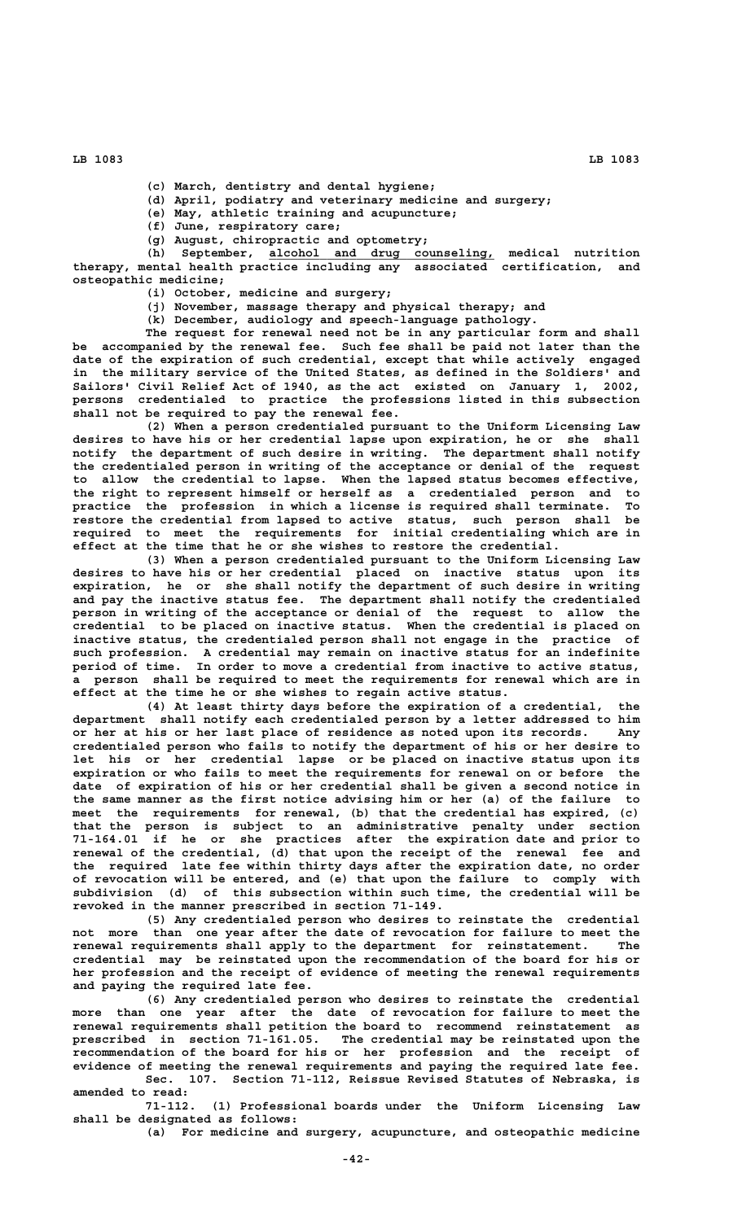**(c) March, dentistry and dental hygiene;**

**(d) April, podiatry and veterinary medicine and surgery;**

**(e) May, athletic training and acupuncture;**

**(f) June, respiratory care;**

**(g) August, chiropractic and optometry;**

 **\_\_\_\_\_\_\_\_\_\_\_\_\_\_\_\_\_\_\_\_\_\_\_\_\_\_\_\_\_\_\_ (h) September, alcohol and drug counseling, medical nutrition therapy, mental health practice including any associated certification, and osteopathic medicine;**

- **(i) October, medicine and surgery;**
- **(j) November, massage therapy and physical therapy; and**

**(k) December, audiology and speech-language pathology.**

**The request for renewal need not be in any particular form and shall be accompanied by the renewal fee. Such fee shall be paid not later than the date of the expiration of such credential, except that while actively engaged in the military service of the United States, as defined in the Soldiers' and Sailors' Civil Relief Act of 1940, as the act existed on January 1, 2002, persons credentialed to practice the professions listed in this subsection shall not be required to pay the renewal fee.**

**(2) When a person credentialed pursuant to the Uniform Licensing Law desires to have his or her credential lapse upon expiration, he or she shall notify the department of such desire in writing. The department shall notify the credentialed person in writing of the acceptance or denial of the request to allow the credential to lapse. When the lapsed status becomes effective, the right to represent himself or herself as a credentialed person and to practice the profession in which a license is required shall terminate. To restore the credential from lapsed to active status, such person shall be required to meet the requirements for initial credentialing which are in effect at the time that he or she wishes to restore the credential.**

**(3) When a person credentialed pursuant to the Uniform Licensing Law desires to have his or her credential placed on inactive status upon its expiration, he or she shall notify the department of such desire in writing and pay the inactive status fee. The department shall notify the credentialed person in writing of the acceptance or denial of the request to allow the credential to be placed on inactive status. When the credential is placed on inactive status, the credentialed person shall not engage in the practice of such profession. A credential may remain on inactive status for an indefinite period of time. In order to move a credential from inactive to active status, a person shall be required to meet the requirements for renewal which are in effect at the time he or she wishes to regain active status.**

**(4) At least thirty days before the expiration of a credential, the department shall notify each credentialed person by a letter addressed to him or her at his or her last place of residence as noted upon its records. Any credentialed person who fails to notify the department of his or her desire to let his or her credential lapse or be placed on inactive status upon its expiration or who fails to meet the requirements for renewal on or before the date of expiration of his or her credential shall be given a second notice in the same manner as the first notice advising him or her (a) of the failure to meet the requirements for renewal, (b) that the credential has expired, (c) that the person is subject to an administrative penalty under section 71-164.01 if he or she practices after the expiration date and prior to renewal of the credential, (d) that upon the receipt of the renewal fee and the required late fee within thirty days after the expiration date, no order of revocation will be entered, and (e) that upon the failure to comply with subdivision (d) of this subsection within such time, the credential will be revoked in the manner prescribed in section 71-149.**

**(5) Any credentialed person who desires to reinstate the credential not more than one year after the date of revocation for failure to meet the renewal requirements shall apply to the department for reinstatement. The credential may be reinstated upon the recommendation of the board for his or her profession and the receipt of evidence of meeting the renewal requirements and paying the required late fee.**

**(6) Any credentialed person who desires to reinstate the credential more than one year after the date of revocation for failure to meet the renewal requirements shall petition the board to recommend reinstatement as prescribed in section 71-161.05. The credential may be reinstated upon the recommendation of the board for his or her profession and the receipt of evidence of meeting the renewal requirements and paying the required late fee.**

**Sec. 107. Section 71-112, Reissue Revised Statutes of Nebraska, is amended to read:**

**71-112. (1) Professional boards under the Uniform Licensing Law shall be designated as follows:**

**(a) For medicine and surgery, acupuncture, and osteopathic medicine**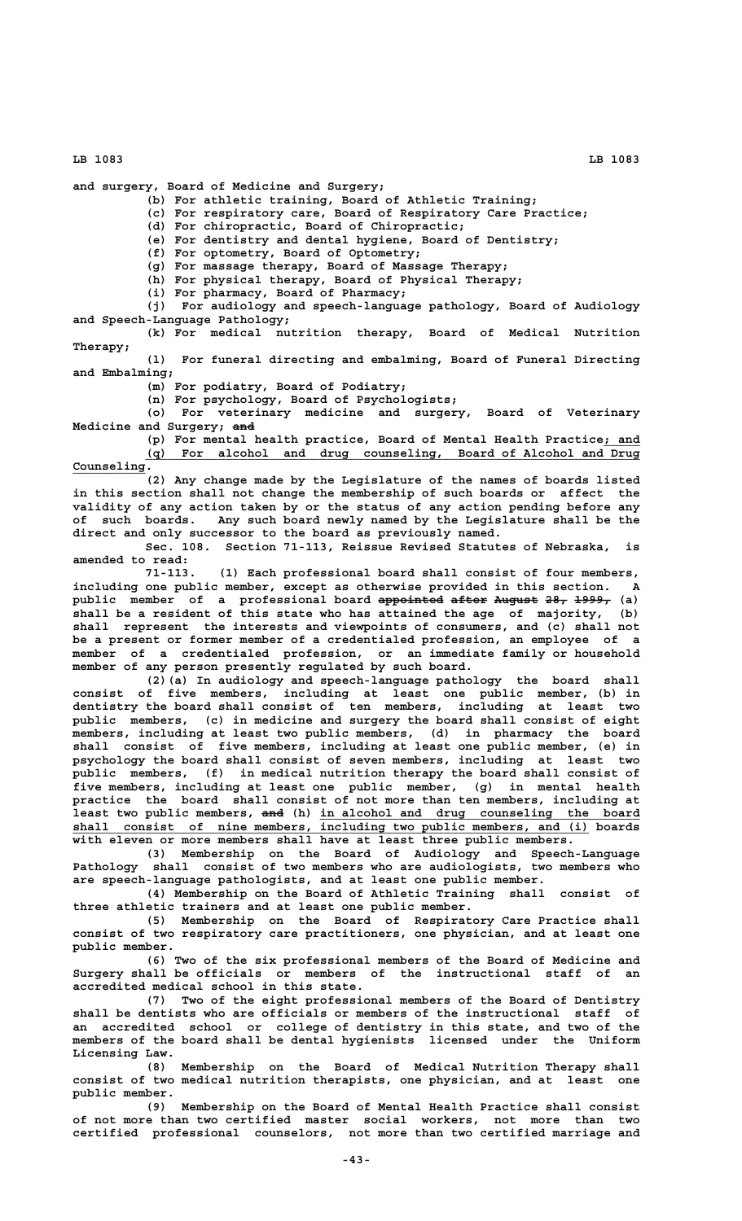**and surgery, Board of Medicine and Surgery;**

**(b) For athletic training, Board of Athletic Training;**

**(c) For respiratory care, Board of Respiratory Care Practice;**

**(d) For chiropractic, Board of Chiropractic;**

**(e) For dentistry and dental hygiene, Board of Dentistry;**

**(f) For optometry, Board of Optometry;**

**(g) For massage therapy, Board of Massage Therapy;**

**(h) For physical therapy, Board of Physical Therapy;**

**(i) For pharmacy, Board of Pharmacy;**

**(j) For audiology and speech-language pathology, Board of Audiology and Speech-Language Pathology;**

**(k) For medical nutrition therapy, Board of Medical Nutrition Therapy;**

**(l) For funeral directing and embalming, Board of Funeral Directing and Embalming;**

**(m) For podiatry, Board of Podiatry;**

**(n) For psychology, Board of Psychologists;**

**(o) For veterinary medicine and surgery, Board of Veterinary ——— Medicine and Surgery; and**

**(p) For mental health practice, Board of Mental Health Practice; and \_\_\_\_\_ \_\_\_\_\_\_\_\_\_\_\_\_\_\_\_\_\_\_\_\_\_\_\_\_\_\_\_\_\_\_\_\_\_\_\_\_\_\_\_\_\_\_\_\_\_\_\_\_\_\_\_\_\_\_\_\_\_\_\_\_\_\_\_\_\_\_\_\_ (q) For alcohol and drug counseling, Board of Alcohol and Drug** Counseling.

**(2) Any change made by the Legislature of the names of boards listed in this section shall not change the membership of such boards or affect the validity of any action taken by or the status of any action pending before any of such boards. Any such board newly named by the Legislature shall be the direct and only successor to the board as previously named.**

**Sec. 108. Section 71-113, Reissue Revised Statutes of Nebraska, is amended to read:**

**71-113. (1) Each professional board shall consist of four members, including one public member, except as otherwise provided in this section. A** public member of a professional board appointed after August 28, 1999, (a) **shall be a resident of this state who has attained the age of majority, (b) shall represent the interests and viewpoints of consumers, and (c) shall not be a present or former member of a credentialed profession, an employee of a member of a credentialed profession, or an immediate family or household member of any person presently regulated by such board.**

**(2)(a) In audiology and speech-language pathology the board shall consist of five members, including at least one public member, (b) in dentistry the board shall consist of ten members, including at least two public members, (c) in medicine and surgery the board shall consist of eight members, including at least two public members, (d) in pharmacy the board shall consist of five members, including at least one public member, (e) in psychology the board shall consist of seven members, including at least two public members, (f) in medical nutrition therapy the board shall consist of five members, including at least one public member, (g) in mental health practice the board shall consist of not more than ten members, including at ——— \_\_\_\_\_\_\_\_\_\_\_\_\_\_\_\_\_\_\_\_\_\_\_\_\_\_\_\_\_\_\_\_\_\_\_\_\_\_\_\_\_\_\_\_ least two public members, and (h) in alcohol and drug counseling the board \_\_\_\_\_\_\_\_\_\_\_\_\_\_\_\_\_\_\_\_\_\_\_\_\_\_\_\_\_\_\_\_\_\_\_\_\_\_\_\_\_\_\_\_\_\_\_\_\_\_\_\_\_\_\_\_\_\_\_\_\_\_\_\_\_\_\_\_\_\_\_ shall consist of nine members, including two public members, and (i) boards with eleven or more members shall have at least three public members.**

> **(3) Membership on the Board of Audiology and Speech-Language Pathology shall consist of two members who are audiologists, two members who are speech-language pathologists, and at least one public member.**

> **(4) Membership on the Board of Athletic Training shall consist of three athletic trainers and at least one public member.**

> **(5) Membership on the Board of Respiratory Care Practice shall consist of two respiratory care practitioners, one physician, and at least one public member.**

> **(6) Two of the six professional members of the Board of Medicine and Surgery shall be officials or members of the instructional staff of an accredited medical school in this state.**

> **(7) Two of the eight professional members of the Board of Dentistry shall be dentists who are officials or members of the instructional staff of an accredited school or college of dentistry in this state, and two of the members of the board shall be dental hygienists licensed under the Uniform Licensing Law.**

> **(8) Membership on the Board of Medical Nutrition Therapy shall consist of two medical nutrition therapists, one physician, and at least one public member.**

> **(9) Membership on the Board of Mental Health Practice shall consist of not more than two certified master social workers, not more than two certified professional counselors, not more than two certified marriage and**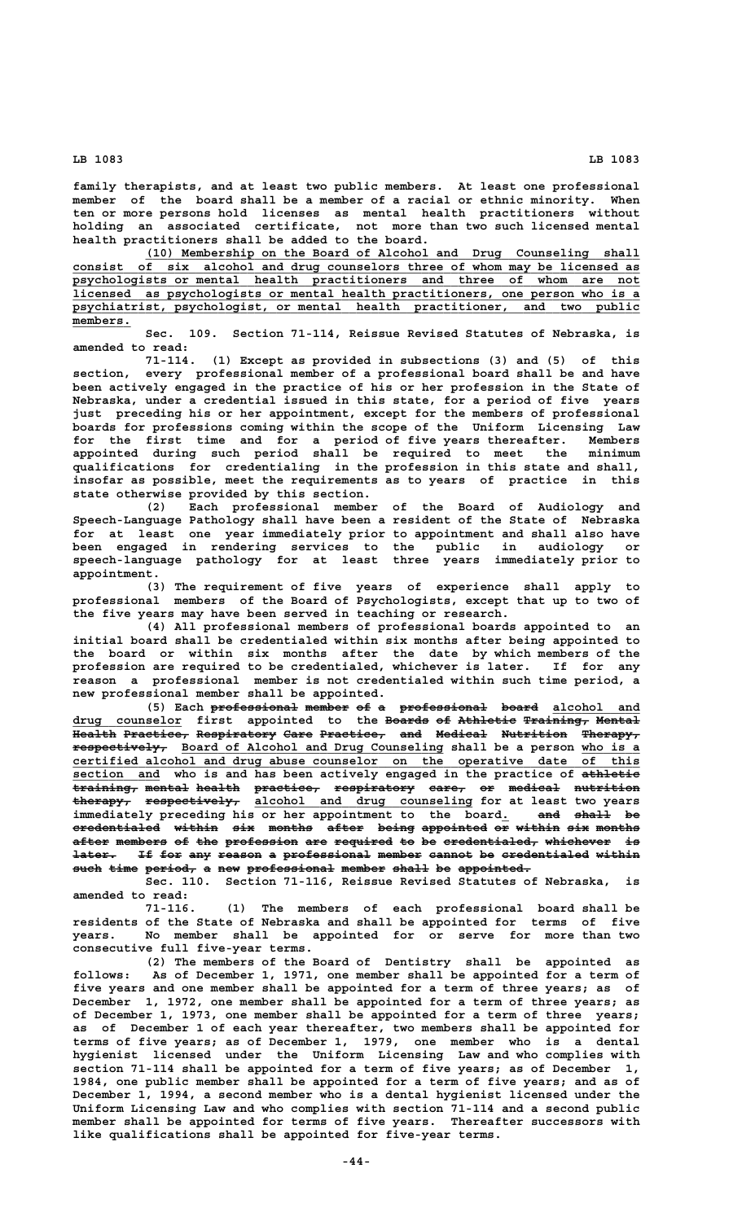**family therapists, and at least two public members. At least one professional member of the board shall be a member of a racial or ethnic minority. When ten or more persons hold licenses as mental health practitioners without holding an associated certificate, not more than two such licensed mental health practitioners shall be added to the board.**

 **\_\_\_\_\_\_\_\_\_\_\_\_\_\_\_\_\_\_\_\_\_\_\_\_\_\_\_\_\_\_\_\_\_\_\_\_\_\_\_\_\_\_\_\_\_\_\_\_\_\_\_\_\_\_\_\_\_\_\_\_\_\_\_\_\_\_\_\_ (10) Membership on the Board of Alcohol and Drug Counseling shall \_\_\_\_\_\_\_\_\_\_\_\_\_\_\_\_\_\_\_\_\_\_\_\_\_\_\_\_\_\_\_\_\_\_\_\_\_\_\_\_\_\_\_\_\_\_\_\_\_\_\_\_\_\_\_\_\_\_\_\_\_\_\_\_\_\_\_\_\_\_\_\_\_\_\_\_\_\_ consist of six alcohol and drug counselors three of whom may be licensed as \_\_\_\_\_\_\_\_\_\_\_\_\_\_\_\_\_\_\_\_\_\_\_\_\_\_\_\_\_\_\_\_\_\_\_\_\_\_\_\_\_\_\_\_\_\_\_\_\_\_\_\_\_\_\_\_\_\_\_\_\_\_\_\_\_\_\_\_\_\_\_\_\_\_\_\_\_\_ psychologists or mental health practitioners and three of whom are not \_\_\_\_\_\_\_\_\_\_\_\_\_\_\_\_\_\_\_\_\_\_\_\_\_\_\_\_\_\_\_\_\_\_\_\_\_\_\_\_\_\_\_\_\_\_\_\_\_\_\_\_\_\_\_\_\_\_\_\_\_\_\_\_\_\_\_\_\_\_\_\_\_\_\_\_\_\_ licensed as psychologists or mental health practitioners, one person who is a \_\_\_\_\_\_\_\_\_\_\_\_\_\_\_\_\_\_\_\_\_\_\_\_\_\_\_\_\_\_\_\_\_\_\_\_\_\_\_\_\_\_\_\_\_\_\_\_\_\_\_\_\_\_\_\_\_\_\_\_\_\_\_\_\_\_\_\_\_\_\_\_\_\_\_\_\_\_ psychiatrist, psychologist, or mental health practitioner, and two public members. \_\_\_\_\_\_\_\_**

**Sec. 109. Section 71-114, Reissue Revised Statutes of Nebraska, is amended to read:**

**71-114. (1) Except as provided in subsections (3) and (5) of this section, every professional member of a professional board shall be and have been actively engaged in the practice of his or her profession in the State of Nebraska, under a credential issued in this state, for a period of five years just preceding his or her appointment, except for the members of professional boards for professions coming within the scope of the Uniform Licensing Law for the first time and for a period of five years thereafter. Members appointed during such period shall be required to meet the minimum qualifications for credentialing in the profession in this state and shall, insofar as possible, meet the requirements as to years of practice in this state otherwise provided by this section.**

**(2) Each professional member of the Board of Audiology and Speech-Language Pathology shall have been a resident of the State of Nebraska for at least one year immediately prior to appointment and shall also have been engaged in rendering services to the public in audiology or speech-language pathology for at least three years immediately prior to appointment.**

**(3) The requirement of five years of experience shall apply to professional members of the Board of Psychologists, except that up to two of the five years may have been served in teaching or research.**

**(4) All professional members of professional boards appointed to an initial board shall be credentialed within six months after being appointed to the board or within six months after the date by which members of the profession are required to be credentialed, whichever is later. If for any reason a professional member is not credentialed within such time period, a new professional member shall be appointed.**

(5) Each professional member of a professional board alcohol and **drug counselor first appointed to the Boards of Athletic Training, Mental \_\_\_\_\_\_\_\_\_\_\_\_\_\_\_ —————— —— ———————— ————————— ——————**  $\overline{\text{Health Practice}}$  Respiratory Care Practice, and Medical Nutrition Therapy,  $\texttt{respectively-}\vphantom{\texttt{``P}}$  Board of Alcohol and Drug Counseling shall be a person who is a  **\_\_\_\_\_\_\_\_\_\_\_\_\_\_\_\_\_\_\_\_\_\_\_\_\_\_\_\_\_\_\_\_\_\_\_\_\_\_\_\_\_\_\_\_\_\_\_\_\_\_\_\_\_\_\_\_\_\_\_\_\_\_\_\_\_\_\_\_\_\_\_\_\_\_\_\_\_\_ certified alcohol and drug abuse counselor on the operative date of this section and who is and has been actively engaged in the practice of athletic training, mental health practice, respiratory care, or medical nutrition ————————— —————— —————— ————————— ——————————— ————— —— ——————— ———————— therapy, respectively, alcohol and drug counseling for at least two years ———————— ————————————— \_\_\_\_\_\_\_\_\_\_\_\_\_\_\_\_\_\_\_\_\_\_\_\_\_\_\_\_\_\_** immediately preceding his or her appointment to the board. <del>and</del> shall be **credentialed within six months after being appointed or within six months ———————————— —————— ——— —————— ————— ————— ————————— —— —————— ——— ————— after members of the profession are required to be credentialed, whichever is ————— ——————— —— ——— —————————— ——— ———————— —— —— ————————————— ————————— —** later. If for any reason a professional member cannot be credentialed within such time period, a new professional member shall be appointed.

**Sec. 110. Section 71-116, Reissue Revised Statutes of Nebraska, is amended to read:**

**71-116. (1) The members of each professional board shall be residents of the State of Nebraska and shall be appointed for terms of five years. No member shall be appointed for or serve for more than two consecutive full five-year terms.**

**(2) The members of the Board of Dentistry shall be appointed as follows: As of December 1, 1971, one member shall be appointed for a term of five years and one member shall be appointed for a term of three years; as of December 1, 1972, one member shall be appointed for a term of three years; as of December 1, 1973, one member shall be appointed for a term of three years; as of December 1 of each year thereafter, two members shall be appointed for terms of five years; as of December 1, 1979, one member who is a dental hygienist licensed under the Uniform Licensing Law and who complies with section 71-114 shall be appointed for a term of five years; as of December 1, 1984, one public member shall be appointed for a term of five years; and as of December 1, 1994, a second member who is a dental hygienist licensed under the Uniform Licensing Law and who complies with section 71-114 and a second public member shall be appointed for terms of five years. Thereafter successors with like qualifications shall be appointed for five-year terms.**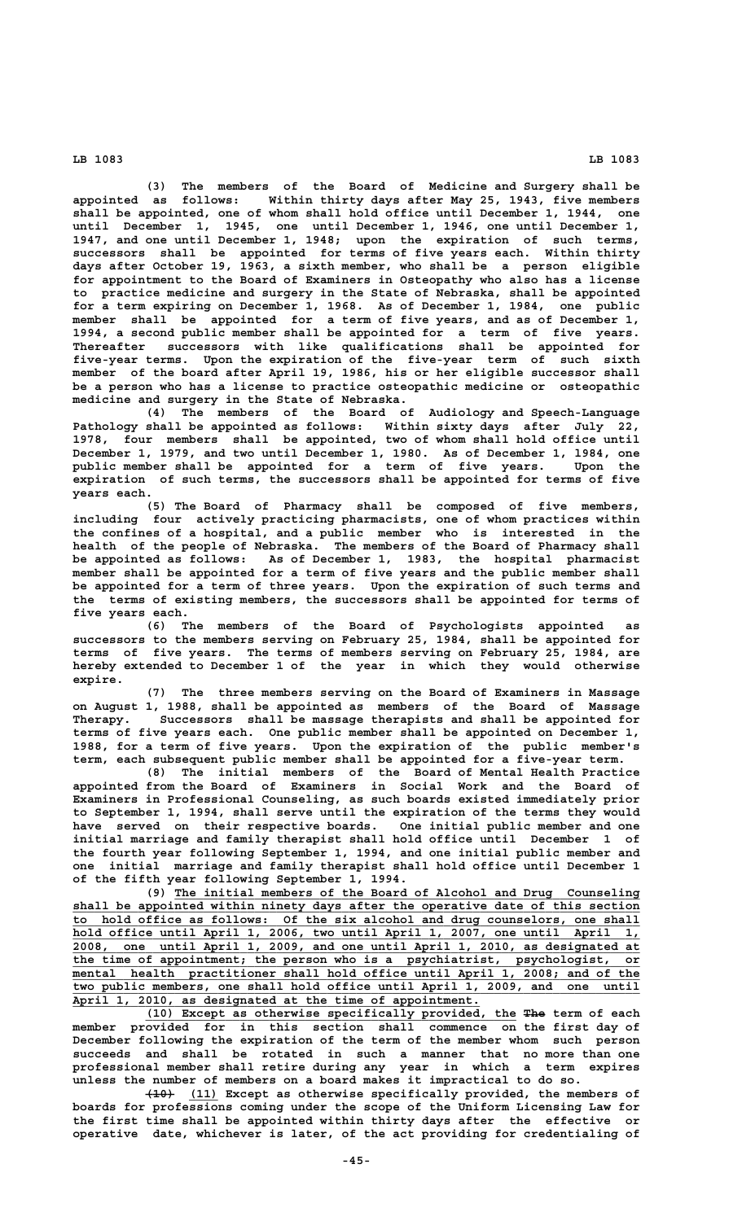**(3) The members of the Board of Medicine and Surgery shall be appointed as follows: Within thirty days after May 25, 1943, five members shall be appointed, one of whom shall hold office until December 1, 1944, one until December 1, 1945, one until December 1, 1946, one until December 1, 1947, and one until December 1, 1948; upon the expiration of such terms, successors shall be appointed for terms of five years each. Within thirty days after October 19, 1963, a sixth member, who shall be a person eligible for appointment to the Board of Examiners in Osteopathy who also has a license to practice medicine and surgery in the State of Nebraska, shall be appointed for a term expiring on December 1, 1968. As of December 1, 1984, one public member shall be appointed for a term of five years, and as of December 1, 1994, a second public member shall be appointed for a term of five years. Thereafter successors with like qualifications shall be appointed for five-year terms. Upon the expiration of the five-year term of such sixth member of the board after April 19, 1986, his or her eligible successor shall be a person who has a license to practice osteopathic medicine or osteopathic medicine and surgery in the State of Nebraska.**

**(4) The members of the Board of Audiology and Speech-Language Pathology shall be appointed as follows: Within sixty days after July 22, 1978, four members shall be appointed, two of whom shall hold office until December 1, 1979, and two until December 1, 1980. As of December 1, l984, one public member shall be appointed for a term of five years. Upon the expiration of such terms, the successors shall be appointed for terms of five years each.**

**(5) The Board of Pharmacy shall be composed of five members, including four actively practicing pharmacists, one of whom practices within the confines of a hospital, and a public member who is interested in the health of the people of Nebraska. The members of the Board of Pharmacy shall be appointed as follows: As of December 1, 1983, the hospital pharmacist member shall be appointed for a term of five years and the public member shall be appointed for a term of three years. Upon the expiration of such terms and the terms of existing members, the successors shall be appointed for terms of five years each.**

**(6) The members of the Board of Psychologists appointed as successors to the members serving on February 25, 1984, shall be appointed for terms of five years. The terms of members serving on February 25, 1984, are hereby extended to December 1 of the year in which they would otherwise expire.**

**(7) The three members serving on the Board of Examiners in Massage on August 1, 1988, shall be appointed as members of the Board of Massage Therapy. Successors shall be massage therapists and shall be appointed for terms of five years each. One public member shall be appointed on December 1, 1988, for a term of five years. Upon the expiration of the public member's term, each subsequent public member shall be appointed for a five-year term.**

**(8) The initial members of the Board of Mental Health Practice appointed from the Board of Examiners in Social Work and the Board of Examiners in Professional Counseling, as such boards existed immediately prior to September 1, 1994, shall serve until the expiration of the terms they would have served on their respective boards. One initial public member and one initial marriage and family therapist shall hold office until December 1 of the fourth year following September 1, 1994, and one initial public member and one initial marriage and family therapist shall hold office until December 1 of the fifth year following September 1, 1994.**

 **\_\_\_\_\_\_\_\_\_\_\_\_\_\_\_\_\_\_\_\_\_\_\_\_\_\_\_\_\_\_\_\_\_\_\_\_\_\_\_\_\_\_\_\_\_\_\_\_\_\_\_\_\_\_\_\_\_\_\_\_\_\_\_\_ (9) The initial members of the Board of Alcohol and Drug Counseling \_\_\_\_\_\_\_\_\_\_\_\_\_\_\_\_\_\_\_\_\_\_\_\_\_\_\_\_\_\_\_\_\_\_\_\_\_\_\_\_\_\_\_\_\_\_\_\_\_\_\_\_\_\_\_\_\_\_\_\_\_\_\_\_\_\_\_\_\_\_\_\_\_\_\_\_\_\_ shall be appointed within ninety days after the operative date of this section \_\_\_\_\_\_\_\_\_\_\_\_\_\_\_\_\_\_\_\_\_\_\_\_\_\_\_\_\_\_\_\_\_\_\_\_\_\_\_\_\_\_\_\_\_\_\_\_\_\_\_\_\_\_\_\_\_\_\_\_\_\_\_\_\_\_\_\_\_\_\_\_\_\_\_\_\_\_ to hold office as follows: Of the six alcohol and drug counselors, one shall \_\_\_\_\_\_\_\_\_\_\_\_\_\_\_\_\_\_\_\_\_\_\_\_\_\_\_\_\_\_\_\_\_\_\_\_\_\_\_\_\_\_\_\_\_\_\_\_\_\_\_\_\_\_\_\_\_\_\_\_\_\_\_\_\_\_\_\_\_\_\_\_\_\_\_\_\_\_ hold office until April 1, 2006, two until April 1, 2007, one until April 1, \_\_\_\_\_\_\_\_\_\_\_\_\_\_\_\_\_\_\_\_\_\_\_\_\_\_\_\_\_\_\_\_\_\_\_\_\_\_\_\_\_\_\_\_\_\_\_\_\_\_\_\_\_\_\_\_\_\_\_\_\_\_\_\_\_\_\_\_\_\_\_\_\_\_\_\_\_\_ 2008, one until April 1, 2009, and one until April 1, 2010, as designated at \_\_\_\_\_\_\_\_\_\_\_\_\_\_\_\_\_\_\_\_\_\_\_\_\_\_\_\_\_\_\_\_\_\_\_\_\_\_\_\_\_\_\_\_\_\_\_\_\_\_\_\_\_\_\_\_\_\_\_\_\_\_\_\_\_\_\_\_\_\_\_\_\_\_\_\_\_\_ the time of appointment; the person who is a psychiatrist, psychologist, or \_\_\_\_\_\_\_\_\_\_\_\_\_\_\_\_\_\_\_\_\_\_\_\_\_\_\_\_\_\_\_\_\_\_\_\_\_\_\_\_\_\_\_\_\_\_\_\_\_\_\_\_\_\_\_\_\_\_\_\_\_\_\_\_\_\_\_\_\_\_\_\_\_\_\_\_\_\_ mental health practitioner shall hold office until April 1, 2008; and of the \_\_\_\_\_\_\_\_\_\_\_\_\_\_\_\_\_\_\_\_\_\_\_\_\_\_\_\_\_\_\_\_\_\_\_\_\_\_\_\_\_\_\_\_\_\_\_\_\_\_\_\_\_\_\_\_\_\_\_\_\_\_\_\_\_\_\_\_\_\_\_\_\_\_\_\_\_\_ two public members, one shall hold office until April 1, 2009, and one until \_\_\_\_\_\_\_\_\_\_\_\_\_\_\_\_\_\_\_\_\_\_\_\_\_\_\_\_\_\_\_\_\_\_\_\_\_\_\_\_\_\_\_\_\_\_\_\_\_\_\_\_\_\_\_\_ April 1, 2010, as designated at the time of appointment.**

 **\_\_\_\_\_\_\_\_\_\_\_\_\_\_\_\_\_\_\_\_\_\_\_\_\_\_\_\_\_\_\_\_\_\_\_\_\_\_\_\_\_\_\_\_\_\_\_\_\_\_\_ ——— (10) Except as otherwise specifically provided, the The term of each member provided for in this section shall commence on the first day of December following the expiration of the term of the member whom such person succeeds and shall be rotated in such a manner that no more than one professional member shall retire during any year in which a term expires unless the number of members on a board makes it impractical to do so.**

 **———— \_\_\_\_ (10) (11) Except as otherwise specifically provided, the members of boards for professions coming under the scope of the Uniform Licensing Law for the first time shall be appointed within thirty days after the effective or operative date, whichever is later, of the act providing for credentialing of**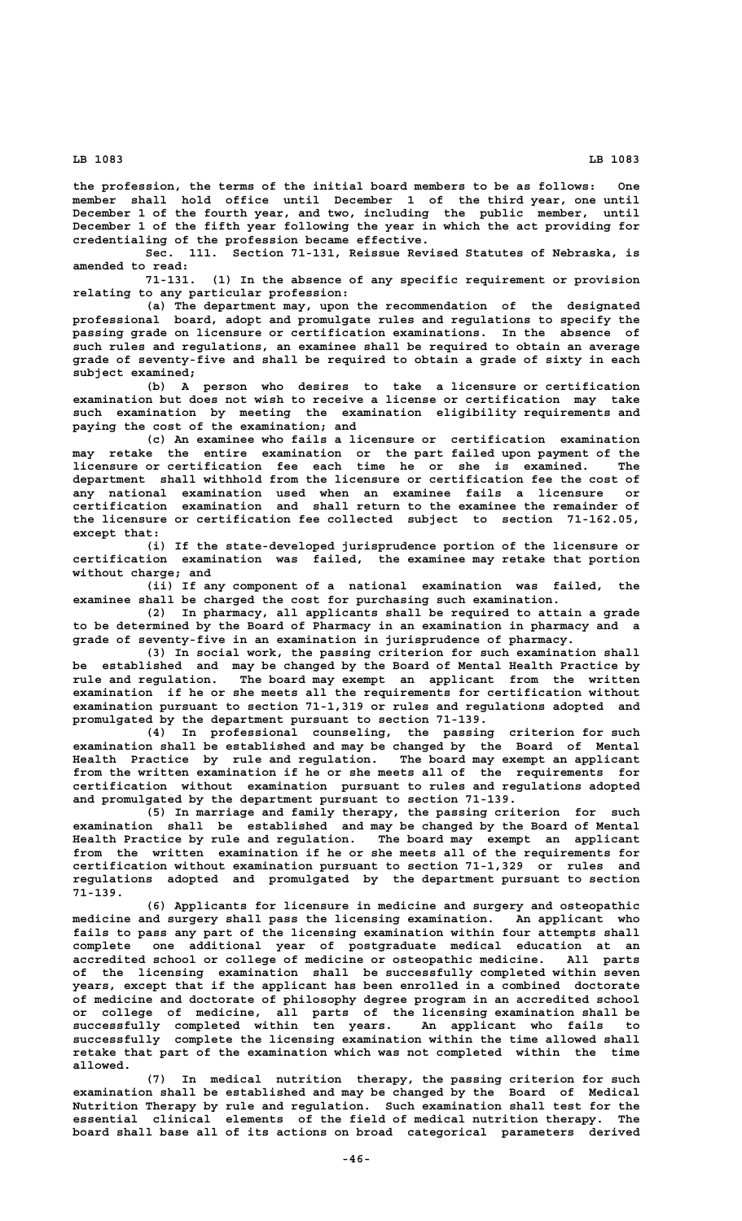**the profession, the terms of the initial board members to be as follows: One member shall hold office until December 1 of the third year, one until December 1 of the fourth year, and two, including the public member, until December 1 of the fifth year following the year in which the act providing for credentialing of the profession became effective.**

**Sec. 111. Section 71-131, Reissue Revised Statutes of Nebraska, is amended to read:**

**71-131. (1) In the absence of any specific requirement or provision relating to any particular profession:**

**(a) The department may, upon the recommendation of the designated professional board, adopt and promulgate rules and regulations to specify the passing grade on licensure or certification examinations. In the absence of such rules and regulations, an examinee shall be required to obtain an average grade of seventy-five and shall be required to obtain a grade of sixty in each subject examined;**

**(b) A person who desires to take a licensure or certification examination but does not wish to receive a license or certification may take such examination by meeting the examination eligibility requirements and paying the cost of the examination; and**

**(c) An examinee who fails a licensure or certification examination may retake the entire examination or the part failed upon payment of the licensure or certification fee each time he or she is examined. The department shall withhold from the licensure or certification fee the cost of any national examination used when an examinee fails a licensure or certification examination and shall return to the examinee the remainder of the licensure or certification fee collected subject to section 71-162.05, except that:**

**(i) If the state-developed jurisprudence portion of the licensure or certification examination was failed, the examinee may retake that portion without charge; and**

**(ii) If any component of a national examination was failed, the examinee shall be charged the cost for purchasing such examination.**

**(2) In pharmacy, all applicants shall be required to attain a grade to be determined by the Board of Pharmacy in an examination in pharmacy and a grade of seventy-five in an examination in jurisprudence of pharmacy.**

**(3) In social work, the passing criterion for such examination shall be established and may be changed by the Board of Mental Health Practice by rule and regulation. The board may exempt an applicant from the written examination if he or she meets all the requirements for certification without examination pursuant to section 71-1,319 or rules and regulations adopted and promulgated by the department pursuant to section 71-139.**

**(4) In professional counseling, the passing criterion for such examination shall be established and may be changed by the Board of Mental Health Practice by rule and regulation. The board may exempt an applicant from the written examination if he or she meets all of the requirements for certification without examination pursuant to rules and regulations adopted and promulgated by the department pursuant to section 71-139.**

**(5) In marriage and family therapy, the passing criterion for such examination shall be established and may be changed by the Board of Mental Health Practice by rule and regulation. The board may exempt an applicant from the written examination if he or she meets all of the requirements for certification without examination pursuant to section 71-1,329 or rules and regulations adopted and promulgated by the department pursuant to section 71-139.**

**(6) Applicants for licensure in medicine and surgery and osteopathic medicine and surgery shall pass the licensing examination. An applicant who fails to pass any part of the licensing examination within four attempts shall complete one additional year of postgraduate medical education at an accredited school or college of medicine or osteopathic medicine. All parts of the licensing examination shall be successfully completed within seven years, except that if the applicant has been enrolled in a combined doctorate of medicine and doctorate of philosophy degree program in an accredited school or college of medicine, all parts of the licensing examination shall be successfully completed within ten years. An applicant who fails to successfully complete the licensing examination within the time allowed shall retake that part of the examination which was not completed within the time allowed.**

**(7) In medical nutrition therapy, the passing criterion for such examination shall be established and may be changed by the Board of Medical Nutrition Therapy by rule and regulation. Such examination shall test for the essential clinical elements of the field of medical nutrition therapy. The board shall base all of its actions on broad categorical parameters derived**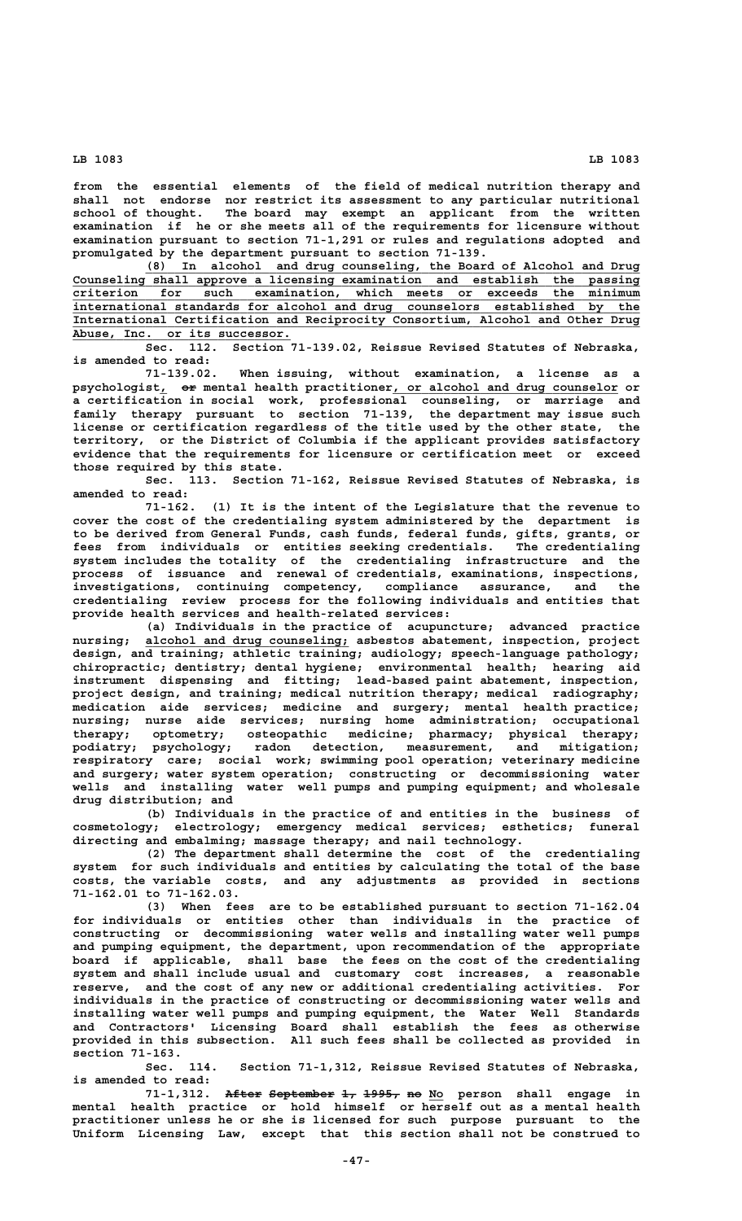**from the essential elements of the field of medical nutrition therapy and shall not endorse nor restrict its assessment to any particular nutritional school of thought. The board may exempt an applicant from the written examination if he or she meets all of the requirements for licensure without examination pursuant to section 71-1,291 or rules and regulations adopted and promulgated by the department pursuant to section 71-139.**

 **\_\_\_\_\_\_\_\_\_\_\_\_\_\_\_\_\_\_\_\_\_\_\_\_\_\_\_\_\_\_\_\_\_\_\_\_\_\_\_\_\_\_\_\_\_\_\_\_\_\_\_\_\_\_\_\_\_\_\_\_\_\_\_\_\_\_\_\_ (8) In alcohol and drug counseling, the Board of Alcohol and Drug Counseling shall approve a licensing examination and establish the passing criterion for such examination, which meets or exceeds the minimum \_\_\_\_\_\_\_\_\_\_\_\_\_\_\_\_\_\_\_\_\_\_\_\_\_\_\_\_\_\_\_\_\_\_\_\_\_\_\_\_\_\_\_\_\_\_\_\_\_\_\_\_\_\_\_\_\_\_\_\_\_\_\_\_\_\_\_\_\_\_\_\_\_\_\_\_\_\_ criterion for such examination, which meets or exceeds the minimum \_\_\_\_\_\_\_\_\_\_\_\_\_\_\_\_\_\_\_\_\_\_\_\_\_\_\_\_\_\_\_\_\_\_\_\_\_\_\_\_\_\_\_\_\_\_\_\_\_\_\_\_\_\_\_\_\_\_\_\_\_\_\_\_\_\_\_\_\_\_\_\_\_\_\_\_\_\_ international standards for alcohol and drug counselors established by the \_\_\_\_\_\_\_\_\_\_\_\_\_\_\_\_\_\_\_\_\_\_\_\_\_\_\_\_\_\_\_\_\_\_\_\_\_\_\_\_\_\_\_\_\_\_\_\_\_\_\_\_\_\_\_\_\_\_\_\_\_\_\_\_\_\_\_\_\_\_\_\_\_\_\_\_\_\_ International Certification and Reciprocity Consortium, Alcohol and Other Drug \_\_\_\_\_\_\_\_\_\_\_\_\_\_\_\_\_\_\_\_\_\_\_\_\_\_\_\_\_\_ Abuse, Inc. or its successor.**

**Sec. 112. Section 71-139.02, Reissue Revised Statutes of Nebraska, is amended to read:**

**71-139.02. When issuing, without examination, a license as a**  $psychologist,$   $er$  mental health practitioner, or alcohol and drug counselor or **a certification in social work, professional counseling, or marriage and family therapy pursuant to section 71-139, the department may issue such license or certification regardless of the title used by the other state, the territory, or the District of Columbia if the applicant provides satisfactory evidence that the requirements for licensure or certification meet or exceed those required by this state.**

**Sec. 113. Section 71-162, Reissue Revised Statutes of Nebraska, is amended to read:**

**71-162. (1) It is the intent of the Legislature that the revenue to cover the cost of the credentialing system administered by the department is to be derived from General Funds, cash funds, federal funds, gifts, grants, or fees from individuals or entities seeking credentials. The credentialing system includes the totality of the credentialing infrastructure and the process of issuance and renewal of credentials, examinations, inspections, investigations, continuing competency, compliance assurance, and the credentialing review process for the following individuals and entities that provide health services and health-related services:**

**(a) Individuals in the practice of acupuncture; advanced practice**  $\frac{1}{2}$   $\frac{1}{2}$   $\frac{1}{2}$   $\frac{1}{2}$   $\frac{1}{2}$   $\frac{1}{2}$   $\frac{1}{2}$   $\frac{1}{2}$   $\frac{1}{2}$   $\frac{1}{2}$   $\frac{1}{2}$   $\frac{1}{2}$   $\frac{1}{2}$   $\frac{1}{2}$   $\frac{1}{2}$   $\frac{1}{2}$   $\frac{1}{2}$   $\frac{1}{2}$   $\frac{1}{2}$   $\frac{1}{2}$   $\frac{1}{2}$   $\frac{1}{2}$   $\$ **design, and training; athletic training; audiology; speech-language pathology; chiropractic; dentistry; dental hygiene; environmental health; hearing aid instrument dispensing and fitting; lead-based paint abatement, inspection, project design, and training; medical nutrition therapy; medical radiography; medication aide services; medicine and surgery; mental health practice; nursing; nurse aide services; nursing home administration; occupational therapy; optometry; osteopathic medicine; pharmacy; physical therapy; podiatry; psychology; radon detection, measurement, and mitigation; respiratory care; social work; swimming pool operation; veterinary medicine and surgery; water system operation; constructing or decommissioning water wells and installing water well pumps and pumping equipment; and wholesale drug distribution; and**

**(b) Individuals in the practice of and entities in the business of cosmetology; electrology; emergency medical services; esthetics; funeral directing and embalming; massage therapy; and nail technology.**

**(2) The department shall determine the cost of the credentialing system for such individuals and entities by calculating the total of the base costs, the variable costs, and any adjustments as provided in sections 71-162.01 to 71-162.03.**

**(3) When fees are to be established pursuant to section 71-162.04 for individuals or entities other than individuals in the practice of constructing or decommissioning water wells and installing water well pumps and pumping equipment, the department, upon recommendation of the appropriate board if applicable, shall base the fees on the cost of the credentialing system and shall include usual and customary cost increases, a reasonable reserve, and the cost of any new or additional credentialing activities. For individuals in the practice of constructing or decommissioning water wells and installing water well pumps and pumping equipment, the Water Well Standards and Contractors' Licensing Board shall establish the fees as otherwise provided in this subsection. All such fees shall be collected as provided in section 71-163.**

**Sec. 114. Section 71-1,312, Reissue Revised Statutes of Nebraska, is amended to read:**

71-1,312. After September 1, 1995, no No person shall engage in **mental health practice or hold himself or herself out as a mental health practitioner unless he or she is licensed for such purpose pursuant to the Uniform Licensing Law, except that this section shall not be construed to**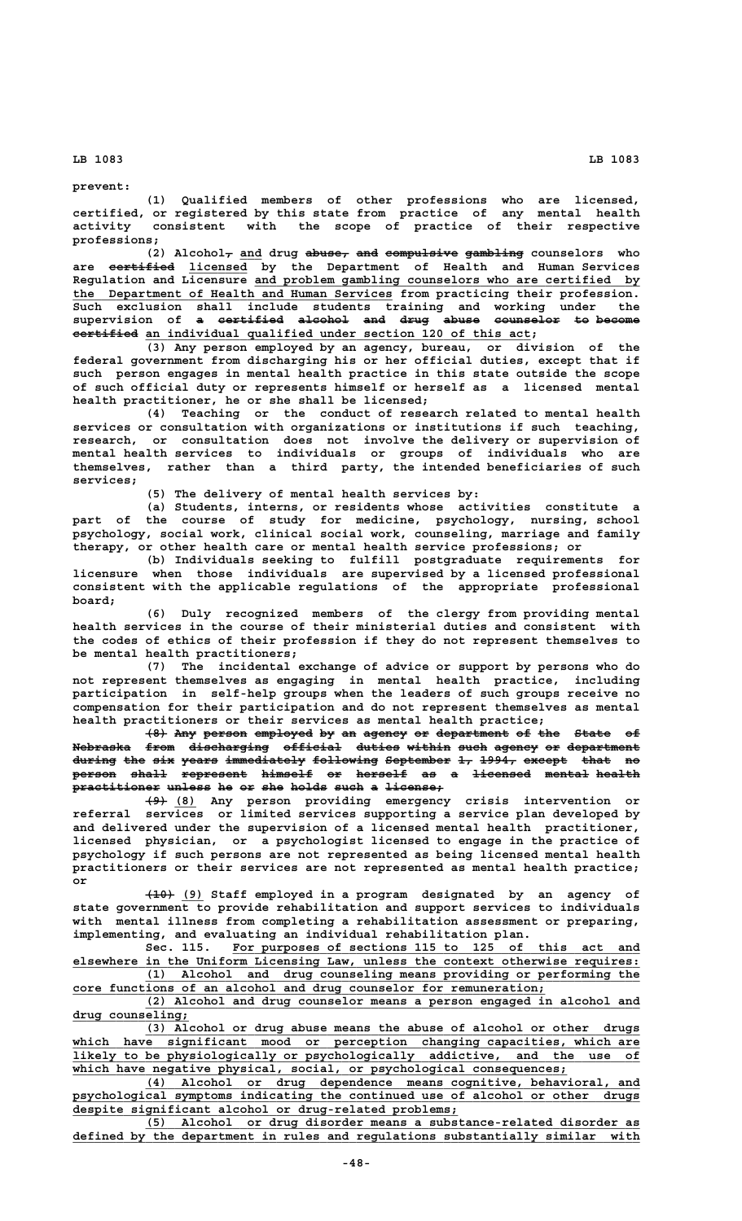# **prevent:**

**(1) Qualified members of other professions who are licensed, certified, or registered by this state from practice of any mental health activity consistent with the scope of practice of their respective professions;**

 $(2)$  Alcohol<sub>r</sub> and drug abuse, and compulsive gambling counselors who  **————————— \_\_\_\_\_\_\_\_ are certified licensed by the Department of Health and Human Services \_\_\_\_\_\_\_\_\_\_\_\_\_\_\_\_\_\_\_\_\_\_\_\_\_\_\_\_\_\_\_\_\_\_\_\_\_\_\_\_\_\_\_\_\_\_\_\_\_\_\_\_\_ Regulation and Licensure and problem gambling counselors who are certified by** the Department of Health and Human Services from practicing their profession. **Such exclusion shall include students training and working under the** supervision of <del>a certified alcohol and drug abuse counselor to-become</del>  **————————— \_\_\_\_\_\_\_\_\_\_\_\_\_\_\_\_\_\_\_\_\_\_\_\_\_\_\_\_\_\_\_\_\_\_\_\_\_\_\_\_\_\_\_\_\_\_\_\_\_\_\_\_\_ certified an individual qualified under section 120 of this act;**

**(3) Any person employed by an agency, bureau, or division of the federal government from discharging his or her official duties, except that if such person engages in mental health practice in this state outside the scope of such official duty or represents himself or herself as a licensed mental health practitioner, he or she shall be licensed;**

**(4) Teaching or the conduct of research related to mental health services or consultation with organizations or institutions if such teaching, research, or consultation does not involve the delivery or supervision of mental health services to individuals or groups of individuals who are themselves, rather than a third party, the intended beneficiaries of such services;**

**(5) The delivery of mental health services by:**

**(a) Students, interns, or residents whose activities constitute a part of the course of study for medicine, psychology, nursing, school psychology, social work, clinical social work, counseling, marriage and family therapy, or other health care or mental health service professions; or**

**(b) Individuals seeking to fulfill postgraduate requirements for licensure when those individuals are supervised by a licensed professional consistent with the applicable regulations of the appropriate professional board;**

**(6) Duly recognized members of the clergy from providing mental health services in the course of their ministerial duties and consistent with the codes of ethics of their profession if they do not represent themselves to be mental health practitioners;**

**(7) The incidental exchange of advice or support by persons who do not represent themselves as engaging in mental health practice, including participation in self-help groups when the leaders of such groups receive no compensation for their participation and do not represent themselves as mental health practitioners or their services as mental health practice;**

**(8) Any person employed by an agency or department of the State of ——— ——— —————— ———————— —— —— —————— —— —————————— —— ——— ————— —— Nebraska from discharging official duties within such agency or department ———————— ———— ——————————— ———————— —————— —————— ———— —————— —— —————————** during the six years immediately following September 1, 1994, except that no **person shall represent himself or herself as a licensed mental health —————— ————— ————————— ——————— —— ——————— —— — ———————— —————— —————** practitioner unless he or she holds such a license;

 **——— \_\_\_ (9) (8) Any person providing emergency crisis intervention or referral services or limited services supporting a service plan developed by and delivered under the supervision of a licensed mental health practitioner, licensed physician, or a psychologist licensed to engage in the practice of psychology if such persons are not represented as being licensed mental health practitioners or their services are not represented as mental health practice; or**

 **———— \_\_\_ (10) (9) Staff employed in a program designated by an agency of state government to provide rehabilitation and support services to individuals with mental illness from completing a rehabilitation assessment or preparing, implementing, and evaluating an individual rehabilitation plan.**

 **\_\_\_\_\_\_\_\_\_\_\_\_\_\_\_\_\_\_\_\_\_\_\_\_\_\_\_\_\_\_\_\_\_\_\_\_\_\_\_\_\_\_\_\_\_\_\_\_\_\_\_\_\_\_\_\_ Sec. 115. For purposes of sections 115 to 125 of this act and \_\_\_\_\_\_\_\_\_\_\_\_\_\_\_\_\_\_\_\_\_\_\_\_\_\_\_\_\_\_\_\_\_\_\_\_\_\_\_\_\_\_\_\_\_\_\_\_\_\_\_\_\_\_\_\_\_\_\_\_\_\_\_\_\_\_\_\_\_\_\_\_\_\_\_\_\_\_ elsewhere in the Uniform Licensing Law, unless the context otherwise requires: \_\_\_\_\_\_\_\_\_\_\_\_\_\_\_\_\_\_\_\_\_\_\_\_\_\_\_\_\_\_\_\_\_\_\_\_\_\_\_\_\_\_\_\_\_\_\_\_\_\_\_\_\_\_\_\_\_\_\_\_\_\_\_\_\_\_\_\_ (1) Alcohol and drug counseling means providing or performing the**

core functions of an alcohol and drug counselor for remuneration;  **\_\_\_\_\_\_\_\_\_\_\_\_\_\_\_\_\_\_\_\_\_\_\_\_\_\_\_\_\_\_\_\_\_\_\_\_\_\_\_\_\_\_\_\_\_\_\_\_\_\_\_\_\_\_\_\_\_\_\_\_\_\_\_\_\_\_\_\_ (2) Alcohol and drug counselor means a person engaged in alcohol and drug counseling; \_\_\_\_\_\_\_\_\_\_\_\_\_\_\_\_**

 **\_\_\_\_\_\_\_\_\_\_\_\_\_\_\_\_\_\_\_\_\_\_\_\_\_\_\_\_\_\_\_\_\_\_\_\_\_\_\_\_\_\_\_\_\_\_\_\_\_\_\_\_\_\_\_\_\_\_\_\_\_\_\_\_\_\_\_\_ (3) Alcohol or drug abuse means the abuse of alcohol or other drugs** which have significant mood or perception changing capacities, which are  **\_\_\_\_\_\_\_\_\_\_\_\_\_\_\_\_\_\_\_\_\_\_\_\_\_\_\_\_\_\_\_\_\_\_\_\_\_\_\_\_\_\_\_\_\_\_\_\_\_\_\_\_\_\_\_\_\_\_\_\_\_\_\_\_\_\_\_\_\_\_\_\_\_\_\_\_\_\_ likely to be physiologically or psychologically addictive, and the use of** which have negative physical, social, or psychological consequences;

 **\_\_\_\_\_\_\_\_\_\_\_\_\_\_\_\_\_\_\_\_\_\_\_\_\_\_\_\_\_\_\_\_\_\_\_\_\_\_\_\_\_\_\_\_\_\_\_\_\_\_\_\_\_\_\_\_\_\_\_\_\_\_\_\_\_\_\_\_ (4) Alcohol or drug dependence means cognitive, behavioral, and \_\_\_\_\_\_\_\_\_\_\_\_\_\_\_\_\_\_\_\_\_\_\_\_\_\_\_\_\_\_\_\_\_\_\_\_\_\_\_\_\_\_\_\_\_\_\_\_\_\_\_\_\_\_\_\_\_\_\_\_\_\_\_\_\_\_\_\_\_\_\_\_\_\_\_\_\_\_ psychological symptoms indicating the continued use of alcohol or other drugs**

despite significant alcohol or drug-related problems;<br>(5) Alcohol or drug disorder means a subs Alcohol or drug disorder means a substance-related disorder as  **\_\_\_\_\_\_\_\_\_\_\_\_\_\_\_\_\_\_\_\_\_\_\_\_\_\_\_\_\_\_\_\_\_\_\_\_\_\_\_\_\_\_\_\_\_\_\_\_\_\_\_\_\_\_\_\_\_\_\_\_\_\_\_\_\_\_\_\_\_\_\_\_\_\_\_\_\_\_ defined by the department in rules and regulations substantially similar with**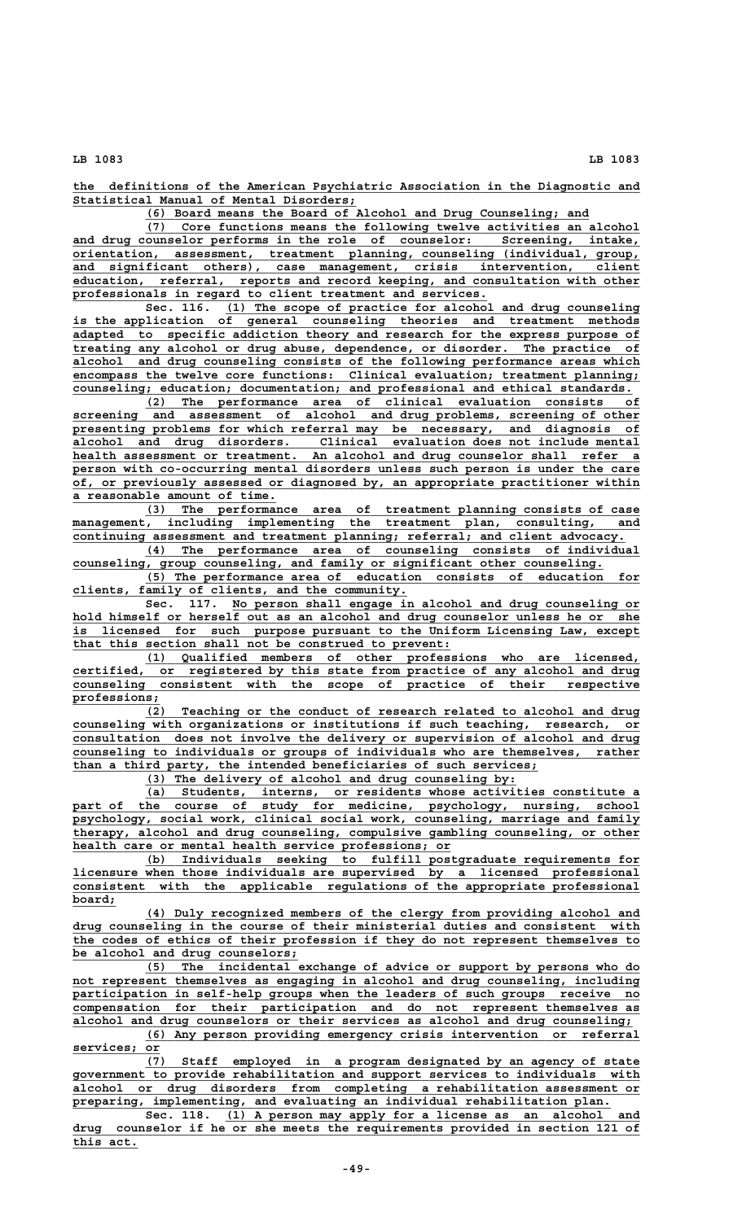**\_\_\_\_\_\_\_\_\_\_\_\_\_\_\_\_\_\_\_\_\_\_\_\_\_\_\_\_\_\_\_\_\_\_\_\_\_\_\_\_\_\_\_\_\_\_\_\_\_\_\_\_\_\_\_\_\_\_\_\_\_\_\_\_\_\_\_\_\_\_\_\_\_\_\_\_\_\_ the definitions of the American Psychiatric Association in the Diagnostic and \_\_\_\_\_\_\_\_\_\_\_\_\_\_\_\_\_\_\_\_\_\_\_\_\_\_\_\_\_\_\_\_\_\_\_\_\_\_\_ Statistical Manual of Mental Disorders;**

 **\_\_\_\_\_\_\_\_\_\_\_\_\_\_\_\_\_\_\_\_\_\_\_\_\_\_\_\_\_\_\_\_\_\_\_\_\_\_\_\_\_\_\_\_\_\_\_\_\_\_\_\_\_\_\_\_\_\_\_\_\_ (6) Board means the Board of Alcohol and Drug Counseling; and**

 **\_\_\_\_\_\_\_\_\_\_\_\_\_\_\_\_\_\_\_\_\_\_\_\_\_\_\_\_\_\_\_\_\_\_\_\_\_\_\_\_\_\_\_\_\_\_\_\_\_\_\_\_\_\_\_\_\_\_\_\_\_\_\_\_\_\_\_\_ (7) Core functions means the following twelve activities an alcohol \_\_\_\_\_\_\_\_\_\_\_\_\_\_\_\_\_\_\_\_\_\_\_\_\_\_\_\_\_\_\_\_\_\_\_\_\_\_\_\_\_\_\_\_\_\_\_\_\_\_\_\_\_\_\_\_\_\_\_\_\_\_\_\_\_\_\_\_\_\_\_\_\_\_\_\_\_\_ and drug counselor performs in the role of counselor: Screening, intake, \_\_\_\_\_\_\_\_\_\_\_\_\_\_\_\_\_\_\_\_\_\_\_\_\_\_\_\_\_\_\_\_\_\_\_\_\_\_\_\_\_\_\_\_\_\_\_\_\_\_\_\_\_\_\_\_\_\_\_\_\_\_\_\_\_\_\_\_\_\_\_\_\_\_\_\_\_\_ orientation, assessment, treatment planning, counseling (individual, group, \_\_\_\_\_\_\_\_\_\_\_\_\_\_\_\_\_\_\_\_\_\_\_\_\_\_\_\_\_\_\_\_\_\_\_\_\_\_\_\_\_\_\_\_\_\_\_\_\_\_\_\_\_\_\_\_\_\_\_\_\_\_\_\_\_\_\_\_\_\_\_\_\_\_\_\_\_\_ and significant others), case management, crisis intervention, client \_\_\_\_\_\_\_\_\_\_\_\_\_\_\_\_\_\_\_\_\_\_\_\_\_\_\_\_\_\_\_\_\_\_\_\_\_\_\_\_\_\_\_\_\_\_\_\_\_\_\_\_\_\_\_\_\_\_\_\_\_\_\_\_\_\_\_\_\_\_\_\_\_\_\_\_\_\_ education, referral, reports and record keeping, and consultation with other \_\_\_\_\_\_\_\_\_\_\_\_\_\_\_\_\_\_\_\_\_\_\_\_\_\_\_\_\_\_\_\_\_\_\_\_\_\_\_\_\_\_\_\_\_\_\_\_\_\_\_\_\_\_\_\_\_ professionals in regard to client treatment and services.**

 **\_\_\_\_\_\_\_\_\_\_\_\_\_\_\_\_\_\_\_\_\_\_\_\_\_\_\_\_\_\_\_\_\_\_\_\_\_\_\_\_\_\_\_\_\_\_\_\_\_\_\_\_\_\_\_\_\_ Sec. 116. (1) The scope of practice for alcohol and drug counseling \_\_\_\_\_\_\_\_\_\_\_\_\_\_\_\_\_\_\_\_\_\_\_\_\_\_\_\_\_\_\_\_\_\_\_\_\_\_\_\_\_\_\_\_\_\_\_\_\_\_\_\_\_\_\_\_\_\_\_\_\_\_\_\_\_\_\_\_\_\_\_\_\_\_\_\_\_\_ is the application of general counseling theories and treatment methods \_\_\_\_\_\_\_\_\_\_\_\_\_\_\_\_\_\_\_\_\_\_\_\_\_\_\_\_\_\_\_\_\_\_\_\_\_\_\_\_\_\_\_\_\_\_\_\_\_\_\_\_\_\_\_\_\_\_\_\_\_\_\_\_\_\_\_\_\_\_\_\_\_\_\_\_\_\_ adapted to specific addiction theory and research for the express purpose of \_\_\_\_\_\_\_\_\_\_\_\_\_\_\_\_\_\_\_\_\_\_\_\_\_\_\_\_\_\_\_\_\_\_\_\_\_\_\_\_\_\_\_\_\_\_\_\_\_\_\_\_\_\_\_\_\_\_\_\_\_\_\_\_\_\_\_\_\_\_\_\_\_\_\_\_\_\_ treating any alcohol or drug abuse, dependence, or disorder. The practice of \_\_\_\_\_\_\_\_\_\_\_\_\_\_\_\_\_\_\_\_\_\_\_\_\_\_\_\_\_\_\_\_\_\_\_\_\_\_\_\_\_\_\_\_\_\_\_\_\_\_\_\_\_\_\_\_\_\_\_\_\_\_\_\_\_\_\_\_\_\_\_\_\_\_\_\_\_\_ alcohol and drug counseling consists of the following performance areas which \_\_\_\_\_\_\_\_\_\_\_\_\_\_\_\_\_\_\_\_\_\_\_\_\_\_\_\_\_\_\_\_\_\_\_\_\_\_\_\_\_\_\_\_\_\_\_\_\_\_\_\_\_\_\_\_\_\_\_\_\_\_\_\_\_\_\_\_\_\_\_\_\_\_\_\_\_\_ encompass the twelve core functions: Clinical evaluation; treatment planning; \_\_\_\_\_\_\_\_\_\_\_\_\_\_\_\_\_\_\_\_\_\_\_\_\_\_\_\_\_\_\_\_\_\_\_\_\_\_\_\_\_\_\_\_\_\_\_\_\_\_\_\_\_\_\_\_\_\_\_\_\_\_\_\_\_\_\_\_\_\_\_\_\_\_\_\_\_ counseling; education; documentation; and professional and ethical standards.**

 **\_\_\_\_\_\_\_\_\_\_\_\_\_\_\_\_\_\_\_\_\_\_\_\_\_\_\_\_\_\_\_\_\_\_\_\_\_\_\_\_\_\_\_\_\_\_\_\_\_\_\_\_\_\_\_\_\_\_\_\_\_\_\_\_\_\_\_\_ (2) The performance area of clinical evaluation consists of \_\_\_\_\_\_\_\_\_\_\_\_\_\_\_\_\_\_\_\_\_\_\_\_\_\_\_\_\_\_\_\_\_\_\_\_\_\_\_\_\_\_\_\_\_\_\_\_\_\_\_\_\_\_\_\_\_\_\_\_\_\_\_\_\_\_\_\_\_\_\_\_\_\_\_\_\_\_ screening and assessment of alcohol and drug problems, screening of other \_\_\_\_\_\_\_\_\_\_\_\_\_\_\_\_\_\_\_\_\_\_\_\_\_\_\_\_\_\_\_\_\_\_\_\_\_\_\_\_\_\_\_\_\_\_\_\_\_\_\_\_\_\_\_\_\_\_\_\_\_\_\_\_\_\_\_\_\_\_\_\_\_\_\_\_\_\_ presenting problems for which referral may be necessary, and diagnosis of \_\_\_\_\_\_\_\_\_\_\_\_\_\_\_\_\_\_\_\_\_\_\_\_\_\_\_\_\_\_\_\_\_\_\_\_\_\_\_\_\_\_\_\_\_\_\_\_\_\_\_\_\_\_\_\_\_\_\_\_\_\_\_\_\_\_\_\_\_\_\_\_\_\_\_\_\_\_ alcohol and drug disorders. Clinical evaluation does not include mental \_\_\_\_\_\_\_\_\_\_\_\_\_\_\_\_\_\_\_\_\_\_\_\_\_\_\_\_\_\_\_\_\_\_\_\_\_\_\_\_\_\_\_\_\_\_\_\_\_\_\_\_\_\_\_\_\_\_\_\_\_\_\_\_\_\_\_\_\_\_\_\_\_\_\_\_\_\_ health assessment or treatment. An alcohol and drug counselor shall refer a \_\_\_\_\_\_\_\_\_\_\_\_\_\_\_\_\_\_\_\_\_\_\_\_\_\_\_\_\_\_\_\_\_\_\_\_\_\_\_\_\_\_\_\_\_\_\_\_\_\_\_\_\_\_\_\_\_\_\_\_\_\_\_\_\_\_\_\_\_\_\_\_\_\_\_\_\_\_ person with co-occurring mental disorders unless such person is under the care \_\_\_\_\_\_\_\_\_\_\_\_\_\_\_\_\_\_\_\_\_\_\_\_\_\_\_\_\_\_\_\_\_\_\_\_\_\_\_\_\_\_\_\_\_\_\_\_\_\_\_\_\_\_\_\_\_\_\_\_\_\_\_\_\_\_\_\_\_\_\_\_\_\_\_\_\_\_ of, or previously assessed or diagnosed by, an appropriate practitioner within**

a reasonable amount of time.<br>(3) The performance **area of treatment planning consists of case** area of treatment planning consists of case  $m$ anagement, including implementing the treatment plan, consulting, and  **\_\_\_\_\_\_\_\_\_\_\_\_\_\_\_\_\_\_\_\_\_\_\_\_\_\_\_\_\_\_\_\_\_\_\_\_\_\_\_\_\_\_\_\_\_\_\_\_\_\_\_\_\_\_\_\_\_\_\_\_\_\_\_\_\_\_\_\_\_\_\_\_\_\_\_\_ continuing assessment and treatment planning; referral; and client advocacy.**

 **\_\_\_\_\_\_\_\_\_\_\_\_\_\_\_\_\_\_\_\_\_\_\_\_\_\_\_\_\_\_\_\_\_\_\_\_\_\_\_\_\_\_\_\_\_\_\_\_\_\_\_\_\_\_\_\_\_\_\_\_\_\_\_\_\_\_\_\_ (4) The performance area of counseling consists of individual \_\_\_\_\_\_\_\_\_\_\_\_\_\_\_\_\_\_\_\_\_\_\_\_\_\_\_\_\_\_\_\_\_\_\_\_\_\_\_\_\_\_\_\_\_\_\_\_\_\_\_\_\_\_\_\_\_\_\_\_\_\_\_\_\_\_\_\_\_\_\_\_\_ counseling, group counseling, and family or significant other counseling.**

 **\_\_\_\_\_\_\_\_\_\_\_\_\_\_\_\_\_\_\_\_\_\_\_\_\_\_\_\_\_\_\_\_\_\_\_\_\_\_\_\_\_\_\_\_\_\_\_\_\_\_\_\_\_\_\_\_\_\_\_\_\_\_\_\_\_\_\_\_ (5) The performance area of education consists of education for \_\_\_\_\_\_\_\_\_\_\_\_\_\_\_\_\_\_\_\_\_\_\_\_\_\_\_\_\_\_\_\_\_\_\_\_\_\_\_\_\_\_\_\_\_\_ clients, family of clients, and the community.**

 **\_\_\_\_\_\_\_\_\_\_\_\_\_\_\_\_\_\_\_\_\_\_\_\_\_\_\_\_\_\_\_\_\_\_\_\_\_\_\_\_\_\_\_\_\_\_\_\_\_\_\_\_\_\_\_\_ Sec. 117. No person shall engage in alcohol and drug counseling or \_\_\_\_\_\_\_\_\_\_\_\_\_\_\_\_\_\_\_\_\_\_\_\_\_\_\_\_\_\_\_\_\_\_\_\_\_\_\_\_\_\_\_\_\_\_\_\_\_\_\_\_\_\_\_\_\_\_\_\_\_\_\_\_\_\_\_\_\_\_\_\_\_\_\_\_\_\_ hold himself or herself out as an alcohol and drug counselor unless he or she \_\_\_\_\_\_\_\_\_\_\_\_\_\_\_\_\_\_\_\_\_\_\_\_\_\_\_\_\_\_\_\_\_\_\_\_\_\_\_\_\_\_\_\_\_\_\_\_\_\_\_\_\_\_\_\_\_\_\_\_\_\_\_\_\_\_\_\_\_\_\_\_\_\_\_\_\_\_ is licensed for such purpose pursuant to the Uniform Licensing Law, except \_\_\_\_\_\_\_\_\_\_\_\_\_\_\_\_\_\_\_\_\_\_\_\_\_\_\_\_\_\_\_\_\_\_\_\_\_\_\_\_\_\_\_\_\_\_\_\_\_\_\_\_ that this section shall not be construed to prevent:**

 **\_\_\_\_\_\_\_\_\_\_\_\_\_\_\_\_\_\_\_\_\_\_\_\_\_\_\_\_\_\_\_\_\_\_\_\_\_\_\_\_\_\_\_\_\_\_\_\_\_\_\_\_\_\_\_\_\_\_\_\_\_\_\_\_\_\_\_\_ (1) Qualified members of other professions who are licensed, \_\_\_\_\_\_\_\_\_\_\_\_\_\_\_\_\_\_\_\_\_\_\_\_\_\_\_\_\_\_\_\_\_\_\_\_\_\_\_\_\_\_\_\_\_\_\_\_\_\_\_\_\_\_\_\_\_\_\_\_\_\_\_\_\_\_\_\_\_\_\_\_\_\_\_\_\_\_ certified, or registered by this state from practice of any alcohol and drug \_\_\_\_\_\_\_\_\_\_\_\_\_\_\_\_\_\_\_\_\_\_\_\_\_\_\_\_\_\_\_\_\_\_\_\_\_\_\_\_\_\_\_\_\_\_\_\_\_\_\_\_\_\_\_\_\_\_\_\_\_\_\_\_\_\_\_\_\_\_\_\_\_\_\_\_\_\_ counseling consistent with the scope of practice of their respective professions; \_\_\_\_\_\_\_\_\_\_\_\_**

 **\_\_\_\_\_\_\_\_\_\_\_\_\_\_\_\_\_\_\_\_\_\_\_\_\_\_\_\_\_\_\_\_\_\_\_\_\_\_\_\_\_\_\_\_\_\_\_\_\_\_\_\_\_\_\_\_\_\_\_\_\_\_\_\_\_\_\_\_ (2) Teaching or the conduct of research related to alcohol and drug \_\_\_\_\_\_\_\_\_\_\_\_\_\_\_\_\_\_\_\_\_\_\_\_\_\_\_\_\_\_\_\_\_\_\_\_\_\_\_\_\_\_\_\_\_\_\_\_\_\_\_\_\_\_\_\_\_\_\_\_\_\_\_\_\_\_\_\_\_\_\_\_\_\_\_\_\_\_ counseling with organizations or institutions if such teaching, research, or \_\_\_\_\_\_\_\_\_\_\_\_\_\_\_\_\_\_\_\_\_\_\_\_\_\_\_\_\_\_\_\_\_\_\_\_\_\_\_\_\_\_\_\_\_\_\_\_\_\_\_\_\_\_\_\_\_\_\_\_\_\_\_\_\_\_\_\_\_\_\_\_\_\_\_\_\_\_ consultation does not involve the delivery or supervision of alcohol and drug \_\_\_\_\_\_\_\_\_\_\_\_\_\_\_\_\_\_\_\_\_\_\_\_\_\_\_\_\_\_\_\_\_\_\_\_\_\_\_\_\_\_\_\_\_\_\_\_\_\_\_\_\_\_\_\_\_\_\_\_\_\_\_\_\_\_\_\_\_\_\_\_\_\_\_\_\_\_ counseling to individuals or groups of individuals who are themselves, rather \_\_\_\_\_\_\_\_\_\_\_\_\_\_\_\_\_\_\_\_\_\_\_\_\_\_\_\_\_\_\_\_\_\_\_\_\_\_\_\_\_\_\_\_\_\_\_\_\_\_\_\_\_\_\_\_\_\_\_\_\_\_\_\_ than a third party, the intended beneficiaries of such services;**

 **\_\_\_\_\_\_\_\_\_\_\_\_\_\_\_\_\_\_\_\_\_\_\_\_\_\_\_\_\_\_\_\_\_\_\_\_\_\_\_\_\_\_\_\_\_\_\_\_\_\_\_ (3) The delivery of alcohol and drug counseling by:**

 **\_\_\_\_\_\_\_\_\_\_\_\_\_\_\_\_\_\_\_\_\_\_\_\_\_\_\_\_\_\_\_\_\_\_\_\_\_\_\_\_\_\_\_\_\_\_\_\_\_\_\_\_\_\_\_\_\_\_\_\_\_\_\_\_\_\_\_\_ (a) Students, interns, or residents whose activities constitute a \_\_\_\_\_\_\_\_\_\_\_\_\_\_\_\_\_\_\_\_\_\_\_\_\_\_\_\_\_\_\_\_\_\_\_\_\_\_\_\_\_\_\_\_\_\_\_\_\_\_\_\_\_\_\_\_\_\_\_\_\_\_\_\_\_\_\_\_\_\_\_\_\_\_\_\_\_\_ part of the course of study for medicine, psychology, nursing, school \_\_\_\_\_\_\_\_\_\_\_\_\_\_\_\_\_\_\_\_\_\_\_\_\_\_\_\_\_\_\_\_\_\_\_\_\_\_\_\_\_\_\_\_\_\_\_\_\_\_\_\_\_\_\_\_\_\_\_\_\_\_\_\_\_\_\_\_\_\_\_\_\_\_\_\_\_\_ psychology, social work, clinical social work, counseling, marriage and family \_\_\_\_\_\_\_\_\_\_\_\_\_\_\_\_\_\_\_\_\_\_\_\_\_\_\_\_\_\_\_\_\_\_\_\_\_\_\_\_\_\_\_\_\_\_\_\_\_\_\_\_\_\_\_\_\_\_\_\_\_\_\_\_\_\_\_\_\_\_\_\_\_\_\_\_\_\_ therapy, alcohol and drug counseling, compulsive gambling counseling, or other \_\_\_\_\_\_\_\_\_\_\_\_\_\_\_\_\_\_\_\_\_\_\_\_\_\_\_\_\_\_\_\_\_\_\_\_\_\_\_\_\_\_\_\_\_\_\_\_\_\_\_\_ health care or mental health service professions; or**

 **\_\_\_\_\_\_\_\_\_\_\_\_\_\_\_\_\_\_\_\_\_\_\_\_\_\_\_\_\_\_\_\_\_\_\_\_\_\_\_\_\_\_\_\_\_\_\_\_\_\_\_\_\_\_\_\_\_\_\_\_\_\_\_\_\_\_\_\_ (b) Individuals seeking to fulfill postgraduate requirements for \_\_\_\_\_\_\_\_\_\_\_\_\_\_\_\_\_\_\_\_\_\_\_\_\_\_\_\_\_\_\_\_\_\_\_\_\_\_\_\_\_\_\_\_\_\_\_\_\_\_\_\_\_\_\_\_\_\_\_\_\_\_\_\_\_\_\_\_\_\_\_\_\_\_\_\_\_\_ licensure when those individuals are supervised by a licensed professional \_\_\_\_\_\_\_\_\_\_\_\_\_\_\_\_\_\_\_\_\_\_\_\_\_\_\_\_\_\_\_\_\_\_\_\_\_\_\_\_\_\_\_\_\_\_\_\_\_\_\_\_\_\_\_\_\_\_\_\_\_\_\_\_\_\_\_\_\_\_\_\_\_\_\_\_\_\_ consistent with the applicable regulations of the appropriate professional** board;

 **\_\_\_\_\_\_\_\_\_\_\_\_\_\_\_\_\_\_\_\_\_\_\_\_\_\_\_\_\_\_\_\_\_\_\_\_\_\_\_\_\_\_\_\_\_\_\_\_\_\_\_\_\_\_\_\_\_\_\_\_\_\_\_\_\_\_\_\_ (4) Duly recognized members of the clergy from providing alcohol and \_\_\_\_\_\_\_\_\_\_\_\_\_\_\_\_\_\_\_\_\_\_\_\_\_\_\_\_\_\_\_\_\_\_\_\_\_\_\_\_\_\_\_\_\_\_\_\_\_\_\_\_\_\_\_\_\_\_\_\_\_\_\_\_\_\_\_\_\_\_\_\_\_\_\_\_\_\_ drug counseling in the course of their ministerial duties and consistent with \_\_\_\_\_\_\_\_\_\_\_\_\_\_\_\_\_\_\_\_\_\_\_\_\_\_\_\_\_\_\_\_\_\_\_\_\_\_\_\_\_\_\_\_\_\_\_\_\_\_\_\_\_\_\_\_\_\_\_\_\_\_\_\_\_\_\_\_\_\_\_\_\_\_\_\_\_\_ the codes of ethics of their profession if they do not represent themselves to \_\_\_\_\_\_\_\_\_\_\_\_\_\_\_\_\_\_\_\_\_\_\_\_\_\_\_\_\_\_\_ be alcohol and drug counselors;**

 **\_\_\_\_\_\_\_\_\_\_\_\_\_\_\_\_\_\_\_\_\_\_\_\_\_\_\_\_\_\_\_\_\_\_\_\_\_\_\_\_\_\_\_\_\_\_\_\_\_\_\_\_\_\_\_\_\_\_\_\_\_\_\_\_\_\_\_\_ (5) The incidental exchange of advice or support by persons who do** not represent themselves as engaging in alcohol and drug counseling, including  $\overline{ {\text{partition in self-help groups when the leaders of such groups }$  receive no  **\_\_\_\_\_\_\_\_\_\_\_\_\_\_\_\_\_\_\_\_\_\_\_\_\_\_\_\_\_\_\_\_\_\_\_\_\_\_\_\_\_\_\_\_\_\_\_\_\_\_\_\_\_\_\_\_\_\_\_\_\_\_\_\_\_\_\_\_\_\_\_\_\_\_\_\_\_\_ compensation for their participation and do not represent themselves as \_\_\_\_\_\_\_\_\_\_\_\_\_\_\_\_\_\_\_\_\_\_\_\_\_\_\_\_\_\_\_\_\_\_\_\_\_\_\_\_\_\_\_\_\_\_\_\_\_\_\_\_\_\_\_\_\_\_\_\_\_\_\_\_\_\_\_\_\_\_\_\_\_\_\_\_\_ alcohol and drug counselors or their services as alcohol and drug counseling;**

 **\_\_\_\_\_\_\_\_\_\_\_\_\_\_\_\_\_\_\_\_\_\_\_\_\_\_\_\_\_\_\_\_\_\_\_\_\_\_\_\_\_\_\_\_\_\_\_\_\_\_\_\_\_\_\_\_\_\_\_\_\_\_\_\_\_\_\_\_ (6) Any person providing emergency crisis intervention or referral** services; or

> **\_\_\_\_\_\_\_\_\_\_\_\_\_\_\_\_\_\_\_\_\_\_\_\_\_\_\_\_\_\_\_\_\_\_\_\_\_\_\_\_\_\_\_\_\_\_\_\_\_\_\_\_\_\_\_\_\_\_\_\_\_\_\_\_\_\_\_\_ (7) Staff employed in a program designated by an agency of state \_\_\_\_\_\_\_\_\_\_\_\_\_\_\_\_\_\_\_\_\_\_\_\_\_\_\_\_\_\_\_\_\_\_\_\_\_\_\_\_\_\_\_\_\_\_\_\_\_\_\_\_\_\_\_\_\_\_\_\_\_\_\_\_\_\_\_\_\_\_\_\_\_\_\_\_\_\_ government to provide rehabilitation and support services to individuals with \_\_\_\_\_\_\_\_\_\_\_\_\_\_\_\_\_\_\_\_\_\_\_\_\_\_\_\_\_\_\_\_\_\_\_\_\_\_\_\_\_\_\_\_\_\_\_\_\_\_\_\_\_\_\_\_\_\_\_\_\_\_\_\_\_\_\_\_\_\_\_\_\_\_\_\_\_\_ alcohol or drug disorders from completing a rehabilitation assessment or \_\_\_\_\_\_\_\_\_\_\_\_\_\_\_\_\_\_\_\_\_\_\_\_\_\_\_\_\_\_\_\_\_\_\_\_\_\_\_\_\_\_\_\_\_\_\_\_\_\_\_\_\_\_\_\_\_\_\_\_\_\_\_\_\_\_\_\_\_\_\_\_\_\_ preparing, implementing, and evaluating an individual rehabilitation plan.**

 **\_\_\_\_\_\_\_\_\_\_\_\_\_\_\_\_\_\_\_\_\_\_\_\_\_\_\_\_\_\_\_\_\_\_\_\_\_\_\_\_\_\_\_\_\_\_\_\_\_\_\_\_\_\_\_\_\_ Sec. 118. (1) A person may apply for a license as an alcohol and \_\_\_\_\_\_\_\_\_\_\_\_\_\_\_\_\_\_\_\_\_\_\_\_\_\_\_\_\_\_\_\_\_\_\_\_\_\_\_\_\_\_\_\_\_\_\_\_\_\_\_\_\_\_\_\_\_\_\_\_\_\_\_\_\_\_\_\_\_\_\_\_\_\_\_\_\_\_ drug counselor if he or she meets the requirements provided in section 121 of this act. \_\_\_\_\_\_\_\_\_**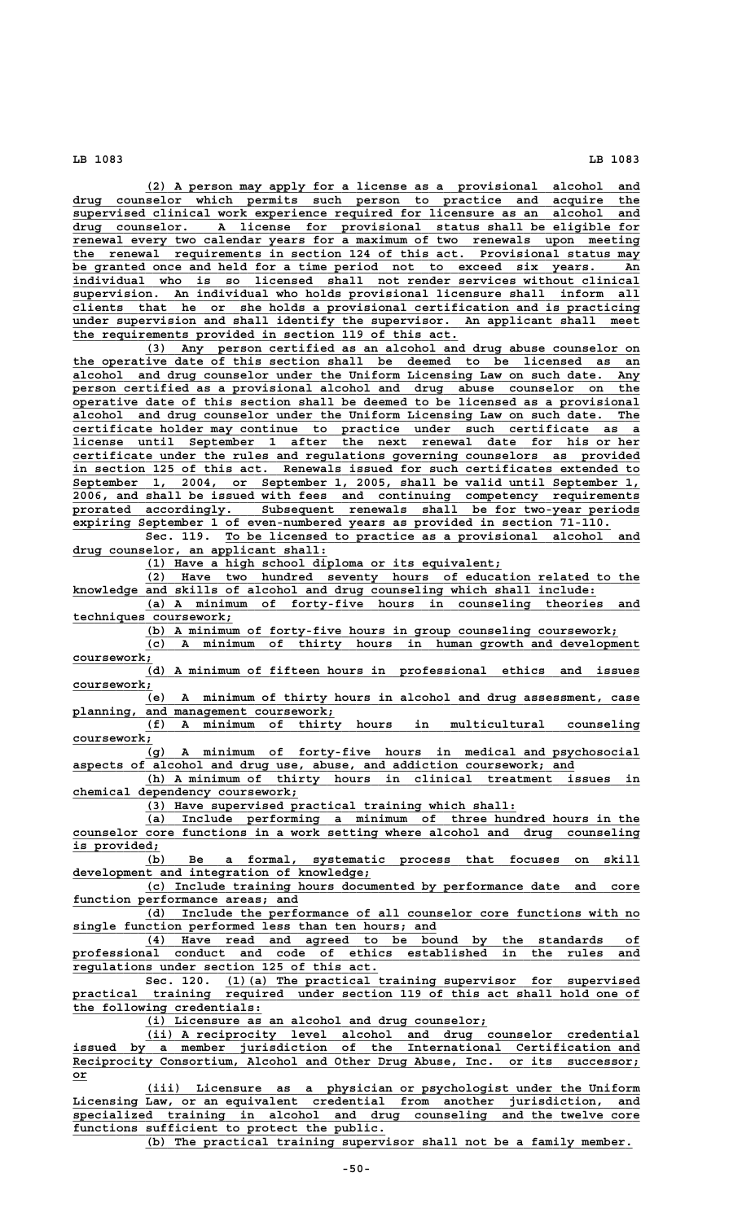**\_\_\_\_\_\_\_\_\_\_\_\_\_\_\_\_\_\_\_\_\_\_\_\_\_\_\_\_\_\_\_\_\_\_\_\_\_\_\_\_\_\_\_\_\_\_\_\_\_\_\_\_\_\_\_\_\_\_\_\_\_\_\_\_\_\_\_\_ (2) A person may apply for a license as a provisional alcohol and \_\_\_\_\_\_\_\_\_\_\_\_\_\_\_\_\_\_\_\_\_\_\_\_\_\_\_\_\_\_\_\_\_\_\_\_\_\_\_\_\_\_\_\_\_\_\_\_\_\_\_\_\_\_\_\_\_\_\_\_\_\_\_\_\_\_\_\_\_\_\_\_\_\_\_\_\_\_ drug counselor which permits such person to practice and acquire the \_\_\_\_\_\_\_\_\_\_\_\_\_\_\_\_\_\_\_\_\_\_\_\_\_\_\_\_\_\_\_\_\_\_\_\_\_\_\_\_\_\_\_\_\_\_\_\_\_\_\_\_\_\_\_\_\_\_\_\_\_\_\_\_\_\_\_\_\_\_\_\_\_\_\_\_\_\_ supervised clinical work experience required for licensure as an alcohol and \_\_\_\_\_\_\_\_\_\_\_\_\_\_\_\_\_\_\_\_\_\_\_\_\_\_\_\_\_\_\_\_\_\_\_\_\_\_\_\_\_\_\_\_\_\_\_\_\_\_\_\_\_\_\_\_\_\_\_\_\_\_\_\_\_\_\_\_\_\_\_\_\_\_\_\_\_\_ drug counselor. A license for provisional status shall be eligible for \_\_\_\_\_\_\_\_\_\_\_\_\_\_\_\_\_\_\_\_\_\_\_\_\_\_\_\_\_\_\_\_\_\_\_\_\_\_\_\_\_\_\_\_\_\_\_\_\_\_\_\_\_\_\_\_\_\_\_\_\_\_\_\_\_\_\_\_\_\_\_\_\_\_\_\_\_\_ renewal every two calendar years for a maximum of two renewals upon meeting \_\_\_\_\_\_\_\_\_\_\_\_\_\_\_\_\_\_\_\_\_\_\_\_\_\_\_\_\_\_\_\_\_\_\_\_\_\_\_\_\_\_\_\_\_\_\_\_\_\_\_\_\_\_\_\_\_\_\_\_\_\_\_\_\_\_\_\_\_\_\_\_\_\_\_\_\_\_ the renewal requirements in section 124 of this act. Provisional status may \_\_\_\_\_\_\_\_\_\_\_\_\_\_\_\_\_\_\_\_\_\_\_\_\_\_\_\_\_\_\_\_\_\_\_\_\_\_\_\_\_\_\_\_\_\_\_\_\_\_\_\_\_\_\_\_\_\_\_\_\_\_\_\_\_\_\_\_\_\_\_\_\_\_\_\_\_\_ be granted once and held for a time period not to exceed six years. An**  $individual$  who is so licensed shall not render services without clinical  **\_\_\_\_\_\_\_\_\_\_\_\_\_\_\_\_\_\_\_\_\_\_\_\_\_\_\_\_\_\_\_\_\_\_\_\_\_\_\_\_\_\_\_\_\_\_\_\_\_\_\_\_\_\_\_\_\_\_\_\_\_\_\_\_\_\_\_\_\_\_\_\_\_\_\_\_\_\_ supervision. An individual who holds provisional licensure shall inform all \_\_\_\_\_\_\_\_\_\_\_\_\_\_\_\_\_\_\_\_\_\_\_\_\_\_\_\_\_\_\_\_\_\_\_\_\_\_\_\_\_\_\_\_\_\_\_\_\_\_\_\_\_\_\_\_\_\_\_\_\_\_\_\_\_\_\_\_\_\_\_\_\_\_\_\_\_\_ clients that he or she holds a provisional certification and is practicing** under supervision and shall identify the supervisor. An applicant shall  **\_\_\_\_\_\_\_\_\_\_\_\_\_\_\_\_\_\_\_\_\_\_\_\_\_\_\_\_\_\_\_\_\_\_\_\_\_\_\_\_\_\_\_\_\_\_\_\_\_\_\_\_\_ the requirements provided in section 119 of this act.**

 **\_\_\_\_\_\_\_\_\_\_\_\_\_\_\_\_\_\_\_\_\_\_\_\_\_\_\_\_\_\_\_\_\_\_\_\_\_\_\_\_\_\_\_\_\_\_\_\_\_\_\_\_\_\_\_\_\_\_\_\_\_\_\_\_\_\_\_\_ (3) Any person certified as an alcohol and drug abuse counselor on \_\_\_\_\_\_\_\_\_\_\_\_\_\_\_\_\_\_\_\_\_\_\_\_\_\_\_\_\_\_\_\_\_\_\_\_\_\_\_\_\_\_\_\_\_\_\_\_\_\_\_\_\_\_\_\_\_\_\_\_\_\_\_\_\_\_\_\_\_\_\_\_\_\_\_\_\_\_ the operative date of this section shall be deemed to be licensed as an \_\_\_\_\_\_\_\_\_\_\_\_\_\_\_\_\_\_\_\_\_\_\_\_\_\_\_\_\_\_\_\_\_\_\_\_\_\_\_\_\_\_\_\_\_\_\_\_\_\_\_\_\_\_\_\_\_\_\_\_\_\_\_\_\_\_\_\_\_\_\_\_\_\_\_\_\_\_ alcohol and drug counselor under the Uniform Licensing Law on such date. Any \_\_\_\_\_\_\_\_\_\_\_\_\_\_\_\_\_\_\_\_\_\_\_\_\_\_\_\_\_\_\_\_\_\_\_\_\_\_\_\_\_\_\_\_\_\_\_\_\_\_\_\_\_\_\_\_\_\_\_\_\_\_\_\_\_\_\_\_\_\_\_\_\_\_\_\_\_\_ person certified as a provisional alcohol and drug abuse counselor on the \_\_\_\_\_\_\_\_\_\_\_\_\_\_\_\_\_\_\_\_\_\_\_\_\_\_\_\_\_\_\_\_\_\_\_\_\_\_\_\_\_\_\_\_\_\_\_\_\_\_\_\_\_\_\_\_\_\_\_\_\_\_\_\_\_\_\_\_\_\_\_\_\_\_\_\_\_\_ operative date of this section shall be deemed to be licensed as a provisional \_\_\_\_\_\_\_\_\_\_\_\_\_\_\_\_\_\_\_\_\_\_\_\_\_\_\_\_\_\_\_\_\_\_\_\_\_\_\_\_\_\_\_\_\_\_\_\_\_\_\_\_\_\_\_\_\_\_\_\_\_\_\_\_\_\_\_\_\_\_\_\_\_\_\_\_\_\_ alcohol and drug counselor under the Uniform Licensing Law on such date. The \_\_\_\_\_\_\_\_\_\_\_\_\_\_\_\_\_\_\_\_\_\_\_\_\_\_\_\_\_\_\_\_\_\_\_\_\_\_\_\_\_\_\_\_\_\_\_\_\_\_\_\_\_\_\_\_\_\_\_\_\_\_\_\_\_\_\_\_\_\_\_\_\_\_\_\_\_\_ certificate holder may continue to practice under such certificate as a \_\_\_\_\_\_\_\_\_\_\_\_\_\_\_\_\_\_\_\_\_\_\_\_\_\_\_\_\_\_\_\_\_\_\_\_\_\_\_\_\_\_\_\_\_\_\_\_\_\_\_\_\_\_\_\_\_\_\_\_\_\_\_\_\_\_\_\_\_\_\_\_\_\_\_\_\_\_ license until September 1 after the next renewal date for his or her \_\_\_\_\_\_\_\_\_\_\_\_\_\_\_\_\_\_\_\_\_\_\_\_\_\_\_\_\_\_\_\_\_\_\_\_\_\_\_\_\_\_\_\_\_\_\_\_\_\_\_\_\_\_\_\_\_\_\_\_\_\_\_\_\_\_\_\_\_\_\_\_\_\_\_\_\_\_ certificate under the rules and regulations governing counselors as provided \_\_\_\_\_\_\_\_\_\_\_\_\_\_\_\_\_\_\_\_\_\_\_\_\_\_\_\_\_\_\_\_\_\_\_\_\_\_\_\_\_\_\_\_\_\_\_\_\_\_\_\_\_\_\_\_\_\_\_\_\_\_\_\_\_\_\_\_\_\_\_\_\_\_\_\_\_\_ in section 125 of this act. Renewals issued for such certificates extended to \_\_\_\_\_\_\_\_\_\_\_\_\_\_\_\_\_\_\_\_\_\_\_\_\_\_\_\_\_\_\_\_\_\_\_\_\_\_\_\_\_\_\_\_\_\_\_\_\_\_\_\_\_\_\_\_\_\_\_\_\_\_\_\_\_\_\_\_\_\_\_\_\_\_\_\_\_\_ September 1, 2004, or September 1, 2005, shall be valid until September 1, \_\_\_\_\_\_\_\_\_\_\_\_\_\_\_\_\_\_\_\_\_\_\_\_\_\_\_\_\_\_\_\_\_\_\_\_\_\_\_\_\_\_\_\_\_\_\_\_\_\_\_\_\_\_\_\_\_\_\_\_\_\_\_\_\_\_\_\_\_\_\_\_\_\_\_\_\_\_ 2006, and shall be issued with fees and continuing competency requirements \_\_\_\_\_\_\_\_\_\_\_\_\_\_\_\_\_\_\_\_\_\_\_\_\_\_\_\_\_\_\_\_\_\_\_\_\_\_\_\_\_\_\_\_\_\_\_\_\_\_\_\_\_\_\_\_\_\_\_\_\_\_\_\_\_\_\_\_\_\_\_\_\_\_\_\_\_\_ prorated accordingly. Subsequent renewals shall be for two-year periods \_\_\_\_\_\_\_\_\_\_\_\_\_\_\_\_\_\_\_\_\_\_\_\_\_\_\_\_\_\_\_\_\_\_\_\_\_\_\_\_\_\_\_\_\_\_\_\_\_\_\_\_\_\_\_\_\_\_\_\_\_\_\_\_\_\_\_\_\_\_\_\_\_\_ expiring September 1 of even-numbered years as provided in section 71-110.**

 **\_\_\_\_\_\_\_\_\_\_\_\_\_\_\_\_\_\_\_\_\_\_\_\_\_\_\_\_\_\_\_\_\_\_\_\_\_\_\_\_\_\_\_\_\_\_\_\_\_\_\_\_\_\_\_\_\_ Sec. 119. To be licensed to practice as a provisional alcohol and \_\_\_\_\_\_\_\_\_\_\_\_\_\_\_\_\_\_\_\_\_\_\_\_\_\_\_\_\_\_\_\_\_\_\_ drug counselor, an applicant shall:**

 **\_\_\_\_\_\_\_\_\_\_\_\_\_\_\_\_\_\_\_\_\_\_\_\_\_\_\_\_\_\_\_\_\_\_\_\_\_\_\_\_\_\_\_\_\_\_\_\_\_ (1) Have a high school diploma or its equivalent;**

 **\_\_\_\_\_\_\_\_\_\_\_\_\_\_\_\_\_\_\_\_\_\_\_\_\_\_\_\_\_\_\_\_\_\_\_\_\_\_\_\_\_\_\_\_\_\_\_\_\_\_\_\_\_\_\_\_\_\_\_\_\_\_\_\_\_\_\_\_ (2) Have two hundred seventy hours of education related to the** knowledge and skills of alcohol and drug counseling which shall include:

 **\_\_\_\_\_\_\_\_\_\_\_\_\_\_\_\_\_\_\_\_\_\_\_\_\_\_\_\_\_\_\_\_\_\_\_\_\_\_\_\_\_\_\_\_\_\_\_\_\_\_\_\_\_\_\_\_\_\_\_\_\_\_\_\_\_\_\_\_ (a) A minimum of forty-five hours in counseling theories and techniques coursework; \_\_\_\_\_\_\_\_\_\_\_\_\_\_\_\_\_\_\_\_\_\_**

 **\_\_\_\_\_\_\_\_\_\_\_\_\_\_\_\_\_\_\_\_\_\_\_\_\_\_\_\_\_\_\_\_\_\_\_\_\_\_\_\_\_\_\_\_\_\_\_\_\_\_\_\_\_\_\_\_\_\_\_\_\_\_\_\_\_ (b) A minimum of forty-five hours in group counseling coursework; \_\_\_\_\_\_\_\_\_\_\_\_\_\_\_\_\_\_\_\_\_\_\_\_\_\_\_\_\_\_\_\_\_\_\_\_\_\_\_\_\_\_\_\_\_\_\_\_\_\_\_\_\_\_\_\_\_\_\_\_\_\_\_\_\_\_\_\_ (c) A minimum of thirty hours in human growth and development coursework; \_\_\_\_\_\_\_\_\_\_\_**

 **\_\_\_\_\_\_\_\_\_\_\_\_\_\_\_\_\_\_\_\_\_\_\_\_\_\_\_\_\_\_\_\_\_\_\_\_\_\_\_\_\_\_\_\_\_\_\_\_\_\_\_\_\_\_\_\_\_\_\_\_\_\_\_\_\_\_\_\_ (d) A minimum of fifteen hours in professional ethics and issues coursework; \_\_\_\_\_\_\_\_\_\_\_**

 **\_\_\_\_\_\_\_\_\_\_\_\_\_\_\_\_\_\_\_\_\_\_\_\_\_\_\_\_\_\_\_\_\_\_\_\_\_\_\_\_\_\_\_\_\_\_\_\_\_\_\_\_\_\_\_\_\_\_\_\_\_\_\_\_\_\_\_\_ (e) A minimum of thirty hours in alcohol and drug assessment, case \_\_\_\_\_\_\_\_\_\_\_\_\_\_\_\_\_\_\_\_\_\_\_\_\_\_\_\_\_\_\_\_\_\_\_\_ planning, and management coursework;**

 **\_\_\_\_\_\_\_\_\_\_\_\_\_\_\_\_\_\_\_\_\_\_\_\_\_\_\_\_\_\_\_\_\_\_\_\_\_\_\_\_\_\_\_\_\_\_\_\_\_\_\_\_\_\_\_\_\_\_\_\_\_\_\_\_\_\_\_\_ (f) A minimum of thirty hours in multicultural counseling coursework; \_\_\_\_\_\_\_\_\_\_\_**

 **\_\_\_\_\_\_\_\_\_\_\_\_\_\_\_\_\_\_\_\_\_\_\_\_\_\_\_\_\_\_\_\_\_\_\_\_\_\_\_\_\_\_\_\_\_\_\_\_\_\_\_\_\_\_\_\_\_\_\_\_\_\_\_\_\_\_\_\_ (g) A minimum of forty-five hours in medical and psychosocial \_\_\_\_\_\_\_\_\_\_\_\_\_\_\_\_\_\_\_\_\_\_\_\_\_\_\_\_\_\_\_\_\_\_\_\_\_\_\_\_\_\_\_\_\_\_\_\_\_\_\_\_\_\_\_\_\_\_\_\_\_\_\_\_\_\_\_\_\_ aspects of alcohol and drug use, abuse, and addiction coursework; and**

 **\_\_\_\_\_\_\_\_\_\_\_\_\_\_\_\_\_\_\_\_\_\_\_\_\_\_\_\_\_\_\_\_\_\_\_\_\_\_\_\_\_\_\_\_\_\_\_\_\_\_\_\_\_\_\_\_\_\_\_\_\_\_\_\_\_\_\_\_ (h) A minimum of thirty hours in clinical treatment issues in \_\_\_\_\_\_\_\_\_\_\_\_\_\_\_\_\_\_\_\_\_\_\_\_\_\_\_\_\_\_\_ chemical dependency coursework;**

 **\_\_\_\_\_\_\_\_\_\_\_\_\_\_\_\_\_\_\_\_\_\_\_\_\_\_\_\_\_\_\_\_\_\_\_\_\_\_\_\_\_\_\_\_\_\_\_\_\_\_\_ (3) Have supervised practical training which shall:**

 **\_\_\_\_\_\_\_\_\_\_\_\_\_\_\_\_\_\_\_\_\_\_\_\_\_\_\_\_\_\_\_\_\_\_\_\_\_\_\_\_\_\_\_\_\_\_\_\_\_\_\_\_\_\_\_\_\_\_\_\_\_\_\_\_\_\_\_\_ (a) Include performing a minimum of three hundred hours in the \_\_\_\_\_\_\_\_\_\_\_\_\_\_\_\_\_\_\_\_\_\_\_\_\_\_\_\_\_\_\_\_\_\_\_\_\_\_\_\_\_\_\_\_\_\_\_\_\_\_\_\_\_\_\_\_\_\_\_\_\_\_\_\_\_\_\_\_\_\_\_\_\_\_\_\_\_\_ counselor core functions in a work setting where alcohol and drug counseling** is provided;

 **\_\_\_\_\_\_\_\_\_\_\_\_\_\_\_\_\_\_\_\_\_\_\_\_\_\_\_\_\_\_\_\_\_\_\_\_\_\_\_\_\_\_\_\_\_\_\_\_\_\_\_\_\_\_\_\_\_\_\_\_\_\_\_\_\_\_\_\_ (b) Be a formal, systematic process that focuses on skill \_\_\_\_\_\_\_\_\_\_\_\_\_\_\_\_\_\_\_\_\_\_\_\_\_\_\_\_\_\_\_\_\_\_\_\_\_\_\_\_\_ development and integration of knowledge;**

 **\_\_\_\_\_\_\_\_\_\_\_\_\_\_\_\_\_\_\_\_\_\_\_\_\_\_\_\_\_\_\_\_\_\_\_\_\_\_\_\_\_\_\_\_\_\_\_\_\_\_\_\_\_\_\_\_\_\_\_\_\_\_\_\_\_\_\_\_ (c) Include training hours documented by performance date and core \_\_\_\_\_\_\_\_\_\_\_\_\_\_\_\_\_\_\_\_\_\_\_\_\_\_\_\_\_\_\_ function performance areas; and**

 **\_\_\_\_\_\_\_\_\_\_\_\_\_\_\_\_\_\_\_\_\_\_\_\_\_\_\_\_\_\_\_\_\_\_\_\_\_\_\_\_\_\_\_\_\_\_\_\_\_\_\_\_\_\_\_\_\_\_\_\_\_\_\_\_\_\_\_\_ (d) Include the performance of all counselor core functions with no \_\_\_\_\_\_\_\_\_\_\_\_\_\_\_\_\_\_\_\_\_\_\_\_\_\_\_\_\_\_\_\_\_\_\_\_\_\_\_\_\_\_\_\_\_\_\_\_\_\_ single function performed less than ten hours; and**

 **\_\_\_\_\_\_\_\_\_\_\_\_\_\_\_\_\_\_\_\_\_\_\_\_\_\_\_\_\_\_\_\_\_\_\_\_\_\_\_\_\_\_\_\_\_\_\_\_\_\_\_\_\_\_\_\_\_\_\_\_\_\_\_\_\_\_\_\_ (4) Have read and agreed to be bound by the standards of \_\_\_\_\_\_\_\_\_\_\_\_\_\_\_\_\_\_\_\_\_\_\_\_\_\_\_\_\_\_\_\_\_\_\_\_\_\_\_\_\_\_\_\_\_\_\_\_\_\_\_\_\_\_\_\_\_\_\_\_\_\_\_\_\_\_\_\_\_\_\_\_\_\_\_\_\_\_ professional conduct and code of ethics established in the rules and \_\_\_\_\_\_\_\_\_\_\_\_\_\_\_\_\_\_\_\_\_\_\_\_\_\_\_\_\_\_\_\_\_\_\_\_\_\_\_\_\_\_ regulations under section 125 of this act.**

 **\_\_\_\_\_\_\_\_\_\_\_\_\_\_\_\_\_\_\_\_\_\_\_\_\_\_\_\_\_\_\_\_\_\_\_\_\_\_\_\_\_\_\_\_\_\_\_\_\_\_\_\_\_\_\_\_\_ Sec. 120. (1)(a) The practical training supervisor for supervised** practical training required under section 119 of this act shall hold one of  **\_\_\_\_\_\_\_\_\_\_\_\_\_\_\_\_\_\_\_\_\_\_\_\_\_\_ the following credentials:**

 **\_\_\_\_\_\_\_\_\_\_\_\_\_\_\_\_\_\_\_\_\_\_\_\_\_\_\_\_\_\_\_\_\_\_\_\_\_\_\_\_\_\_\_\_\_\_\_ (i) Licensure as an alcohol and drug counselor;**

 **\_\_\_\_\_\_\_\_\_\_\_\_\_\_\_\_\_\_\_\_\_\_\_\_\_\_\_\_\_\_\_\_\_\_\_\_\_\_\_\_\_\_\_\_\_\_\_\_\_\_\_\_\_\_\_\_\_\_\_\_\_\_\_\_\_\_\_\_ (ii) A reciprocity level alcohol and drug counselor credential \_\_\_\_\_\_\_\_\_\_\_\_\_\_\_\_\_\_\_\_\_\_\_\_\_\_\_\_\_\_\_\_\_\_\_\_\_\_\_\_\_\_\_\_\_\_\_\_\_\_\_\_\_\_\_\_\_\_\_\_\_\_\_\_\_\_\_\_\_\_\_\_\_\_\_\_\_\_ issued by a member jurisdiction of the International Certification and** Reciprocity Consortium, Alcohol and Other Drug Abuse, Inc. or its successor;  **or\_\_**

 **\_\_\_\_\_\_\_\_\_\_\_\_\_\_\_\_\_\_\_\_\_\_\_\_\_\_\_\_\_\_\_\_\_\_\_\_\_\_\_\_\_\_\_\_\_\_\_\_\_\_\_\_\_\_\_\_\_\_\_\_\_\_\_\_\_\_\_\_ (iii) Licensure as a physician or psychologist under the Uniform \_\_\_\_\_\_\_\_\_\_\_\_\_\_\_\_\_\_\_\_\_\_\_\_\_\_\_\_\_\_\_\_\_\_\_\_\_\_\_\_\_\_\_\_\_\_\_\_\_\_\_\_\_\_\_\_\_\_\_\_\_\_\_\_\_\_\_\_\_\_\_\_\_\_\_\_\_\_ Licensing Law, or an equivalent credential from another jurisdiction, and \_\_\_\_\_\_\_\_\_\_\_\_\_\_\_\_\_\_\_\_\_\_\_\_\_\_\_\_\_\_\_\_\_\_\_\_\_\_\_\_\_\_\_\_\_\_\_\_\_\_\_\_\_\_\_\_\_\_\_\_\_\_\_\_\_\_\_\_\_\_\_\_\_\_\_\_\_\_ specialized training in alcohol and drug counseling and the twelve core** functions sufficient to protect the public.

 **\_\_\_\_\_\_\_\_\_\_\_\_\_\_\_\_\_\_\_\_\_\_\_\_\_\_\_\_\_\_\_\_\_\_\_\_\_\_\_\_\_\_\_\_\_\_\_\_\_\_\_\_\_\_\_\_\_\_\_\_\_\_\_\_\_\_\_ (b) The practical training supervisor shall not be a family member.**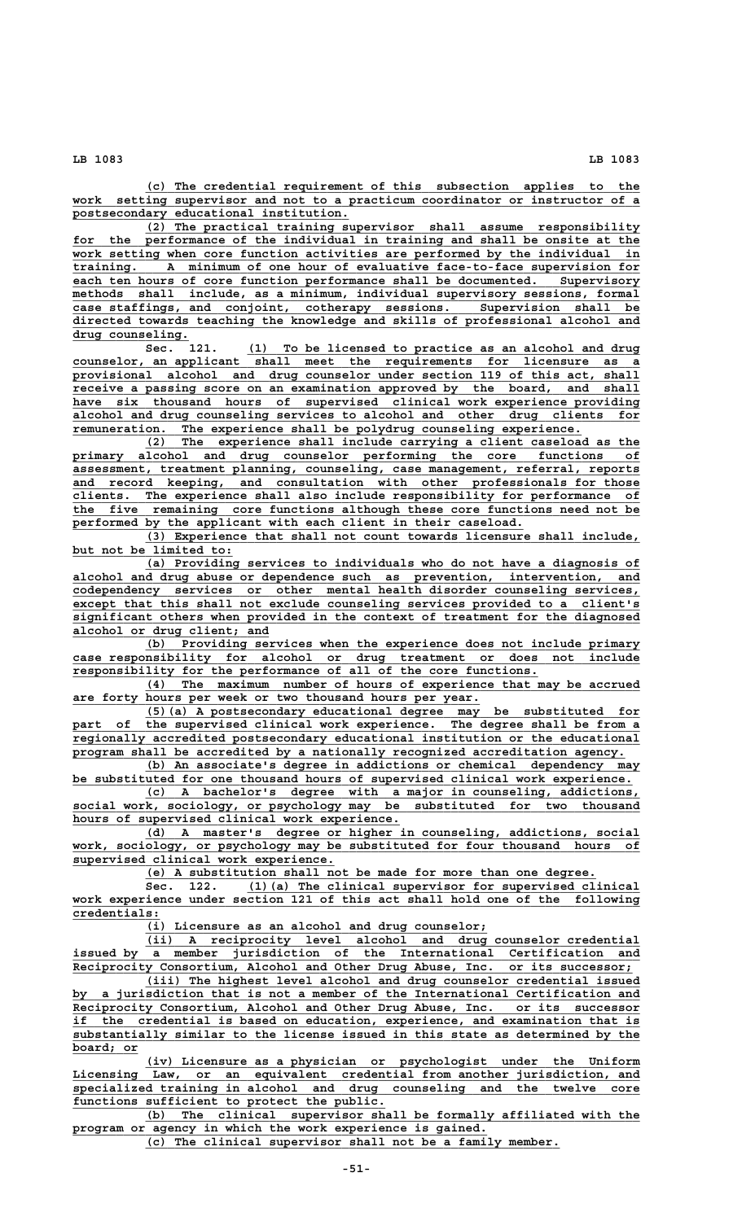**\_\_\_\_\_\_\_\_\_\_\_\_\_\_\_\_\_\_\_\_\_\_\_\_\_\_\_\_\_\_\_\_\_\_\_\_\_\_\_\_\_\_\_\_\_\_\_\_\_\_\_\_\_\_\_\_\_\_\_\_\_\_\_\_\_\_\_\_ (c) The credential requirement of this subsection applies to the** work setting supervisor and not to a practicum coordinator or instructor of a  **\_\_\_\_\_\_\_\_\_\_\_\_\_\_\_\_\_\_\_\_\_\_\_\_\_\_\_\_\_\_\_\_\_\_\_\_\_\_ postsecondary educational institution.**

 **\_\_\_\_\_\_\_\_\_\_\_\_\_\_\_\_\_\_\_\_\_\_\_\_\_\_\_\_\_\_\_\_\_\_\_\_\_\_\_\_\_\_\_\_\_\_\_\_\_\_\_\_\_\_\_\_\_\_\_\_\_\_\_\_\_\_\_\_ (2) The practical training supervisor shall assume responsibility** for the performance of the individual in training and shall be onsite at the work setting when core function activities are performed by the individual in  **\_\_\_\_\_\_\_\_\_\_\_\_\_\_\_\_\_\_\_\_\_\_\_\_\_\_\_\_\_\_\_\_\_\_\_\_\_\_\_\_\_\_\_\_\_\_\_\_\_\_\_\_\_\_\_\_\_\_\_\_\_\_\_\_\_\_\_\_\_\_\_\_\_\_\_\_\_\_ training. A minimum of one hour of evaluative face-to-face supervision for** each ten hours of core function performance shall be documented. Supervisory  $methods$  shall include, as a minimum, individual supervisory sessions, formal  **\_\_\_\_\_\_\_\_\_\_\_\_\_\_\_\_\_\_\_\_\_\_\_\_\_\_\_\_\_\_\_\_\_\_\_\_\_\_\_\_\_\_\_\_\_\_\_\_\_\_\_\_\_\_\_\_\_\_\_\_\_\_\_\_\_\_\_\_\_\_\_\_\_\_\_\_\_\_ case staffings, and conjoint, cotherapy sessions. Supervision shall be \_\_\_\_\_\_\_\_\_\_\_\_\_\_\_\_\_\_\_\_\_\_\_\_\_\_\_\_\_\_\_\_\_\_\_\_\_\_\_\_\_\_\_\_\_\_\_\_\_\_\_\_\_\_\_\_\_\_\_\_\_\_\_\_\_\_\_\_\_\_\_\_\_\_\_\_\_\_ directed towards teaching the knowledge and skills of professional alcohol and** drug counseling.

 **\_\_\_\_\_\_\_\_\_\_\_\_\_\_\_\_\_\_\_\_\_\_\_\_\_\_\_\_\_\_\_\_\_\_\_\_\_\_\_\_\_\_\_\_\_\_\_\_\_\_\_\_\_\_ Sec. 121. (1) To be licensed to practice as an alcohol and drug \_\_\_\_\_\_\_\_\_\_\_\_\_\_\_\_\_\_\_\_\_\_\_\_\_\_\_\_\_\_\_\_\_\_\_\_\_\_\_\_\_\_\_\_\_\_\_\_\_\_\_\_\_\_\_\_\_\_\_\_\_\_\_\_\_\_\_\_\_\_\_\_\_\_\_\_\_\_ counselor, an applicant shall meet the requirements for licensure as a** provisional alcohol and drug counselor under section 119 of this act, shall receive a passing score on an examination approved by the board, and shall  **\_\_\_\_\_\_\_\_\_\_\_\_\_\_\_\_\_\_\_\_\_\_\_\_\_\_\_\_\_\_\_\_\_\_\_\_\_\_\_\_\_\_\_\_\_\_\_\_\_\_\_\_\_\_\_\_\_\_\_\_\_\_\_\_\_\_\_\_\_\_\_\_\_\_\_\_\_\_ have six thousand hours of supervised clinical work experience providing \_\_\_\_\_\_\_\_\_\_\_\_\_\_\_\_\_\_\_\_\_\_\_\_\_\_\_\_\_\_\_\_\_\_\_\_\_\_\_\_\_\_\_\_\_\_\_\_\_\_\_\_\_\_\_\_\_\_\_\_\_\_\_\_\_\_\_\_\_\_\_\_\_\_\_\_\_\_ alcohol and drug counseling services to alcohol and other drug clients for \_\_\_\_\_\_\_\_\_\_\_\_\_\_\_\_\_\_\_\_\_\_\_\_\_\_\_\_\_\_\_\_\_\_\_\_\_\_\_\_\_\_\_\_\_\_\_\_\_\_\_\_\_\_\_\_\_\_\_\_\_\_\_\_\_\_\_\_\_\_ remuneration. The experience shall be polydrug counseling experience.**

 **\_\_\_\_\_\_\_\_\_\_\_\_\_\_\_\_\_\_\_\_\_\_\_\_\_\_\_\_\_\_\_\_\_\_\_\_\_\_\_\_\_\_\_\_\_\_\_\_\_\_\_\_\_\_\_\_\_\_\_\_\_\_\_\_\_\_\_\_ (2) The experience shall include carrying a client caseload as the \_\_\_\_\_\_\_\_\_\_\_\_\_\_\_\_\_\_\_\_\_\_\_\_\_\_\_\_\_\_\_\_\_\_\_\_\_\_\_\_\_\_\_\_\_\_\_\_\_\_\_\_\_\_\_\_\_\_\_\_\_\_\_\_\_\_\_\_\_\_\_\_\_\_\_\_\_\_ primary alcohol and drug counselor performing the core functions of \_\_\_\_\_\_\_\_\_\_\_\_\_\_\_\_\_\_\_\_\_\_\_\_\_\_\_\_\_\_\_\_\_\_\_\_\_\_\_\_\_\_\_\_\_\_\_\_\_\_\_\_\_\_\_\_\_\_\_\_\_\_\_\_\_\_\_\_\_\_\_\_\_\_\_\_\_\_ assessment, treatment planning, counseling, case management, referral, reports \_\_\_\_\_\_\_\_\_\_\_\_\_\_\_\_\_\_\_\_\_\_\_\_\_\_\_\_\_\_\_\_\_\_\_\_\_\_\_\_\_\_\_\_\_\_\_\_\_\_\_\_\_\_\_\_\_\_\_\_\_\_\_\_\_\_\_\_\_\_\_\_\_\_\_\_\_\_ and record keeping, and consultation with other professionals for those \_\_\_\_\_\_\_\_\_\_\_\_\_\_\_\_\_\_\_\_\_\_\_\_\_\_\_\_\_\_\_\_\_\_\_\_\_\_\_\_\_\_\_\_\_\_\_\_\_\_\_\_\_\_\_\_\_\_\_\_\_\_\_\_\_\_\_\_\_\_\_\_\_\_\_\_\_\_ clients. The experience shall also include responsibility for performance of \_\_\_\_\_\_\_\_\_\_\_\_\_\_\_\_\_\_\_\_\_\_\_\_\_\_\_\_\_\_\_\_\_\_\_\_\_\_\_\_\_\_\_\_\_\_\_\_\_\_\_\_\_\_\_\_\_\_\_\_\_\_\_\_\_\_\_\_\_\_\_\_\_\_\_\_\_\_ the five remaining core functions although these core functions need not be \_\_\_\_\_\_\_\_\_\_\_\_\_\_\_\_\_\_\_\_\_\_\_\_\_\_\_\_\_\_\_\_\_\_\_\_\_\_\_\_\_\_\_\_\_\_\_\_\_\_\_\_\_\_\_\_\_\_\_\_\_\_ performed by the applicant with each client in their caseload.**

 **\_\_\_\_\_\_\_\_\_\_\_\_\_\_\_\_\_\_\_\_\_\_\_\_\_\_\_\_\_\_\_\_\_\_\_\_\_\_\_\_\_\_\_\_\_\_\_\_\_\_\_\_\_\_\_\_\_\_\_\_\_\_\_\_\_\_\_\_ (3) Experience that shall not count towards licensure shall include, \_\_\_\_\_\_\_\_\_\_\_\_\_\_\_\_\_\_\_\_\_\_ but not be limited to:**

 **\_\_\_\_\_\_\_\_\_\_\_\_\_\_\_\_\_\_\_\_\_\_\_\_\_\_\_\_\_\_\_\_\_\_\_\_\_\_\_\_\_\_\_\_\_\_\_\_\_\_\_\_\_\_\_\_\_\_\_\_\_\_\_\_\_\_\_\_ (a) Providing services to individuals who do not have a diagnosis of \_\_\_\_\_\_\_\_\_\_\_\_\_\_\_\_\_\_\_\_\_\_\_\_\_\_\_\_\_\_\_\_\_\_\_\_\_\_\_\_\_\_\_\_\_\_\_\_\_\_\_\_\_\_\_\_\_\_\_\_\_\_\_\_\_\_\_\_\_\_\_\_\_\_\_\_\_\_ alcohol and drug abuse or dependence such as prevention, intervention, and \_\_\_\_\_\_\_\_\_\_\_\_\_\_\_\_\_\_\_\_\_\_\_\_\_\_\_\_\_\_\_\_\_\_\_\_\_\_\_\_\_\_\_\_\_\_\_\_\_\_\_\_\_\_\_\_\_\_\_\_\_\_\_\_\_\_\_\_\_\_\_\_\_\_\_\_\_\_ codependency services or other mental health disorder counseling services,** except that this shall not exclude counseling services provided to a client's  **\_\_\_\_\_\_\_\_\_\_\_\_\_\_\_\_\_\_\_\_\_\_\_\_\_\_\_\_\_\_\_\_\_\_\_\_\_\_\_\_\_\_\_\_\_\_\_\_\_\_\_\_\_\_\_\_\_\_\_\_\_\_\_\_\_\_\_\_\_\_\_\_\_\_\_\_\_\_ significant others when provided in the context of treatment for the diagnosed \_\_\_\_\_\_\_\_\_\_\_\_\_\_\_\_\_\_\_\_\_\_\_\_\_\_\_ alcohol or drug client; and**

 **\_\_\_\_\_\_\_\_\_\_\_\_\_\_\_\_\_\_\_\_\_\_\_\_\_\_\_\_\_\_\_\_\_\_\_\_\_\_\_\_\_\_\_\_\_\_\_\_\_\_\_\_\_\_\_\_\_\_\_\_\_\_\_\_\_\_\_\_ (b) Providing services when the experience does not include primary \_\_\_\_\_\_\_\_\_\_\_\_\_\_\_\_\_\_\_\_\_\_\_\_\_\_\_\_\_\_\_\_\_\_\_\_\_\_\_\_\_\_\_\_\_\_\_\_\_\_\_\_\_\_\_\_\_\_\_\_\_\_\_\_\_\_\_\_\_\_\_\_\_\_\_\_\_\_ case responsibility for alcohol or drug treatment or does not include \_\_\_\_\_\_\_\_\_\_\_\_\_\_\_\_\_\_\_\_\_\_\_\_\_\_\_\_\_\_\_\_\_\_\_\_\_\_\_\_\_\_\_\_\_\_\_\_\_\_\_\_\_\_\_\_\_\_\_\_\_\_\_\_ responsibility for the performance of all of the core functions.**

 **\_\_\_\_\_\_\_\_\_\_\_\_\_\_\_\_\_\_\_\_\_\_\_\_\_\_\_\_\_\_\_\_\_\_\_\_\_\_\_\_\_\_\_\_\_\_\_\_\_\_\_\_\_\_\_\_\_\_\_\_\_\_\_\_\_\_\_\_ (4) The maximum number of hours of experience that may be accrued \_\_\_\_\_\_\_\_\_\_\_\_\_\_\_\_\_\_\_\_\_\_\_\_\_\_\_\_\_\_\_\_\_\_\_\_\_\_\_\_\_\_\_\_\_\_\_\_\_\_\_\_\_\_\_\_ are forty hours per week or two thousand hours per year.**

 **\_\_\_\_\_\_\_\_\_\_\_\_\_\_\_\_\_\_\_\_\_\_\_\_\_\_\_\_\_\_\_\_\_\_\_\_\_\_\_\_\_\_\_\_\_\_\_\_\_\_\_\_\_\_\_\_\_\_\_\_\_\_\_\_\_\_\_\_ (5)(a) A postsecondary educational degree may be substituted for** part of the supervised clinical work experience. The degree shall be from a  **\_\_\_\_\_\_\_\_\_\_\_\_\_\_\_\_\_\_\_\_\_\_\_\_\_\_\_\_\_\_\_\_\_\_\_\_\_\_\_\_\_\_\_\_\_\_\_\_\_\_\_\_\_\_\_\_\_\_\_\_\_\_\_\_\_\_\_\_\_\_\_\_\_\_\_\_\_\_ regionally accredited postsecondary educational institution or the educational \_\_\_\_\_\_\_\_\_\_\_\_\_\_\_\_\_\_\_\_\_\_\_\_\_\_\_\_\_\_\_\_\_\_\_\_\_\_\_\_\_\_\_\_\_\_\_\_\_\_\_\_\_\_\_\_\_\_\_\_\_\_\_\_\_\_\_\_\_\_\_\_\_\_\_\_ program shall be accredited by a nationally recognized accreditation agency.**

 **\_\_\_\_\_\_\_\_\_\_\_\_\_\_\_\_\_\_\_\_\_\_\_\_\_\_\_\_\_\_\_\_\_\_\_\_\_\_\_\_\_\_\_\_\_\_\_\_\_\_\_\_\_\_\_\_\_\_\_\_\_\_\_\_\_\_\_\_ (b) An associate's degree in addictions or chemical dependency may \_\_\_\_\_\_\_\_\_\_\_\_\_\_\_\_\_\_\_\_\_\_\_\_\_\_\_\_\_\_\_\_\_\_\_\_\_\_\_\_\_\_\_\_\_\_\_\_\_\_\_\_\_\_\_\_\_\_\_\_\_\_\_\_\_\_\_\_\_\_\_\_\_\_\_\_\_ be substituted for one thousand hours of supervised clinical work experience.**

 **\_\_\_\_\_\_\_\_\_\_\_\_\_\_\_\_\_\_\_\_\_\_\_\_\_\_\_\_\_\_\_\_\_\_\_\_\_\_\_\_\_\_\_\_\_\_\_\_\_\_\_\_\_\_\_\_\_\_\_\_\_\_\_\_\_\_\_\_ (c) A bachelor's degree with a major in counseling, addictions, \_\_\_\_\_\_\_\_\_\_\_\_\_\_\_\_\_\_\_\_\_\_\_\_\_\_\_\_\_\_\_\_\_\_\_\_\_\_\_\_\_\_\_\_\_\_\_\_\_\_\_\_\_\_\_\_\_\_\_\_\_\_\_\_\_\_\_\_\_\_\_\_\_\_\_\_\_\_ social work, sociology, or psychology may be substituted for two thousand \_\_\_\_\_\_\_\_\_\_\_\_\_\_\_\_\_\_\_\_\_\_\_\_\_\_\_\_\_\_\_\_\_\_\_\_\_\_\_\_\_\_\_\_\_ hours of supervised clinical work experience.**

 **\_\_\_\_\_\_\_\_\_\_\_\_\_\_\_\_\_\_\_\_\_\_\_\_\_\_\_\_\_\_\_\_\_\_\_\_\_\_\_\_\_\_\_\_\_\_\_\_\_\_\_\_\_\_\_\_\_\_\_\_\_\_\_\_\_\_\_\_ (d) A master's degree or higher in counseling, addictions, social \_\_\_\_\_\_\_\_\_\_\_\_\_\_\_\_\_\_\_\_\_\_\_\_\_\_\_\_\_\_\_\_\_\_\_\_\_\_\_\_\_\_\_\_\_\_\_\_\_\_\_\_\_\_\_\_\_\_\_\_\_\_\_\_\_\_\_\_\_\_\_\_\_\_\_\_\_\_ work, sociology, or psychology may be substituted for four thousand hours of \_\_\_\_\_\_\_\_\_\_\_\_\_\_\_\_\_\_\_\_\_\_\_\_\_\_\_\_\_\_\_\_\_\_\_\_ supervised clinical work experience.**

 **\_\_\_\_\_\_\_\_\_\_\_\_\_\_\_\_\_\_\_\_\_\_\_\_\_\_\_\_\_\_\_\_\_\_\_\_\_\_\_\_\_\_\_\_\_\_\_\_\_\_\_\_\_\_\_\_\_\_\_\_\_\_ (e) A substitution shall not be made for more than one degree.**

 **\_\_\_\_\_\_\_\_\_\_\_\_\_\_\_\_\_\_\_\_\_\_\_\_\_\_\_\_\_\_\_\_\_\_\_\_\_\_\_\_\_\_\_\_\_\_\_\_\_\_\_\_\_\_ Sec. 122. (1)(a) The clinical supervisor for supervised clinical** work experience under section 121 of this act shall hold one of the following  **credentials: \_\_\_\_\_\_\_\_\_\_\_\_**

 **\_\_\_\_\_\_\_\_\_\_\_\_\_\_\_\_\_\_\_\_\_\_\_\_\_\_\_\_\_\_\_\_\_\_\_\_\_\_\_\_\_\_\_\_\_\_\_ (i) Licensure as an alcohol and drug counselor;**

 **\_\_\_\_\_\_\_\_\_\_\_\_\_\_\_\_\_\_\_\_\_\_\_\_\_\_\_\_\_\_\_\_\_\_\_\_\_\_\_\_\_\_\_\_\_\_\_\_\_\_\_\_\_\_\_\_\_\_\_\_\_\_\_\_\_\_\_\_ (ii) A reciprocity level alcohol and drug counselor credential \_\_\_\_\_\_\_\_\_\_\_\_\_\_\_\_\_\_\_\_\_\_\_\_\_\_\_\_\_\_\_\_\_\_\_\_\_\_\_\_\_\_\_\_\_\_\_\_\_\_\_\_\_\_\_\_\_\_\_\_\_\_\_\_\_\_\_\_\_\_\_\_\_\_\_\_\_\_ issued by a member jurisdiction of the International Certification and \_\_\_\_\_\_\_\_\_\_\_\_\_\_\_\_\_\_\_\_\_\_\_\_\_\_\_\_\_\_\_\_\_\_\_\_\_\_\_\_\_\_\_\_\_\_\_\_\_\_\_\_\_\_\_\_\_\_\_\_\_\_\_\_\_\_\_\_\_\_\_\_\_\_\_\_\_ Reciprocity Consortium, Alcohol and Other Drug Abuse, Inc. or its successor;**

 **\_\_\_\_\_\_\_\_\_\_\_\_\_\_\_\_\_\_\_\_\_\_\_\_\_\_\_\_\_\_\_\_\_\_\_\_\_\_\_\_\_\_\_\_\_\_\_\_\_\_\_\_\_\_\_\_\_\_\_\_\_\_\_\_\_\_\_\_ (iii) The highest level alcohol and drug counselor credential issued \_\_\_\_\_\_\_\_\_\_\_\_\_\_\_\_\_\_\_\_\_\_\_\_\_\_\_\_\_\_\_\_\_\_\_\_\_\_\_\_\_\_\_\_\_\_\_\_\_\_\_\_\_\_\_\_\_\_\_\_\_\_\_\_\_\_\_\_\_\_\_\_\_\_\_\_\_\_ by a jurisdiction that is not a member of the International Certification and \_\_\_\_\_\_\_\_\_\_\_\_\_\_\_\_\_\_\_\_\_\_\_\_\_\_\_\_\_\_\_\_\_\_\_\_\_\_\_\_\_\_\_\_\_\_\_\_\_\_\_\_\_\_\_\_\_\_\_\_\_\_\_\_\_\_\_\_\_\_\_\_\_\_\_\_\_\_ Reciprocity Consortium, Alcohol and Other Drug Abuse, Inc. or its successor \_\_\_\_\_\_\_\_\_\_\_\_\_\_\_\_\_\_\_\_\_\_\_\_\_\_\_\_\_\_\_\_\_\_\_\_\_\_\_\_\_\_\_\_\_\_\_\_\_\_\_\_\_\_\_\_\_\_\_\_\_\_\_\_\_\_\_\_\_\_\_\_\_\_\_\_\_\_ if the credential is based on education, experience, and examination that is** substantially similar to the license issued in this state as determined by the board; or

 **\_\_\_\_\_\_\_\_\_\_\_\_\_\_\_\_\_\_\_\_\_\_\_\_\_\_\_\_\_\_\_\_\_\_\_\_\_\_\_\_\_\_\_\_\_\_\_\_\_\_\_\_\_\_\_\_\_\_\_\_\_\_\_\_\_\_\_\_ (iv) Licensure as a physician or psychologist under the Uniform \_\_\_\_\_\_\_\_\_\_\_\_\_\_\_\_\_\_\_\_\_\_\_\_\_\_\_\_\_\_\_\_\_\_\_\_\_\_\_\_\_\_\_\_\_\_\_\_\_\_\_\_\_\_\_\_\_\_\_\_\_\_\_\_\_\_\_\_\_\_\_\_\_\_\_\_\_\_ Licensing Law, or an equivalent credential from another jurisdiction, and \_\_\_\_\_\_\_\_\_\_\_\_\_\_\_\_\_\_\_\_\_\_\_\_\_\_\_\_\_\_\_\_\_\_\_\_\_\_\_\_\_\_\_\_\_\_\_\_\_\_\_\_\_\_\_\_\_\_\_\_\_\_\_\_\_\_\_\_\_\_\_\_\_\_\_\_\_\_ specialized training in alcohol and drug counseling and the twelve core**  $\frac{functions \text{ sufficient to protect the public.}}{b) \text{ The clinical supervisor sh}$ 

The clinical supervisor shall be formally affiliated with the  **\_\_\_\_\_\_\_\_\_\_\_\_\_\_\_\_\_\_\_\_\_\_\_\_\_\_\_\_\_\_\_\_\_\_\_\_\_\_\_\_\_\_\_\_\_\_\_\_\_\_\_\_\_\_\_\_\_ program or agency in which the work experience is gained.**

 **\_\_\_\_\_\_\_\_\_\_\_\_\_\_\_\_\_\_\_\_\_\_\_\_\_\_\_\_\_\_\_\_\_\_\_\_\_\_\_\_\_\_\_\_\_\_\_\_\_\_\_\_\_\_\_\_\_ (c) The clinical supervisor shall not be a family member.**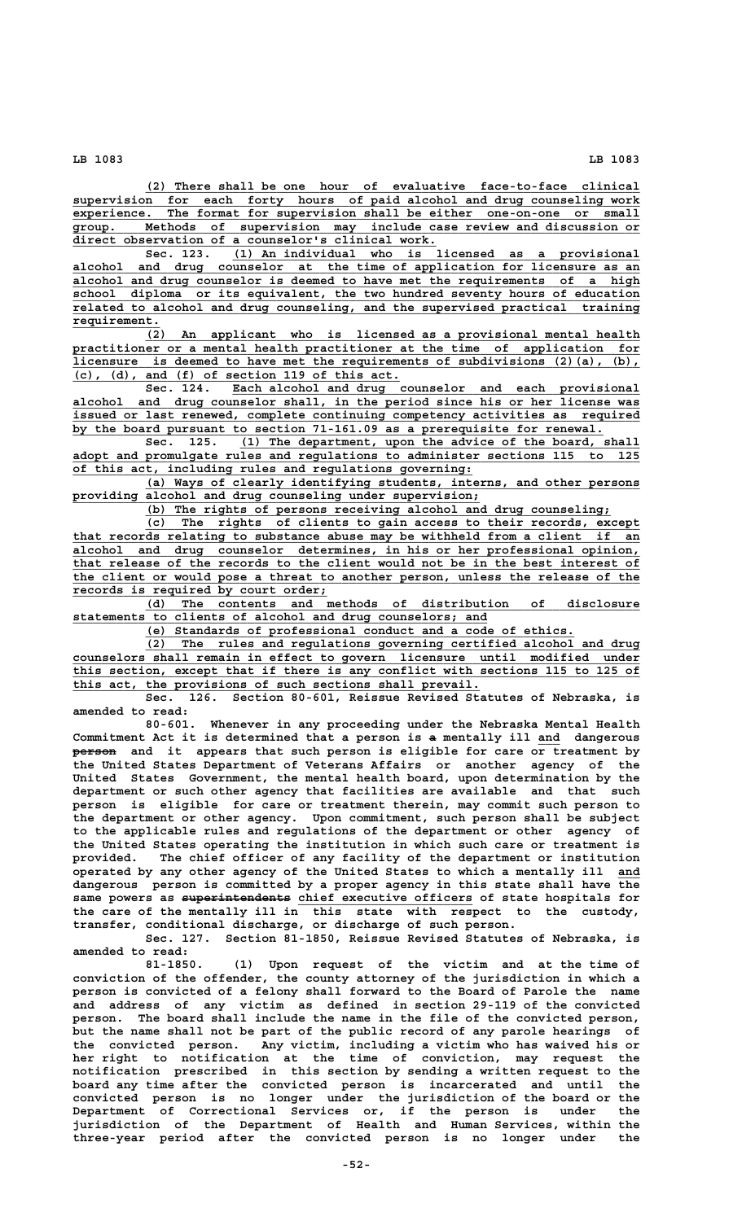**\_\_\_\_\_\_\_\_\_\_\_\_\_\_\_\_\_\_\_\_\_\_\_\_\_\_\_\_\_\_\_\_\_\_\_\_\_\_\_\_\_\_\_\_\_\_\_\_\_\_\_\_\_\_\_\_\_\_\_\_\_\_\_\_\_\_\_\_ (2) There shall be one hour of evaluative face-to-face clinical \_\_\_\_\_\_\_\_\_\_\_\_\_\_\_\_\_\_\_\_\_\_\_\_\_\_\_\_\_\_\_\_\_\_\_\_\_\_\_\_\_\_\_\_\_\_\_\_\_\_\_\_\_\_\_\_\_\_\_\_\_\_\_\_\_\_\_\_\_\_\_\_\_\_\_\_\_\_ supervision for each forty hours of paid alcohol and drug counseling work** experience. The format for supervision shall be either one-on-one or small  **\_\_\_\_\_\_\_\_\_\_\_\_\_\_\_\_\_\_\_\_\_\_\_\_\_\_\_\_\_\_\_\_\_\_\_\_\_\_\_\_\_\_\_\_\_\_\_\_\_\_\_\_\_\_\_\_\_\_\_\_\_\_\_\_\_\_\_\_\_\_\_\_\_\_\_\_\_\_ group. Methods of supervision may include case review and discussion or \_\_\_\_\_\_\_\_\_\_\_\_\_\_\_\_\_\_\_\_\_\_\_\_\_\_\_\_\_\_\_\_\_\_\_\_\_\_\_\_\_\_\_\_\_\_\_\_\_\_ direct observation of a counselor's clinical work.**

 **\_\_\_\_\_\_\_\_\_\_\_\_\_\_\_\_\_\_\_\_\_\_\_\_\_\_\_\_\_\_\_\_\_\_\_\_\_\_\_\_\_\_\_\_\_\_\_\_\_\_\_\_\_\_\_\_ Sec. 123. (1) An individual who is licensed as a provisional \_\_\_\_\_\_\_\_\_\_\_\_\_\_\_\_\_\_\_\_\_\_\_\_\_\_\_\_\_\_\_\_\_\_\_\_\_\_\_\_\_\_\_\_\_\_\_\_\_\_\_\_\_\_\_\_\_\_\_\_\_\_\_\_\_\_\_\_\_\_\_\_\_\_\_\_\_\_ alcohol and drug counselor at the time of application for licensure as an** alcohol and drug counselor is deemed to have met the requirements of a high  **\_\_\_\_\_\_\_\_\_\_\_\_\_\_\_\_\_\_\_\_\_\_\_\_\_\_\_\_\_\_\_\_\_\_\_\_\_\_\_\_\_\_\_\_\_\_\_\_\_\_\_\_\_\_\_\_\_\_\_\_\_\_\_\_\_\_\_\_\_\_\_\_\_\_\_\_\_\_ school diploma or its equivalent, the two hundred seventy hours of education \_\_\_\_\_\_\_\_\_\_\_\_\_\_\_\_\_\_\_\_\_\_\_\_\_\_\_\_\_\_\_\_\_\_\_\_\_\_\_\_\_\_\_\_\_\_\_\_\_\_\_\_\_\_\_\_\_\_\_\_\_\_\_\_\_\_\_\_\_\_\_\_\_\_\_\_\_\_ related to alcohol and drug counseling, and the supervised practical training requirement. \_\_\_\_\_\_\_\_\_\_\_\_**

 **\_\_\_\_\_\_\_\_\_\_\_\_\_\_\_\_\_\_\_\_\_\_\_\_\_\_\_\_\_\_\_\_\_\_\_\_\_\_\_\_\_\_\_\_\_\_\_\_\_\_\_\_\_\_\_\_\_\_\_\_\_\_\_\_\_\_\_\_ (2) An applicant who is licensed as a provisional mental health** practitioner or a mental health practitioner at the time of application for licensure is deemed to have met the requirements of subdivisions (2)(a), (b),  **\_\_\_\_\_\_\_\_\_\_\_\_\_\_\_\_\_\_\_\_\_\_\_\_\_\_\_\_\_\_\_\_\_\_\_\_\_\_\_\_\_\_\_\_\_ (c), (d), and (f) of section 119 of this act.**

Sec. 124. Each alcohol and drug counselor and each provisional  **\_\_\_\_\_\_\_\_\_\_\_\_\_\_\_\_\_\_\_\_\_\_\_\_\_\_\_\_\_\_\_\_\_\_\_\_\_\_\_\_\_\_\_\_\_\_\_\_\_\_\_\_\_\_\_\_\_\_\_\_\_\_\_\_\_\_\_\_\_\_\_\_\_\_\_\_\_\_ alcohol and drug counselor shall, in the period since his or her license was \_\_\_\_\_\_\_\_\_\_\_\_\_\_\_\_\_\_\_\_\_\_\_\_\_\_\_\_\_\_\_\_\_\_\_\_\_\_\_\_\_\_\_\_\_\_\_\_\_\_\_\_\_\_\_\_\_\_\_\_\_\_\_\_\_\_\_\_\_\_\_\_\_\_\_\_\_\_ issued or last renewed, complete continuing competency activities as required** by the board pursuant to section 71-161.09 as a prerequisite for renewal.

Sec. 125. (1) The department, upon the advice of the board, shall  **\_\_\_\_\_\_\_\_\_\_\_\_\_\_\_\_\_\_\_\_\_\_\_\_\_\_\_\_\_\_\_\_\_\_\_\_\_\_\_\_\_\_\_\_\_\_\_\_\_\_\_\_\_\_\_\_\_\_\_\_\_\_\_\_\_\_\_\_\_\_\_\_\_\_\_\_\_\_ adopt and promulgate rules and regulations to administer sections 115 to 125 \_\_\_\_\_\_\_\_\_\_\_\_\_\_\_\_\_\_\_\_\_\_\_\_\_\_\_\_\_\_\_\_\_\_\_\_\_\_\_\_\_\_\_\_\_\_\_\_\_\_\_\_\_\_\_ of this act, including rules and regulations governing:**

 **\_\_\_\_\_\_\_\_\_\_\_\_\_\_\_\_\_\_\_\_\_\_\_\_\_\_\_\_\_\_\_\_\_\_\_\_\_\_\_\_\_\_\_\_\_\_\_\_\_\_\_\_\_\_\_\_\_\_\_\_\_\_\_\_\_\_\_\_ (a) Ways of clearly identifying students, interns, and other persons** providing alcohol and drug counseling under supervision;

 **\_\_\_\_\_\_\_\_\_\_\_\_\_\_\_\_\_\_\_\_\_\_\_\_\_\_\_\_\_\_\_\_\_\_\_\_\_\_\_\_\_\_\_\_\_\_\_\_\_\_\_\_\_\_\_\_\_\_\_\_\_\_\_\_ (b) The rights of persons receiving alcohol and drug counseling;**

 **\_\_\_\_\_\_\_\_\_\_\_\_\_\_\_\_\_\_\_\_\_\_\_\_\_\_\_\_\_\_\_\_\_\_\_\_\_\_\_\_\_\_\_\_\_\_\_\_\_\_\_\_\_\_\_\_\_\_\_\_\_\_\_\_\_\_\_\_ (c) The rights of clients to gain access to their records, except \_\_\_\_\_\_\_\_\_\_\_\_\_\_\_\_\_\_\_\_\_\_\_\_\_\_\_\_\_\_\_\_\_\_\_\_\_\_\_\_\_\_\_\_\_\_\_\_\_\_\_\_\_\_\_\_\_\_\_\_\_\_\_\_\_\_\_\_\_\_\_\_\_\_\_\_\_\_ that records relating to substance abuse may be withheld from a client if an** alcohol and drug counselor determines, in his or her professional opinion, that release of the records to the client would not be in the best interest of  **\_\_\_\_\_\_\_\_\_\_\_\_\_\_\_\_\_\_\_\_\_\_\_\_\_\_\_\_\_\_\_\_\_\_\_\_\_\_\_\_\_\_\_\_\_\_\_\_\_\_\_\_\_\_\_\_\_\_\_\_\_\_\_\_\_\_\_\_\_\_\_\_\_\_\_\_\_\_ the client or would pose a threat to another person, unless the release of the** records is required by court order;

 **\_\_\_\_\_\_\_\_\_\_\_\_\_\_\_\_\_\_\_\_\_\_\_\_\_\_\_\_\_\_\_\_\_\_\_\_\_\_\_\_\_\_\_\_\_\_\_\_\_\_\_\_\_\_\_\_\_\_\_\_\_\_\_\_\_\_\_\_ (d) The contents and methods of distribution of disclosure \_\_\_\_\_\_\_\_\_\_\_\_\_\_\_\_\_\_\_\_\_\_\_\_\_\_\_\_\_\_\_\_\_\_\_\_\_\_\_\_\_\_\_\_\_\_\_\_\_\_\_\_\_\_\_\_\_ statements to clients of alcohol and drug counselors; and**

 **\_\_\_\_\_\_\_\_\_\_\_\_\_\_\_\_\_\_\_\_\_\_\_\_\_\_\_\_\_\_\_\_\_\_\_\_\_\_\_\_\_\_\_\_\_\_\_\_\_\_\_\_\_\_\_\_\_\_\_ (e) Standards of professional conduct and a code of ethics.**

 **\_\_\_\_\_\_\_\_\_\_\_\_\_\_\_\_\_\_\_\_\_\_\_\_\_\_\_\_\_\_\_\_\_\_\_\_\_\_\_\_\_\_\_\_\_\_\_\_\_\_\_\_\_\_\_\_\_\_\_\_\_\_\_\_\_\_\_\_ (2) The rules and regulations governing certified alcohol and drug \_\_\_\_\_\_\_\_\_\_\_\_\_\_\_\_\_\_\_\_\_\_\_\_\_\_\_\_\_\_\_\_\_\_\_\_\_\_\_\_\_\_\_\_\_\_\_\_\_\_\_\_\_\_\_\_\_\_\_\_\_\_\_\_\_\_\_\_\_\_\_\_\_\_\_\_\_\_ counselors shall remain in effect to govern licensure until modified under \_\_\_\_\_\_\_\_\_\_\_\_\_\_\_\_\_\_\_\_\_\_\_\_\_\_\_\_\_\_\_\_\_\_\_\_\_\_\_\_\_\_\_\_\_\_\_\_\_\_\_\_\_\_\_\_\_\_\_\_\_\_\_\_\_\_\_\_\_\_\_\_\_\_\_\_\_\_ this section, except that if there is any conflict with sections 115 to 125 of \_\_\_\_\_\_\_\_\_\_\_\_\_\_\_\_\_\_\_\_\_\_\_\_\_\_\_\_\_\_\_\_\_\_\_\_\_\_\_\_\_\_\_\_\_\_\_\_\_\_\_\_\_\_\_\_ this act, the provisions of such sections shall prevail.**

**Sec. 126. Section 80-601, Reissue Revised Statutes of Nebraska, is amended to read:**

**80-601. Whenever in any proceeding under the Nebraska Mental Health** Commitment Act it is determined that a person is a mentally ill and dangerous **person** and it appears that such person is eligible for care or treatment by **the United States Department of Veterans Affairs or another agency of the United States Government, the mental health board, upon determination by the department or such other agency that facilities are available and that such person is eligible for care or treatment therein, may commit such person to the department or other agency. Upon commitment, such person shall be subject to the applicable rules and regulations of the department or other agency of the United States operating the institution in which such care or treatment is provided. The chief officer of any facility of the department or institution operated by any other agency of the United States to which a mentally ill and \_\_\_ dangerous person is committed by a proper agency in this state shall have the** same powers as superintendents chief executive officers of state hospitals for **the care of the mentally ill in this state with respect to the custody, transfer, conditional discharge, or discharge of such person.**

**Sec. 127. Section 81-1850, Reissue Revised Statutes of Nebraska, is amended to read:**

**81-1850. (1) Upon request of the victim and at the time of conviction of the offender, the county attorney of the jurisdiction in which a person is convicted of a felony shall forward to the Board of Parole the name and address of any victim as defined in section 29-119 of the convicted person. The board shall include the name in the file of the convicted person, but the name shall not be part of the public record of any parole hearings of the convicted person. Any victim, including a victim who has waived his or her right to notification at the time of conviction, may request the notification prescribed in this section by sending a written request to the board any time after the convicted person is incarcerated and until the convicted person is no longer under the jurisdiction of the board or the Department of Correctional Services or, if the person is under the jurisdiction of the Department of Health and Human Services, within the three-year period after the convicted person is no longer under the**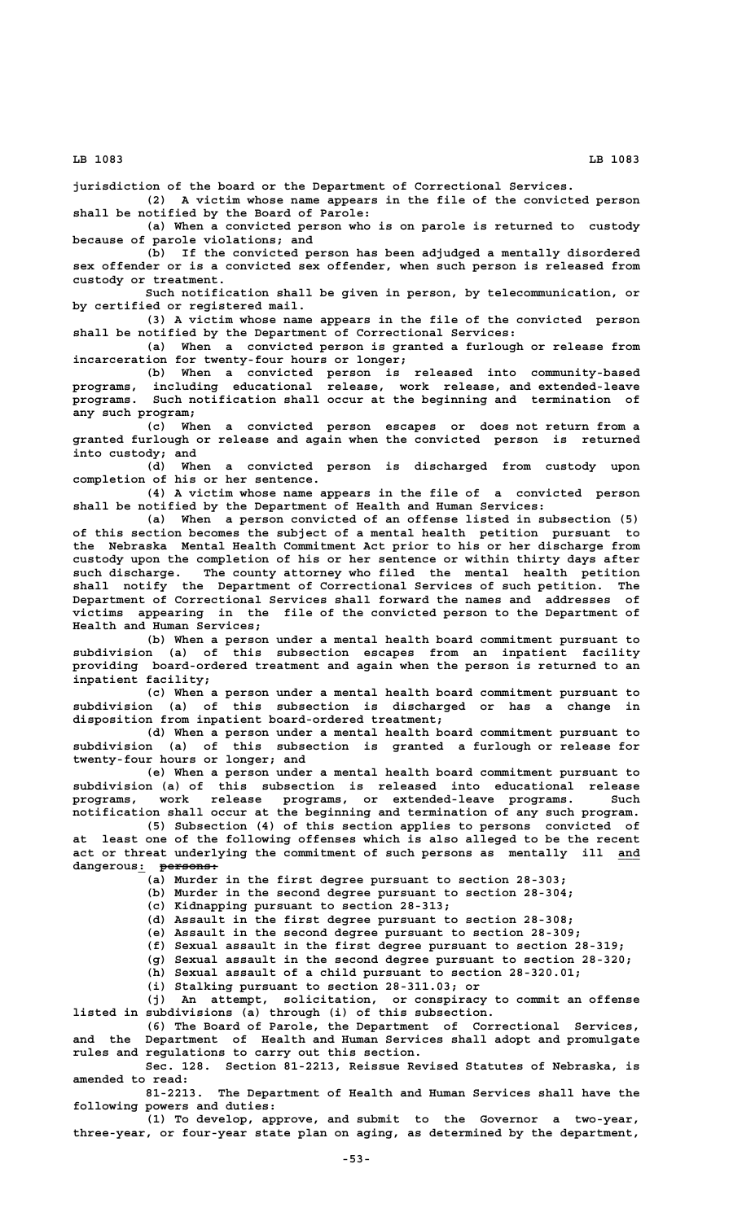**jurisdiction of the board or the Department of Correctional Services.**

**(2) A victim whose name appears in the file of the convicted person shall be notified by the Board of Parole:**

**(a) When a convicted person who is on parole is returned to custody because of parole violations; and**

**(b) If the convicted person has been adjudged a mentally disordered sex offender or is a convicted sex offender, when such person is released from custody or treatment.**

**Such notification shall be given in person, by telecommunication, or by certified or registered mail.**

**(3) A victim whose name appears in the file of the convicted person shall be notified by the Department of Correctional Services:**

**(a) When a convicted person is granted a furlough or release from incarceration for twenty-four hours or longer;**

**(b) When a convicted person is released into community-based programs, including educational release, work release, and extended-leave programs. Such notification shall occur at the beginning and termination of any such program;**

**(c) When a convicted person escapes or does not return from a granted furlough or release and again when the convicted person is returned into custody; and**

**(d) When a convicted person is discharged from custody upon completion of his or her sentence.**

**(4) A victim whose name appears in the file of a convicted person shall be notified by the Department of Health and Human Services:**

**(a) When a person convicted of an offense listed in subsection (5) of this section becomes the subject of a mental health petition pursuant to the Nebraska Mental Health Commitment Act prior to his or her discharge from custody upon the completion of his or her sentence or within thirty days after such discharge. The county attorney who filed the mental health petition shall notify the Department of Correctional Services of such petition. The Department of Correctional Services shall forward the names and addresses of victims appearing in the file of the convicted person to the Department of Health and Human Services;**

**(b) When a person under a mental health board commitment pursuant to subdivision (a) of this subsection escapes from an inpatient facility providing board-ordered treatment and again when the person is returned to an inpatient facility;**

**(c) When a person under a mental health board commitment pursuant to subdivision (a) of this subsection is discharged or has a change in disposition from inpatient board-ordered treatment;**

**(d) When a person under a mental health board commitment pursuant to subdivision (a) of this subsection is granted a furlough or release for twenty-four hours or longer; and**

**(e) When a person under a mental health board commitment pursuant to subdivision (a) of this subsection is released into educational release programs, work release programs, or extended-leave programs. Such notification shall occur at the beginning and termination of any such program.**

**(5) Subsection (4) of this section applies to persons convicted of at least one of the following offenses which is also alleged to be the recent act or threat underlying the commitment of such persons as mentally ill and \_\_\_** dangerous: persons:

**(a) Murder in the first degree pursuant to section 28-303;**

**(b) Murder in the second degree pursuant to section 28-304;**

**(c) Kidnapping pursuant to section 28-313;**

**(d) Assault in the first degree pursuant to section 28-308;**

**(e) Assault in the second degree pursuant to section 28-309;**

**(f) Sexual assault in the first degree pursuant to section 28-319; (g) Sexual assault in the second degree pursuant to section 28-320;**

**(h) Sexual assault of a child pursuant to section 28-320.01;**

**(i) Stalking pursuant to section 28-311.03; or**

**(j) An attempt, solicitation, or conspiracy to commit an offense listed in subdivisions (a) through (i) of this subsection.**

**(6) The Board of Parole, the Department of Correctional Services, and the Department of Health and Human Services shall adopt and promulgate rules and regulations to carry out this section.**

**Sec. 128. Section 81-2213, Reissue Revised Statutes of Nebraska, is amended to read:**

**81-2213. The Department of Health and Human Services shall have the following powers and duties:**

**(1) To develop, approve, and submit to the Governor a two-year, three-year, or four-year state plan on aging, as determined by the department,**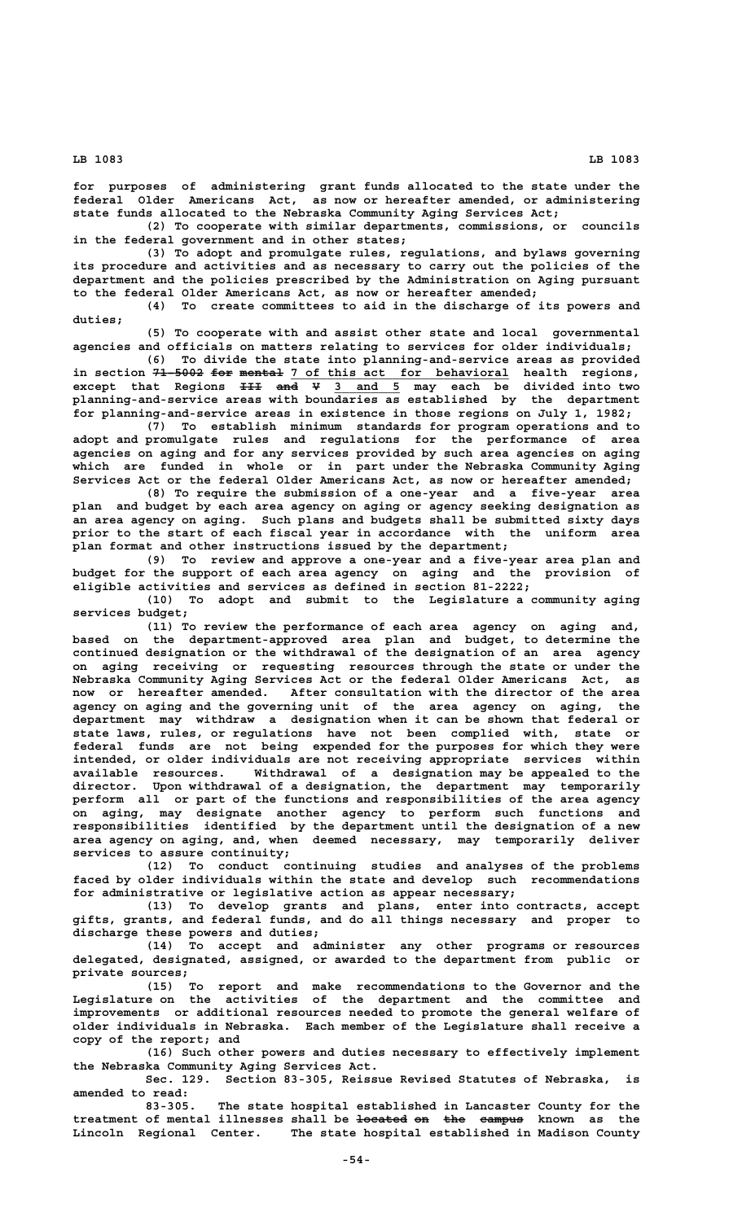**for purposes of administering grant funds allocated to the state under the federal Older Americans Act, as now or hereafter amended, or administering state funds allocated to the Nebraska Community Aging Services Act;**

**(2) To cooperate with similar departments, commissions, or councils in the federal government and in other states;**

**(3) To adopt and promulgate rules, regulations, and bylaws governing its procedure and activities and as necessary to carry out the policies of the department and the policies prescribed by the Administration on Aging pursuant to the federal Older Americans Act, as now or hereafter amended;**

**(4) To create committees to aid in the discharge of its powers and duties;**

**(5) To cooperate with and assist other state and local governmental agencies and officials on matters relating to services for older individuals;**

**(6) To divide the state into planning-and-service areas as provided** in section <del>71-5002 for mental</del> 7 of this act for behavioral health regions, except that Regions <del>III and</del> ¥ 3 and 5 may each be divided into two **planning-and-service areas with boundaries as established by the department for planning-and-service areas in existence in those regions on July 1, 1982;**

**(7) To establish minimum standards for program operations and to adopt and promulgate rules and regulations for the performance of area agencies on aging and for any services provided by such area agencies on aging which are funded in whole or in part under the Nebraska Community Aging Services Act or the federal Older Americans Act, as now or hereafter amended;**

**(8) To require the submission of a one-year and a five-year area plan and budget by each area agency on aging or agency seeking designation as an area agency on aging. Such plans and budgets shall be submitted sixty days prior to the start of each fiscal year in accordance with the uniform area plan format and other instructions issued by the department;**

**(9) To review and approve a one-year and a five-year area plan and budget for the support of each area agency on aging and the provision of eligible activities and services as defined in section 81-2222;**

**(10) To adopt and submit to the Legislature a community aging services budget;**

**(11) To review the performance of each area agency on aging and, based on the department-approved area plan and budget, to determine the continued designation or the withdrawal of the designation of an area agency on aging receiving or requesting resources through the state or under the Nebraska Community Aging Services Act or the federal Older Americans Act, as now or hereafter amended. After consultation with the director of the area agency on aging and the governing unit of the area agency on aging, the department may withdraw a designation when it can be shown that federal or state laws, rules, or regulations have not been complied with, state or federal funds are not being expended for the purposes for which they were intended, or older individuals are not receiving appropriate services within** Withdrawal of a designation may be appealed to the **director. Upon withdrawal of a designation, the department may temporarily perform all or part of the functions and responsibilities of the area agency on aging, may designate another agency to perform such functions and responsibilities identified by the department until the designation of a new area agency on aging, and, when deemed necessary, may temporarily deliver services to assure continuity;**

**(12) To conduct continuing studies and analyses of the problems faced by older individuals within the state and develop such recommendations for administrative or legislative action as appear necessary;**

**(13) To develop grants and plans, enter into contracts, accept gifts, grants, and federal funds, and do all things necessary and proper to discharge these powers and duties;**

**(14) To accept and administer any other programs or resources delegated, designated, assigned, or awarded to the department from public or private sources;**

**(15) To report and make recommendations to the Governor and the Legislature on the activities of the department and the committee and improvements or additional resources needed to promote the general welfare of older individuals in Nebraska. Each member of the Legislature shall receive a copy of the report; and**

**(16) Such other powers and duties necessary to effectively implement the Nebraska Community Aging Services Act.**

**Sec. 129. Section 83-305, Reissue Revised Statutes of Nebraska, is amended to read:**

**83-305. The state hospital established in Lancaster County for the** treatment of mental illnesses shall be <del>located on the campus</del> known as the **Lincoln Regional Center. The state hospital established in Madison County**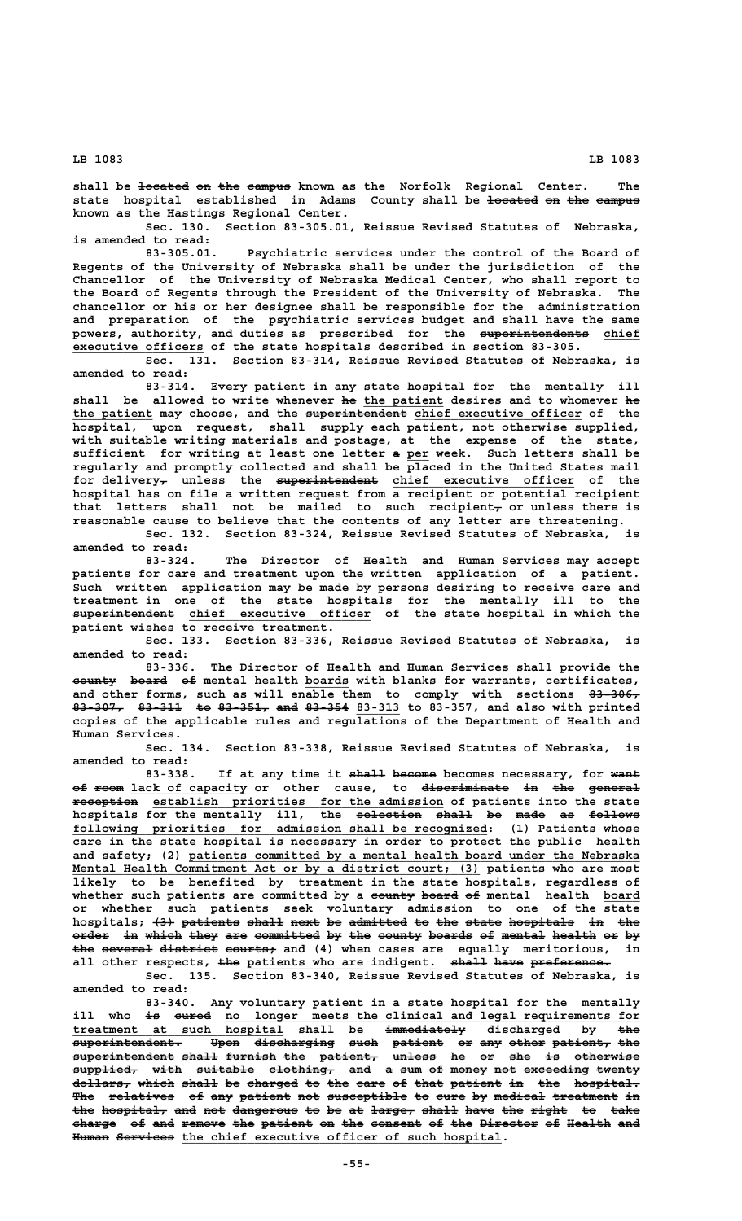shall be <del>located on the campus</del> known as the Norfolk Regional Center. The state hospital established in Adams County shall be located on the campus **known as the Hastings Regional Center.**

**Sec. 130. Section 83-305.01, Reissue Revised Statutes of Nebraska, is amended to read:**

**83-305.01. Psychiatric services under the control of the Board of Regents of the University of Nebraska shall be under the jurisdiction of the Chancellor of the University of Nebraska Medical Center, who shall report to the Board of Regents through the President of the University of Nebraska. The chancellor or his or her designee shall be responsible for the administration and preparation of the psychiatric services budget and shall have the same** powers, authority, and duties as prescribed for the superintendents chief executive officers of the state hospitals described in section 83-305.

**Sec. 131. Section 83-314, Reissue Revised Statutes of Nebraska, is amended to read:**

**83-314. Every patient in any state hospital for the mentally ill —— \_\_\_\_\_\_\_\_\_\_\_ —— shall be allowed to write whenever he the patient desires and to whomever he** the patient may choose, and the <del>superintendent</del> chief executive officer of the **hospital, upon request, shall supply each patient, not otherwise supplied, with suitable writing materials and postage, at the expense of the state,** sufficient for writing at least one letter a per week. Such letters shall be **regularly and promptly collected and shall be placed in the United States mail**  ${\tt for\ delivery_{\cal T}\ unless\ the\ **superinteenth\ center** \ chief\ executive\ of\ the\ the\$ **hospital has on file a written request from a recipient or potential recipient** that letters shall not be mailed to such recipient<sub>7</sub> or unless there is **reasonable cause to believe that the contents of any letter are threatening. Sec. 132. Section 83-324, Reissue Revised Statutes of Nebraska, is**

**amended to read:**

**83-324. The Director of Health and Human Services may accept patients for care and treatment upon the written application of a patient. Such written application may be made by persons desiring to receive care and treatment in one of the state hospitals for the mentally ill to the —————————————— \_\_\_\_\_\_\_\_\_\_\_\_\_\_\_\_\_\_\_\_\_\_\_\_\_ superintendent chief executive officer of the state hospital in which the patient wishes to receive treatment.**

**Sec. 133. Section 83-336, Reissue Revised Statutes of Nebraska, is amended to read:**

**83-336. The Director of Health and Human Services shall provide the county** board of mental health boards with blanks for warrants, certificates, and other forms, such as will enable them to comply with sections  $83-306$ , 83-307, 83-311 to 83-351, and 83-354 83-313 to 83-357, and also with printed **copies of the applicable rules and regulations of the Department of Health and Human Services.**

**Sec. 134. Section 83-338, Reissue Revised Statutes of Nebraska, is amended to read:**

83-338. If at any time it shall become becomes necessary, for want **of room** lack of capacity or other cause, to discriminate in the general  $\frac{1}{\sqrt{1-\frac{1}{\sqrt{1-\frac{1}{\sqrt{1-\frac{1}{\sqrt{1-\frac{1}{\sqrt{1-\frac{1}{\sqrt{1-\frac{1}{\sqrt{1-\frac{1}{\sqrt{1-\frac{1}{\sqrt{1-\frac{1}{\sqrt{1-\frac{1}{\sqrt{1-\frac{1}{\sqrt{1-\frac{1}{\sqrt{1-\frac{1}{\sqrt{1-\frac{1}{\sqrt{1-\frac{1}{\sqrt{1-\frac{1}{\sqrt{1-\frac{1}{\sqrt{1-\frac{1}{\sqrt{1-\frac{1}{\sqrt{1-\frac{1}{\sqrt{1-\frac{1}{\sqrt{1-\frac{1}{\sqrt{1-\frac{1}{\sqrt{1-\frac{1}{$ hospitals for the mentally ill, the selection shall be made as follows  **\_\_\_\_\_\_\_\_\_\_\_\_\_\_\_\_\_\_\_\_\_\_\_\_\_\_\_\_\_\_\_\_\_\_\_\_\_\_\_\_\_\_\_\_\_\_\_\_\_\_\_\_\_\_\_\_\_ following priorities for admission shall be recognized: (1) Patients whose care in the state hospital is necessary in order to protect the public health \_\_\_\_\_\_\_\_\_\_\_\_\_\_\_\_\_\_\_\_\_\_\_\_\_\_\_\_\_\_\_\_\_\_\_\_\_\_\_\_\_\_\_\_\_\_\_\_\_\_\_\_\_\_\_\_\_\_\_\_\_\_ and safety; (2) patients committed by a mental health board under the Nebraska** Mental Health Commitment Act or by a district court; (3) patients who are most **likely to be benefited by treatment in the state hospitals, regardless of whether such patients are committed by a county board of mental health board —————— ————— —— \_\_\_\_\_ or whether such patients seek voluntary admission to one of the state** hospitals;  $\{3\}$  patients shall next be admitted to the state hospitals in the order in which they are committed by the county boards of mental health or by **the several district courts; and (4) when cases are equally meritorious, in all other respects, the patients who are indigent. shall have preference. ——— \_\_\_\_\_\_\_\_\_\_\_\_\_\_\_\_ \_ ————— ———— ———————————**

**Sec. 135. Section 83-340, Reissue Revised Statutes of Nebraska, is amended to read:**

**83-340. Any voluntary patient in a state hospital for the mentally** ill who <del>is cured</del> no longer meets the clinical and legal requirements for  **\_\_\_\_\_\_\_\_\_\_\_\_\_\_\_\_\_\_\_\_\_\_\_\_\_\_\_\_\_ ——————————— ——— treatment at such hospital shall be immediately discharged by the** <u>crowsmome or allo mate  $\frac{1}{2}$  from  $\frac{1}{2}$  and  $\frac{1}{2}$  and  $\frac{1}{2}$  and  $\frac{1}{2}$  and  $\frac{1}{2}$  the superintendent, the</u> **superintendent shall furnish the patient, unless he or she is otherwise —————————————— ————— ——————— ——— ———————— —————— —— —— ——— —— ———————— supplied, with suitable clothing, and a sum of money not exceeding twenty ————————— ———— ———————— ————————— ——— — ——— —— ————— ——— ————————— —————** dollars, which shall be charged to the care of that patient in the hospital. The relatives of any patient not susceptible to cure by medical treatment in the hospital, and not dangerous to be at large, shall have the right to take charge of and remove the patient on the consent of the Director of Health and Human Services the chief executive officer of such hospital.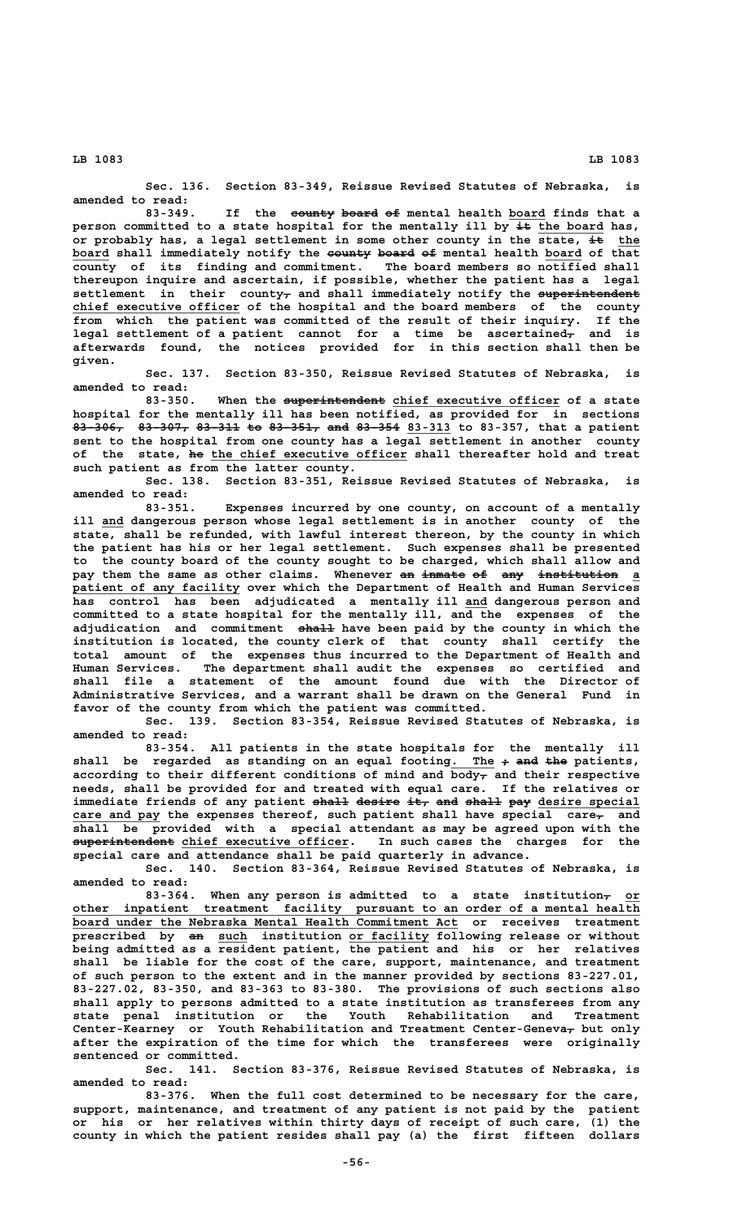**Sec. 136. Section 83-349, Reissue Revised Statutes of Nebraska, is amended to read:**

83-349. If the <del>county board</del> of mental health board finds that a person committed to a state hospital for the mentally ill by  $\pm\epsilon$  the board has, or probably has, a legal settlement in some other county in the state, it the board shall immediately notify the county board of mental health board of that **county of its finding and commitment. The board members so notified shall thereupon inquire and ascertain, if possible, whether the patient has a legal — —————————————— settlement in their county, and shall immediately notify the superintendent \_\_\_\_\_\_\_\_\_\_\_\_\_\_\_\_\_\_\_\_\_\_\_ chief executive officer of the hospital and the board members of the county from which the patient was committed of the result of their inquiry. If the** legal settlement of a patient cannot for a time be ascertained<sub>7</sub> and is **afterwards found, the notices provided for in this section shall then be given.**

> **Sec. 137. Section 83-350, Reissue Revised Statutes of Nebraska, is amended to read:**

> 83-350. When the superintendent chief executive officer of a state **hospital for the mentally ill has been notified, as provided for in sections** 83-306, 83-307, 83-311 to 83-351, and 83-354 83-313 to 83-357, that a patient **sent to the hospital from one county has a legal settlement in another county** of the state, he the chief executive officer shall thereafter hold and treat **such patient as from the latter county.**

> **Sec. 138. Section 83-351, Reissue Revised Statutes of Nebraska, is amended to read:**

> **83-351. Expenses incurred by one county, on account of a mentally \_\_\_ ill and dangerous person whose legal settlement is in another county of the state, shall be refunded, with lawful interest thereon, by the county in which the patient has his or her legal settlement. Such expenses shall be presented to the county board of the county sought to be charged, which shall allow and pay them the same as other claims. Whenever an inmate of any institution a —— —————— —— ——— ——————————— \_** patient of any facility over which the Department of Health and Human Services **has control has been adjudicated a mentally ill and dangerous person and \_\_\_ committed to a state hospital for the mentally ill, and the expenses of the** adjudication and commitment <del>shall</del> have been paid by the county in which the **institution is located, the county clerk of that county shall certify the total amount of the expenses thus incurred to the Department of Health and Human Services. The department shall audit the expenses so certified and shall file a statement of the amount found due with the Director of Administrative Services, and a warrant shall be drawn on the General Fund in favor of the county from which the patient was committed.**

> **Sec. 139. Section 83-354, Reissue Revised Statutes of Nebraska, is amended to read:**

> **83-354. All patients in the state hospitals for the mentally ill** shall be regarded as standing on an equal footing. The  $\tau$  and the patients, according to their different conditions of mind and  $\overline{body_{\tau}}$  and their respective **needs, shall be provided for and treated with equal care. If the relatives or** immediate friends of any patient shall desire it, and shall pay desire special care and pay the expenses thereof, such patient shall have special care<sub>7</sub> and **shall be provided with a special attendant as may be agreed upon with the**  $\frac{1}{2}$   $\frac{1}{2}$   $\frac{1}{2}$   $\frac{1}{2}$   $\frac{1}{2}$   $\frac{1}{2}$   $\frac{1}{2}$   $\frac{1}{2}$   $\frac{1}{2}$   $\frac{1}{2}$   $\frac{1}{2}$   $\frac{1}{2}$   $\frac{1}{2}$   $\frac{1}{2}$   $\frac{1}{2}$   $\frac{1}{2}$   $\frac{1}{2}$   $\frac{1}{2}$   $\frac{1}{2}$   $\frac{1}{2}$   $\frac{1}{2}$   $\frac{1}{2}$   $\$ **special care and attendance shall be paid quarterly in advance.**

> **Sec. 140. Section 83-364, Reissue Revised Statutes of Nebraska, is amended to read:**

83-364. When any person is admitted to a state institution<sub>7</sub> or  **\_\_\_\_\_\_\_\_\_\_\_\_\_\_\_\_\_\_\_\_\_\_\_\_\_\_\_\_\_\_\_\_\_\_\_\_\_\_\_\_\_\_\_\_\_\_\_\_\_\_\_\_\_\_\_\_\_\_\_\_\_\_\_\_\_\_\_\_\_\_\_\_\_\_\_\_\_\_ other inpatient treatment facility pursuant to an order of a mental health \_\_\_\_\_\_\_\_\_\_\_\_\_\_\_\_\_\_\_\_\_\_\_\_\_\_\_\_\_\_\_\_\_\_\_\_\_\_\_\_\_\_\_\_\_\_\_\_\_\_\_\_\_ board under the Nebraska Mental Health Commitment Act or receives treatment —— \_\_\_\_ \_\_\_\_\_\_\_\_\_\_\_ prescribed by an such institution or facility following release or without being admitted as a resident patient, the patient and his or her relatives shall be liable for the cost of the care, support, maintenance, and treatment of such person to the extent and in the manner provided by sections 83-227.01, 83-227.02, 83-350, and 83-363 to 83-380. The provisions of such sections also shall apply to persons admitted to a state institution as transferees from any state penal institution or the Youth Rehabilitation and Treatment** Center-Kearney or Youth Rehabilitation and Treatment Center-Geneva<sub>r</sub> but only **after the expiration of the time for which the transferees were originally sentenced or committed.**

**Sec. 141. Section 83-376, Reissue Revised Statutes of Nebraska, is amended to read:**

**83-376. When the full cost determined to be necessary for the care, support, maintenance, and treatment of any patient is not paid by the patient or his or her relatives within thirty days of receipt of such care, (1) the county in which the patient resides shall pay (a) the first fifteen dollars**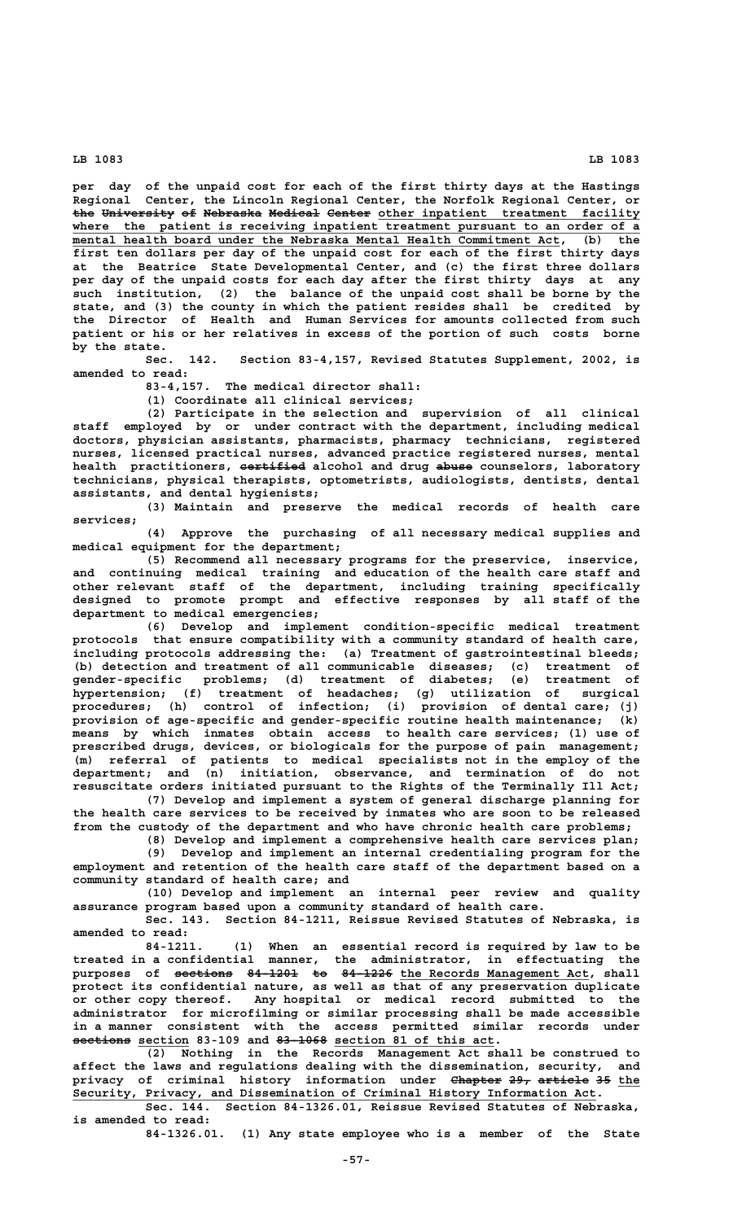**per day of the unpaid cost for each of the first thirty days at the Hastings Regional Center, the Lincoln Regional Center, the Norfolk Regional Center, or** the University of Nebraska Medical Center other inpatient treatment facility where the patient is receiving inpatient treatment pursuant to an order of a  **\_\_\_\_\_\_\_\_\_\_\_\_\_\_\_\_\_\_\_\_\_\_\_\_\_\_\_\_\_\_\_\_\_\_\_\_\_\_\_\_\_\_\_\_\_\_\_\_\_\_\_\_\_\_\_\_\_\_\_\_\_\_\_\_\_\_\_ mental health board under the Nebraska Mental Health Commitment Act, (b) the first ten dollars per day of the unpaid cost for each of the first thirty days at the Beatrice State Developmental Center, and (c) the first three dollars per day of the unpaid costs for each day after the first thirty days at any such institution, (2) the balance of the unpaid cost shall be borne by the state, and (3) the county in which the patient resides shall be credited by the Director of Health and Human Services for amounts collected from such patient or his or her relatives in excess of the portion of such costs borne by the state.**

**Sec. 142. Section 83-4,157, Revised Statutes Supplement, 2002, is amended to read:**

**83-4,157. The medical director shall:**

**(1) Coordinate all clinical services;**

**(2) Participate in the selection and supervision of all clinical staff employed by or under contract with the department, including medical doctors, physician assistants, pharmacists, pharmacy technicians, registered nurses, licensed practical nurses, advanced practice registered nurses, mental** health practitioners, eertified alcohol and drug abuse counselors, laboratory **technicians, physical therapists, optometrists, audiologists, dentists, dental assistants, and dental hygienists;**

**(3) Maintain and preserve the medical records of health care services;**

**(4) Approve the purchasing of all necessary medical supplies and medical equipment for the department;**

**(5) Recommend all necessary programs for the preservice, inservice, and continuing medical training and education of the health care staff and other relevant staff of the department, including training specifically designed to promote prompt and effective responses by all staff of the department to medical emergencies;**

**(6) Develop and implement condition-specific medical treatment protocols that ensure compatibility with a community standard of health care, including protocols addressing the: (a) Treatment of gastrointestinal bleeds; (b) detection and treatment of all communicable diseases; (c) treatment of gender-specific problems; (d) treatment of diabetes; (e) treatment of hypertension; (f) treatment of headaches; (g) utilization of surgical procedures; (h) control of infection; (i) provision of dental care; (j) provision of age-specific and gender-specific routine health maintenance; (k) means by which inmates obtain access to health care services; (l) use of prescribed drugs, devices, or biologicals for the purpose of pain management; (m) referral of patients to medical specialists not in the employ of the department; and (n) initiation, observance, and termination of do not resuscitate orders initiated pursuant to the Rights of the Terminally Ill Act;**

**(7) Develop and implement a system of general discharge planning for the health care services to be received by inmates who are soon to be released from the custody of the department and who have chronic health care problems;**

**(8) Develop and implement a comprehensive health care services plan; (9) Develop and implement an internal credentialing program for the employment and retention of the health care staff of the department based on a community standard of health care; and**

**(10) Develop and implement an internal peer review and quality assurance program based upon a community standard of health care.**

**Sec. 143. Section 84-1211, Reissue Revised Statutes of Nebraska, is amended to read:**

**84-1211. (1) When an essential record is required by law to be treated in a confidential manner, the administrator, in effectuating the purposes of sections 84-1201 to 84-1226 the Records Management Act, shall ———————— ——————— —— ——————— \_\_\_\_\_\_\_\_\_\_\_\_\_\_\_\_\_\_\_\_\_\_\_\_\_\_ protect its confidential nature, as well as that of any preservation duplicate or other copy thereof. Any hospital or medical record submitted to the administrator for microfilming or similar processing shall be made accessible in a manner consistent with the access permitted similar records under ———————— \_\_\_\_\_\_\_ ——————— \_\_\_\_\_\_\_\_\_\_\_\_\_\_\_\_\_\_\_\_\_\_ sections section 83-109 and 83-1068 section 81 of this act.**

**(2) Nothing in the Records Management Act shall be construed to affect the laws and regulations dealing with the dissemination, security, and** privacy of criminal history information under Chapter 29, article 35 the  **\_\_\_\_\_\_\_\_\_\_\_\_\_\_\_\_\_\_\_\_\_\_\_\_\_\_\_\_\_\_\_\_\_\_\_\_\_\_\_\_\_\_\_\_\_\_\_\_\_\_\_\_\_\_\_\_\_\_\_\_\_\_\_\_\_\_\_\_\_\_\_\_ Security, Privacy, and Dissemination of Criminal History Information Act.**

**Sec. 144. Section 84-1326.01, Reissue Revised Statutes of Nebraska, is amended to read:**

**84-1326.01. (1) Any state employee who is a member of the State**